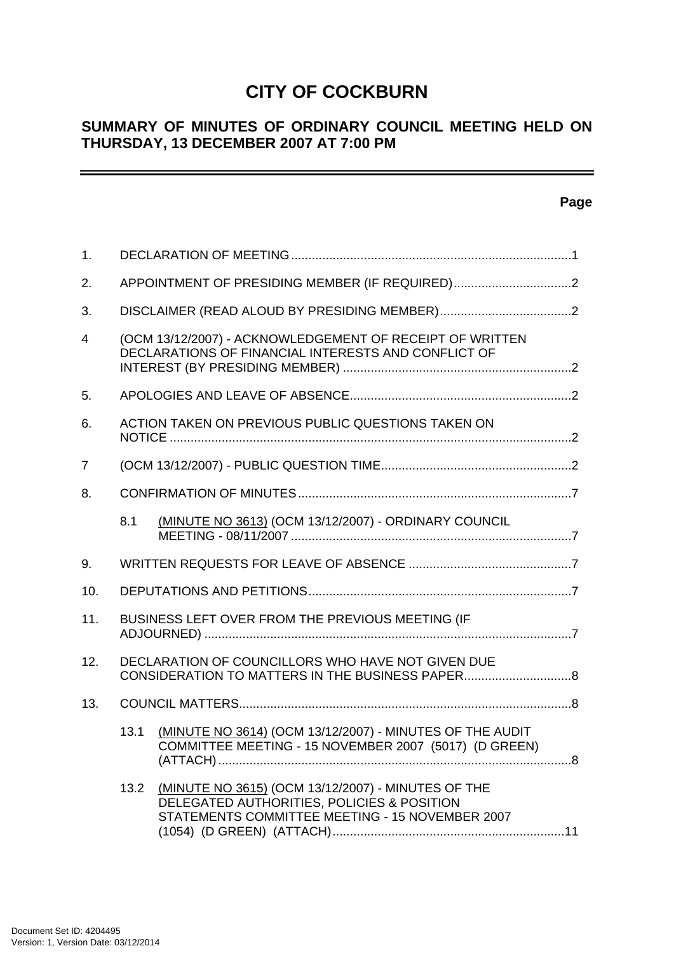# **CITY OF COCKBURN**

# **SUMMARY OF MINUTES OF ORDINARY COUNCIL MEETING HELD ON THURSDAY, 13 DECEMBER 2007 AT 7:00 PM**

| 1.  |                                                                                                                 |                                                                                                                                                     |  |
|-----|-----------------------------------------------------------------------------------------------------------------|-----------------------------------------------------------------------------------------------------------------------------------------------------|--|
| 2.  | APPOINTMENT OF PRESIDING MEMBER (IF REQUIRED)2                                                                  |                                                                                                                                                     |  |
| 3.  |                                                                                                                 |                                                                                                                                                     |  |
| 4   | (OCM 13/12/2007) - ACKNOWLEDGEMENT OF RECEIPT OF WRITTEN<br>DECLARATIONS OF FINANCIAL INTERESTS AND CONFLICT OF |                                                                                                                                                     |  |
| 5.  |                                                                                                                 |                                                                                                                                                     |  |
| 6.  |                                                                                                                 | ACTION TAKEN ON PREVIOUS PUBLIC QUESTIONS TAKEN ON                                                                                                  |  |
| 7   |                                                                                                                 |                                                                                                                                                     |  |
| 8.  |                                                                                                                 |                                                                                                                                                     |  |
|     | 8.1                                                                                                             | (MINUTE NO 3613) (OCM 13/12/2007) - ORDINARY COUNCIL                                                                                                |  |
| 9.  |                                                                                                                 |                                                                                                                                                     |  |
| 10. |                                                                                                                 |                                                                                                                                                     |  |
| 11. | BUSINESS LEFT OVER FROM THE PREVIOUS MEETING (IF                                                                |                                                                                                                                                     |  |
| 12. |                                                                                                                 | DECLARATION OF COUNCILLORS WHO HAVE NOT GIVEN DUE                                                                                                   |  |
| 13. |                                                                                                                 |                                                                                                                                                     |  |
|     | 13.1                                                                                                            | (MINUTE NO 3614) (OCM 13/12/2007) - MINUTES OF THE AUDIT<br>COMMITTEE MEETING - 15 NOVEMBER 2007 (5017) (D GREEN)                                   |  |
|     | 13.2                                                                                                            | (MINUTE NO 3615) (OCM 13/12/2007) - MINUTES OF THE<br>DELEGATED AUTHORITIES, POLICIES & POSITION<br>STATEMENTS COMMITTEE MEETING - 15 NOVEMBER 2007 |  |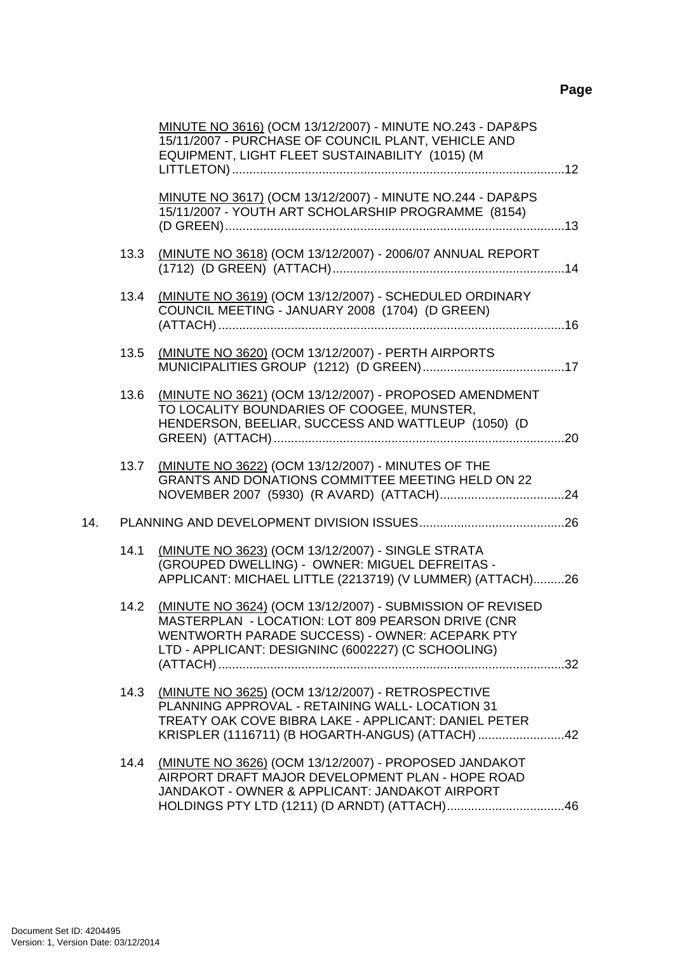|     |      | MINUTE NO 3616) (OCM 13/12/2007) - MINUTE NO.243 - DAP&PS<br>15/11/2007 - PURCHASE OF COUNCIL PLANT, VEHICLE AND<br>EQUIPMENT, LIGHT FLEET SUSTAINABILITY (1015) (M                                                    |  |
|-----|------|------------------------------------------------------------------------------------------------------------------------------------------------------------------------------------------------------------------------|--|
|     |      | MINUTE NO 3617) (OCM 13/12/2007) - MINUTE NO.244 - DAP&PS<br>15/11/2007 - YOUTH ART SCHOLARSHIP PROGRAMME (8154)                                                                                                       |  |
|     | 13.3 | (MINUTE NO 3618) (OCM 13/12/2007) - 2006/07 ANNUAL REPORT                                                                                                                                                              |  |
|     | 13.4 | (MINUTE NO 3619) (OCM 13/12/2007) - SCHEDULED ORDINARY<br>COUNCIL MEETING - JANUARY 2008 (1704) (D GREEN)                                                                                                              |  |
|     | 13.5 | (MINUTE NO 3620) (OCM 13/12/2007) - PERTH AIRPORTS                                                                                                                                                                     |  |
|     | 13.6 | (MINUTE NO 3621) (OCM 13/12/2007) - PROPOSED AMENDMENT<br>TO LOCALITY BOUNDARIES OF COOGEE, MUNSTER,<br>HENDERSON, BEELIAR, SUCCESS AND WATTLEUP (1050) (D                                                             |  |
|     | 13.7 | (MINUTE NO 3622) (OCM 13/12/2007) - MINUTES OF THE<br><b>GRANTS AND DONATIONS COMMITTEE MEETING HELD ON 22</b>                                                                                                         |  |
| 14. |      |                                                                                                                                                                                                                        |  |
|     | 14.1 | (MINUTE NO 3623) (OCM 13/12/2007) - SINGLE STRATA<br>(GROUPED DWELLING) - OWNER: MIGUEL DEFREITAS -<br>APPLICANT: MICHAEL LITTLE (2213719) (V LUMMER) (ATTACH)26                                                       |  |
|     | 14.2 | (MINUTE NO 3624) (OCM 13/12/2007) - SUBMISSION OF REVISED<br>MASTERPLAN - LOCATION: LOT 809 PEARSON DRIVE (CNR<br>WENTWORTH PARADE SUCCESS) - OWNER: ACEPARK PTY<br>LTD - APPLICANT: DESIGNINC (6002227) (C SCHOOLING) |  |
|     | 14.3 | (MINUTE NO 3625) (OCM 13/12/2007) - RETROSPECTIVE<br>PLANNING APPROVAL - RETAINING WALL- LOCATION 31<br>TREATY OAK COVE BIBRA LAKE - APPLICANT: DANIEL PETER<br>KRISPLER (1116711) (B HOGARTH-ANGUS) (ATTACH) 42       |  |
|     | 14.4 | (MINUTE NO 3626) (OCM 13/12/2007) - PROPOSED JANDAKOT<br>AIRPORT DRAFT MAJOR DEVELOPMENT PLAN - HOPE ROAD<br>JANDAKOT - OWNER & APPLICANT: JANDAKOT AIRPORT<br>HOLDINGS PTY LTD (1211) (D ARNDT) (ATTACH)46            |  |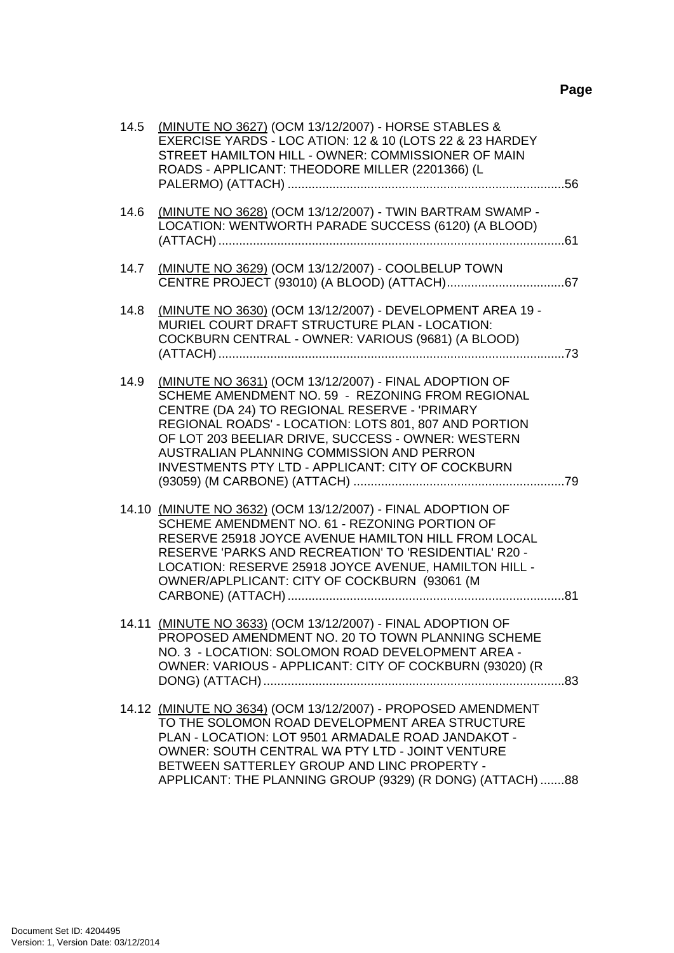| 14.5 | (MINUTE NO 3627) (OCM 13/12/2007) - HORSE STABLES &<br>EXERCISE YARDS - LOC ATION: 12 & 10 (LOTS 22 & 23 HARDEY<br>STREET HAMILTON HILL - OWNER: COMMISSIONER OF MAIN<br>ROADS - APPLICANT: THEODORE MILLER (2201366) (L                                                                                                                                                           |  |
|------|------------------------------------------------------------------------------------------------------------------------------------------------------------------------------------------------------------------------------------------------------------------------------------------------------------------------------------------------------------------------------------|--|
| 14.6 | (MINUTE NO 3628) (OCM 13/12/2007) - TWIN BARTRAM SWAMP -<br>LOCATION: WENTWORTH PARADE SUCCESS (6120) (A BLOOD)                                                                                                                                                                                                                                                                    |  |
| 14.7 | (MINUTE NO 3629) (OCM 13/12/2007) - COOLBELUP TOWN                                                                                                                                                                                                                                                                                                                                 |  |
| 14.8 | (MINUTE NO 3630) (OCM 13/12/2007) - DEVELOPMENT AREA 19 -<br>MURIEL COURT DRAFT STRUCTURE PLAN - LOCATION:<br>COCKBURN CENTRAL - OWNER: VARIOUS (9681) (A BLOOD)                                                                                                                                                                                                                   |  |
| 14.9 | (MINUTE NO 3631) (OCM 13/12/2007) - FINAL ADOPTION OF<br>SCHEME AMENDMENT NO. 59 - REZONING FROM REGIONAL<br>CENTRE (DA 24) TO REGIONAL RESERVE - 'PRIMARY<br>REGIONAL ROADS' - LOCATION: LOTS 801, 807 AND PORTION<br>OF LOT 203 BEELIAR DRIVE, SUCCESS - OWNER: WESTERN<br>AUSTRALIAN PLANNING COMMISSION AND PERRON<br><b>INVESTMENTS PTY LTD - APPLICANT: CITY OF COCKBURN</b> |  |
|      | 14.10 (MINUTE NO 3632) (OCM 13/12/2007) - FINAL ADOPTION OF<br>SCHEME AMENDMENT NO. 61 - REZONING PORTION OF<br>RESERVE 25918 JOYCE AVENUE HAMILTON HILL FROM LOCAL<br>RESERVE 'PARKS AND RECREATION' TO 'RESIDENTIAL' R20 -<br>LOCATION: RESERVE 25918 JOYCE AVENUE, HAMILTON HILL -<br>OWNER/APLPLICANT: CITY OF COCKBURN (93061 (M                                              |  |
|      | 14.11 (MINUTE NO 3633) (OCM 13/12/2007) - FINAL ADOPTION OF<br>PROPOSED AMENDMENT NO. 20 TO TOWN PLANNING SCHEME<br>NO. 3 - LOCATION: SOLOMON ROAD DEVELOPMENT AREA -<br>OWNER: VARIOUS - APPLICANT: CITY OF COCKBURN (93020) (R                                                                                                                                                   |  |
|      | 14.12 (MINUTE NO 3634) (OCM 13/12/2007) - PROPOSED AMENDMENT<br>TO THE SOLOMON ROAD DEVELOPMENT AREA STRUCTURE<br>PLAN - LOCATION: LOT 9501 ARMADALE ROAD JANDAKOT -<br>OWNER: SOUTH CENTRAL WA PTY LTD - JOINT VENTURE<br>BETWEEN SATTERLEY GROUP AND LINC PROPERTY -<br>APPLICANT: THE PLANNING GROUP (9329) (R DONG) (ATTACH) 88                                                |  |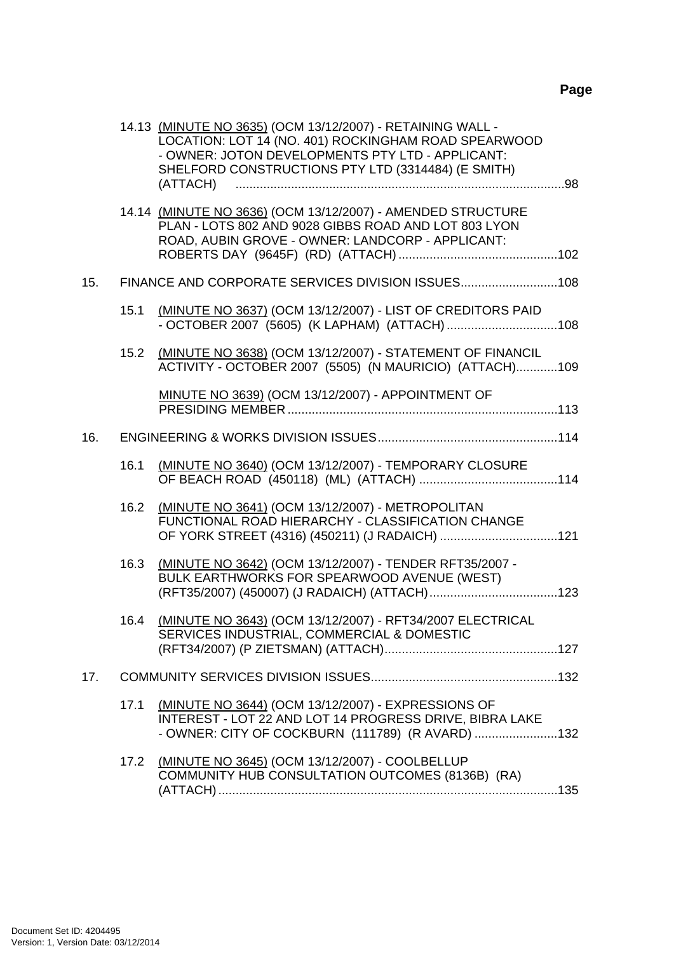|     |      | 14.13 (MINUTE NO 3635) (OCM 13/12/2007) - RETAINING WALL -<br>LOCATION: LOT 14 (NO. 401) ROCKINGHAM ROAD SPEARWOOD<br>- OWNER: JOTON DEVELOPMENTS PTY LTD - APPLICANT:<br>SHELFORD CONSTRUCTIONS PTY LTD (3314484) (E SMITH) |  |
|-----|------|------------------------------------------------------------------------------------------------------------------------------------------------------------------------------------------------------------------------------|--|
|     |      | 14.14 (MINUTE NO 3636) (OCM 13/12/2007) - AMENDED STRUCTURE<br>PLAN - LOTS 802 AND 9028 GIBBS ROAD AND LOT 803 LYON<br>ROAD, AUBIN GROVE - OWNER: LANDCORP - APPLICANT:                                                      |  |
| 15. |      |                                                                                                                                                                                                                              |  |
|     | 15.1 | (MINUTE NO 3637) (OCM 13/12/2007) - LIST OF CREDITORS PAID                                                                                                                                                                   |  |
|     | 15.2 | (MINUTE NO 3638) (OCM 13/12/2007) - STATEMENT OF FINANCIL<br>ACTIVITY - OCTOBER 2007 (5505) (N MAURICIO) (ATTACH)109                                                                                                         |  |
|     |      | MINUTE NO 3639) (OCM 13/12/2007) - APPOINTMENT OF                                                                                                                                                                            |  |
| 16. |      |                                                                                                                                                                                                                              |  |
|     | 16.1 | (MINUTE NO 3640) (OCM 13/12/2007) - TEMPORARY CLOSURE                                                                                                                                                                        |  |
|     | 16.2 | (MINUTE NO 3641) (OCM 13/12/2007) - METROPOLITAN<br>FUNCTIONAL ROAD HIERARCHY - CLASSIFICATION CHANGE<br>OF YORK STREET (4316) (450211) (J RADAICH) 121                                                                      |  |
|     | 16.3 | (MINUTE NO 3642) (OCM 13/12/2007) - TENDER RFT35/2007 -<br>BULK EARTHWORKS FOR SPEARWOOD AVENUE (WEST)                                                                                                                       |  |
|     | 16.4 | (MINUTE NO 3643) (OCM 13/12/2007) - RFT34/2007 ELECTRICAL<br>SERVICES INDUSTRIAL, COMMERCIAL & DOMESTIC                                                                                                                      |  |
| 17. |      |                                                                                                                                                                                                                              |  |
|     | 17.1 | (MINUTE NO 3644) (OCM 13/12/2007) - EXPRESSIONS OF<br>INTEREST - LOT 22 AND LOT 14 PROGRESS DRIVE, BIBRA LAKE<br>- OWNER: CITY OF COCKBURN (111789) (R AVARD) 132                                                            |  |
|     | 17.2 | (MINUTE NO 3645) (OCM 13/12/2007) - COOLBELLUP<br>COMMUNITY HUB CONSULTATION OUTCOMES (8136B) (RA)                                                                                                                           |  |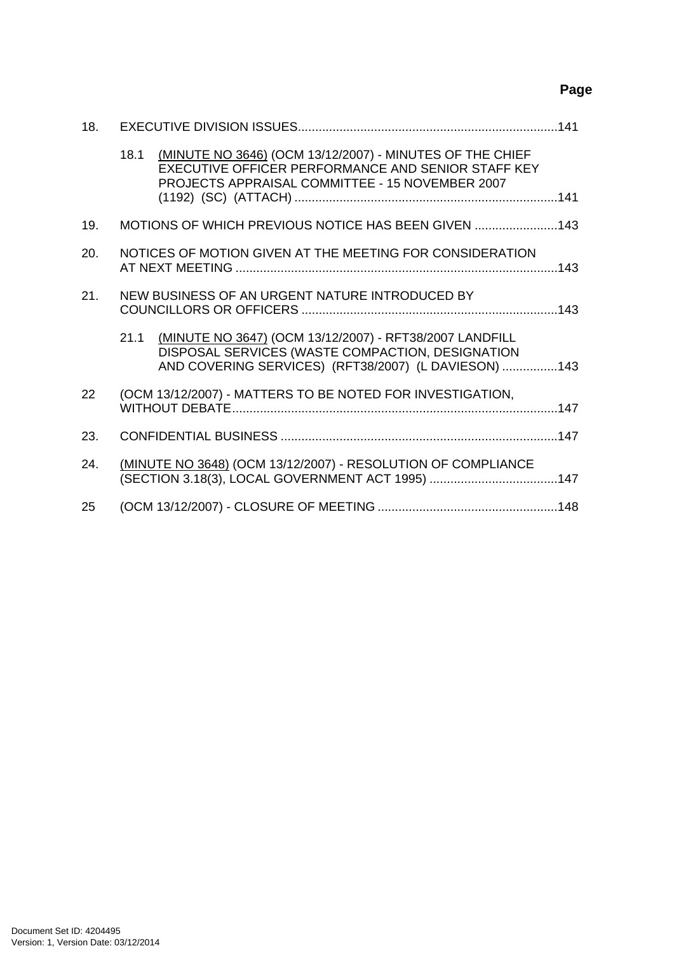| 18. |      |                                                                                                                                                                      |  |
|-----|------|----------------------------------------------------------------------------------------------------------------------------------------------------------------------|--|
|     | 18.1 | (MINUTE NO 3646) (OCM 13/12/2007) - MINUTES OF THE CHIEF<br>EXECUTIVE OFFICER PERFORMANCE AND SENIOR STAFF KEY<br>PROJECTS APPRAISAL COMMITTEE - 15 NOVEMBER 2007    |  |
| 19. |      | MOTIONS OF WHICH PREVIOUS NOTICE HAS BEEN GIVEN  143                                                                                                                 |  |
| 20. |      | NOTICES OF MOTION GIVEN AT THE MEETING FOR CONSIDERATION                                                                                                             |  |
| 21. |      | NEW BUSINESS OF AN URGENT NATURE INTRODUCED BY                                                                                                                       |  |
|     | 21.1 | (MINUTE NO 3647) (OCM 13/12/2007) - RFT38/2007 LANDFILL<br>DISPOSAL SERVICES (WASTE COMPACTION, DESIGNATION<br>AND COVERING SERVICES) (RFT38/2007) (L DAVIESON)  143 |  |
| 22  |      | (OCM 13/12/2007) - MATTERS TO BE NOTED FOR INVESTIGATION,                                                                                                            |  |
| 23. |      |                                                                                                                                                                      |  |
| 24. |      | (MINUTE NO 3648) (OCM 13/12/2007) - RESOLUTION OF COMPLIANCE                                                                                                         |  |
| 25  |      |                                                                                                                                                                      |  |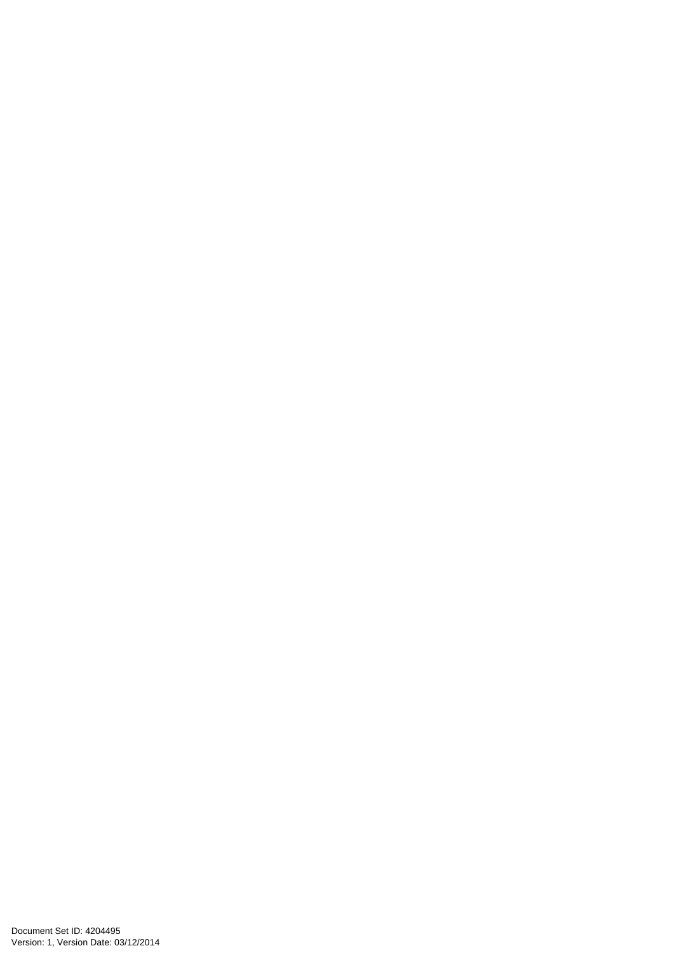Document Set ID: 4204495<br>Version: 1, Version Date: 03/12/2014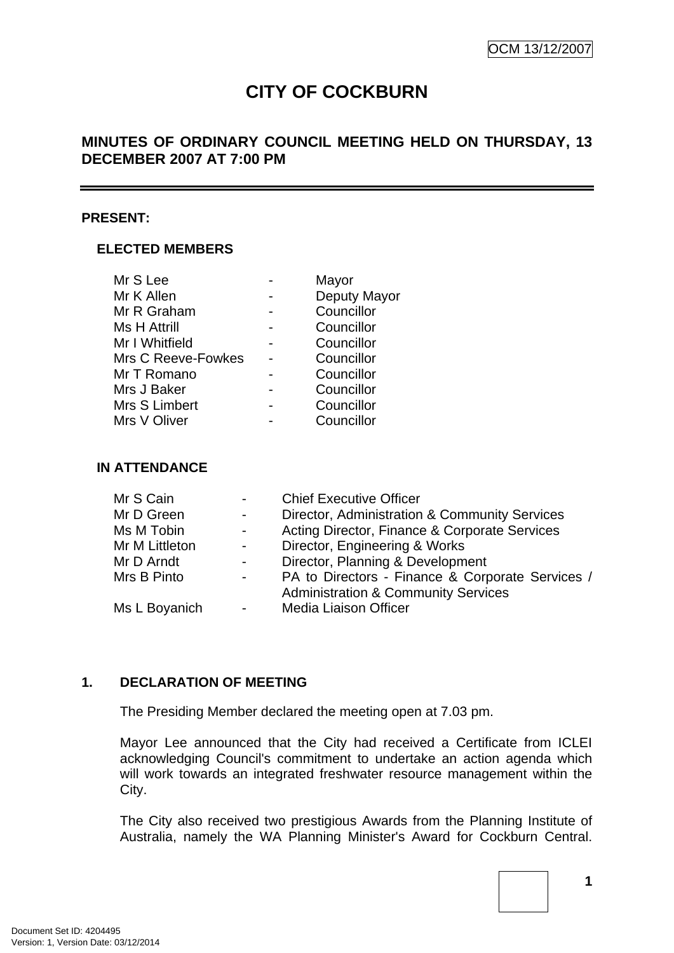# **CITY OF COCKBURN**

# <span id="page-6-0"></span>**MINUTES OF ORDINARY COUNCIL MEETING HELD ON THURSDAY, 13 DECEMBER 2007 AT 7:00 PM**

## **PRESENT:**

# **ELECTED MEMBERS**

| Mr S Lee                  | Mayor        |
|---------------------------|--------------|
| Mr K Allen                | Deputy Mayor |
| Mr R Graham               | Councillor   |
| <b>Ms H Attrill</b>       | Councillor   |
| Mr I Whitfield            | Councillor   |
| <b>Mrs C Reeve-Fowkes</b> | Councillor   |
| Mr T Romano               | Councillor   |
| Mrs J Baker               | Councillor   |
| Mrs S Limbert             | Councillor   |
| Mrs V Oliver              | Councillor   |

#### **IN ATTENDANCE**

| Mr S Cain      | $\blacksquare$   | <b>Chief Executive Officer</b>                   |
|----------------|------------------|--------------------------------------------------|
| Mr D Green     | $\sim$ 100 $\mu$ | Director, Administration & Community Services    |
| Ms M Tobin     | $\sim 100$       | Acting Director, Finance & Corporate Services    |
| Mr M Littleton | $\blacksquare$   | Director, Engineering & Works                    |
| Mr D Arndt     | $\sim$           | Director, Planning & Development                 |
| Mrs B Pinto    | $\blacksquare$   | PA to Directors - Finance & Corporate Services / |
|                |                  | <b>Administration &amp; Community Services</b>   |
| Ms L Boyanich  | $\blacksquare$   | Media Liaison Officer                            |

# **1. DECLARATION OF MEETING**

The Presiding Member declared the meeting open at 7.03 pm.

Mayor Lee announced that the City had received a Certificate from ICLEI acknowledging Council's commitment to undertake an action agenda which will work towards an integrated freshwater resource management within the City.

The City also received two prestigious Awards from the Planning Institute of Australia, namely the WA Planning Minister's Award for Cockburn Central.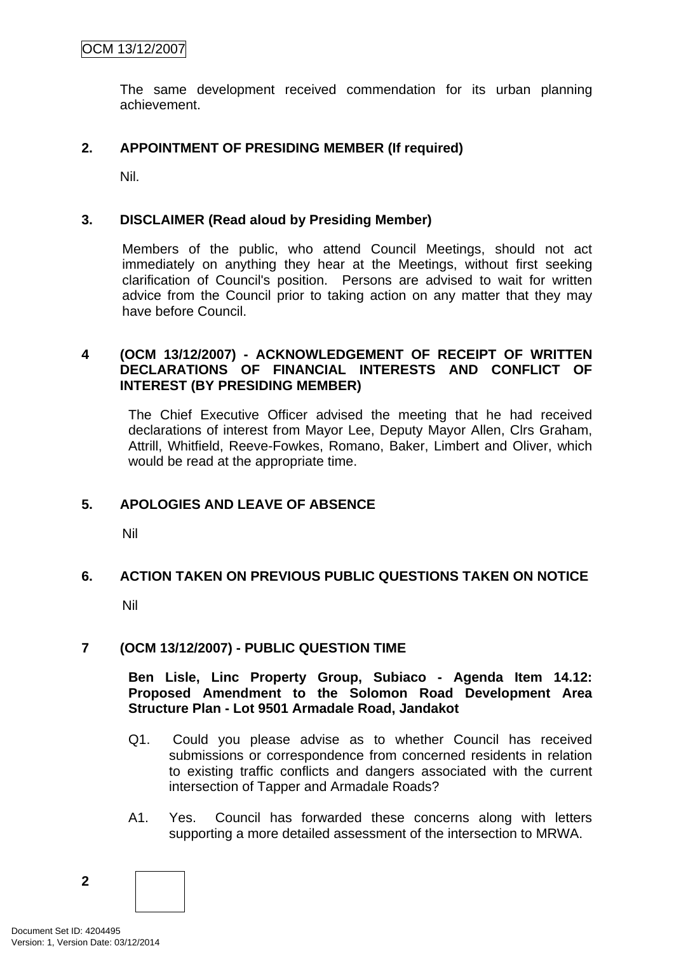<span id="page-7-0"></span>The same development received commendation for its urban planning achievement.

# **2. APPOINTMENT OF PRESIDING MEMBER (If required)**

Nil.

# **3. DISCLAIMER (Read aloud by Presiding Member)**

Members of the public, who attend Council Meetings, should not act immediately on anything they hear at the Meetings, without first seeking clarification of Council's position. Persons are advised to wait for written advice from the Council prior to taking action on any matter that they may have before Council.

# **4 (OCM 13/12/2007) - ACKNOWLEDGEMENT OF RECEIPT OF WRITTEN DECLARATIONS OF FINANCIAL INTERESTS AND CONFLICT OF INTEREST (BY PRESIDING MEMBER)**

The Chief Executive Officer advised the meeting that he had received declarations of interest from Mayor Lee, Deputy Mayor Allen, Clrs Graham, Attrill, Whitfield, Reeve-Fowkes, Romano, Baker, Limbert and Oliver, which would be read at the appropriate time.

# **5. APOLOGIES AND LEAVE OF ABSENCE**

Nil

# **6. ACTION TAKEN ON PREVIOUS PUBLIC QUESTIONS TAKEN ON NOTICE**

Nil

# **7 (OCM 13/12/2007) - PUBLIC QUESTION TIME**

**Ben Lisle, Linc Property Group, Subiaco - Agenda Item 14.12: Proposed Amendment to the Solomon Road Development Area Structure Plan - Lot 9501 Armadale Road, Jandakot**

- Q1. Could you please advise as to whether Council has received submissions or correspondence from concerned residents in relation to existing traffic conflicts and dangers associated with the current intersection of Tapper and Armadale Roads?
- A1. Yes. Council has forwarded these concerns along with letters supporting a more detailed assessment of the intersection to MRWA.

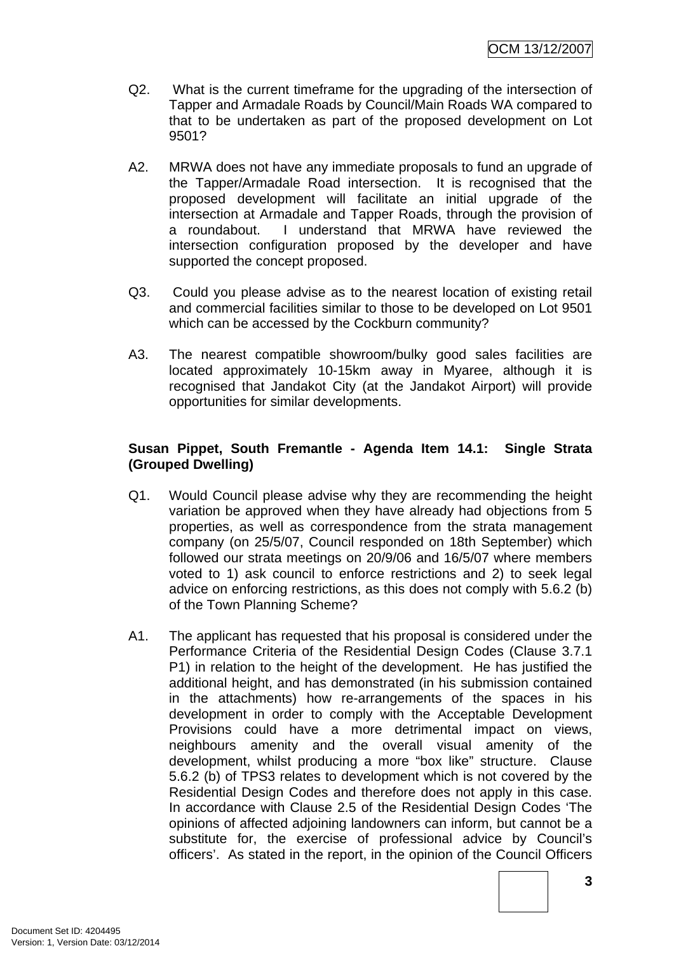- Q2. What is the current timeframe for the upgrading of the intersection of Tapper and Armadale Roads by Council/Main Roads WA compared to that to be undertaken as part of the proposed development on Lot 9501?
- A2. MRWA does not have any immediate proposals to fund an upgrade of the Tapper/Armadale Road intersection. It is recognised that the proposed development will facilitate an initial upgrade of the intersection at Armadale and Tapper Roads, through the provision of a roundabout. I understand that MRWA have reviewed the intersection configuration proposed by the developer and have supported the concept proposed.
- Q3. Could you please advise as to the nearest location of existing retail and commercial facilities similar to those to be developed on Lot 9501 which can be accessed by the Cockburn community?
- A3. The nearest compatible showroom/bulky good sales facilities are located approximately 10-15km away in Myaree, although it is recognised that Jandakot City (at the Jandakot Airport) will provide opportunities for similar developments.

# **Susan Pippet, South Fremantle - Agenda Item 14.1: Single Strata (Grouped Dwelling)**

- Q1. Would Council please advise why they are recommending the height variation be approved when they have already had objections from 5 properties, as well as correspondence from the strata management company (on 25/5/07, Council responded on 18th September) which followed our strata meetings on 20/9/06 and 16/5/07 where members voted to 1) ask council to enforce restrictions and 2) to seek legal advice on enforcing restrictions, as this does not comply with 5.6.2 (b) of the Town Planning Scheme?
- A1. The applicant has requested that his proposal is considered under the Performance Criteria of the Residential Design Codes (Clause 3.7.1 P1) in relation to the height of the development. He has justified the additional height, and has demonstrated (in his submission contained in the attachments) how re-arrangements of the spaces in his development in order to comply with the Acceptable Development Provisions could have a more detrimental impact on views, neighbours amenity and the overall visual amenity of the development, whilst producing a more "box like" structure. Clause 5.6.2 (b) of TPS3 relates to development which is not covered by the Residential Design Codes and therefore does not apply in this case. In accordance with Clause 2.5 of the Residential Design Codes 'The opinions of affected adjoining landowners can inform, but cannot be a substitute for, the exercise of professional advice by Council's officers'. As stated in the report, in the opinion of the Council Officers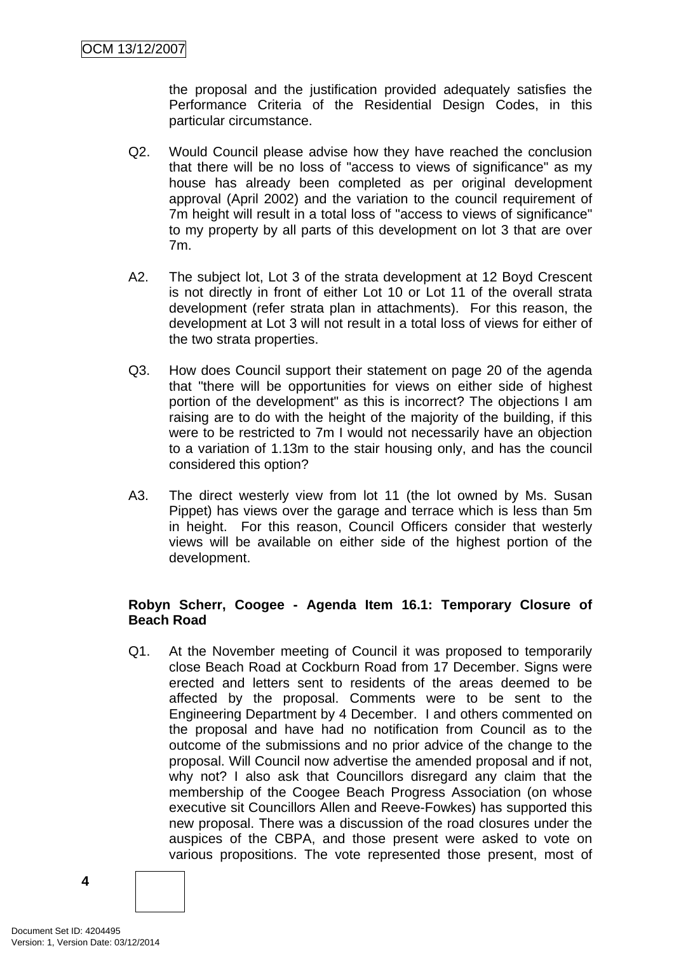the proposal and the justification provided adequately satisfies the Performance Criteria of the Residential Design Codes, in this particular circumstance.

- Q2. Would Council please advise how they have reached the conclusion that there will be no loss of "access to views of significance" as my house has already been completed as per original development approval (April 2002) and the variation to the council requirement of 7m height will result in a total loss of "access to views of significance" to my property by all parts of this development on lot 3 that are over 7m.
- A2. The subject lot, Lot 3 of the strata development at 12 Boyd Crescent is not directly in front of either Lot 10 or Lot 11 of the overall strata development (refer strata plan in attachments). For this reason, the development at Lot 3 will not result in a total loss of views for either of the two strata properties.
- Q3. How does Council support their statement on page 20 of the agenda that "there will be opportunities for views on either side of highest portion of the development" as this is incorrect? The objections I am raising are to do with the height of the majority of the building, if this were to be restricted to 7m I would not necessarily have an objection to a variation of 1.13m to the stair housing only, and has the council considered this option?
- A3. The direct westerly view from lot 11 (the lot owned by Ms. Susan Pippet) has views over the garage and terrace which is less than 5m in height. For this reason, Council Officers consider that westerly views will be available on either side of the highest portion of the development.

## **Robyn Scherr, Coogee - Agenda Item 16.1: Temporary Closure of Beach Road**

Q1. At the November meeting of Council it was proposed to temporarily close Beach Road at Cockburn Road from 17 December. Signs were erected and letters sent to residents of the areas deemed to be affected by the proposal. Comments were to be sent to the Engineering Department by 4 December. I and others commented on the proposal and have had no notification from Council as to the outcome of the submissions and no prior advice of the change to the proposal. Will Council now advertise the amended proposal and if not, why not? I also ask that Councillors disregard any claim that the membership of the Coogee Beach Progress Association (on whose executive sit Councillors Allen and Reeve-Fowkes) has supported this new proposal. There was a discussion of the road closures under the auspices of the CBPA, and those present were asked to vote on various propositions. The vote represented those present, most of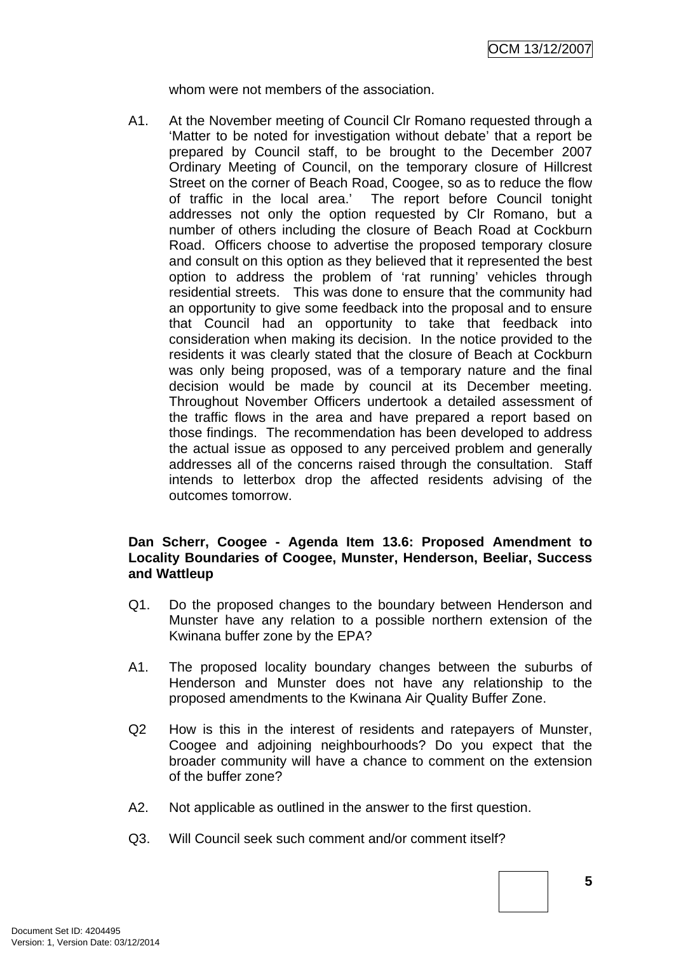whom were not members of the association.

A1. At the November meeting of Council Clr Romano requested through a 'Matter to be noted for investigation without debate' that a report be prepared by Council staff, to be brought to the December 2007 Ordinary Meeting of Council, on the temporary closure of Hillcrest Street on the corner of Beach Road, Coogee, so as to reduce the flow of traffic in the local area.' The report before Council tonight addresses not only the option requested by Clr Romano, but a number of others including the closure of Beach Road at Cockburn Road. Officers choose to advertise the proposed temporary closure and consult on this option as they believed that it represented the best option to address the problem of 'rat running' vehicles through residential streets. This was done to ensure that the community had an opportunity to give some feedback into the proposal and to ensure that Council had an opportunity to take that feedback into consideration when making its decision. In the notice provided to the residents it was clearly stated that the closure of Beach at Cockburn was only being proposed, was of a temporary nature and the final decision would be made by council at its December meeting. Throughout November Officers undertook a detailed assessment of the traffic flows in the area and have prepared a report based on those findings. The recommendation has been developed to address the actual issue as opposed to any perceived problem and generally addresses all of the concerns raised through the consultation. Staff intends to letterbox drop the affected residents advising of the outcomes tomorrow.

#### **Dan Scherr, Coogee - Agenda Item 13.6: Proposed Amendment to Locality Boundaries of Coogee, Munster, Henderson, Beeliar, Success and Wattleup**

- Q1. Do the proposed changes to the boundary between Henderson and Munster have any relation to a possible northern extension of the Kwinana buffer zone by the EPA?
- A1. The proposed locality boundary changes between the suburbs of Henderson and Munster does not have any relationship to the proposed amendments to the Kwinana Air Quality Buffer Zone.
- Q2 How is this in the interest of residents and ratepayers of Munster, Coogee and adjoining neighbourhoods? Do you expect that the broader community will have a chance to comment on the extension of the buffer zone?
- A2. Not applicable as outlined in the answer to the first question.
- Q3. Will Council seek such comment and/or comment itself?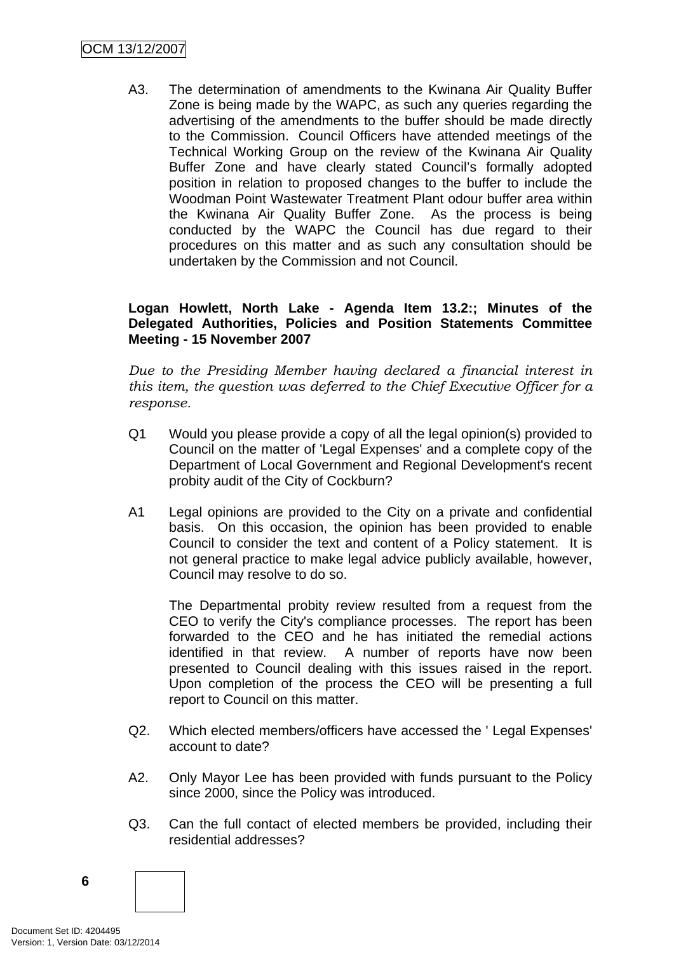<span id="page-11-0"></span>A3. The determination of amendments to the Kwinana Air Quality Buffer Zone is being made by the WAPC, as such any queries regarding the advertising of the amendments to the buffer should be made directly to the Commission. Council Officers have attended meetings of the Technical Working Group on the review of the Kwinana Air Quality Buffer Zone and have clearly stated Council's formally adopted position in relation to proposed changes to the buffer to include the Woodman Point Wastewater Treatment Plant odour buffer area within the Kwinana Air Quality Buffer Zone. As the process is being conducted by the WAPC the Council has due regard to their procedures on this matter and as such any consultation should be undertaken by the Commission and not Council.

## **Logan Howlett, North Lake - Agenda Item 13.2:; Minutes of the Delegated Authorities, Policies and Position Statements Committee Meeting - 15 November 2007**

*Due to the Presiding Member having declared a financial interest in this item, the question was deferred to the Chief Executive Officer for a response.*

- Q1 Would you please provide a copy of all the legal opinion(s) provided to Council on the matter of 'Legal Expenses' and a complete copy of the Department of Local Government and Regional Development's recent probity audit of the City of Cockburn?
- A1 Legal opinions are provided to the City on a private and confidential basis. On this occasion, the opinion has been provided to enable Council to consider the text and content of a Policy statement. It is not general practice to make legal advice publicly available, however, Council may resolve to do so.

The Departmental probity review resulted from a request from the CEO to verify the City's compliance processes. The report has been forwarded to the CEO and he has initiated the remedial actions identified in that review. A number of reports have now been presented to Council dealing with this issues raised in the report. Upon completion of the process the CEO will be presenting a full report to Council on this matter.

- Q2. Which elected members/officers have accessed the ' Legal Expenses' account to date?
- A2. Only Mayor Lee has been provided with funds pursuant to the Policy since 2000, since the Policy was introduced.
- Q3. Can the full contact of elected members be provided, including their residential addresses?

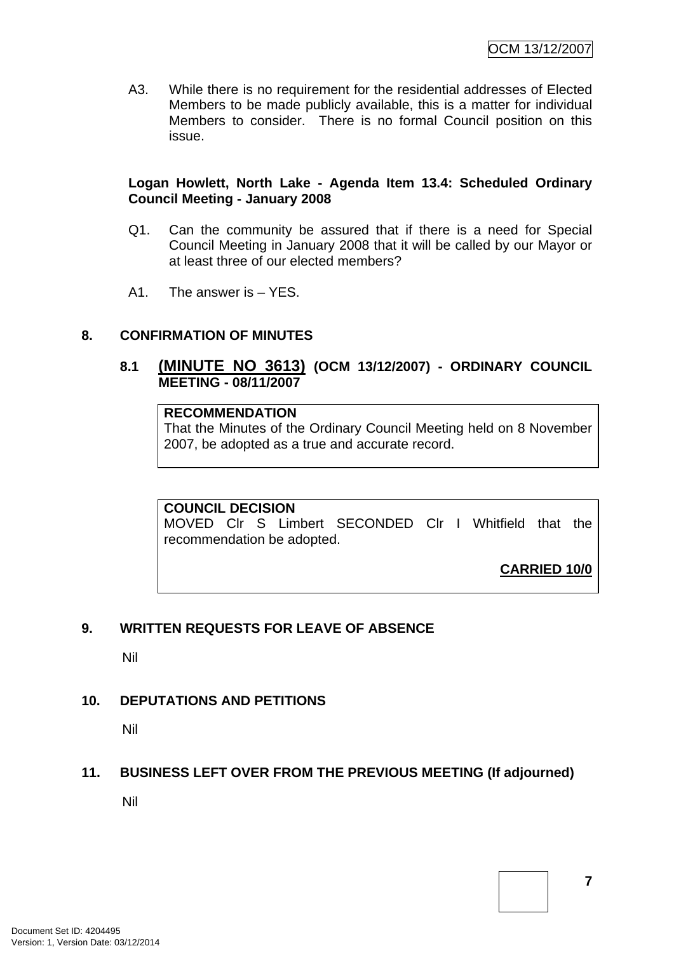A3. While there is no requirement for the residential addresses of Elected Members to be made publicly available, this is a matter for individual Members to consider. There is no formal Council position on this issue.

## **Logan Howlett, North Lake - Agenda Item 13.4: Scheduled Ordinary Council Meeting - January 2008**

- Q1. Can the community be assured that if there is a need for Special Council Meeting in January 2008 that it will be called by our Mayor or at least three of our elected members?
- A1. The answer is YES.

# **8. CONFIRMATION OF MINUTES**

# **8.1 (MINUTE NO 3613) (OCM 13/12/2007) - ORDINARY COUNCIL MEETING - 08/11/2007**

# **RECOMMENDATION**

That the Minutes of the Ordinary Council Meeting held on 8 November 2007, be adopted as a true and accurate record.

#### **COUNCIL DECISION**

MOVED Clr S Limbert SECONDED Clr I Whitfield that the recommendation be adopted.

**CARRIED 10/0**

## **9. WRITTEN REQUESTS FOR LEAVE OF ABSENCE**

Nil

## **10. DEPUTATIONS AND PETITIONS**

Nil

## **11. BUSINESS LEFT OVER FROM THE PREVIOUS MEETING (If adjourned)**

Nil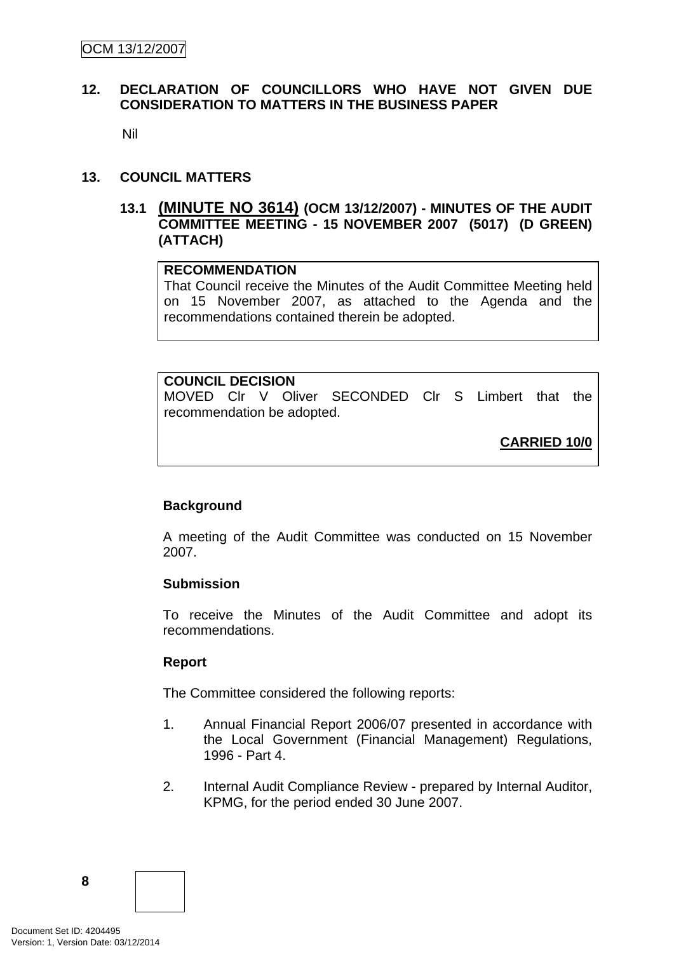# <span id="page-13-0"></span>**12. DECLARATION OF COUNCILLORS WHO HAVE NOT GIVEN DUE CONSIDERATION TO MATTERS IN THE BUSINESS PAPER**

Nil

# **13. COUNCIL MATTERS**

# **13.1 (MINUTE NO 3614) (OCM 13/12/2007) - MINUTES OF THE AUDIT COMMITTEE MEETING - 15 NOVEMBER 2007 (5017) (D GREEN) (ATTACH)**

## **RECOMMENDATION**

That Council receive the Minutes of the Audit Committee Meeting held on 15 November 2007, as attached to the Agenda and the recommendations contained therein be adopted.

## **COUNCIL DECISION**

MOVED Clr V Oliver SECONDED Clr S Limbert that the recommendation be adopted.

**CARRIED 10/0**

# **Background**

A meeting of the Audit Committee was conducted on 15 November 2007.

## **Submission**

To receive the Minutes of the Audit Committee and adopt its recommendations.

## **Report**

The Committee considered the following reports:

- 1. Annual Financial Report 2006/07 presented in accordance with the Local Government (Financial Management) Regulations, 1996 - Part 4.
- 2. Internal Audit Compliance Review prepared by Internal Auditor, KPMG, for the period ended 30 June 2007.

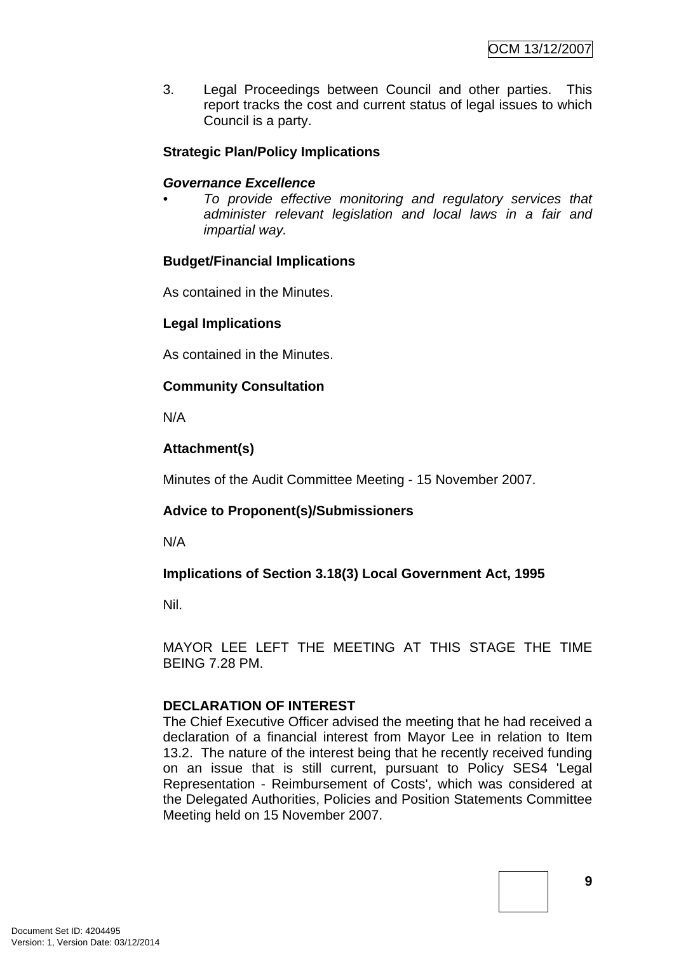3. Legal Proceedings between Council and other parties. This report tracks the cost and current status of legal issues to which Council is a party.

# **Strategic Plan/Policy Implications**

#### *Governance Excellence*

*• To provide effective monitoring and regulatory services that administer relevant legislation and local laws in a fair and impartial way.* 

## **Budget/Financial Implications**

As contained in the Minutes.

## **Legal Implications**

As contained in the Minutes.

## **Community Consultation**

N/A

## **Attachment(s)**

Minutes of the Audit Committee Meeting - 15 November 2007.

## **Advice to Proponent(s)/Submissioners**

N/A

## **Implications of Section 3.18(3) Local Government Act, 1995**

Nil.

MAYOR LEE LEFT THE MEETING AT THIS STAGE THE TIME BEING 7.28 PM.

## **DECLARATION OF INTEREST**

The Chief Executive Officer advised the meeting that he had received a declaration of a financial interest from Mayor Lee in relation to Item 13.2. The nature of the interest being that he recently received funding on an issue that is still current, pursuant to Policy SES4 'Legal Representation - Reimbursement of Costs', which was considered at the Delegated Authorities, Policies and Position Statements Committee Meeting held on 15 November 2007.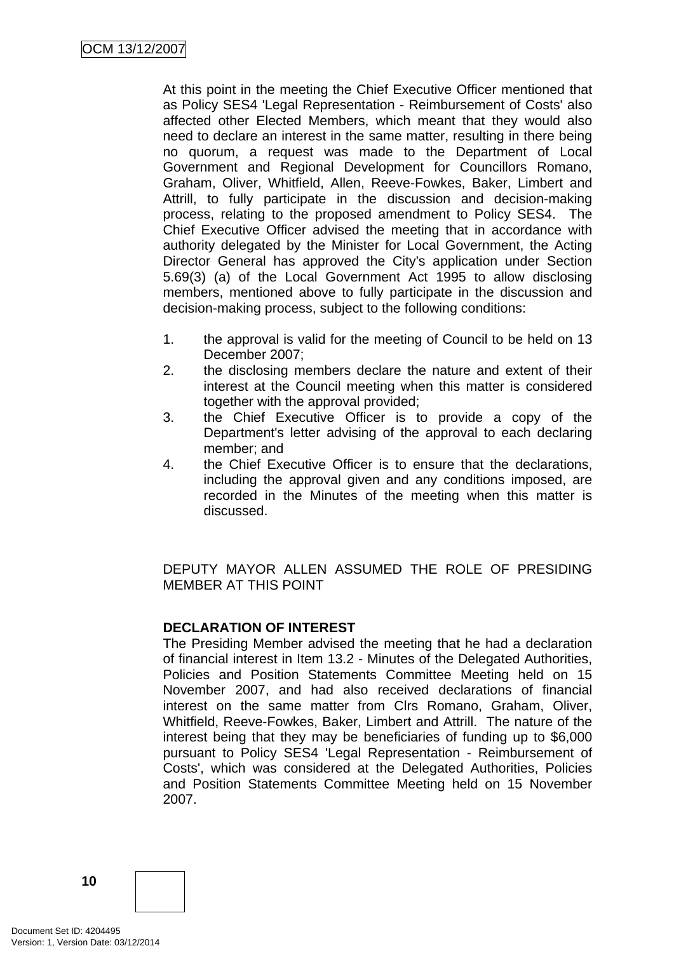At this point in the meeting the Chief Executive Officer mentioned that as Policy SES4 'Legal Representation - Reimbursement of Costs' also affected other Elected Members, which meant that they would also need to declare an interest in the same matter, resulting in there being no quorum, a request was made to the Department of Local Government and Regional Development for Councillors Romano, Graham, Oliver, Whitfield, Allen, Reeve-Fowkes, Baker, Limbert and Attrill, to fully participate in the discussion and decision-making process, relating to the proposed amendment to Policy SES4. The Chief Executive Officer advised the meeting that in accordance with authority delegated by the Minister for Local Government, the Acting Director General has approved the City's application under Section 5.69(3) (a) of the Local Government Act 1995 to allow disclosing members, mentioned above to fully participate in the discussion and decision-making process, subject to the following conditions:

- 1. the approval is valid for the meeting of Council to be held on 13 December 2007;
- 2. the disclosing members declare the nature and extent of their interest at the Council meeting when this matter is considered together with the approval provided;
- 3. the Chief Executive Officer is to provide a copy of the Department's letter advising of the approval to each declaring member; and
- 4. the Chief Executive Officer is to ensure that the declarations, including the approval given and any conditions imposed, are recorded in the Minutes of the meeting when this matter is discussed.

DEPUTY MAYOR ALLEN ASSUMED THE ROLE OF PRESIDING MEMBER AT THIS POINT

# **DECLARATION OF INTEREST**

The Presiding Member advised the meeting that he had a declaration of financial interest in Item 13.2 - Minutes of the Delegated Authorities, Policies and Position Statements Committee Meeting held on 15 November 2007, and had also received declarations of financial interest on the same matter from Clrs Romano, Graham, Oliver, Whitfield, Reeve-Fowkes, Baker, Limbert and Attrill. The nature of the interest being that they may be beneficiaries of funding up to \$6,000 pursuant to Policy SES4 'Legal Representation - Reimbursement of Costs', which was considered at the Delegated Authorities, Policies and Position Statements Committee Meeting held on 15 November 2007.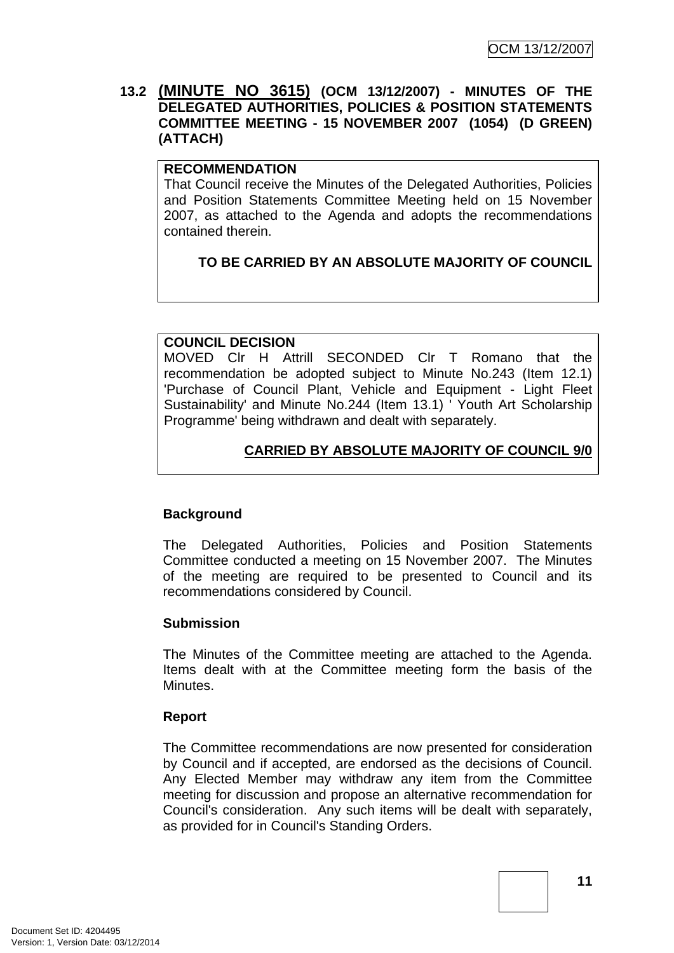# <span id="page-16-0"></span>**13.2 (MINUTE NO 3615) (OCM 13/12/2007) - MINUTES OF THE DELEGATED AUTHORITIES, POLICIES & POSITION STATEMENTS COMMITTEE MEETING - 15 NOVEMBER 2007 (1054) (D GREEN) (ATTACH)**

#### **RECOMMENDATION**

That Council receive the Minutes of the Delegated Authorities, Policies and Position Statements Committee Meeting held on 15 November 2007, as attached to the Agenda and adopts the recommendations contained therein.

# **TO BE CARRIED BY AN ABSOLUTE MAJORITY OF COUNCIL**

## **COUNCIL DECISION**

MOVED Clr H Attrill SECONDED Clr T Romano that the recommendation be adopted subject to Minute No.243 (Item 12.1) 'Purchase of Council Plant, Vehicle and Equipment - Light Fleet Sustainability' and Minute No.244 (Item 13.1) ' Youth Art Scholarship Programme' being withdrawn and dealt with separately.

# **CARRIED BY ABSOLUTE MAJORITY OF COUNCIL 9/0**

# **Background**

The Delegated Authorities, Policies and Position Statements Committee conducted a meeting on 15 November 2007. The Minutes of the meeting are required to be presented to Council and its recommendations considered by Council.

## **Submission**

The Minutes of the Committee meeting are attached to the Agenda. Items dealt with at the Committee meeting form the basis of the Minutes.

#### **Report**

The Committee recommendations are now presented for consideration by Council and if accepted, are endorsed as the decisions of Council. Any Elected Member may withdraw any item from the Committee meeting for discussion and propose an alternative recommendation for Council's consideration. Any such items will be dealt with separately, as provided for in Council's Standing Orders.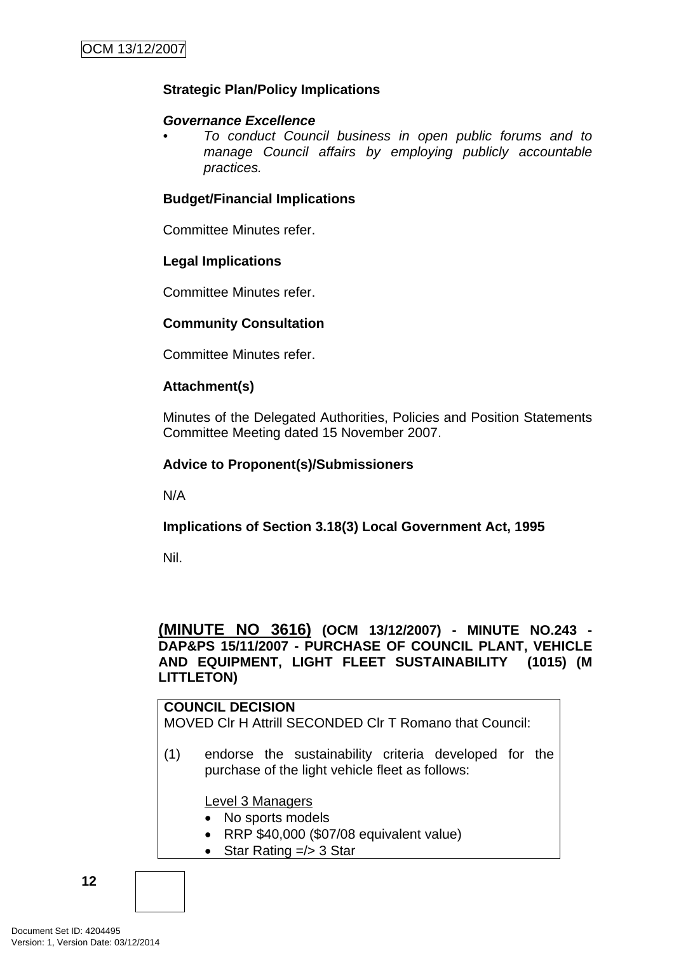# <span id="page-17-0"></span>**Strategic Plan/Policy Implications**

#### *Governance Excellence*

*• To conduct Council business in open public forums and to manage Council affairs by employing publicly accountable practices.* 

## **Budget/Financial Implications**

Committee Minutes refer.

## **Legal Implications**

Committee Minutes refer.

## **Community Consultation**

Committee Minutes refer.

#### **Attachment(s)**

Minutes of the Delegated Authorities, Policies and Position Statements Committee Meeting dated 15 November 2007.

#### **Advice to Proponent(s)/Submissioners**

N/A

**Implications of Section 3.18(3) Local Government Act, 1995**

Nil.

**(MINUTE NO 3616) (OCM 13/12/2007) - MINUTE NO.243 - DAP&PS 15/11/2007 - PURCHASE OF COUNCIL PLANT, VEHICLE AND EQUIPMENT, LIGHT FLEET SUSTAINABILITY (1015) (M LITTLETON)** 

**COUNCIL DECISION**  MOVED Clr H Attrill SECONDED Clr T Romano that Council: (1) endorse the sustainability criteria developed for the purchase of the light vehicle fleet as follows: Level 3 Managers • No sports models • RRP \$40,000 (\$07/08 equivalent value) • Star Rating =/> 3 Star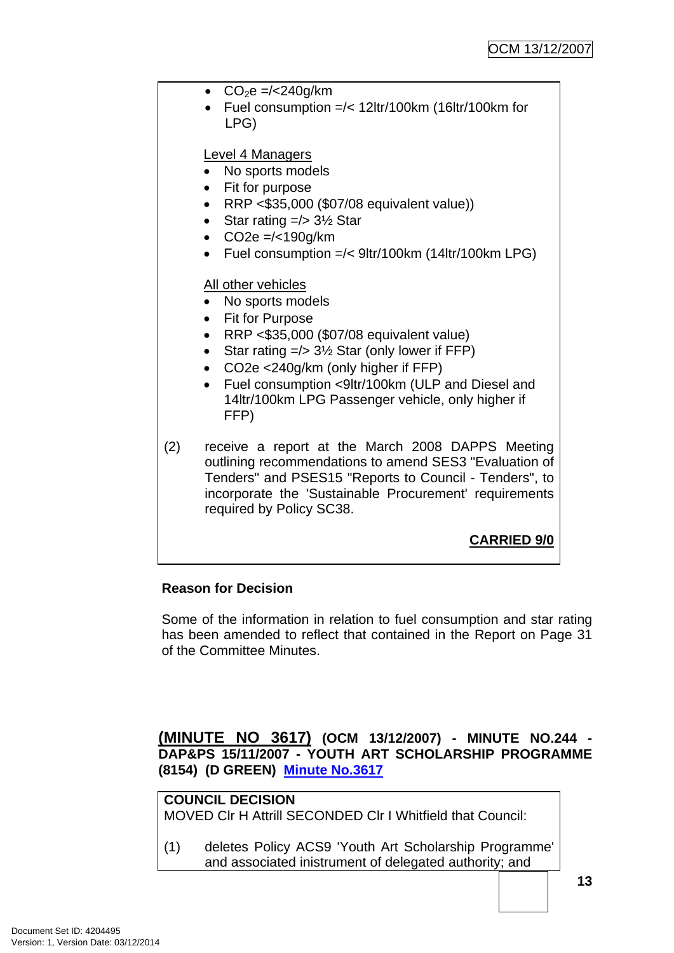- <span id="page-18-0"></span>•  $CO_2e = \frac{240q}{km}$ 
	- Fuel consumption =/< 12ltr/100km (16ltr/100km for LPG)

## Level 4 Managers

- No sports models
- Fit for purpose
- RRP <\$35,000 (\$07/08 equivalent value))
- Star rating  $=$  />  $3\frac{1}{2}$  Star
- $\bullet$  CO2e =/<190g/km
- Fuel consumption =/< 9ltr/100km (14ltr/100km LPG)

#### All other vehicles

- No sports models
- Fit for Purpose
- RRP <\$35,000 (\$07/08 equivalent value)
- Star rating  $=$  />  $3\frac{1}{2}$  Star (only lower if FFP)
- CO2e <240g/km (only higher if FFP)
- Fuel consumption <9ltr/100km (ULP and Diesel and 14ltr/100km LPG Passenger vehicle, only higher if FFP)
- (2) receive a report at the March 2008 DAPPS Meeting outlining recommendations to amend SES3 "Evaluation of Tenders" and PSES15 "Reports to Council - Tenders", to incorporate the 'Sustainable Procurement' requirements required by Policy SC38.

# **CARRIED 9/0**

## **Reason for Decision**

Some of the information in relation to fuel consumption and star rating has been amended to reflect that contained in the Report on Page 31 of the Committee Minutes.

## **(MINUTE NO 3617) (OCM 13/12/2007) - MINUTE NO.244 - DAP&PS 15/11/2007 - YOUTH ART SCHOLARSHIP PROGRAMME (8154) (D GREEN) Minute No.3617**

|     | <b>COUNCIL DECISION</b>                                                                                         |  |  |  |
|-----|-----------------------------------------------------------------------------------------------------------------|--|--|--|
|     | MOVED CIr H Attrill SECONDED CIr I Whitfield that Council:                                                      |  |  |  |
| (1) | deletes Policy ACS9 'Youth Art Scholarship Programme'<br>and associated inistrument of delegated authority; and |  |  |  |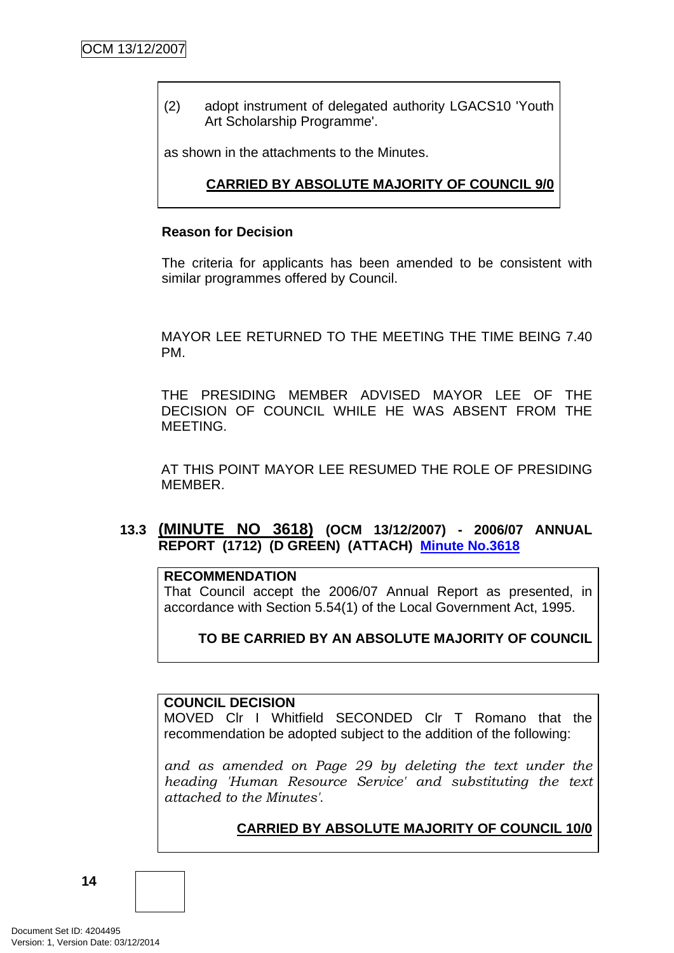<span id="page-19-0"></span>(2) adopt instrument of delegated authority LGACS10 'Youth Art Scholarship Programme'.

as shown in the attachments to the Minutes.

# **CARRIED BY ABSOLUTE MAJORITY OF COUNCIL 9/0**

#### **Reason for Decision**

The criteria for applicants has been amended to be consistent with similar programmes offered by Council.

MAYOR LEE RETURNED TO THE MEETING THE TIME BEING 7.40 PM.

THE PRESIDING MEMBER ADVISED MAYOR LEE OF THE DECISION OF COUNCIL WHILE HE WAS ABSENT FROM THE MEETING.

AT THIS POINT MAYOR LEE RESUMED THE ROLE OF PRESIDING MEMBER.

# **13.3 (MINUTE NO 3618) (OCM 13/12/2007) - 2006/07 ANNUAL REPORT (1712) (D GREEN) (ATTACH) Minute No.3618**

#### **RECOMMENDATION**

That Council accept the 2006/07 Annual Report as presented, in accordance with Section 5.54(1) of the Local Government Act, 1995.

# **TO BE CARRIED BY AN ABSOLUTE MAJORITY OF COUNCIL**

## **COUNCIL DECISION**

MOVED Clr I Whitfield SECONDED Clr T Romano that the recommendation be adopted subject to the addition of the following:

*and as amended on Page 29 by deleting the text under the heading 'Human Resource Service' and substituting the text attached to the Minutes'*.

**CARRIED BY ABSOLUTE MAJORITY OF COUNCIL 10/0**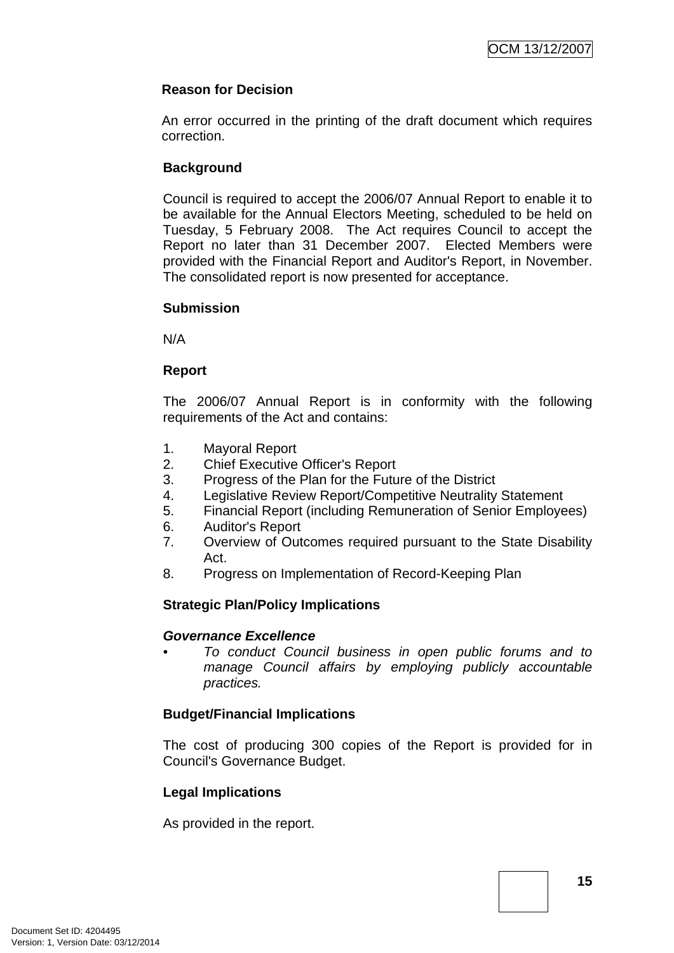# **Reason for Decision**

An error occurred in the printing of the draft document which requires correction.

# **Background**

Council is required to accept the 2006/07 Annual Report to enable it to be available for the Annual Electors Meeting, scheduled to be held on Tuesday, 5 February 2008. The Act requires Council to accept the Report no later than 31 December 2007. Elected Members were provided with the Financial Report and Auditor's Report, in November. The consolidated report is now presented for acceptance.

## **Submission**

N/A

## **Report**

The 2006/07 Annual Report is in conformity with the following requirements of the Act and contains:

- 1. Mayoral Report
- 2. Chief Executive Officer's Report
- 3. Progress of the Plan for the Future of the District
- 4. Legislative Review Report/Competitive Neutrality Statement
- 5. Financial Report (including Remuneration of Senior Employees)
- 6. Auditor's Report
- 7. Overview of Outcomes required pursuant to the State Disability Act.
- 8. Progress on Implementation of Record-Keeping Plan

# **Strategic Plan/Policy Implications**

# *Governance Excellence*

*• To conduct Council business in open public forums and to manage Council affairs by employing publicly accountable practices.* 

# **Budget/Financial Implications**

The cost of producing 300 copies of the Report is provided for in Council's Governance Budget.

# **Legal Implications**

As provided in the report.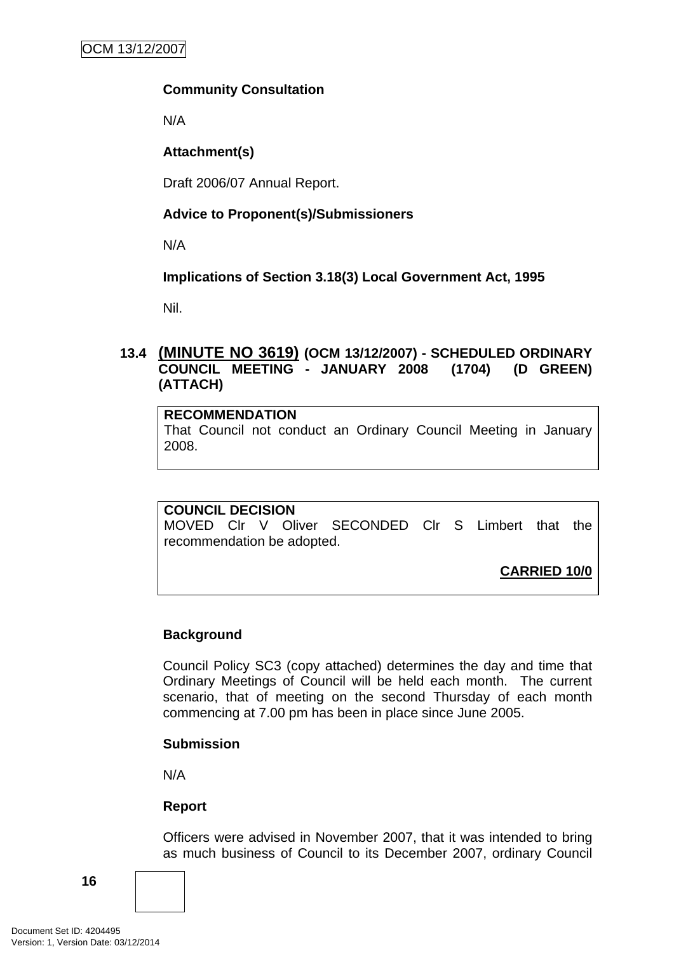# <span id="page-21-0"></span>**Community Consultation**

N/A

# **Attachment(s)**

Draft 2006/07 Annual Report.

# **Advice to Proponent(s)/Submissioners**

N/A

# **Implications of Section 3.18(3) Local Government Act, 1995**

Nil.

# **13.4 (MINUTE NO 3619) (OCM 13/12/2007) - SCHEDULED ORDINARY COUNCIL MEETING - JANUARY 2008 (1704) (D GREEN) (ATTACH)**

# **RECOMMENDATION**

That Council not conduct an Ordinary Council Meeting in January 2008.

## **COUNCIL DECISION**

MOVED Clr V Oliver SECONDED Clr S Limbert that the recommendation be adopted.

**CARRIED 10/0**

# **Background**

Council Policy SC3 (copy attached) determines the day and time that Ordinary Meetings of Council will be held each month. The current scenario, that of meeting on the second Thursday of each month commencing at 7.00 pm has been in place since June 2005.

## **Submission**

N/A

# **Report**

Officers were advised in November 2007, that it was intended to bring as much business of Council to its December 2007, ordinary Council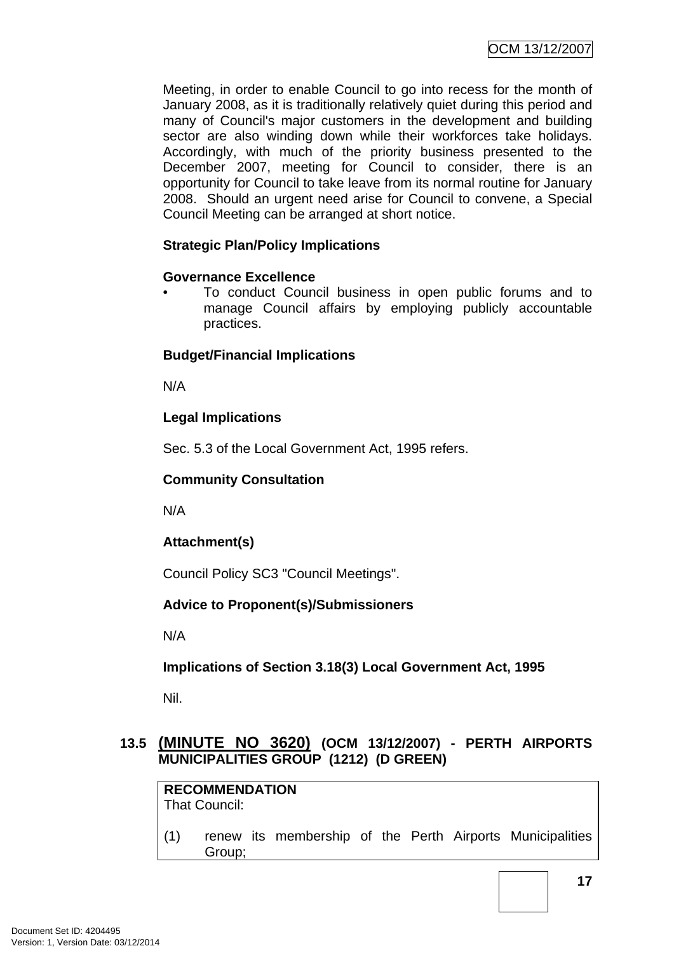<span id="page-22-0"></span>Meeting, in order to enable Council to go into recess for the month of January 2008, as it is traditionally relatively quiet during this period and many of Council's major customers in the development and building sector are also winding down while their workforces take holidays. Accordingly, with much of the priority business presented to the December 2007, meeting for Council to consider, there is an opportunity for Council to take leave from its normal routine for January 2008. Should an urgent need arise for Council to convene, a Special Council Meeting can be arranged at short notice.

# **Strategic Plan/Policy Implications**

# **Governance Excellence**

• To conduct Council business in open public forums and to manage Council affairs by employing publicly accountable practices.

# **Budget/Financial Implications**

N/A

# **Legal Implications**

Sec. 5.3 of the Local Government Act, 1995 refers.

# **Community Consultation**

N/A

# **Attachment(s)**

Council Policy SC3 "Council Meetings".

# **Advice to Proponent(s)/Submissioners**

N/A

# **Implications of Section 3.18(3) Local Government Act, 1995**

Nil.

# **13.5 (MINUTE NO 3620) (OCM 13/12/2007) - PERTH AIRPORTS MUNICIPALITIES GROUP (1212) (D GREEN)**

#### **RECOMMENDATION** That Council:

(1) renew its membership of the Perth Airports Municipalities Group;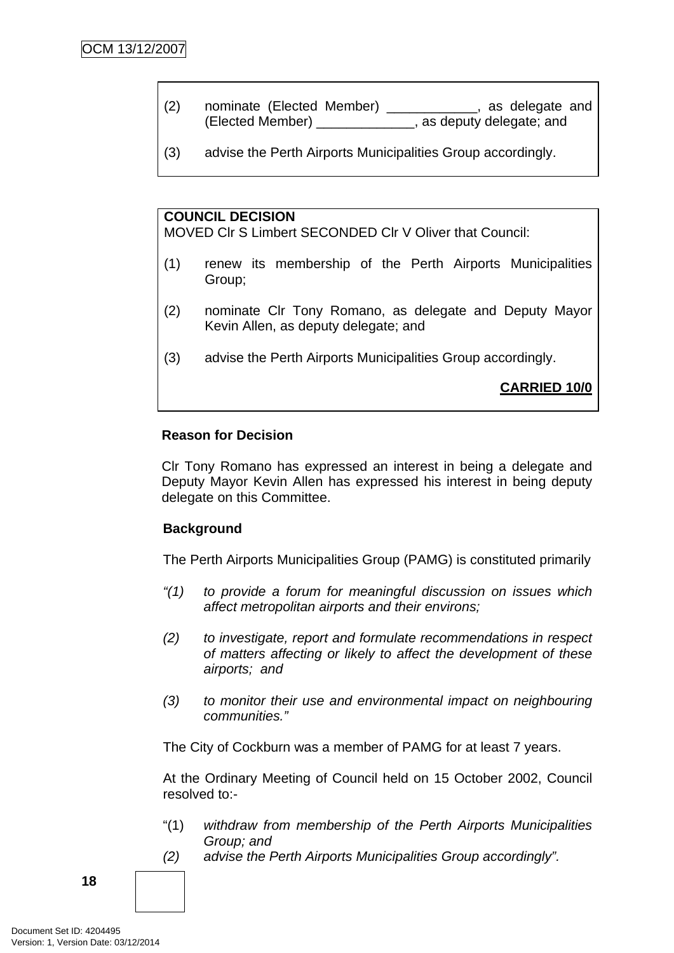- (2) nominate (Elected Member) \_\_\_\_\_\_\_\_\_\_\_\_, as delegate and (Elected Member) \_\_\_\_\_\_\_\_\_\_\_\_\_, as deputy delegate; and
- (3) advise the Perth Airports Municipalities Group accordingly.

# **COUNCIL DECISION**

MOVED Clr S Limbert SECONDED Clr V Oliver that Council:

- (1) renew its membership of the Perth Airports Municipalities Group;
- (2) nominate Clr Tony Romano, as delegate and Deputy Mayor Kevin Allen, as deputy delegate; and
- (3) advise the Perth Airports Municipalities Group accordingly.

**CARRIED 10/0**

## **Reason for Decision**

Clr Tony Romano has expressed an interest in being a delegate and Deputy Mayor Kevin Allen has expressed his interest in being deputy delegate on this Committee.

## **Background**

The Perth Airports Municipalities Group (PAMG) is constituted primarily

- *"(1) to provide a forum for meaningful discussion on issues which affect metropolitan airports and their environs;*
- *(2) to investigate, report and formulate recommendations in respect of matters affecting or likely to affect the development of these airports; and*
- *(3) to monitor their use and environmental impact on neighbouring communities."*

The City of Cockburn was a member of PAMG for at least 7 years.

At the Ordinary Meeting of Council held on 15 October 2002, Council resolved to:-

- "(1) *withdraw from membership of the Perth Airports Municipalities Group; and*
- *(2) advise the Perth Airports Municipalities Group accordingly".*

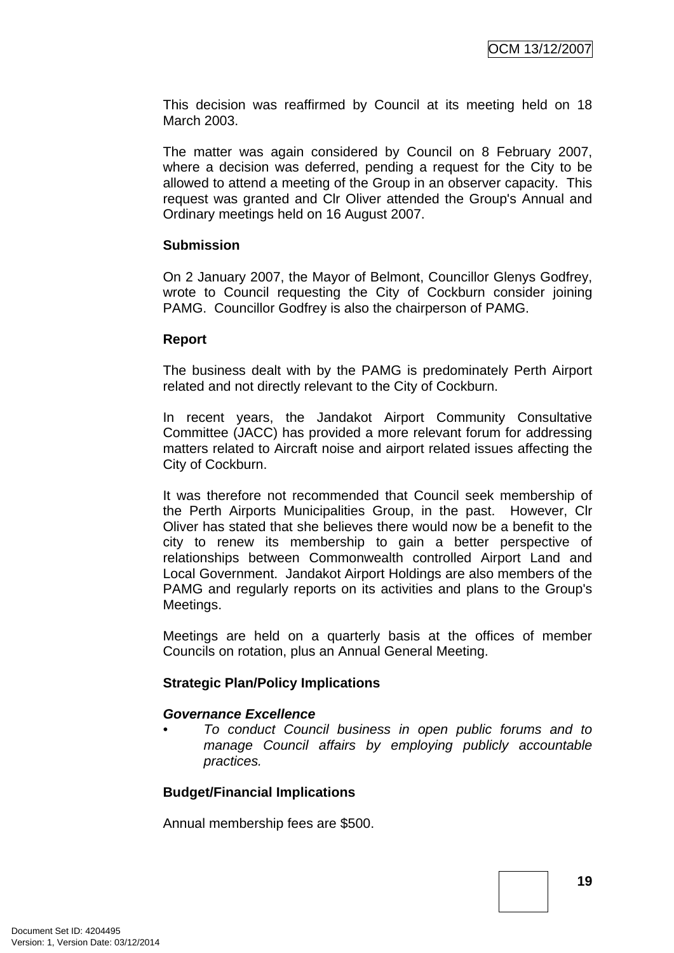This decision was reaffirmed by Council at its meeting held on 18 March 2003.

The matter was again considered by Council on 8 February 2007, where a decision was deferred, pending a request for the City to be allowed to attend a meeting of the Group in an observer capacity. This request was granted and Clr Oliver attended the Group's Annual and Ordinary meetings held on 16 August 2007.

## **Submission**

On 2 January 2007, the Mayor of Belmont, Councillor Glenys Godfrey, wrote to Council requesting the City of Cockburn consider joining PAMG. Councillor Godfrey is also the chairperson of PAMG.

## **Report**

The business dealt with by the PAMG is predominately Perth Airport related and not directly relevant to the City of Cockburn.

In recent years, the Jandakot Airport Community Consultative Committee (JACC) has provided a more relevant forum for addressing matters related to Aircraft noise and airport related issues affecting the City of Cockburn.

It was therefore not recommended that Council seek membership of the Perth Airports Municipalities Group, in the past. However, Clr Oliver has stated that she believes there would now be a benefit to the city to renew its membership to gain a better perspective of relationships between Commonwealth controlled Airport Land and Local Government. Jandakot Airport Holdings are also members of the PAMG and regularly reports on its activities and plans to the Group's Meetings.

Meetings are held on a quarterly basis at the offices of member Councils on rotation, plus an Annual General Meeting.

## **Strategic Plan/Policy Implications**

## *Governance Excellence*

*• To conduct Council business in open public forums and to manage Council affairs by employing publicly accountable practices.* 

## **Budget/Financial Implications**

Annual membership fees are \$500.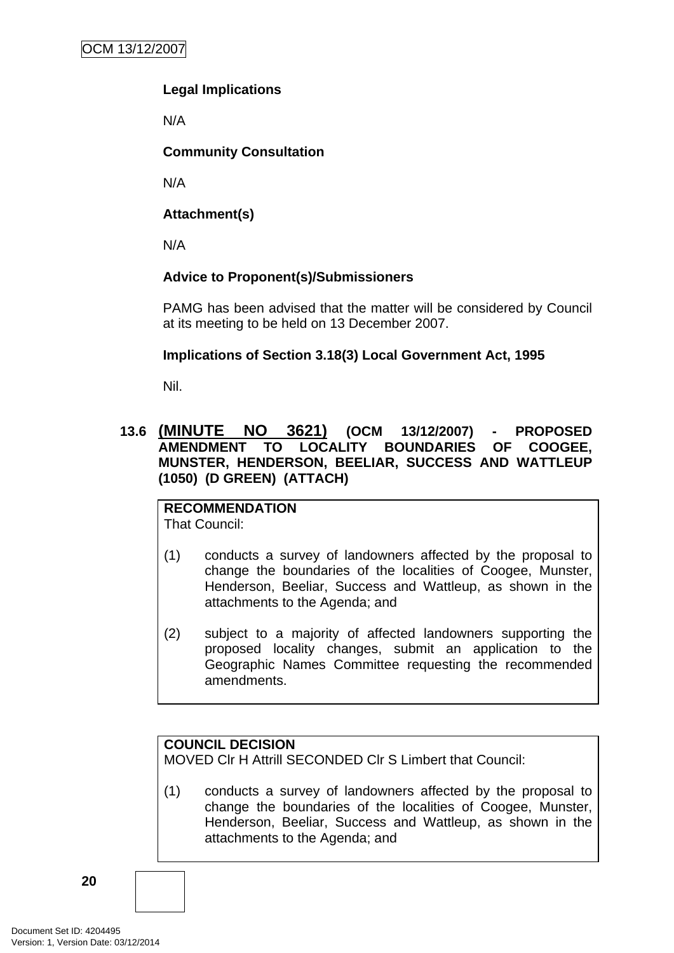# <span id="page-25-0"></span>**Legal Implications**

N/A

# **Community Consultation**

N/A

**Attachment(s)**

N/A

# **Advice to Proponent(s)/Submissioners**

PAMG has been advised that the matter will be considered by Council at its meeting to be held on 13 December 2007.

# **Implications of Section 3.18(3) Local Government Act, 1995**

Nil.

# **13.6 (MINUTE NO 3621) (OCM 13/12/2007) - PROPOSED AMENDMENT TO LOCALITY BOUNDARIES OF COOGEE, MUNSTER, HENDERSON, BEELIAR, SUCCESS AND WATTLEUP (1050) (D GREEN) (ATTACH)**

**RECOMMENDATION** That Council:

- (1) conducts a survey of landowners affected by the proposal to change the boundaries of the localities of Coogee, Munster, Henderson, Beeliar, Success and Wattleup, as shown in the attachments to the Agenda; and
- (2) subject to a majority of affected landowners supporting the proposed locality changes, submit an application to the Geographic Names Committee requesting the recommended amendments.

# **COUNCIL DECISION**

MOVED Clr H Attrill SECONDED Clr S Limbert that Council:

(1) conducts a survey of landowners affected by the proposal to change the boundaries of the localities of Coogee, Munster, Henderson, Beeliar, Success and Wattleup, as shown in the attachments to the Agenda; and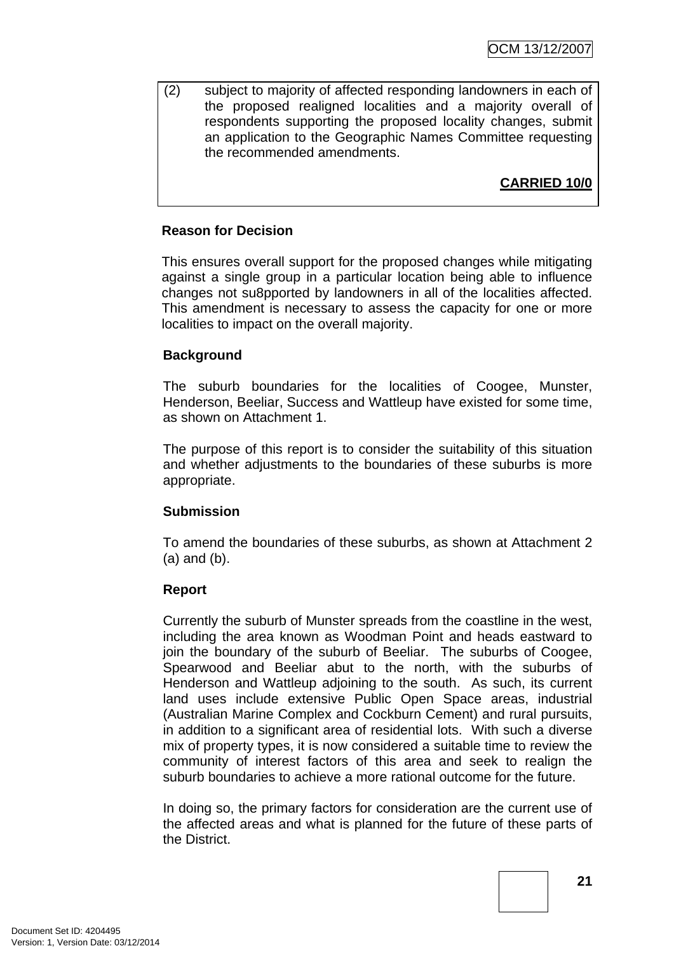(2) subject to majority of affected responding landowners in each of the proposed realigned localities and a majority overall of respondents supporting the proposed locality changes, submit an application to the Geographic Names Committee requesting the recommended amendments.

**CARRIED 10/0**

# **Reason for Decision**

This ensures overall support for the proposed changes while mitigating against a single group in a particular location being able to influence changes not su8pported by landowners in all of the localities affected. This amendment is necessary to assess the capacity for one or more localities to impact on the overall majority.

# **Background**

The suburb boundaries for the localities of Coogee, Munster, Henderson, Beeliar, Success and Wattleup have existed for some time, as shown on Attachment 1.

The purpose of this report is to consider the suitability of this situation and whether adjustments to the boundaries of these suburbs is more appropriate.

## **Submission**

To amend the boundaries of these suburbs, as shown at Attachment 2 (a) and (b).

## **Report**

Currently the suburb of Munster spreads from the coastline in the west, including the area known as Woodman Point and heads eastward to join the boundary of the suburb of Beeliar. The suburbs of Coogee, Spearwood and Beeliar abut to the north, with the suburbs of Henderson and Wattleup adjoining to the south. As such, its current land uses include extensive Public Open Space areas, industrial (Australian Marine Complex and Cockburn Cement) and rural pursuits, in addition to a significant area of residential lots. With such a diverse mix of property types, it is now considered a suitable time to review the community of interest factors of this area and seek to realign the suburb boundaries to achieve a more rational outcome for the future.

In doing so, the primary factors for consideration are the current use of the affected areas and what is planned for the future of these parts of the District.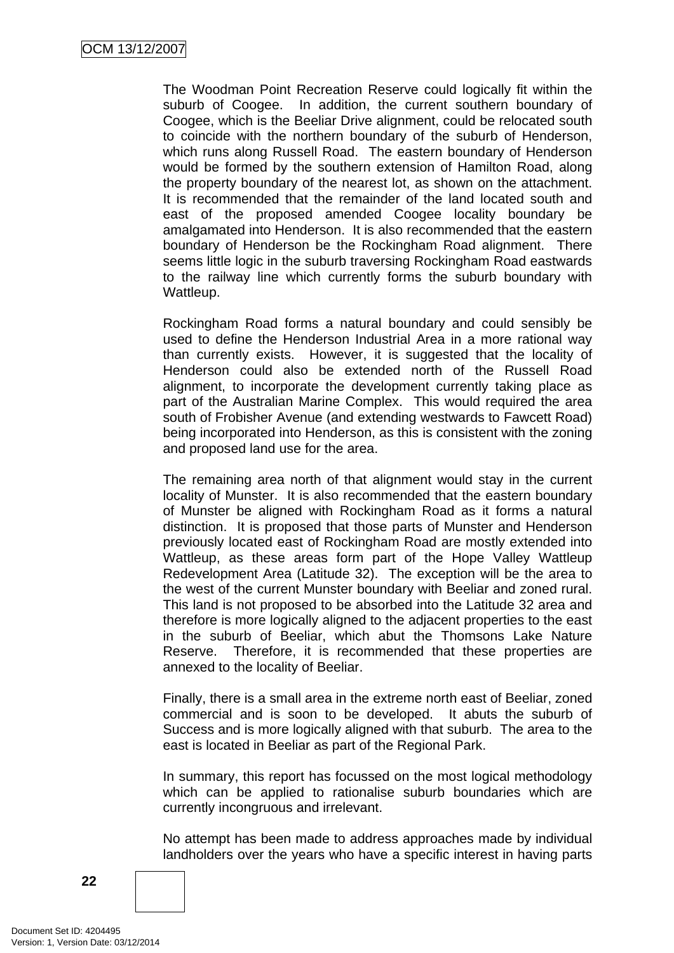The Woodman Point Recreation Reserve could logically fit within the suburb of Coogee. In addition, the current southern boundary of Coogee, which is the Beeliar Drive alignment, could be relocated south to coincide with the northern boundary of the suburb of Henderson, which runs along Russell Road. The eastern boundary of Henderson would be formed by the southern extension of Hamilton Road, along the property boundary of the nearest lot, as shown on the attachment. It is recommended that the remainder of the land located south and east of the proposed amended Coogee locality boundary be amalgamated into Henderson. It is also recommended that the eastern boundary of Henderson be the Rockingham Road alignment. There seems little logic in the suburb traversing Rockingham Road eastwards to the railway line which currently forms the suburb boundary with Wattleup.

Rockingham Road forms a natural boundary and could sensibly be used to define the Henderson Industrial Area in a more rational way than currently exists. However, it is suggested that the locality of Henderson could also be extended north of the Russell Road alignment, to incorporate the development currently taking place as part of the Australian Marine Complex. This would required the area south of Frobisher Avenue (and extending westwards to Fawcett Road) being incorporated into Henderson, as this is consistent with the zoning and proposed land use for the area.

The remaining area north of that alignment would stay in the current locality of Munster. It is also recommended that the eastern boundary of Munster be aligned with Rockingham Road as it forms a natural distinction. It is proposed that those parts of Munster and Henderson previously located east of Rockingham Road are mostly extended into Wattleup, as these areas form part of the Hope Valley Wattleup Redevelopment Area (Latitude 32). The exception will be the area to the west of the current Munster boundary with Beeliar and zoned rural. This land is not proposed to be absorbed into the Latitude 32 area and therefore is more logically aligned to the adjacent properties to the east in the suburb of Beeliar, which abut the Thomsons Lake Nature Reserve. Therefore, it is recommended that these properties are annexed to the locality of Beeliar.

Finally, there is a small area in the extreme north east of Beeliar, zoned commercial and is soon to be developed. It abuts the suburb of Success and is more logically aligned with that suburb. The area to the east is located in Beeliar as part of the Regional Park.

In summary, this report has focussed on the most logical methodology which can be applied to rationalise suburb boundaries which are currently incongruous and irrelevant.

No attempt has been made to address approaches made by individual landholders over the years who have a specific interest in having parts

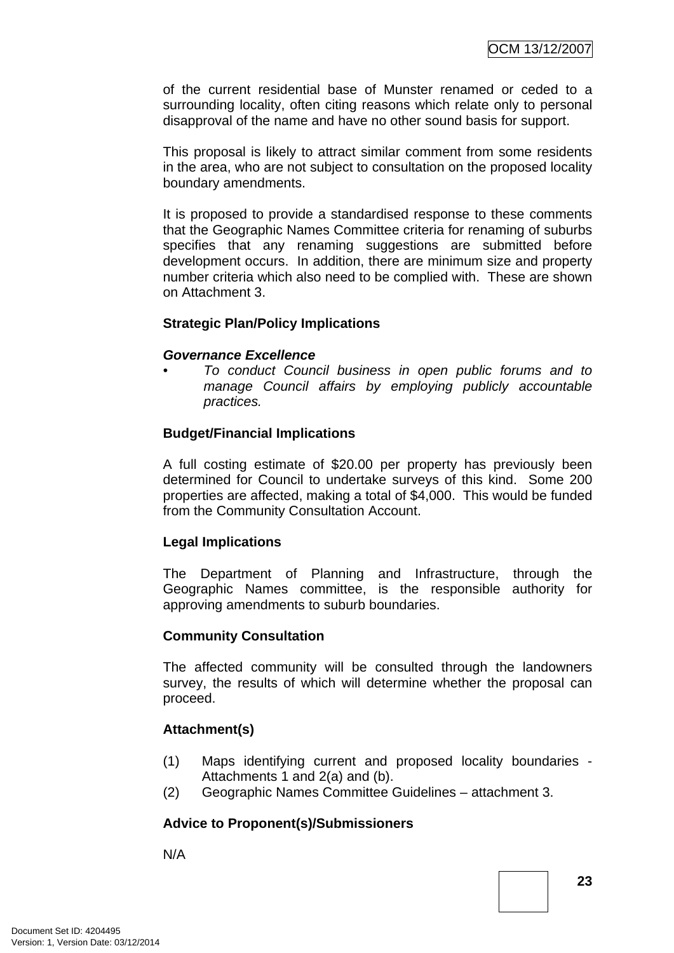of the current residential base of Munster renamed or ceded to a surrounding locality, often citing reasons which relate only to personal disapproval of the name and have no other sound basis for support.

This proposal is likely to attract similar comment from some residents in the area, who are not subject to consultation on the proposed locality boundary amendments.

It is proposed to provide a standardised response to these comments that the Geographic Names Committee criteria for renaming of suburbs specifies that any renaming suggestions are submitted before development occurs. In addition, there are minimum size and property number criteria which also need to be complied with. These are shown on Attachment 3.

# **Strategic Plan/Policy Implications**

## *Governance Excellence*

*• To conduct Council business in open public forums and to manage Council affairs by employing publicly accountable practices.* 

# **Budget/Financial Implications**

A full costing estimate of \$20.00 per property has previously been determined for Council to undertake surveys of this kind. Some 200 properties are affected, making a total of \$4,000. This would be funded from the Community Consultation Account.

## **Legal Implications**

The Department of Planning and Infrastructure, through the Geographic Names committee, is the responsible authority for approving amendments to suburb boundaries.

## **Community Consultation**

The affected community will be consulted through the landowners survey, the results of which will determine whether the proposal can proceed.

# **Attachment(s)**

- (1) Maps identifying current and proposed locality boundaries Attachments 1 and 2(a) and (b).
- (2) Geographic Names Committee Guidelines attachment 3.

# **Advice to Proponent(s)/Submissioners**

N/A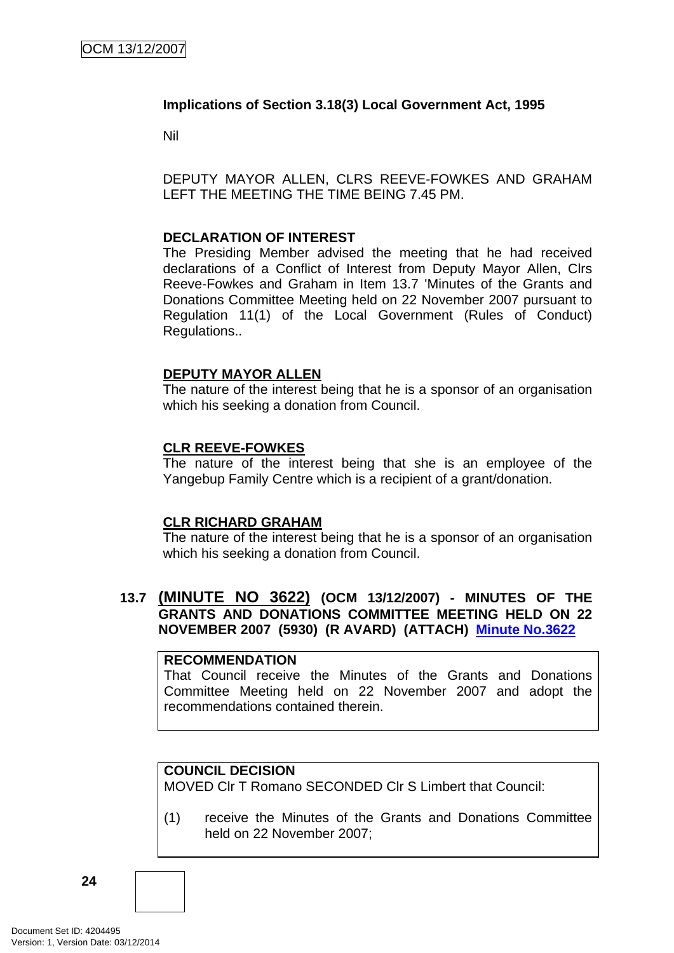# <span id="page-29-0"></span>**Implications of Section 3.18(3) Local Government Act, 1995**

Nil

DEPUTY MAYOR ALLEN, CLRS REEVE-FOWKES AND GRAHAM LEFT THE MEETING THE TIME BEING 7.45 PM.

## **DECLARATION OF INTEREST**

The Presiding Member advised the meeting that he had received declarations of a Conflict of Interest from Deputy Mayor Allen, Clrs Reeve-Fowkes and Graham in Item 13.7 'Minutes of the Grants and Donations Committee Meeting held on 22 November 2007 pursuant to Regulation 11(1) of the Local Government (Rules of Conduct) Regulations..

## **DEPUTY MAYOR ALLEN**

The nature of the interest being that he is a sponsor of an organisation which his seeking a donation from Council.

# **CLR REEVE-FOWKES**

The nature of the interest being that she is an employee of the Yangebup Family Centre which is a recipient of a grant/donation.

## **CLR RICHARD GRAHAM**

The nature of the interest being that he is a sponsor of an organisation which his seeking a donation from Council.

# **13.7 (MINUTE NO 3622) (OCM 13/12/2007) - MINUTES OF THE GRANTS AND DONATIONS COMMITTEE MEETING HELD ON 22 NOVEMBER 2007 (5930) (R AVARD) (ATTACH) Minute No.3622**

#### **RECOMMENDATION**

That Council receive the Minutes of the Grants and Donations Committee Meeting held on 22 November 2007 and adopt the recommendations contained therein.

# **COUNCIL DECISION**

MOVED Clr T Romano SECONDED Clr S Limbert that Council:

(1) receive the Minutes of the Grants and Donations Committee held on 22 November 2007;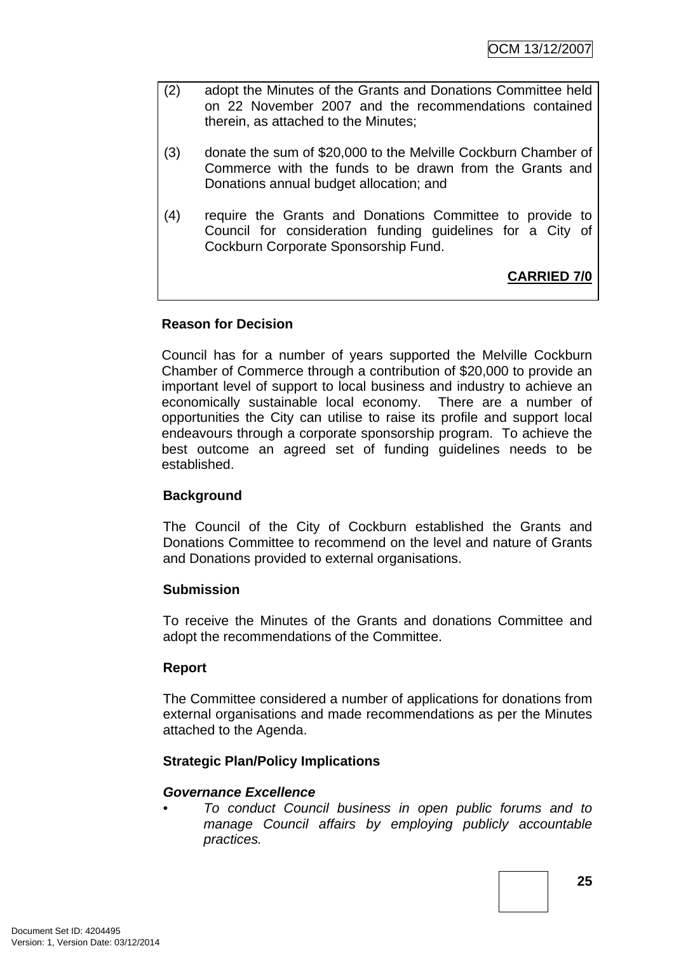- (2) adopt the Minutes of the Grants and Donations Committee held on 22 November 2007 and the recommendations contained therein, as attached to the Minutes;
- (3) donate the sum of \$20,000 to the Melville Cockburn Chamber of Commerce with the funds to be drawn from the Grants and Donations annual budget allocation; and
- (4) require the Grants and Donations Committee to provide to Council for consideration funding guidelines for a City of Cockburn Corporate Sponsorship Fund.

**CARRIED 7/0**

## **Reason for Decision**

Council has for a number of years supported the Melville Cockburn Chamber of Commerce through a contribution of \$20,000 to provide an important level of support to local business and industry to achieve an economically sustainable local economy. There are a number of opportunities the City can utilise to raise its profile and support local endeavours through a corporate sponsorship program. To achieve the best outcome an agreed set of funding guidelines needs to be established.

## **Background**

The Council of the City of Cockburn established the Grants and Donations Committee to recommend on the level and nature of Grants and Donations provided to external organisations.

## **Submission**

To receive the Minutes of the Grants and donations Committee and adopt the recommendations of the Committee.

## **Report**

The Committee considered a number of applications for donations from external organisations and made recommendations as per the Minutes attached to the Agenda.

# **Strategic Plan/Policy Implications**

## *Governance Excellence*

*• To conduct Council business in open public forums and to manage Council affairs by employing publicly accountable practices.*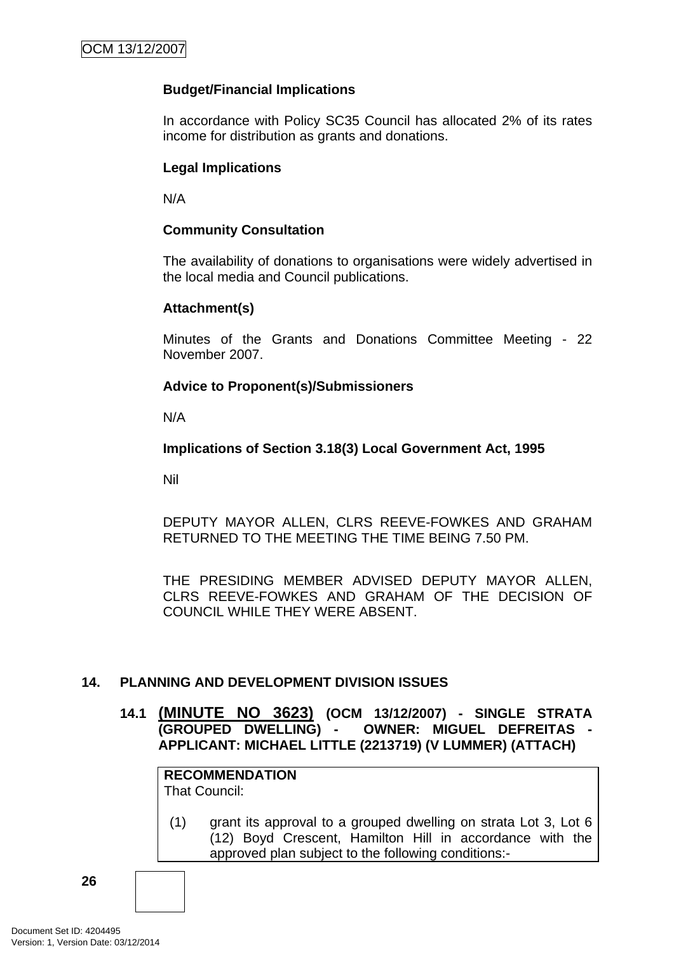# <span id="page-31-0"></span>**Budget/Financial Implications**

In accordance with Policy SC35 Council has allocated 2% of its rates income for distribution as grants and donations.

## **Legal Implications**

N/A

## **Community Consultation**

The availability of donations to organisations were widely advertised in the local media and Council publications.

## **Attachment(s)**

Minutes of the Grants and Donations Committee Meeting - 22 November 2007.

## **Advice to Proponent(s)/Submissioners**

N/A

**Implications of Section 3.18(3) Local Government Act, 1995**

Nil

DEPUTY MAYOR ALLEN, CLRS REEVE-FOWKES AND GRAHAM RETURNED TO THE MEETING THE TIME BEING 7.50 PM.

THE PRESIDING MEMBER ADVISED DEPUTY MAYOR ALLEN, CLRS REEVE-FOWKES AND GRAHAM OF THE DECISION OF COUNCIL WHILE THEY WERE ABSENT.

# **14. PLANNING AND DEVELOPMENT DIVISION ISSUES**

**14.1 (MINUTE NO 3623) (OCM 13/12/2007) - SINGLE STRATA (GROUPED DWELLING) - OWNER: MIGUEL DEFREITAS - APPLICANT: MICHAEL LITTLE (2213719) (V LUMMER) (ATTACH)** 

#### **RECOMMENDATION** That Council:

(1) grant its approval to a grouped dwelling on strata Lot 3, Lot 6 (12) Boyd Crescent, Hamilton Hill in accordance with the approved plan subject to the following conditions:-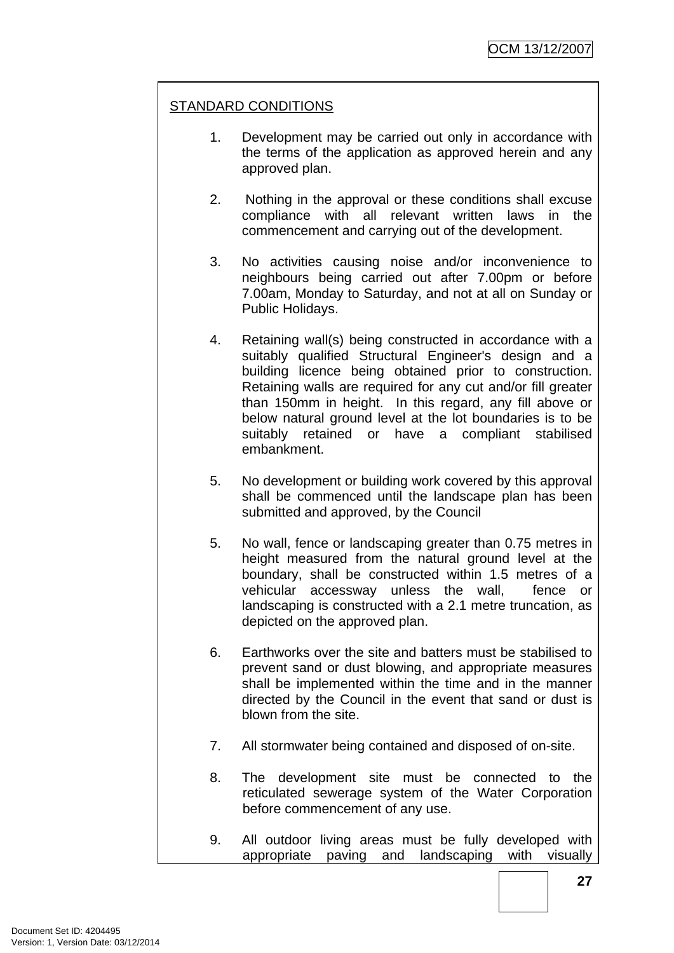# STANDARD CONDITIONS

- 1. Development may be carried out only in accordance with the terms of the application as approved herein and any approved plan.
- 2. Nothing in the approval or these conditions shall excuse compliance with all relevant written laws in the commencement and carrying out of the development.
- 3. No activities causing noise and/or inconvenience to neighbours being carried out after 7.00pm or before 7.00am, Monday to Saturday, and not at all on Sunday or Public Holidays.
- 4. Retaining wall(s) being constructed in accordance with a suitably qualified Structural Engineer's design and a building licence being obtained prior to construction. Retaining walls are required for any cut and/or fill greater than 150mm in height. In this regard, any fill above or below natural ground level at the lot boundaries is to be suitably retained or have a compliant stabilised embankment.
- 5. No development or building work covered by this approval shall be commenced until the landscape plan has been submitted and approved, by the Council
- 5. No wall, fence or landscaping greater than 0.75 metres in height measured from the natural ground level at the boundary, shall be constructed within 1.5 metres of a vehicular accessway unless the wall, fence or landscaping is constructed with a 2.1 metre truncation, as depicted on the approved plan.
- 6. Earthworks over the site and batters must be stabilised to prevent sand or dust blowing, and appropriate measures shall be implemented within the time and in the manner directed by the Council in the event that sand or dust is blown from the site.
- 7. All stormwater being contained and disposed of on-site.
- 8. The development site must be connected to the reticulated sewerage system of the Water Corporation before commencement of any use.
- 9. All outdoor living areas must be fully developed with appropriate paving and landscaping with visually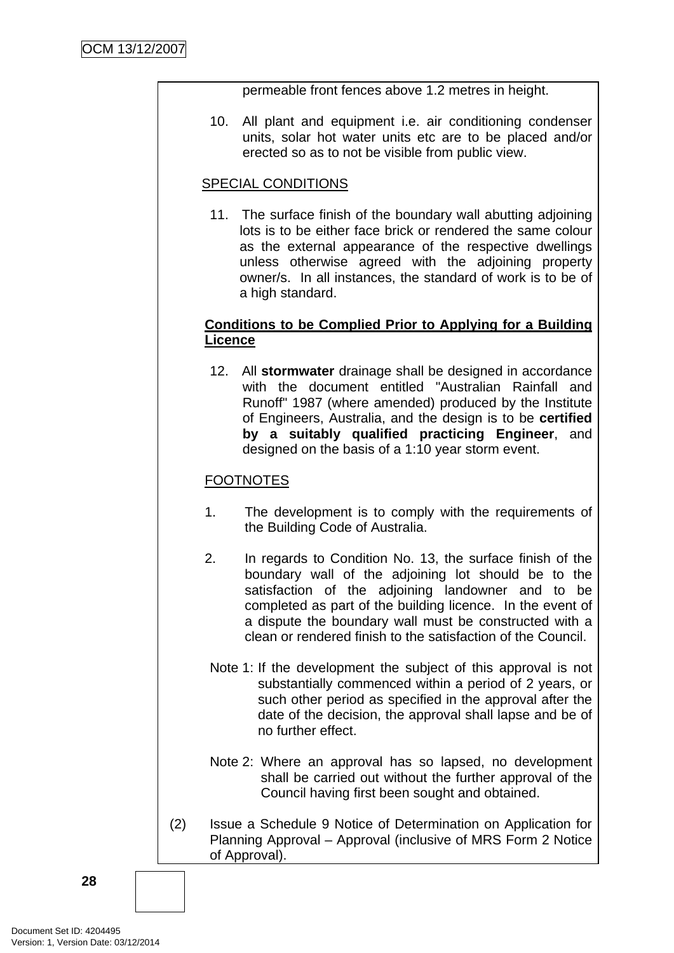permeable front fences above 1.2 metres in height.

10. All plant and equipment i.e. air conditioning condenser units, solar hot water units etc are to be placed and/or erected so as to not be visible from public view.

## SPECIAL CONDITIONS

11. The surface finish of the boundary wall abutting adjoining lots is to be either face brick or rendered the same colour as the external appearance of the respective dwellings unless otherwise agreed with the adjoining property owner/s. In all instances, the standard of work is to be of a high standard.

## **Conditions to be Complied Prior to Applying for a Building Licence**

12. All **stormwater** drainage shall be designed in accordance with the document entitled "Australian Rainfall and Runoff" 1987 (where amended) produced by the Institute of Engineers, Australia, and the design is to be **certified by a suitably qualified practicing Engineer**, and designed on the basis of a 1:10 year storm event.

## FOOTNOTES

- 1. The development is to comply with the requirements of the Building Code of Australia.
- 2. In regards to Condition No. 13, the surface finish of the boundary wall of the adjoining lot should be to the satisfaction of the adjoining landowner and to be completed as part of the building licence. In the event of a dispute the boundary wall must be constructed with a clean or rendered finish to the satisfaction of the Council.
- Note 1: If the development the subject of this approval is not substantially commenced within a period of 2 years, or such other period as specified in the approval after the date of the decision, the approval shall lapse and be of no further effect.
- Note 2: Where an approval has so lapsed, no development shall be carried out without the further approval of the Council having first been sought and obtained.
- (2) Issue a Schedule 9 Notice of Determination on Application for Planning Approval – Approval (inclusive of MRS Form 2 Notice of Approval).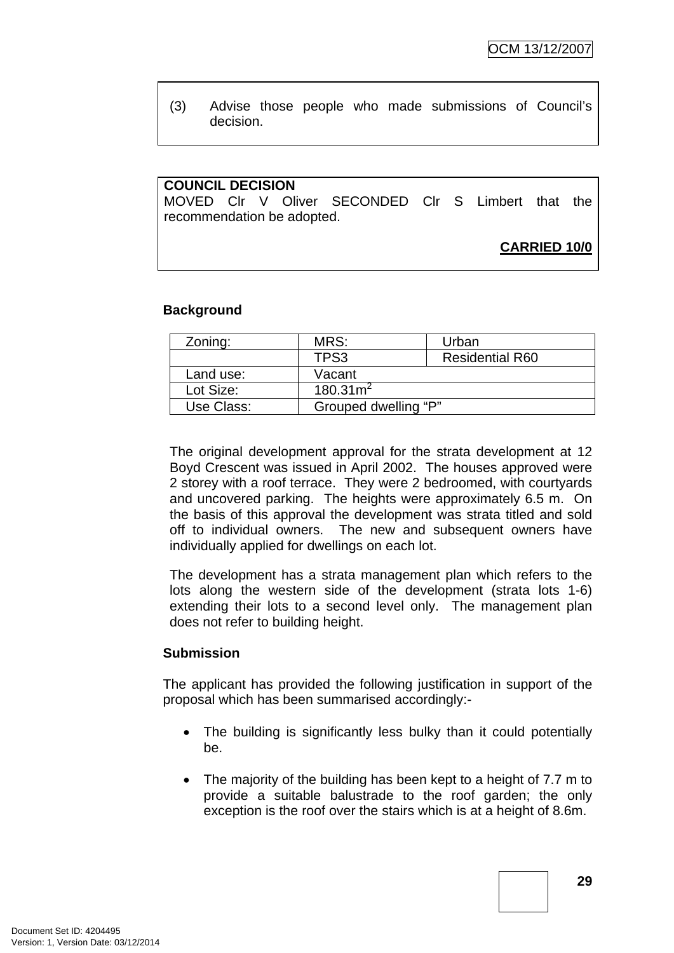(3) Advise those people who made submissions of Council's decision.

#### **COUNCIL DECISION**

MOVED Clr V Oliver SECONDED Clr S Limbert that the recommendation be adopted.

**CARRIED 10/0**

#### **Background**

| Zoning:             | MRS:                 | Urban                  |  |
|---------------------|----------------------|------------------------|--|
|                     | TPS3                 | <b>Residential R60</b> |  |
| Land use:<br>Vacant |                      |                        |  |
| Lot Size:           | 180.31m <sup>2</sup> |                        |  |
| Use Class:          | Grouped dwelling "P" |                        |  |

The original development approval for the strata development at 12 Boyd Crescent was issued in April 2002. The houses approved were 2 storey with a roof terrace. They were 2 bedroomed, with courtyards and uncovered parking. The heights were approximately 6.5 m. On the basis of this approval the development was strata titled and sold off to individual owners. The new and subsequent owners have individually applied for dwellings on each lot.

The development has a strata management plan which refers to the lots along the western side of the development (strata lots 1-6) extending their lots to a second level only. The management plan does not refer to building height.

#### **Submission**

The applicant has provided the following justification in support of the proposal which has been summarised accordingly:-

- The building is significantly less bulky than it could potentially be.
- The majority of the building has been kept to a height of 7.7 m to provide a suitable balustrade to the roof garden; the only exception is the roof over the stairs which is at a height of 8.6m.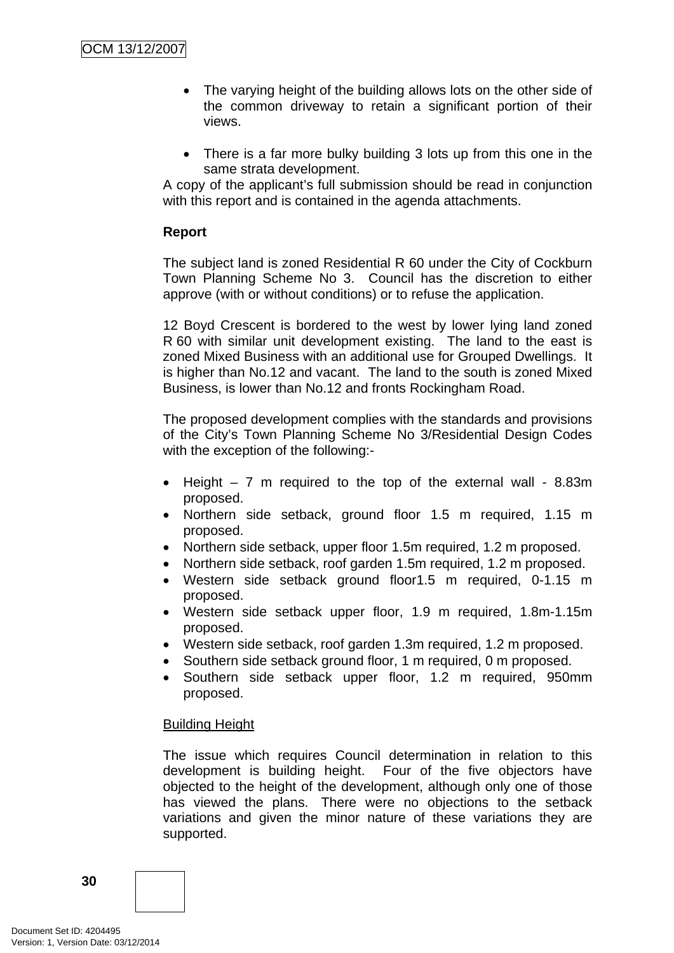- The varying height of the building allows lots on the other side of the common driveway to retain a significant portion of their views.
- There is a far more bulky building 3 lots up from this one in the same strata development.

A copy of the applicant's full submission should be read in conjunction with this report and is contained in the agenda attachments.

## **Report**

The subject land is zoned Residential R 60 under the City of Cockburn Town Planning Scheme No 3. Council has the discretion to either approve (with or without conditions) or to refuse the application.

12 Boyd Crescent is bordered to the west by lower lying land zoned R 60 with similar unit development existing. The land to the east is zoned Mixed Business with an additional use for Grouped Dwellings. It is higher than No.12 and vacant. The land to the south is zoned Mixed Business, is lower than No.12 and fronts Rockingham Road.

The proposed development complies with the standards and provisions of the City's Town Planning Scheme No 3/Residential Design Codes with the exception of the following:-

- Height 7 m required to the top of the external wall 8.83m proposed.
- Northern side setback, ground floor 1.5 m required, 1.15 m proposed.
- Northern side setback, upper floor 1.5m required, 1.2 m proposed.
- Northern side setback, roof garden 1.5m required, 1.2 m proposed.
- Western side setback ground floor1.5 m required, 0-1.15 m proposed.
- Western side setback upper floor, 1.9 m required, 1.8m-1.15m proposed.
- Western side setback, roof garden 1.3m required, 1.2 m proposed.
- Southern side setback ground floor, 1 m required, 0 m proposed.
- Southern side setback upper floor, 1.2 m required, 950mm proposed.

## Building Height

The issue which requires Council determination in relation to this development is building height. Four of the five objectors have objected to the height of the development, although only one of those has viewed the plans. There were no objections to the setback variations and given the minor nature of these variations they are supported.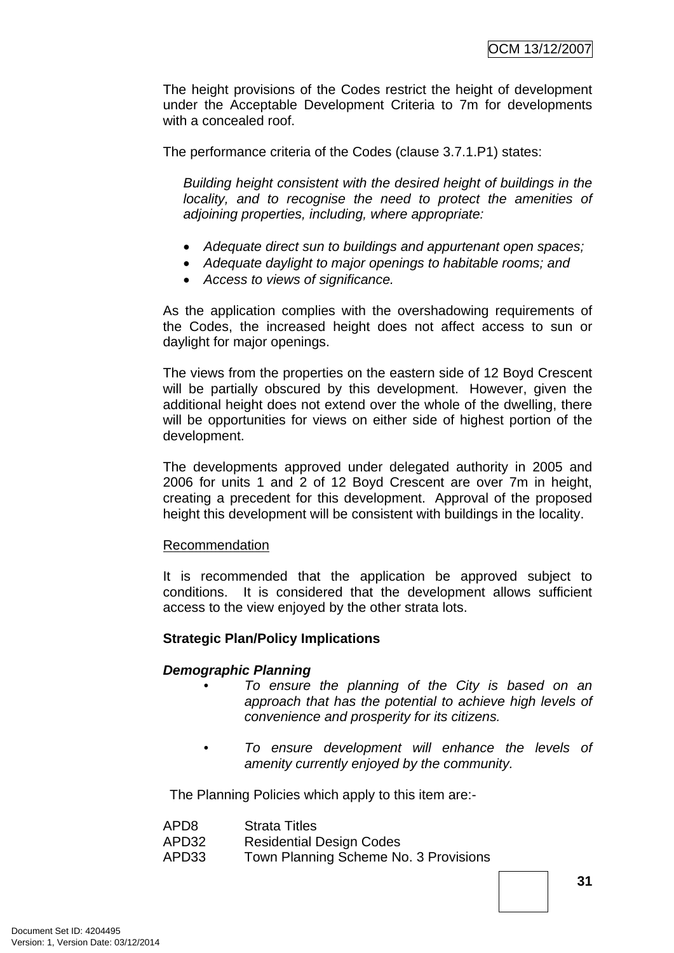The height provisions of the Codes restrict the height of development under the Acceptable Development Criteria to 7m for developments with a concealed roof.

The performance criteria of the Codes (clause 3.7.1.P1) states:

*Building height consistent with the desired height of buildings in the locality, and to recognise the need to protect the amenities of adjoining properties, including, where appropriate:* 

- *Adequate direct sun to buildings and appurtenant open spaces;*
- *Adequate daylight to major openings to habitable rooms; and*
- *Access to views of significance.*

As the application complies with the overshadowing requirements of the Codes, the increased height does not affect access to sun or daylight for major openings.

The views from the properties on the eastern side of 12 Boyd Crescent will be partially obscured by this development. However, given the additional height does not extend over the whole of the dwelling, there will be opportunities for views on either side of highest portion of the development.

The developments approved under delegated authority in 2005 and 2006 for units 1 and 2 of 12 Boyd Crescent are over 7m in height, creating a precedent for this development. Approval of the proposed height this development will be consistent with buildings in the locality.

## Recommendation

It is recommended that the application be approved subject to conditions. It is considered that the development allows sufficient access to the view enjoyed by the other strata lots.

## **Strategic Plan/Policy Implications**

# *Demographic Planning*

- *To ensure the planning of the City is based on an approach that has the potential to achieve high levels of convenience and prosperity for its citizens.*
- *To ensure development will enhance the levels of amenity currently enjoyed by the community.*

The Planning Policies which apply to this item are:-

| APD8  | <b>Strata Titles</b>                  |
|-------|---------------------------------------|
| APD32 | <b>Residential Design Codes</b>       |
| APD33 | Town Planning Scheme No. 3 Provisions |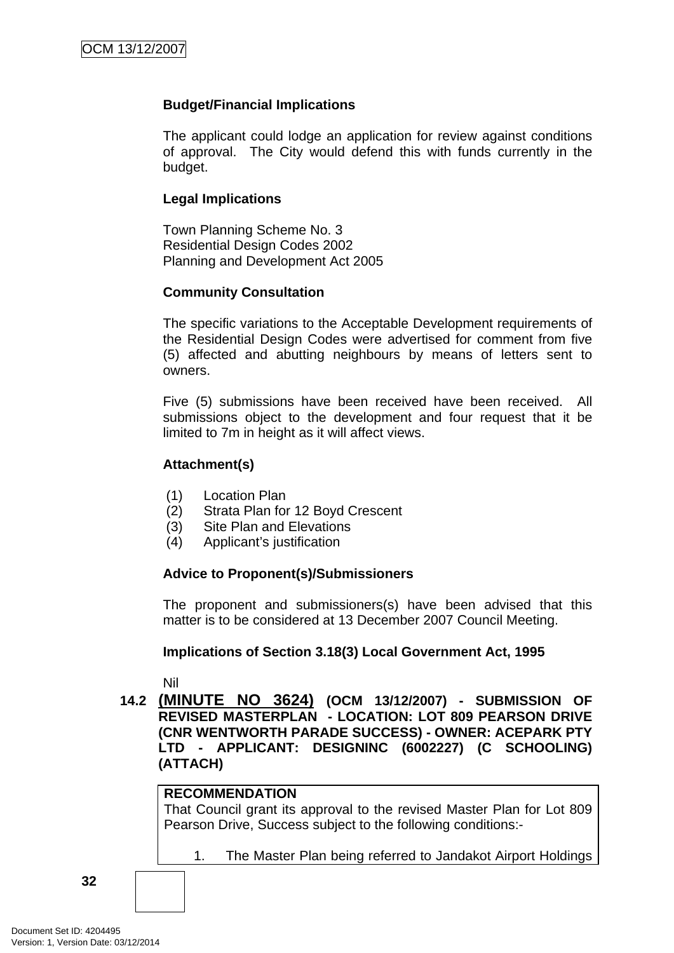## **Budget/Financial Implications**

The applicant could lodge an application for review against conditions of approval. The City would defend this with funds currently in the budget.

## **Legal Implications**

Town Planning Scheme No. 3 Residential Design Codes 2002 Planning and Development Act 2005

## **Community Consultation**

The specific variations to the Acceptable Development requirements of the Residential Design Codes were advertised for comment from five (5) affected and abutting neighbours by means of letters sent to owners.

Five (5) submissions have been received have been received. All submissions object to the development and four request that it be limited to 7m in height as it will affect views.

## **Attachment(s)**

- (1) Location Plan
- (2) Strata Plan for 12 Boyd Crescent
- (3) Site Plan and Elevations
- (4) Applicant's justification

# **Advice to Proponent(s)/Submissioners**

The proponent and submissioners(s) have been advised that this matter is to be considered at 13 December 2007 Council Meeting.

## **Implications of Section 3.18(3) Local Government Act, 1995**

Nil

**14.2 (MINUTE NO 3624) (OCM 13/12/2007) - SUBMISSION OF REVISED MASTERPLAN - LOCATION: LOT 809 PEARSON DRIVE (CNR WENTWORTH PARADE SUCCESS) - OWNER: ACEPARK PTY LTD - APPLICANT: DESIGNINC (6002227) (C SCHOOLING) (ATTACH)** 

## **RECOMMENDATION**

That Council grant its approval to the revised Master Plan for Lot 809 Pearson Drive, Success subject to the following conditions:-



1. The Master Plan being referred to Jandakot Airport Holdings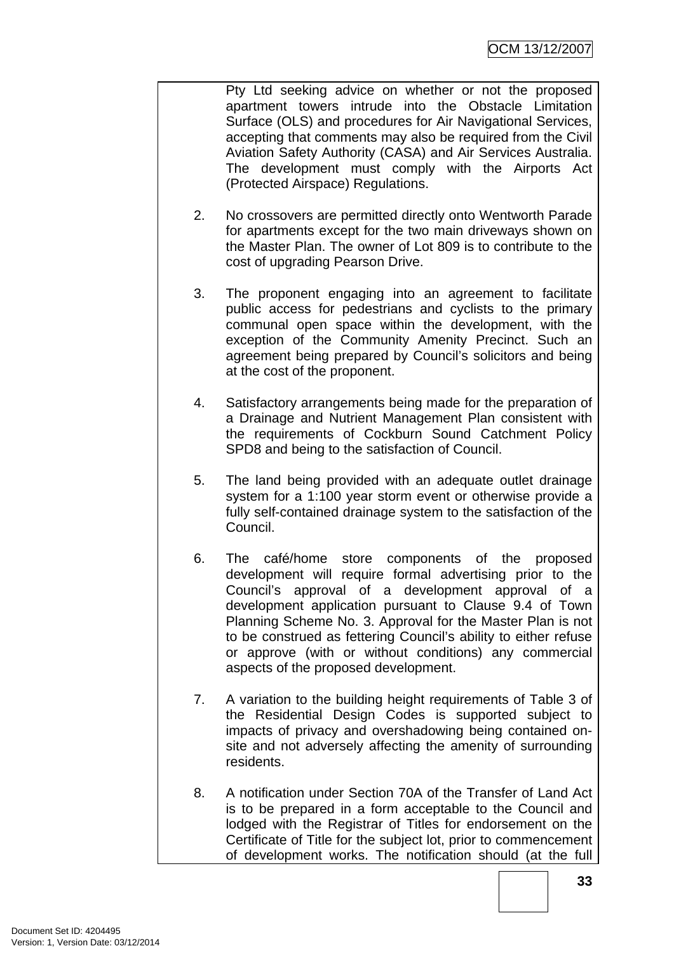Pty Ltd seeking advice on whether or not the proposed apartment towers intrude into the Obstacle Limitation Surface (OLS) and procedures for Air Navigational Services, accepting that comments may also be required from the Civil Aviation Safety Authority (CASA) and Air Services Australia. The development must comply with the Airports Act (Protected Airspace) Regulations.

- 2. No crossovers are permitted directly onto Wentworth Parade for apartments except for the two main driveways shown on the Master Plan. The owner of Lot 809 is to contribute to the cost of upgrading Pearson Drive.
- 3. The proponent engaging into an agreement to facilitate public access for pedestrians and cyclists to the primary communal open space within the development, with the exception of the Community Amenity Precinct. Such an agreement being prepared by Council's solicitors and being at the cost of the proponent.
- 4. Satisfactory arrangements being made for the preparation of a Drainage and Nutrient Management Plan consistent with the requirements of Cockburn Sound Catchment Policy SPD8 and being to the satisfaction of Council.
- 5. The land being provided with an adequate outlet drainage system for a 1:100 year storm event or otherwise provide a fully self-contained drainage system to the satisfaction of the Council.
- 6. The café/home store components of the proposed development will require formal advertising prior to the Council's approval of a development approval of a development application pursuant to Clause 9.4 of Town Planning Scheme No. 3. Approval for the Master Plan is not to be construed as fettering Council's ability to either refuse or approve (with or without conditions) any commercial aspects of the proposed development.
- 7. A variation to the building height requirements of Table 3 of the Residential Design Codes is supported subject to impacts of privacy and overshadowing being contained onsite and not adversely affecting the amenity of surrounding residents.
- 8. A notification under Section 70A of the Transfer of Land Act is to be prepared in a form acceptable to the Council and lodged with the Registrar of Titles for endorsement on the Certificate of Title for the subject lot, prior to commencement of development works. The notification should (at the full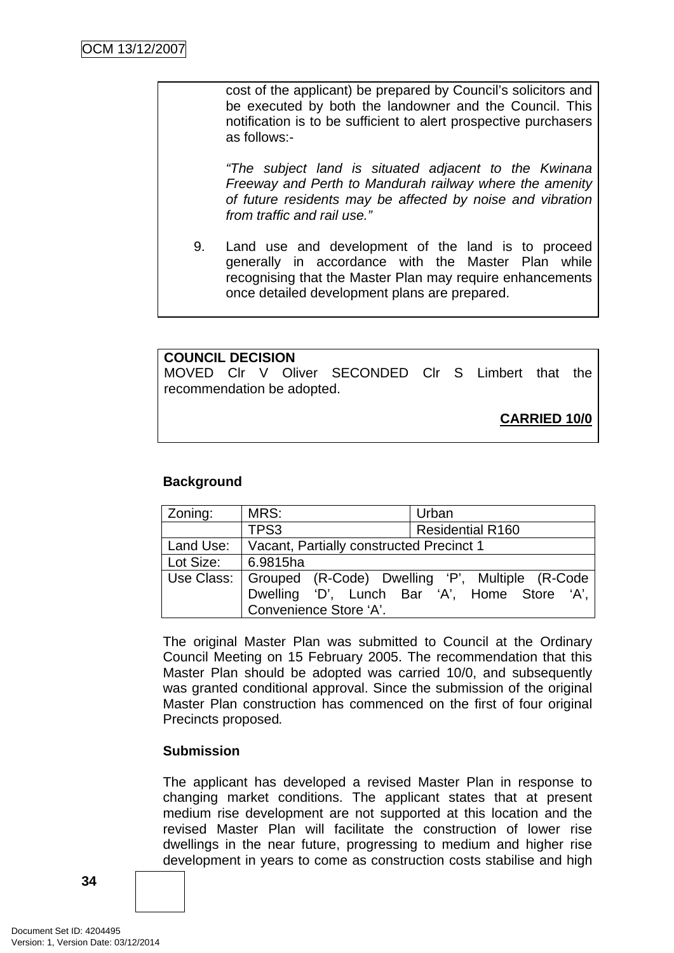cost of the applicant) be prepared by Council's solicitors and be executed by both the landowner and the Council. This notification is to be sufficient to alert prospective purchasers as follows:-

*"The subject land is situated adjacent to the Kwinana Freeway and Perth to Mandurah railway where the amenity of future residents may be affected by noise and vibration from traffic and rail use."*

9. Land use and development of the land is to proceed generally in accordance with the Master Plan while recognising that the Master Plan may require enhancements once detailed development plans are prepared.

# **COUNCIL DECISION** MOVED Clr V Oliver SECONDED Clr S Limbert that the recommendation be adopted.

**CARRIED 10/0**

# **Background**

| Zoning:   | MRS:                                     | Urban                                                        |  |
|-----------|------------------------------------------|--------------------------------------------------------------|--|
|           | TPS3                                     | <b>Residential R160</b>                                      |  |
| Land Use: | Vacant, Partially constructed Precinct 1 |                                                              |  |
| Lot Size: | 6.9815ha                                 |                                                              |  |
|           |                                          | Use Class:   Grouped (R-Code) Dwelling 'P', Multiple (R-Code |  |
|           |                                          | Dwelling 'D', Lunch Bar 'A', Home Store 'A',                 |  |
|           | Convenience Store 'A'.                   |                                                              |  |

The original Master Plan was submitted to Council at the Ordinary Council Meeting on 15 February 2005. The recommendation that this Master Plan should be adopted was carried 10/0, and subsequently was granted conditional approval. Since the submission of the original Master Plan construction has commenced on the first of four original Precincts proposed*.* 

## **Submission**

The applicant has developed a revised Master Plan in response to changing market conditions. The applicant states that at present medium rise development are not supported at this location and the revised Master Plan will facilitate the construction of lower rise dwellings in the near future, progressing to medium and higher rise development in years to come as construction costs stabilise and high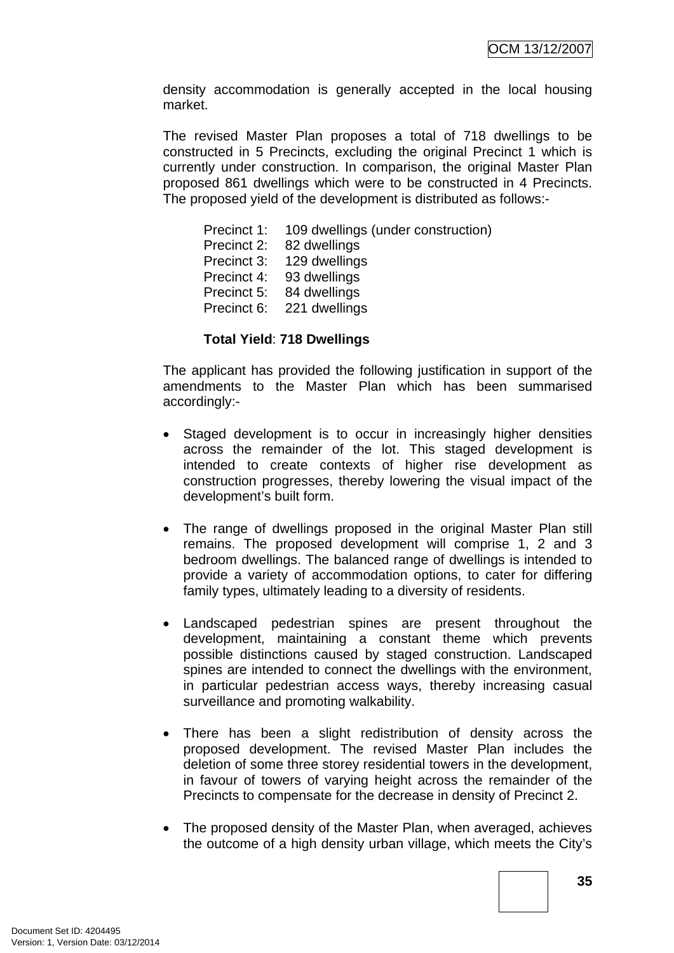density accommodation is generally accepted in the local housing market.

The revised Master Plan proposes a total of 718 dwellings to be constructed in 5 Precincts, excluding the original Precinct 1 which is currently under construction. In comparison, the original Master Plan proposed 861 dwellings which were to be constructed in 4 Precincts. The proposed yield of the development is distributed as follows:-

 Precinct 1: 109 dwellings (under construction) Precinct 2: 82 dwellings Precinct 3: 129 dwellings Precinct 4: 93 dwellings Precinct 5: 84 dwellings Precinct 6: 221 dwellings

## **Total Yield**: **718 Dwellings**

The applicant has provided the following justification in support of the amendments to the Master Plan which has been summarised accordingly:-

- Staged development is to occur in increasingly higher densities across the remainder of the lot. This staged development is intended to create contexts of higher rise development as construction progresses, thereby lowering the visual impact of the development's built form.
- The range of dwellings proposed in the original Master Plan still remains. The proposed development will comprise 1, 2 and 3 bedroom dwellings. The balanced range of dwellings is intended to provide a variety of accommodation options, to cater for differing family types, ultimately leading to a diversity of residents.
- Landscaped pedestrian spines are present throughout the development, maintaining a constant theme which prevents possible distinctions caused by staged construction. Landscaped spines are intended to connect the dwellings with the environment, in particular pedestrian access ways, thereby increasing casual surveillance and promoting walkability.
- There has been a slight redistribution of density across the proposed development. The revised Master Plan includes the deletion of some three storey residential towers in the development, in favour of towers of varying height across the remainder of the Precincts to compensate for the decrease in density of Precinct 2.
- The proposed density of the Master Plan, when averaged, achieves the outcome of a high density urban village, which meets the City's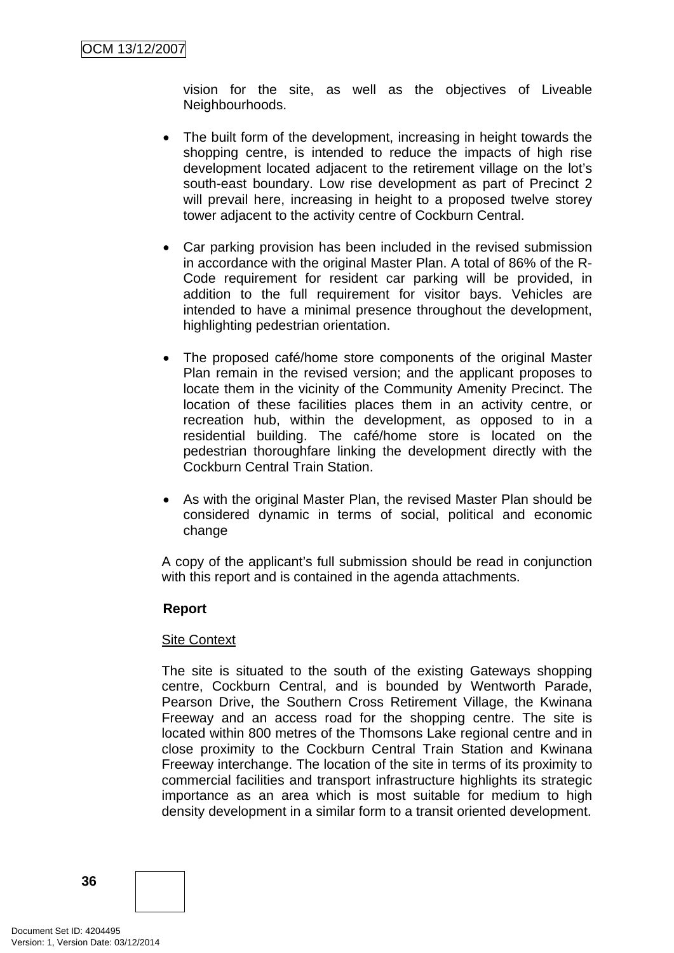vision for the site, as well as the objectives of Liveable Neighbourhoods.

- The built form of the development, increasing in height towards the shopping centre, is intended to reduce the impacts of high rise development located adjacent to the retirement village on the lot's south-east boundary. Low rise development as part of Precinct 2 will prevail here, increasing in height to a proposed twelve storey tower adjacent to the activity centre of Cockburn Central.
- Car parking provision has been included in the revised submission in accordance with the original Master Plan. A total of 86% of the R-Code requirement for resident car parking will be provided, in addition to the full requirement for visitor bays. Vehicles are intended to have a minimal presence throughout the development, highlighting pedestrian orientation.
- The proposed café/home store components of the original Master Plan remain in the revised version; and the applicant proposes to locate them in the vicinity of the Community Amenity Precinct. The location of these facilities places them in an activity centre, or recreation hub, within the development, as opposed to in a residential building. The café/home store is located on the pedestrian thoroughfare linking the development directly with the Cockburn Central Train Station.
- As with the original Master Plan, the revised Master Plan should be considered dynamic in terms of social, political and economic change

A copy of the applicant's full submission should be read in conjunction with this report and is contained in the agenda attachments.

## **Report**

#### Site Context

The site is situated to the south of the existing Gateways shopping centre, Cockburn Central, and is bounded by Wentworth Parade, Pearson Drive, the Southern Cross Retirement Village, the Kwinana Freeway and an access road for the shopping centre. The site is located within 800 metres of the Thomsons Lake regional centre and in close proximity to the Cockburn Central Train Station and Kwinana Freeway interchange. The location of the site in terms of its proximity to commercial facilities and transport infrastructure highlights its strategic importance as an area which is most suitable for medium to high density development in a similar form to a transit oriented development.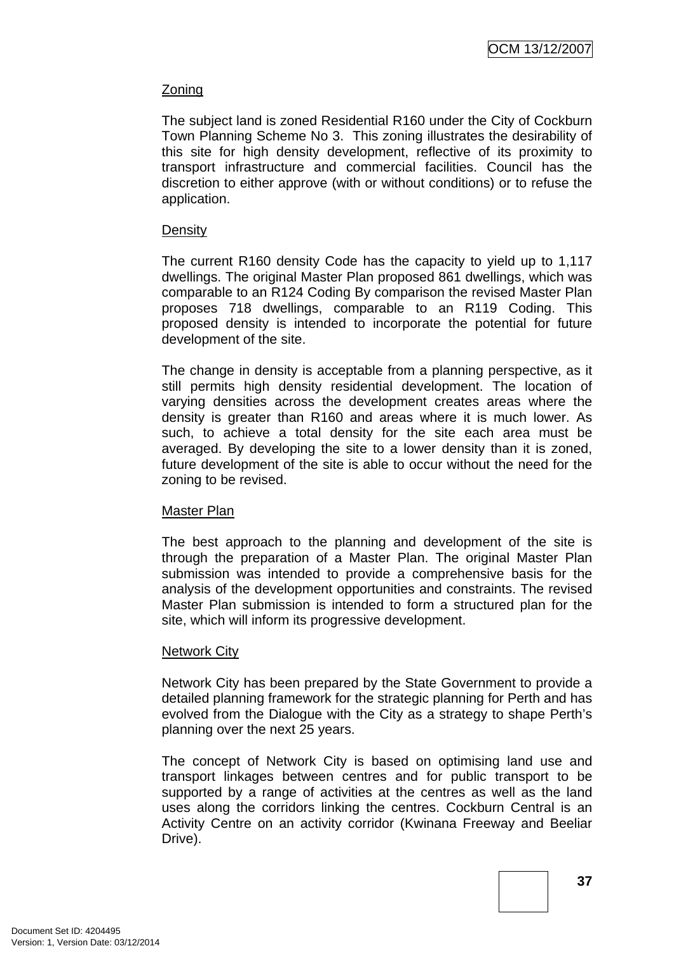## Zoning

The subject land is zoned Residential R160 under the City of Cockburn Town Planning Scheme No 3. This zoning illustrates the desirability of this site for high density development, reflective of its proximity to transport infrastructure and commercial facilities. Council has the discretion to either approve (with or without conditions) or to refuse the application.

## **Density**

The current R160 density Code has the capacity to yield up to 1,117 dwellings. The original Master Plan proposed 861 dwellings, which was comparable to an R124 Coding By comparison the revised Master Plan proposes 718 dwellings, comparable to an R119 Coding. This proposed density is intended to incorporate the potential for future development of the site.

The change in density is acceptable from a planning perspective, as it still permits high density residential development. The location of varying densities across the development creates areas where the density is greater than R160 and areas where it is much lower. As such, to achieve a total density for the site each area must be averaged. By developing the site to a lower density than it is zoned, future development of the site is able to occur without the need for the zoning to be revised.

## Master Plan

The best approach to the planning and development of the site is through the preparation of a Master Plan. The original Master Plan submission was intended to provide a comprehensive basis for the analysis of the development opportunities and constraints. The revised Master Plan submission is intended to form a structured plan for the site, which will inform its progressive development.

## Network City

Network City has been prepared by the State Government to provide a detailed planning framework for the strategic planning for Perth and has evolved from the Dialogue with the City as a strategy to shape Perth's planning over the next 25 years.

The concept of Network City is based on optimising land use and transport linkages between centres and for public transport to be supported by a range of activities at the centres as well as the land uses along the corridors linking the centres. Cockburn Central is an Activity Centre on an activity corridor (Kwinana Freeway and Beeliar Drive).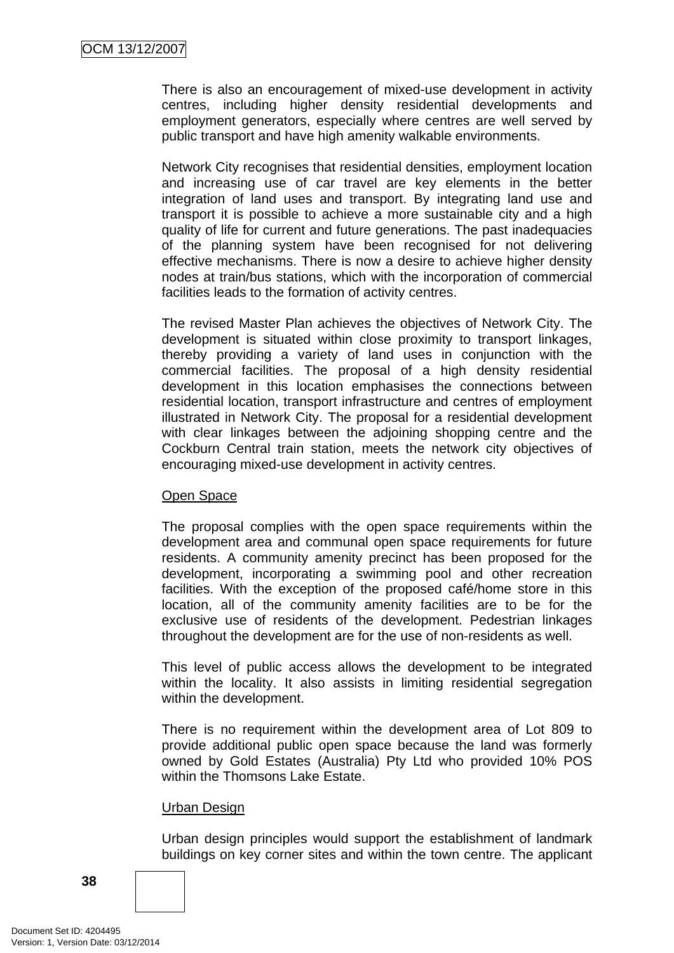There is also an encouragement of mixed-use development in activity centres, including higher density residential developments and employment generators, especially where centres are well served by public transport and have high amenity walkable environments.

Network City recognises that residential densities, employment location and increasing use of car travel are key elements in the better integration of land uses and transport. By integrating land use and transport it is possible to achieve a more sustainable city and a high quality of life for current and future generations. The past inadequacies of the planning system have been recognised for not delivering effective mechanisms. There is now a desire to achieve higher density nodes at train/bus stations, which with the incorporation of commercial facilities leads to the formation of activity centres.

The revised Master Plan achieves the objectives of Network City. The development is situated within close proximity to transport linkages, thereby providing a variety of land uses in conjunction with the commercial facilities. The proposal of a high density residential development in this location emphasises the connections between residential location, transport infrastructure and centres of employment illustrated in Network City. The proposal for a residential development with clear linkages between the adjoining shopping centre and the Cockburn Central train station, meets the network city objectives of encouraging mixed-use development in activity centres.

## Open Space

The proposal complies with the open space requirements within the development area and communal open space requirements for future residents. A community amenity precinct has been proposed for the development, incorporating a swimming pool and other recreation facilities. With the exception of the proposed café/home store in this location, all of the community amenity facilities are to be for the exclusive use of residents of the development. Pedestrian linkages throughout the development are for the use of non-residents as well.

This level of public access allows the development to be integrated within the locality. It also assists in limiting residential segregation within the development.

There is no requirement within the development area of Lot 809 to provide additional public open space because the land was formerly owned by Gold Estates (Australia) Pty Ltd who provided 10% POS within the Thomsons Lake Estate.

## Urban Design

Urban design principles would support the establishment of landmark buildings on key corner sites and within the town centre. The applicant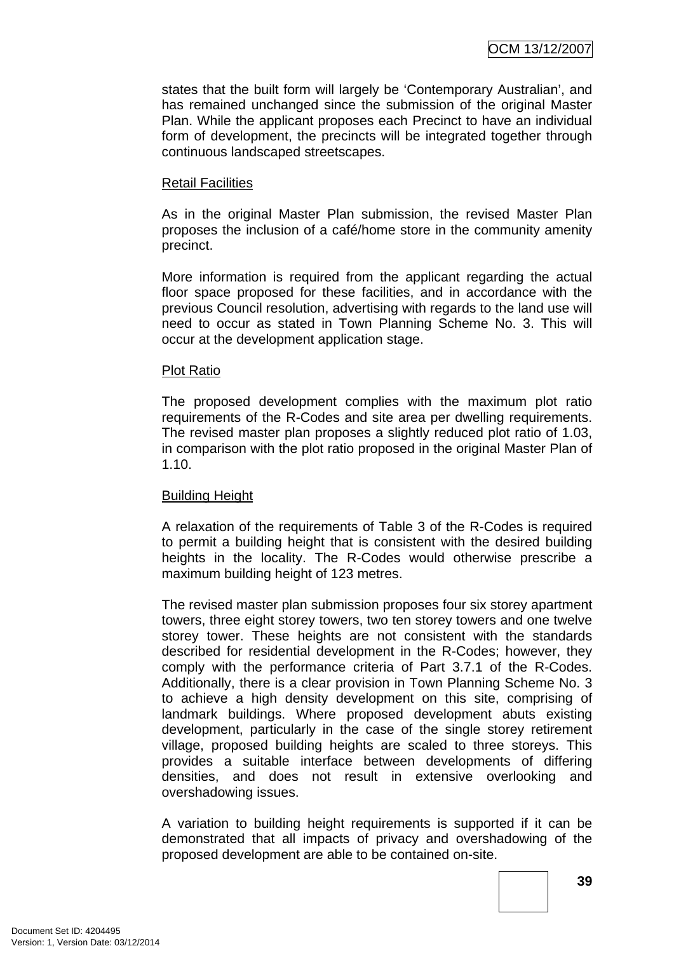states that the built form will largely be 'Contemporary Australian', and has remained unchanged since the submission of the original Master Plan. While the applicant proposes each Precinct to have an individual form of development, the precincts will be integrated together through continuous landscaped streetscapes.

## Retail Facilities

As in the original Master Plan submission, the revised Master Plan proposes the inclusion of a café/home store in the community amenity precinct.

More information is required from the applicant regarding the actual floor space proposed for these facilities, and in accordance with the previous Council resolution, advertising with regards to the land use will need to occur as stated in Town Planning Scheme No. 3. This will occur at the development application stage.

#### Plot Ratio

The proposed development complies with the maximum plot ratio requirements of the R-Codes and site area per dwelling requirements. The revised master plan proposes a slightly reduced plot ratio of 1.03, in comparison with the plot ratio proposed in the original Master Plan of 1.10.

## Building Height

A relaxation of the requirements of Table 3 of the R-Codes is required to permit a building height that is consistent with the desired building heights in the locality. The R-Codes would otherwise prescribe a maximum building height of 123 metres.

The revised master plan submission proposes four six storey apartment towers, three eight storey towers, two ten storey towers and one twelve storey tower. These heights are not consistent with the standards described for residential development in the R-Codes; however, they comply with the performance criteria of Part 3.7.1 of the R-Codes. Additionally, there is a clear provision in Town Planning Scheme No. 3 to achieve a high density development on this site, comprising of landmark buildings. Where proposed development abuts existing development, particularly in the case of the single storey retirement village, proposed building heights are scaled to three storeys. This provides a suitable interface between developments of differing densities, and does not result in extensive overlooking and overshadowing issues.

A variation to building height requirements is supported if it can be demonstrated that all impacts of privacy and overshadowing of the proposed development are able to be contained on-site.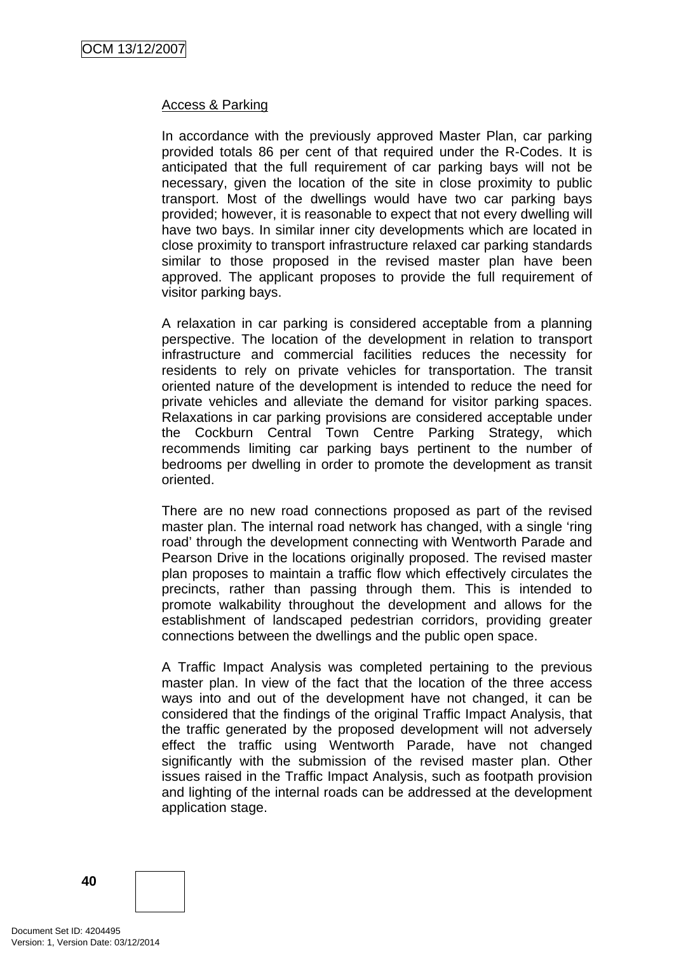#### Access & Parking

In accordance with the previously approved Master Plan, car parking provided totals 86 per cent of that required under the R-Codes. It is anticipated that the full requirement of car parking bays will not be necessary, given the location of the site in close proximity to public transport. Most of the dwellings would have two car parking bays provided; however, it is reasonable to expect that not every dwelling will have two bays. In similar inner city developments which are located in close proximity to transport infrastructure relaxed car parking standards similar to those proposed in the revised master plan have been approved. The applicant proposes to provide the full requirement of visitor parking bays.

A relaxation in car parking is considered acceptable from a planning perspective. The location of the development in relation to transport infrastructure and commercial facilities reduces the necessity for residents to rely on private vehicles for transportation. The transit oriented nature of the development is intended to reduce the need for private vehicles and alleviate the demand for visitor parking spaces. Relaxations in car parking provisions are considered acceptable under the Cockburn Central Town Centre Parking Strategy, which recommends limiting car parking bays pertinent to the number of bedrooms per dwelling in order to promote the development as transit oriented.

There are no new road connections proposed as part of the revised master plan. The internal road network has changed, with a single 'ring road' through the development connecting with Wentworth Parade and Pearson Drive in the locations originally proposed. The revised master plan proposes to maintain a traffic flow which effectively circulates the precincts, rather than passing through them. This is intended to promote walkability throughout the development and allows for the establishment of landscaped pedestrian corridors, providing greater connections between the dwellings and the public open space.

A Traffic Impact Analysis was completed pertaining to the previous master plan. In view of the fact that the location of the three access ways into and out of the development have not changed, it can be considered that the findings of the original Traffic Impact Analysis, that the traffic generated by the proposed development will not adversely effect the traffic using Wentworth Parade, have not changed significantly with the submission of the revised master plan. Other issues raised in the Traffic Impact Analysis, such as footpath provision and lighting of the internal roads can be addressed at the development application stage.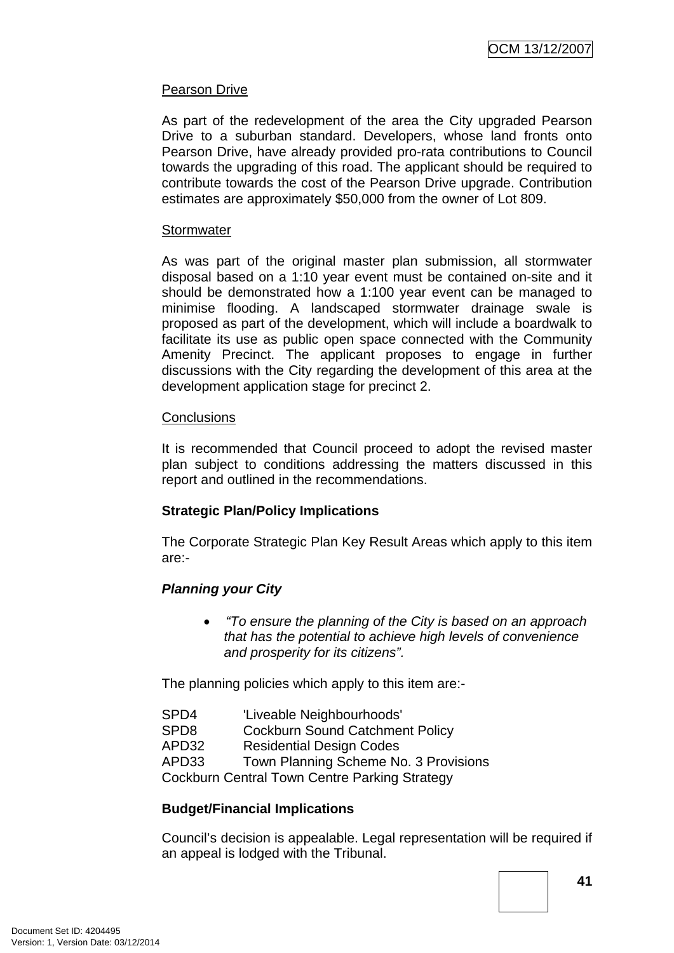## Pearson Drive

As part of the redevelopment of the area the City upgraded Pearson Drive to a suburban standard. Developers, whose land fronts onto Pearson Drive, have already provided pro-rata contributions to Council towards the upgrading of this road. The applicant should be required to contribute towards the cost of the Pearson Drive upgrade. Contribution estimates are approximately \$50,000 from the owner of Lot 809.

#### **Stormwater**

As was part of the original master plan submission, all stormwater disposal based on a 1:10 year event must be contained on-site and it should be demonstrated how a 1:100 year event can be managed to minimise flooding. A landscaped stormwater drainage swale is proposed as part of the development, which will include a boardwalk to facilitate its use as public open space connected with the Community Amenity Precinct. The applicant proposes to engage in further discussions with the City regarding the development of this area at the development application stage for precinct 2.

## **Conclusions**

It is recommended that Council proceed to adopt the revised master plan subject to conditions addressing the matters discussed in this report and outlined in the recommendations.

# **Strategic Plan/Policy Implications**

The Corporate Strategic Plan Key Result Areas which apply to this item are:-

# *Planning your City*

• *"To ensure the planning of the City is based on an approach that has the potential to achieve high levels of convenience and prosperity for its citizens".* 

The planning policies which apply to this item are:-

| SPD4  | 'Liveable Neighbourhoods'                     |
|-------|-----------------------------------------------|
| SPD8  | <b>Cockburn Sound Catchment Policy</b>        |
| APD32 | <b>Residential Design Codes</b>               |
| APD33 | Town Planning Scheme No. 3 Provisions         |
|       | Cockburn Central Town Centre Parking Strategy |

# **Budget/Financial Implications**

Council's decision is appealable. Legal representation will be required if an appeal is lodged with the Tribunal.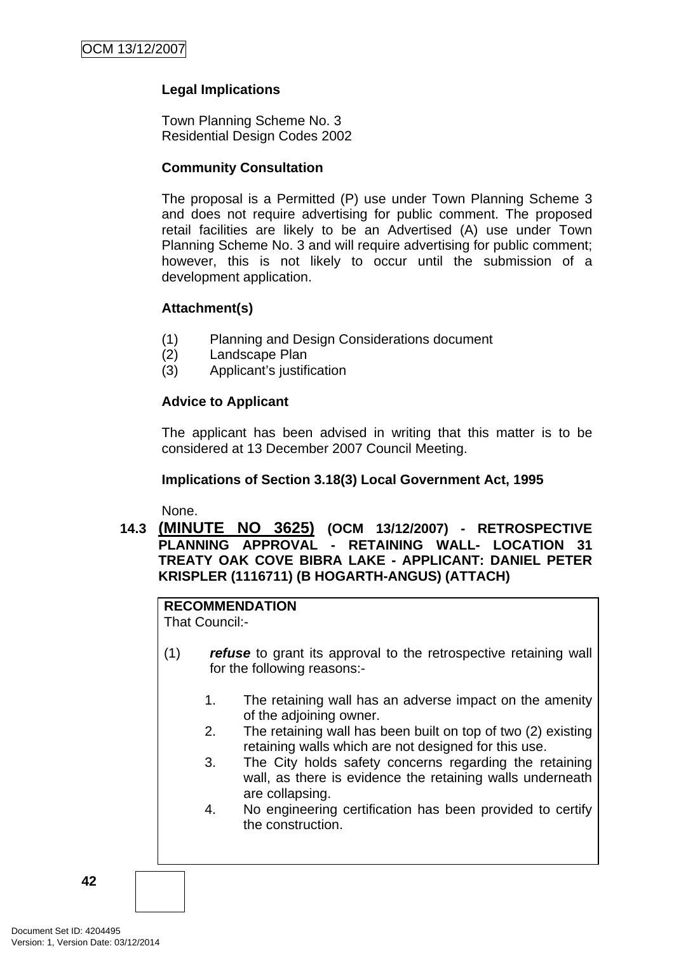## **Legal Implications**

Town Planning Scheme No. 3 Residential Design Codes 2002

## **Community Consultation**

The proposal is a Permitted (P) use under Town Planning Scheme 3 and does not require advertising for public comment. The proposed retail facilities are likely to be an Advertised (A) use under Town Planning Scheme No. 3 and will require advertising for public comment; however, this is not likely to occur until the submission of a development application.

## **Attachment(s)**

- (1) Planning and Design Considerations document
- (2) Landscape Plan
- (3) Applicant's justification

## **Advice to Applicant**

The applicant has been advised in writing that this matter is to be considered at 13 December 2007 Council Meeting.

## **Implications of Section 3.18(3) Local Government Act, 1995**

None.

**14.3 (MINUTE NO 3625) (OCM 13/12/2007) - RETROSPECTIVE PLANNING APPROVAL - RETAINING WALL- LOCATION 31 TREATY OAK COVE BIBRA LAKE - APPLICANT: DANIEL PETER KRISPLER (1116711) (B HOGARTH-ANGUS) (ATTACH)** 

# **RECOMMENDATION**

That Council:-

- (1) *refuse* to grant its approval to the retrospective retaining wall for the following reasons:-
	- 1. The retaining wall has an adverse impact on the amenity of the adjoining owner.
	- 2. The retaining wall has been built on top of two (2) existing retaining walls which are not designed for this use.
	- 3. The City holds safety concerns regarding the retaining wall, as there is evidence the retaining walls underneath are collapsing.
	- 4. No engineering certification has been provided to certify the construction.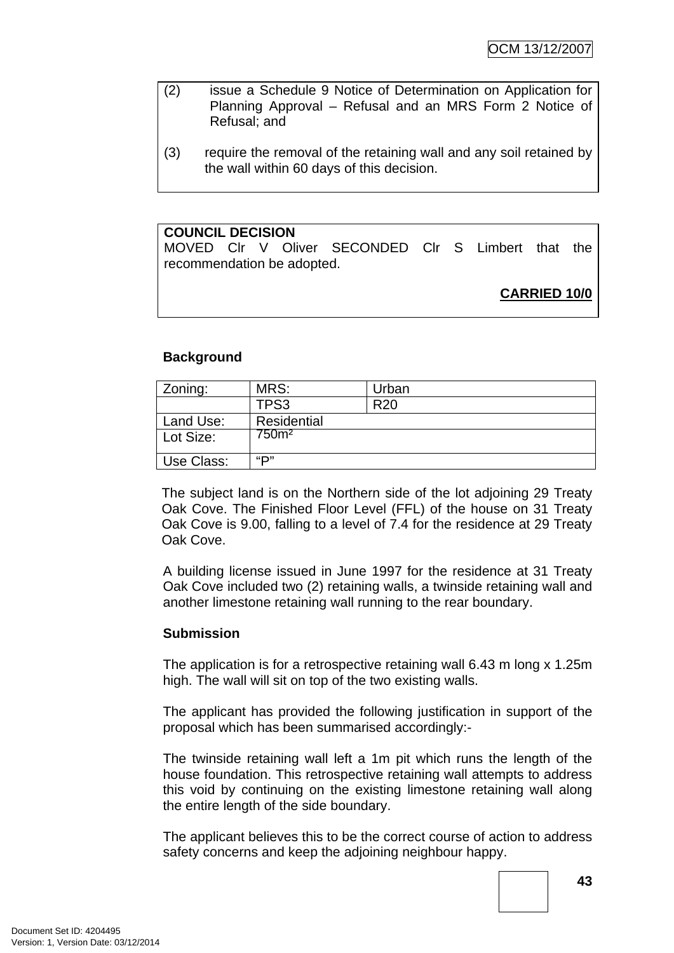- (2) issue a Schedule 9 Notice of Determination on Application for Planning Approval – Refusal and an MRS Form 2 Notice of Refusal; and
- (3) require the removal of the retaining wall and any soil retained by the wall within 60 days of this decision.

## **COUNCIL DECISION**

MOVED Clr V Oliver SECONDED Clr S Limbert that the recommendation be adopted.

**CARRIED 10/0**

## **Background**

| Zoning:    | MRS:              | Urban           |
|------------|-------------------|-----------------|
|            | TPS3              | R <sub>20</sub> |
| Land Use:  | Residential       |                 |
| Lot Size:  | 750 <sup>m²</sup> |                 |
| Use Class: | "D"               |                 |

The subject land is on the Northern side of the lot adjoining 29 Treaty Oak Cove. The Finished Floor Level (FFL) of the house on 31 Treaty Oak Cove is 9.00, falling to a level of 7.4 for the residence at 29 Treaty Oak Cove.

A building license issued in June 1997 for the residence at 31 Treaty Oak Cove included two (2) retaining walls, a twinside retaining wall and another limestone retaining wall running to the rear boundary.

## **Submission**

The application is for a retrospective retaining wall 6.43 m long x 1.25m high. The wall will sit on top of the two existing walls.

The applicant has provided the following justification in support of the proposal which has been summarised accordingly:-

The twinside retaining wall left a 1m pit which runs the length of the house foundation. This retrospective retaining wall attempts to address this void by continuing on the existing limestone retaining wall along the entire length of the side boundary.

The applicant believes this to be the correct course of action to address safety concerns and keep the adjoining neighbour happy.

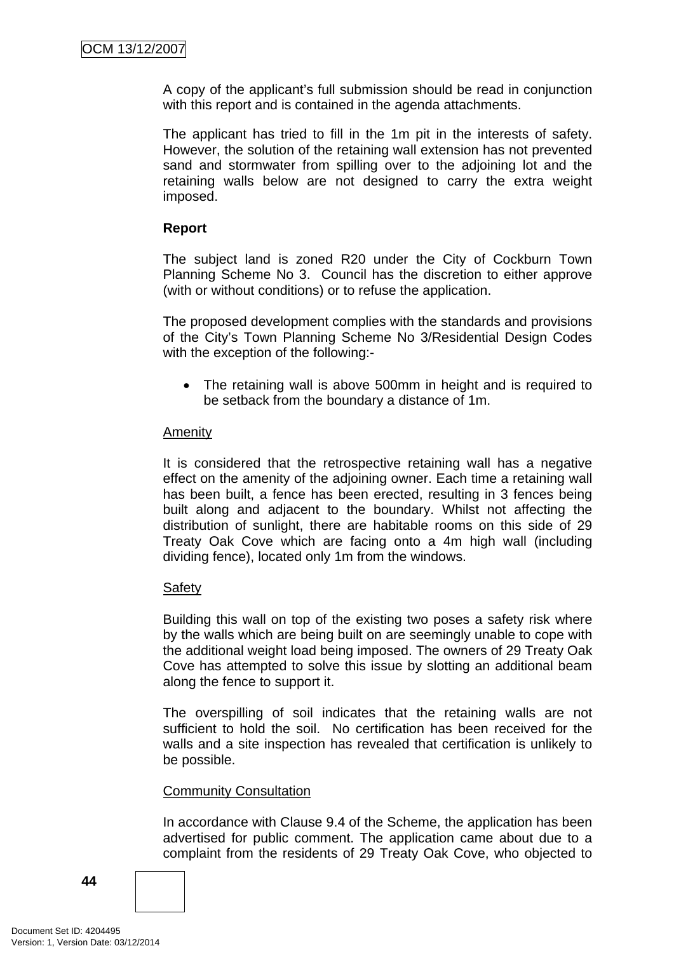A copy of the applicant's full submission should be read in conjunction with this report and is contained in the agenda attachments.

The applicant has tried to fill in the 1m pit in the interests of safety. However, the solution of the retaining wall extension has not prevented sand and stormwater from spilling over to the adjoining lot and the retaining walls below are not designed to carry the extra weight imposed.

## **Report**

The subject land is zoned R20 under the City of Cockburn Town Planning Scheme No 3. Council has the discretion to either approve (with or without conditions) or to refuse the application.

The proposed development complies with the standards and provisions of the City's Town Planning Scheme No 3/Residential Design Codes with the exception of the following:-

• The retaining wall is above 500mm in height and is required to be setback from the boundary a distance of 1m.

## Amenity

It is considered that the retrospective retaining wall has a negative effect on the amenity of the adjoining owner. Each time a retaining wall has been built, a fence has been erected, resulting in 3 fences being built along and adjacent to the boundary. Whilst not affecting the distribution of sunlight, there are habitable rooms on this side of 29 Treaty Oak Cove which are facing onto a 4m high wall (including dividing fence), located only 1m from the windows.

## Safety

Building this wall on top of the existing two poses a safety risk where by the walls which are being built on are seemingly unable to cope with the additional weight load being imposed. The owners of 29 Treaty Oak Cove has attempted to solve this issue by slotting an additional beam along the fence to support it.

The overspilling of soil indicates that the retaining walls are not sufficient to hold the soil. No certification has been received for the walls and a site inspection has revealed that certification is unlikely to be possible.

## Community Consultation

In accordance with Clause 9.4 of the Scheme, the application has been advertised for public comment. The application came about due to a complaint from the residents of 29 Treaty Oak Cove, who objected to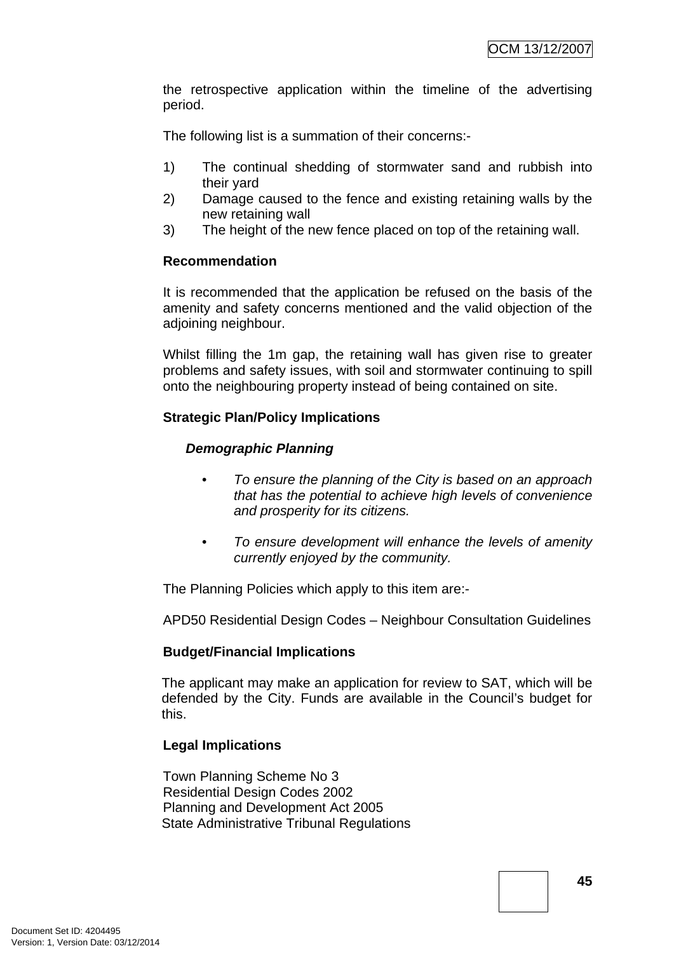the retrospective application within the timeline of the advertising period.

The following list is a summation of their concerns:-

- 1) The continual shedding of stormwater sand and rubbish into their yard
- 2) Damage caused to the fence and existing retaining walls by the new retaining wall
- 3) The height of the new fence placed on top of the retaining wall.

## **Recommendation**

It is recommended that the application be refused on the basis of the amenity and safety concerns mentioned and the valid objection of the adjoining neighbour.

Whilst filling the 1m gap, the retaining wall has given rise to greater problems and safety issues, with soil and stormwater continuing to spill onto the neighbouring property instead of being contained on site.

## **Strategic Plan/Policy Implications**

## *Demographic Planning*

- *To ensure the planning of the City is based on an approach that has the potential to achieve high levels of convenience and prosperity for its citizens.*
- *To ensure development will enhance the levels of amenity currently enjoyed by the community.*

The Planning Policies which apply to this item are:-

APD50 Residential Design Codes – Neighbour Consultation Guidelines

## **Budget/Financial Implications**

The applicant may make an application for review to SAT, which will be defended by the City. Funds are available in the Council's budget for this.

## **Legal Implications**

Town Planning Scheme No 3 Residential Design Codes 2002 Planning and Development Act 2005 State Administrative Tribunal Regulations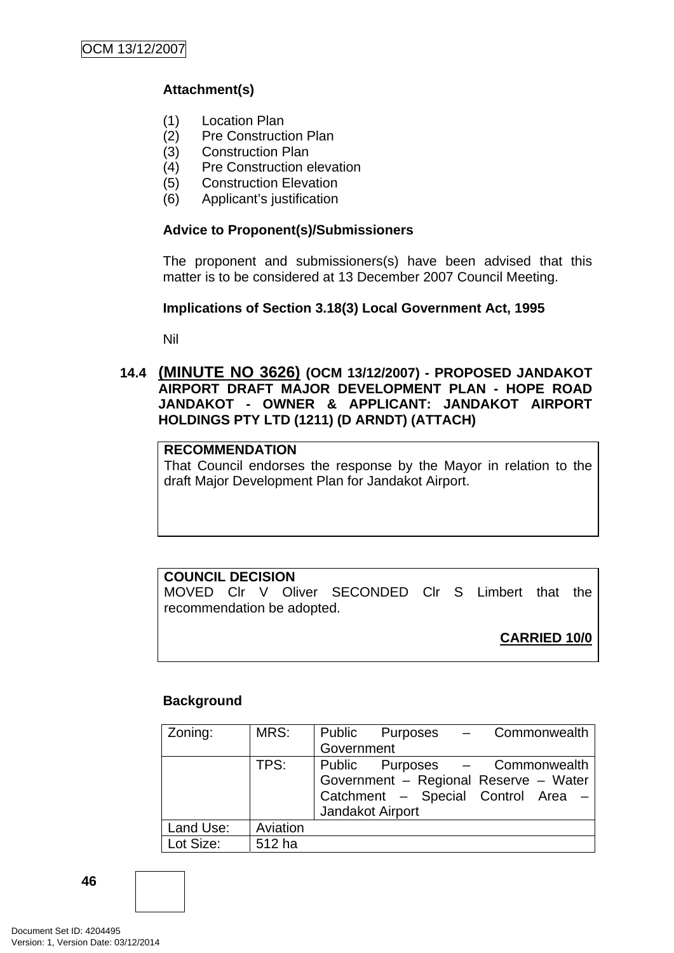# **Attachment(s)**

- (1) Location Plan
- (2) Pre Construction Plan
- (3) Construction Plan
- (4) Pre Construction elevation
- (5) Construction Elevation
- (6) Applicant's justification

## **Advice to Proponent(s)/Submissioners**

The proponent and submissioners(s) have been advised that this matter is to be considered at 13 December 2007 Council Meeting.

## **Implications of Section 3.18(3) Local Government Act, 1995**

Nil

## **14.4 (MINUTE NO 3626) (OCM 13/12/2007) - PROPOSED JANDAKOT AIRPORT DRAFT MAJOR DEVELOPMENT PLAN - HOPE ROAD JANDAKOT - OWNER & APPLICANT: JANDAKOT AIRPORT HOLDINGS PTY LTD (1211) (D ARNDT) (ATTACH)**

## **RECOMMENDATION**

That Council endorses the response by the Mayor in relation to the draft Major Development Plan for Jandakot Airport.

# **COUNCIL DECISION**

MOVED Clr V Oliver SECONDED Clr S Limbert that the recommendation be adopted.

# **CARRIED 10/0**

## **Background**

| Zoning:   | MRS:     | Public Purposes - Commonwealth        |
|-----------|----------|---------------------------------------|
|           |          | Government                            |
|           | TPS:     | Public Purposes - Commonwealth        |
|           |          | Government - Regional Reserve - Water |
|           |          | Catchment - Special Control Area -    |
|           |          | Jandakot Airport                      |
| Land Use: | Aviation |                                       |
| Lot Size: | 512 ha   |                                       |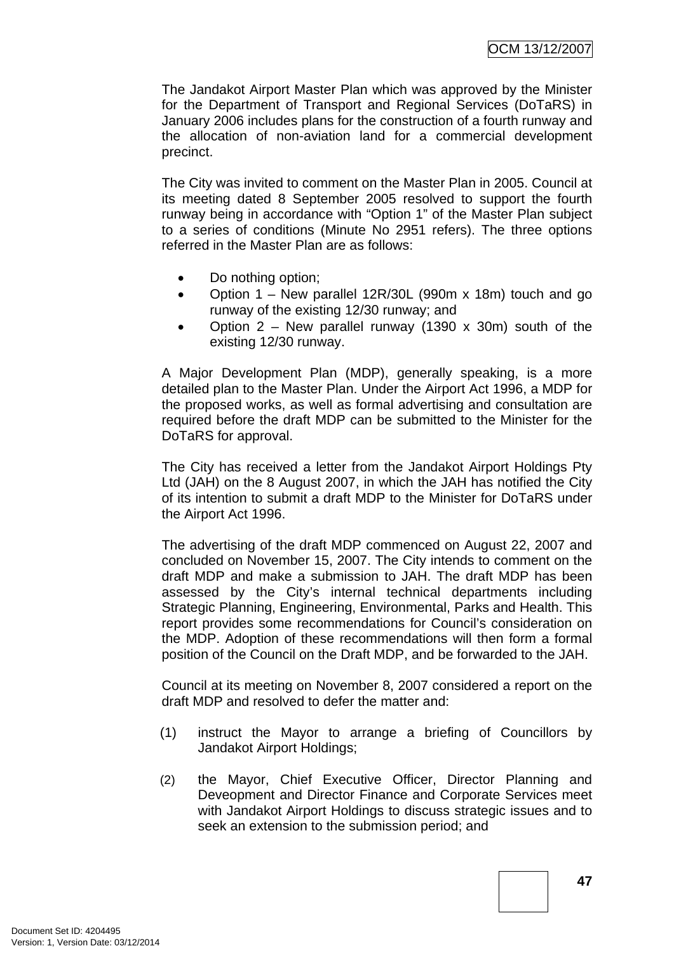The Jandakot Airport Master Plan which was approved by the Minister for the Department of Transport and Regional Services (DoTaRS) in January 2006 includes plans for the construction of a fourth runway and the allocation of non-aviation land for a commercial development precinct.

The City was invited to comment on the Master Plan in 2005. Council at its meeting dated 8 September 2005 resolved to support the fourth runway being in accordance with "Option 1" of the Master Plan subject to a series of conditions (Minute No 2951 refers). The three options referred in the Master Plan are as follows:

- Do nothing option;
- Option 1 New parallel 12R/30L (990m x 18m) touch and go runway of the existing 12/30 runway; and
- Option  $2$  New parallel runway (1390 x 30m) south of the existing 12/30 runway.

A Major Development Plan (MDP), generally speaking, is a more detailed plan to the Master Plan. Under the Airport Act 1996, a MDP for the proposed works, as well as formal advertising and consultation are required before the draft MDP can be submitted to the Minister for the DoTaRS for approval.

The City has received a letter from the Jandakot Airport Holdings Pty Ltd (JAH) on the 8 August 2007, in which the JAH has notified the City of its intention to submit a draft MDP to the Minister for DoTaRS under the Airport Act 1996.

The advertising of the draft MDP commenced on August 22, 2007 and concluded on November 15, 2007. The City intends to comment on the draft MDP and make a submission to JAH. The draft MDP has been assessed by the City's internal technical departments including Strategic Planning, Engineering, Environmental, Parks and Health. This report provides some recommendations for Council's consideration on the MDP. Adoption of these recommendations will then form a formal position of the Council on the Draft MDP, and be forwarded to the JAH.

Council at its meeting on November 8, 2007 considered a report on the draft MDP and resolved to defer the matter and:

- (1) instruct the Mayor to arrange a briefing of Councillors by Jandakot Airport Holdings;
- (2) the Mayor, Chief Executive Officer, Director Planning and Deveopment and Director Finance and Corporate Services meet with Jandakot Airport Holdings to discuss strategic issues and to seek an extension to the submission period; and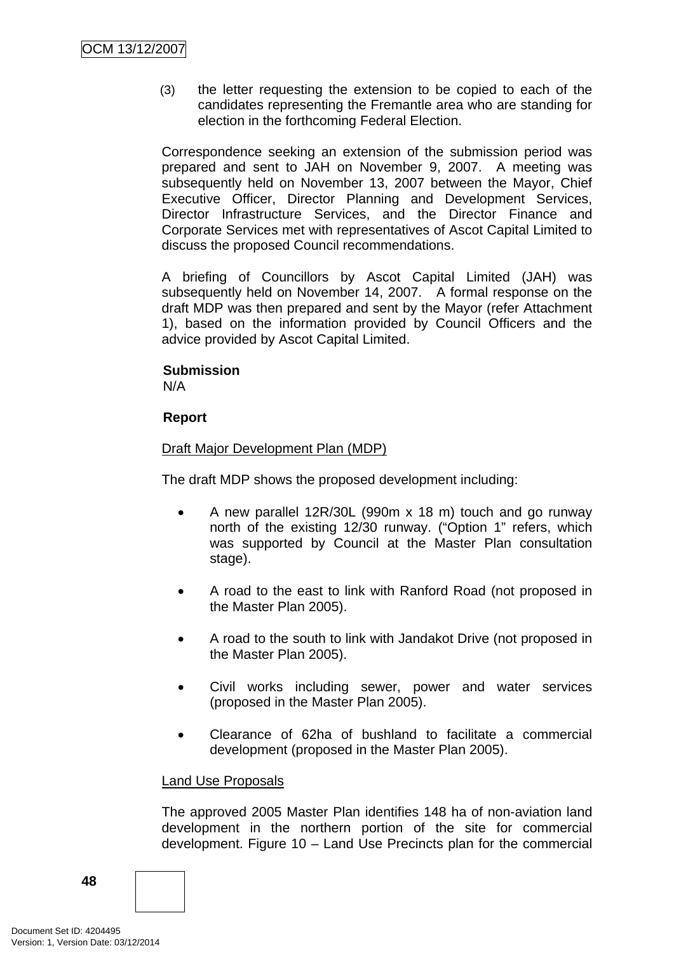(3) the letter requesting the extension to be copied to each of the candidates representing the Fremantle area who are standing for election in the forthcoming Federal Election.

Correspondence seeking an extension of the submission period was prepared and sent to JAH on November 9, 2007. A meeting was subsequently held on November 13, 2007 between the Mayor, Chief Executive Officer, Director Planning and Development Services, Director Infrastructure Services, and the Director Finance and Corporate Services met with representatives of Ascot Capital Limited to discuss the proposed Council recommendations.

A briefing of Councillors by Ascot Capital Limited (JAH) was subsequently held on November 14, 2007. A formal response on the draft MDP was then prepared and sent by the Mayor (refer Attachment 1), based on the information provided by Council Officers and the advice provided by Ascot Capital Limited.

## **Submission**

N/A

## **Report**

## Draft Major Development Plan (MDP)

The draft MDP shows the proposed development including:

- A new parallel 12R/30L (990m x 18 m) touch and go runway north of the existing 12/30 runway. ("Option 1" refers, which was supported by Council at the Master Plan consultation stage).
- A road to the east to link with Ranford Road (not proposed in the Master Plan 2005).
- A road to the south to link with Jandakot Drive (not proposed in the Master Plan 2005).
- Civil works including sewer, power and water services (proposed in the Master Plan 2005).
- Clearance of 62ha of bushland to facilitate a commercial development (proposed in the Master Plan 2005).

## Land Use Proposals

The approved 2005 Master Plan identifies 148 ha of non-aviation land development in the northern portion of the site for commercial development. Figure 10 – Land Use Precincts plan for the commercial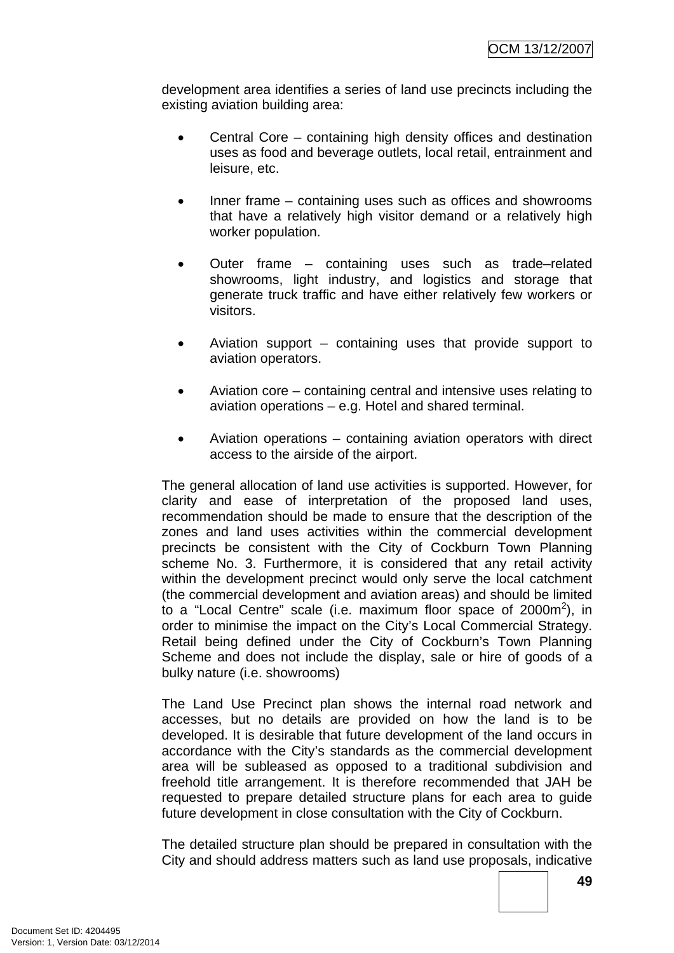development area identifies a series of land use precincts including the existing aviation building area:

- Central Core containing high density offices and destination uses as food and beverage outlets, local retail, entrainment and leisure, etc.
- Inner frame  $-$  containing uses such as offices and showrooms that have a relatively high visitor demand or a relatively high worker population.
- Outer frame containing uses such as trade–related showrooms, light industry, and logistics and storage that generate truck traffic and have either relatively few workers or visitors.
- Aviation support containing uses that provide support to aviation operators.
- Aviation core containing central and intensive uses relating to aviation operations – e.g. Hotel and shared terminal.
- Aviation operations containing aviation operators with direct access to the airside of the airport.

The general allocation of land use activities is supported. However, for clarity and ease of interpretation of the proposed land uses, recommendation should be made to ensure that the description of the zones and land uses activities within the commercial development precincts be consistent with the City of Cockburn Town Planning scheme No. 3. Furthermore, it is considered that any retail activity within the development precinct would only serve the local catchment (the commercial development and aviation areas) and should be limited to a "Local Centre" scale (i.e. maximum floor space of 2000 $m^2$ ), in order to minimise the impact on the City's Local Commercial Strategy. Retail being defined under the City of Cockburn's Town Planning Scheme and does not include the display, sale or hire of goods of a bulky nature (i.e. showrooms)

The Land Use Precinct plan shows the internal road network and accesses, but no details are provided on how the land is to be developed. It is desirable that future development of the land occurs in accordance with the City's standards as the commercial development area will be subleased as opposed to a traditional subdivision and freehold title arrangement. It is therefore recommended that JAH be requested to prepare detailed structure plans for each area to guide future development in close consultation with the City of Cockburn.

The detailed structure plan should be prepared in consultation with the City and should address matters such as land use proposals, indicative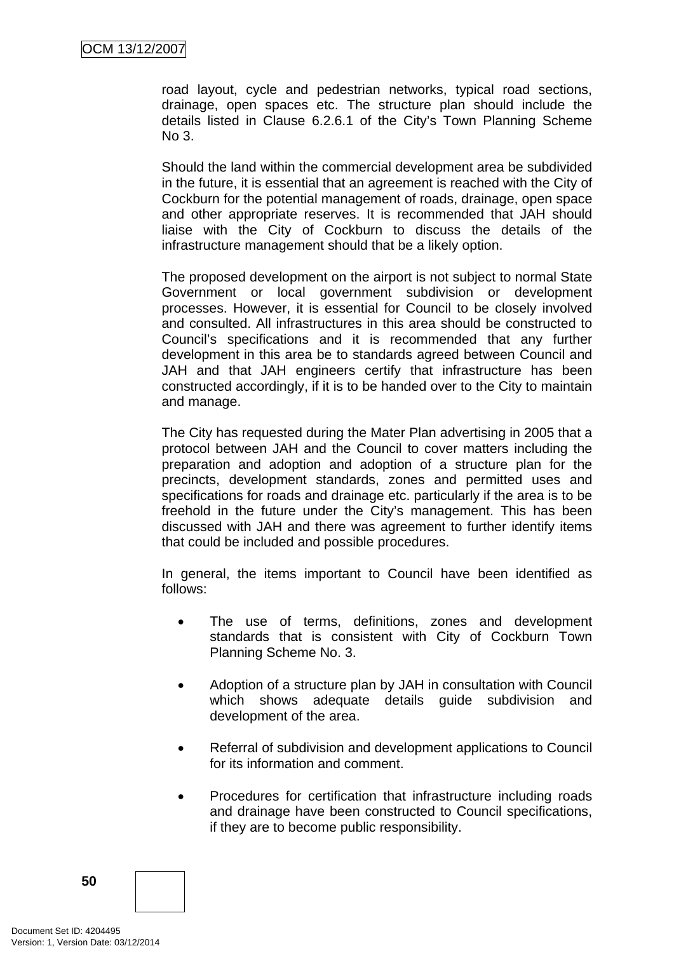road layout, cycle and pedestrian networks, typical road sections, drainage, open spaces etc. The structure plan should include the details listed in Clause 6.2.6.1 of the City's Town Planning Scheme No 3.

Should the land within the commercial development area be subdivided in the future, it is essential that an agreement is reached with the City of Cockburn for the potential management of roads, drainage, open space and other appropriate reserves. It is recommended that JAH should liaise with the City of Cockburn to discuss the details of the infrastructure management should that be a likely option.

The proposed development on the airport is not subject to normal State Government or local government subdivision or development processes. However, it is essential for Council to be closely involved and consulted. All infrastructures in this area should be constructed to Council's specifications and it is recommended that any further development in this area be to standards agreed between Council and JAH and that JAH engineers certify that infrastructure has been constructed accordingly, if it is to be handed over to the City to maintain and manage.

The City has requested during the Mater Plan advertising in 2005 that a protocol between JAH and the Council to cover matters including the preparation and adoption and adoption of a structure plan for the precincts, development standards, zones and permitted uses and specifications for roads and drainage etc. particularly if the area is to be freehold in the future under the City's management. This has been discussed with JAH and there was agreement to further identify items that could be included and possible procedures.

In general, the items important to Council have been identified as follows:

- The use of terms, definitions, zones and development standards that is consistent with City of Cockburn Town Planning Scheme No. 3.
- Adoption of a structure plan by JAH in consultation with Council which shows adequate details guide subdivision and development of the area.
- Referral of subdivision and development applications to Council for its information and comment.
- Procedures for certification that infrastructure including roads and drainage have been constructed to Council specifications, if they are to become public responsibility.

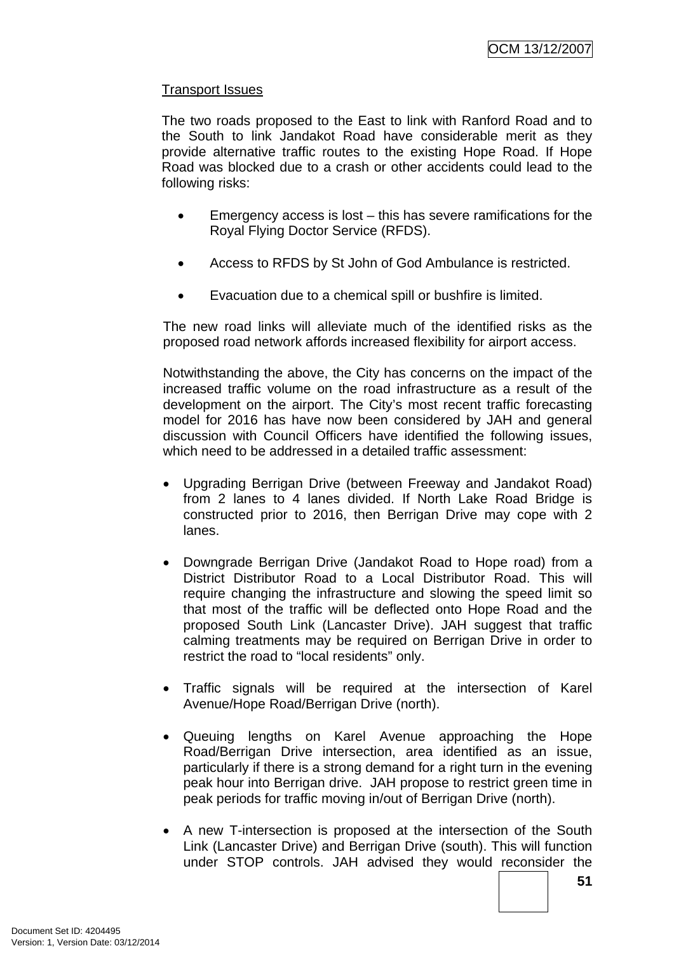## Transport Issues

The two roads proposed to the East to link with Ranford Road and to the South to link Jandakot Road have considerable merit as they provide alternative traffic routes to the existing Hope Road. If Hope Road was blocked due to a crash or other accidents could lead to the following risks:

- Emergency access is lost this has severe ramifications for the Royal Flying Doctor Service (RFDS).
- Access to RFDS by St John of God Ambulance is restricted.
- Evacuation due to a chemical spill or bushfire is limited.

The new road links will alleviate much of the identified risks as the proposed road network affords increased flexibility for airport access.

Notwithstanding the above, the City has concerns on the impact of the increased traffic volume on the road infrastructure as a result of the development on the airport. The City's most recent traffic forecasting model for 2016 has have now been considered by JAH and general discussion with Council Officers have identified the following issues, which need to be addressed in a detailed traffic assessment:

- Upgrading Berrigan Drive (between Freeway and Jandakot Road) from 2 lanes to 4 lanes divided. If North Lake Road Bridge is constructed prior to 2016, then Berrigan Drive may cope with 2 lanes.
- Downgrade Berrigan Drive (Jandakot Road to Hope road) from a District Distributor Road to a Local Distributor Road. This will require changing the infrastructure and slowing the speed limit so that most of the traffic will be deflected onto Hope Road and the proposed South Link (Lancaster Drive). JAH suggest that traffic calming treatments may be required on Berrigan Drive in order to restrict the road to "local residents" only.
- Traffic signals will be required at the intersection of Karel Avenue/Hope Road/Berrigan Drive (north).
- Queuing lengths on Karel Avenue approaching the Hope Road/Berrigan Drive intersection, area identified as an issue, particularly if there is a strong demand for a right turn in the evening peak hour into Berrigan drive. JAH propose to restrict green time in peak periods for traffic moving in/out of Berrigan Drive (north).
- A new T-intersection is proposed at the intersection of the South Link (Lancaster Drive) and Berrigan Drive (south). This will function under STOP controls. JAH advised they would reconsider the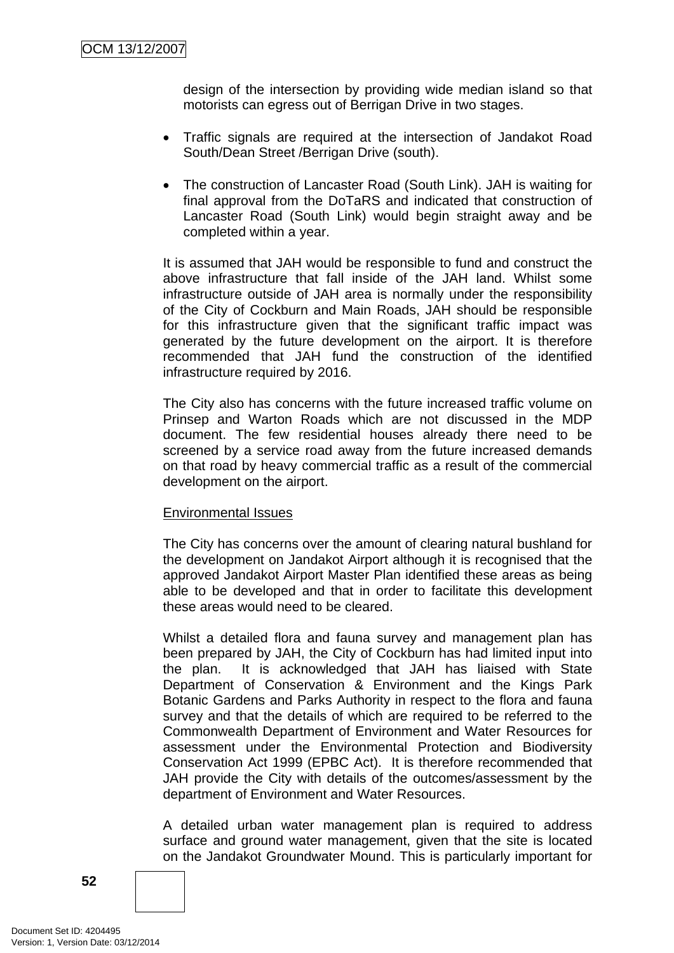design of the intersection by providing wide median island so that motorists can egress out of Berrigan Drive in two stages.

- Traffic signals are required at the intersection of Jandakot Road South/Dean Street /Berrigan Drive (south).
- The construction of Lancaster Road (South Link). JAH is waiting for final approval from the DoTaRS and indicated that construction of Lancaster Road (South Link) would begin straight away and be completed within a year.

It is assumed that JAH would be responsible to fund and construct the above infrastructure that fall inside of the JAH land. Whilst some infrastructure outside of JAH area is normally under the responsibility of the City of Cockburn and Main Roads, JAH should be responsible for this infrastructure given that the significant traffic impact was generated by the future development on the airport. It is therefore recommended that JAH fund the construction of the identified infrastructure required by 2016.

The City also has concerns with the future increased traffic volume on Prinsep and Warton Roads which are not discussed in the MDP document. The few residential houses already there need to be screened by a service road away from the future increased demands on that road by heavy commercial traffic as a result of the commercial development on the airport.

## Environmental Issues

The City has concerns over the amount of clearing natural bushland for the development on Jandakot Airport although it is recognised that the approved Jandakot Airport Master Plan identified these areas as being able to be developed and that in order to facilitate this development these areas would need to be cleared.

Whilst a detailed flora and fauna survey and management plan has been prepared by JAH, the City of Cockburn has had limited input into the plan. It is acknowledged that JAH has liaised with State Department of Conservation & Environment and the Kings Park Botanic Gardens and Parks Authority in respect to the flora and fauna survey and that the details of which are required to be referred to the Commonwealth Department of Environment and Water Resources for assessment under the Environmental Protection and Biodiversity Conservation Act 1999 (EPBC Act). It is therefore recommended that JAH provide the City with details of the outcomes/assessment by the department of Environment and Water Resources.

A detailed urban water management plan is required to address surface and ground water management, given that the site is located on the Jandakot Groundwater Mound. This is particularly important for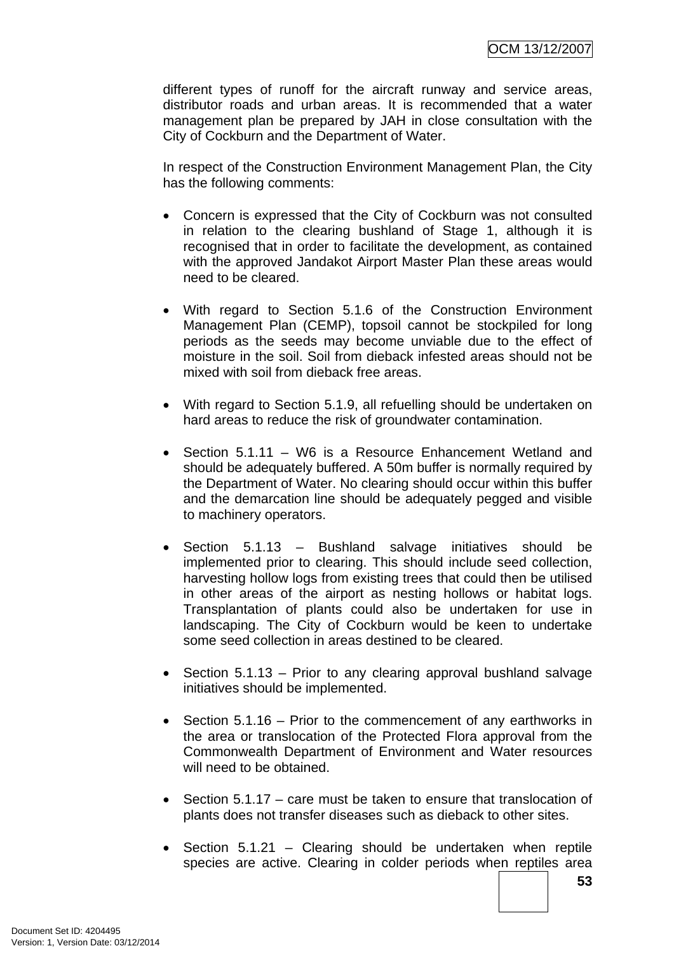different types of runoff for the aircraft runway and service areas, distributor roads and urban areas. It is recommended that a water management plan be prepared by JAH in close consultation with the City of Cockburn and the Department of Water.

In respect of the Construction Environment Management Plan, the City has the following comments:

- Concern is expressed that the City of Cockburn was not consulted in relation to the clearing bushland of Stage 1, although it is recognised that in order to facilitate the development, as contained with the approved Jandakot Airport Master Plan these areas would need to be cleared.
- With regard to Section 5.1.6 of the Construction Environment Management Plan (CEMP), topsoil cannot be stockpiled for long periods as the seeds may become unviable due to the effect of moisture in the soil. Soil from dieback infested areas should not be mixed with soil from dieback free areas.
- With regard to Section 5.1.9, all refuelling should be undertaken on hard areas to reduce the risk of groundwater contamination.
- Section 5.1.11 W6 is a Resource Enhancement Wetland and should be adequately buffered. A 50m buffer is normally required by the Department of Water. No clearing should occur within this buffer and the demarcation line should be adequately pegged and visible to machinery operators.
- Section 5.1.13 Bushland salvage initiatives should be implemented prior to clearing. This should include seed collection, harvesting hollow logs from existing trees that could then be utilised in other areas of the airport as nesting hollows or habitat logs. Transplantation of plants could also be undertaken for use in landscaping. The City of Cockburn would be keen to undertake some seed collection in areas destined to be cleared.
- Section 5.1.13 Prior to any clearing approval bushland salvage initiatives should be implemented.
- Section 5.1.16 Prior to the commencement of any earthworks in the area or translocation of the Protected Flora approval from the Commonwealth Department of Environment and Water resources will need to be obtained.
- Section 5.1.17 care must be taken to ensure that translocation of plants does not transfer diseases such as dieback to other sites.
- Section 5.1.21 Clearing should be undertaken when reptile species are active. Clearing in colder periods when reptiles area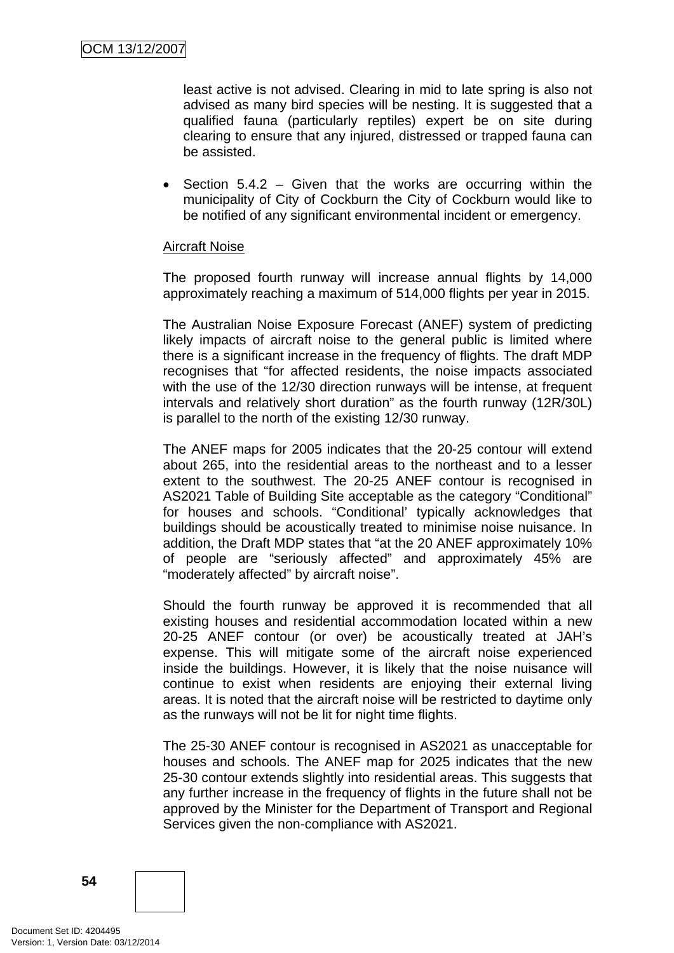least active is not advised. Clearing in mid to late spring is also not advised as many bird species will be nesting. It is suggested that a qualified fauna (particularly reptiles) expert be on site during clearing to ensure that any injured, distressed or trapped fauna can be assisted.

Section  $5.4.2$  – Given that the works are occurring within the municipality of City of Cockburn the City of Cockburn would like to be notified of any significant environmental incident or emergency.

## Aircraft Noise

The proposed fourth runway will increase annual flights by 14,000 approximately reaching a maximum of 514,000 flights per year in 2015.

The Australian Noise Exposure Forecast (ANEF) system of predicting likely impacts of aircraft noise to the general public is limited where there is a significant increase in the frequency of flights. The draft MDP recognises that "for affected residents, the noise impacts associated with the use of the 12/30 direction runways will be intense, at frequent intervals and relatively short duration" as the fourth runway (12R/30L) is parallel to the north of the existing 12/30 runway.

The ANEF maps for 2005 indicates that the 20-25 contour will extend about 265, into the residential areas to the northeast and to a lesser extent to the southwest. The 20-25 ANEF contour is recognised in AS2021 Table of Building Site acceptable as the category "Conditional" for houses and schools. "Conditional' typically acknowledges that buildings should be acoustically treated to minimise noise nuisance. In addition, the Draft MDP states that "at the 20 ANEF approximately 10% of people are "seriously affected" and approximately 45% are "moderately affected" by aircraft noise".

Should the fourth runway be approved it is recommended that all existing houses and residential accommodation located within a new 20-25 ANEF contour (or over) be acoustically treated at JAH's expense. This will mitigate some of the aircraft noise experienced inside the buildings. However, it is likely that the noise nuisance will continue to exist when residents are enjoying their external living areas. It is noted that the aircraft noise will be restricted to daytime only as the runways will not be lit for night time flights.

The 25-30 ANEF contour is recognised in AS2021 as unacceptable for houses and schools. The ANEF map for 2025 indicates that the new 25-30 contour extends slightly into residential areas. This suggests that any further increase in the frequency of flights in the future shall not be approved by the Minister for the Department of Transport and Regional Services given the non-compliance with AS2021.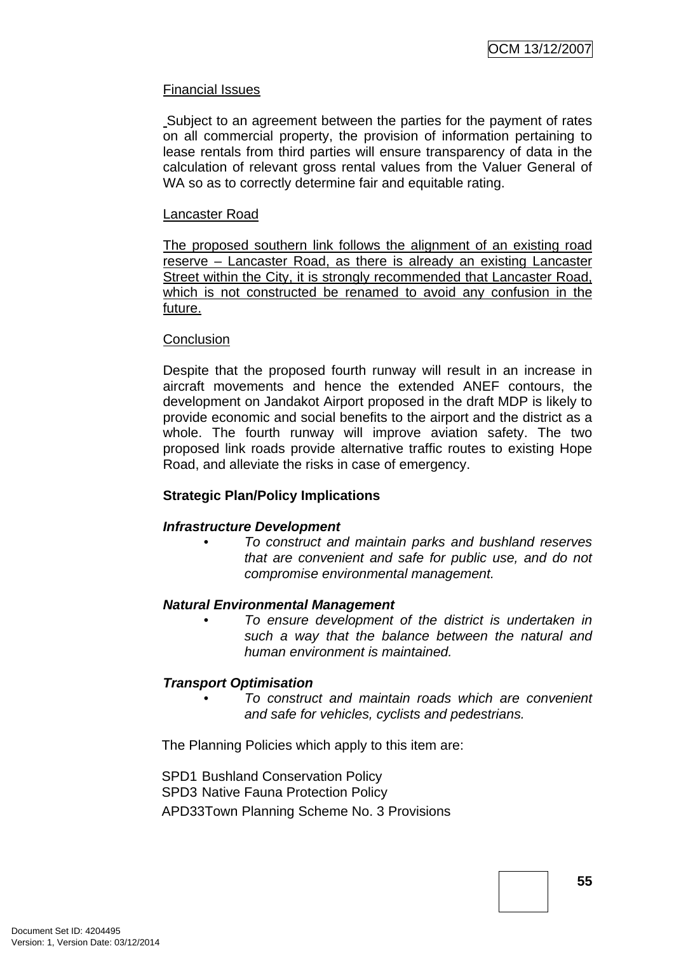## Financial Issues

Subject to an agreement between the parties for the payment of rates on all commercial property, the provision of information pertaining to lease rentals from third parties will ensure transparency of data in the calculation of relevant gross rental values from the Valuer General of WA so as to correctly determine fair and equitable rating.

#### Lancaster Road

The proposed southern link follows the alignment of an existing road reserve – Lancaster Road, as there is already an existing Lancaster Street within the City, it is strongly recommended that Lancaster Road, which is not constructed be renamed to avoid any confusion in the future.

#### **Conclusion**

Despite that the proposed fourth runway will result in an increase in aircraft movements and hence the extended ANEF contours, the development on Jandakot Airport proposed in the draft MDP is likely to provide economic and social benefits to the airport and the district as a whole. The fourth runway will improve aviation safety. The two proposed link roads provide alternative traffic routes to existing Hope Road, and alleviate the risks in case of emergency.

## **Strategic Plan/Policy Implications**

## *Infrastructure Development*

*• To construct and maintain parks and bushland reserves that are convenient and safe for public use, and do not compromise environmental management.* 

#### *Natural Environmental Management*

*• To ensure development of the district is undertaken in such a way that the balance between the natural and human environment is maintained.* 

## *Transport Optimisation*

*• To construct and maintain roads which are convenient and safe for vehicles, cyclists and pedestrians.* 

The Planning Policies which apply to this item are:

SPD1 Bushland Conservation Policy SPD3 Native Fauna Protection Policy APD33Town Planning Scheme No. 3 Provisions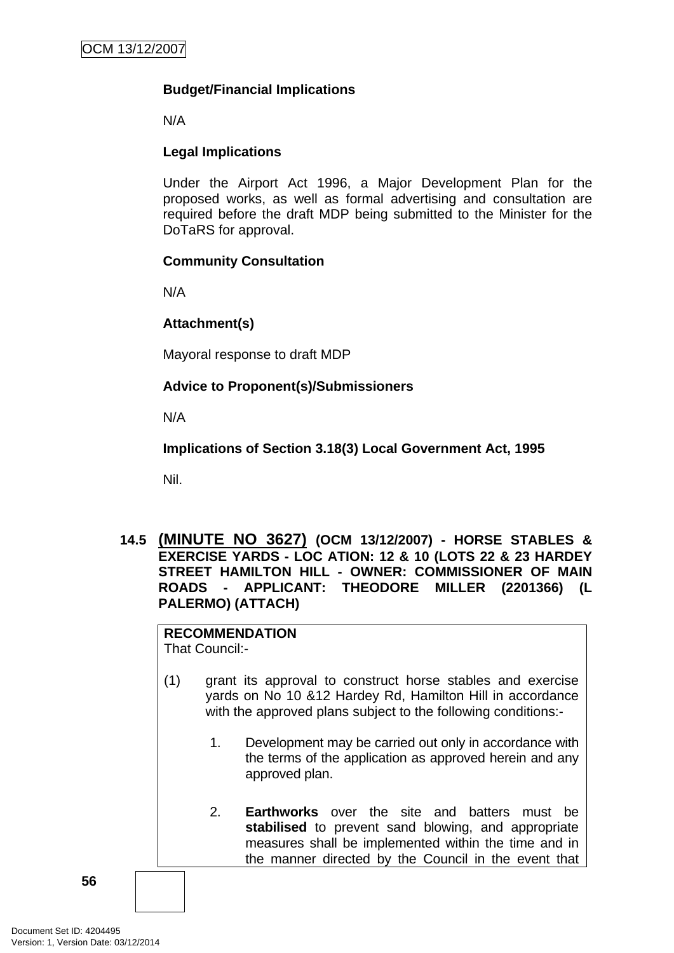## **Budget/Financial Implications**

N/A

## **Legal Implications**

Under the Airport Act 1996, a Major Development Plan for the proposed works, as well as formal advertising and consultation are required before the draft MDP being submitted to the Minister for the DoTaRS for approval.

## **Community Consultation**

N/A

## **Attachment(s)**

Mayoral response to draft MDP

## **Advice to Proponent(s)/Submissioners**

N/A

**Implications of Section 3.18(3) Local Government Act, 1995**

Nil.

**14.5 (MINUTE NO 3627) (OCM 13/12/2007) - HORSE STABLES & EXERCISE YARDS - LOC ATION: 12 & 10 (LOTS 22 & 23 HARDEY STREET HAMILTON HILL - OWNER: COMMISSIONER OF MAIN ROADS - APPLICANT: THEODORE MILLER (2201366) (L PALERMO) (ATTACH)** 

# **RECOMMENDATION**

That Council:-

- (1) grant its approval to construct horse stables and exercise yards on No 10 &12 Hardey Rd, Hamilton Hill in accordance with the approved plans subject to the following conditions:-
	- 1. Development may be carried out only in accordance with the terms of the application as approved herein and any approved plan.
	- 2. **Earthworks** over the site and batters must be **stabilised** to prevent sand blowing, and appropriate measures shall be implemented within the time and in the manner directed by the Council in the event that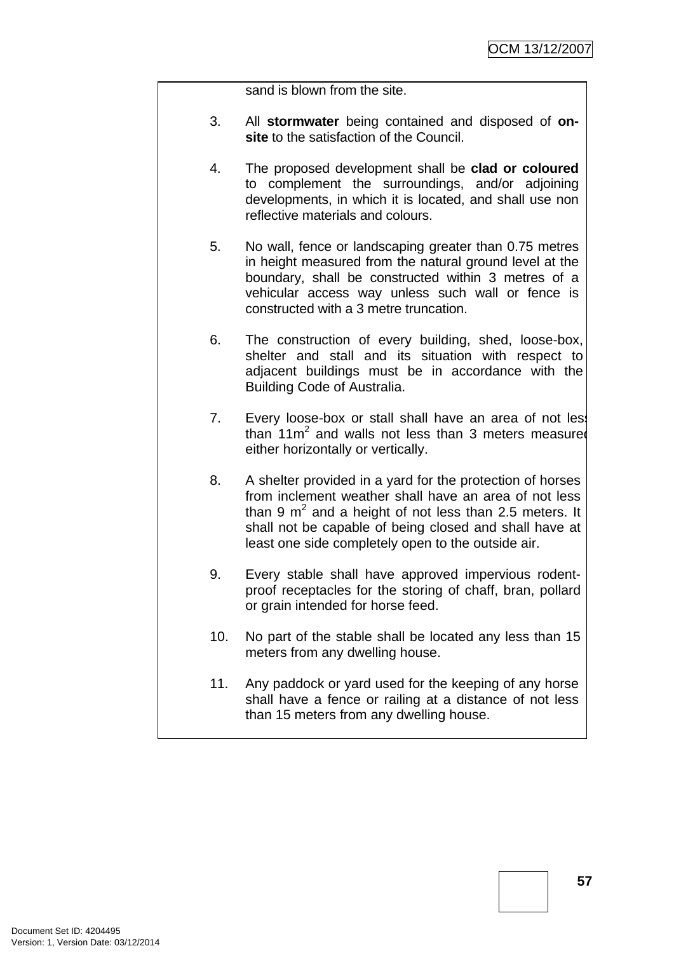sand is blown from the site.

- 3. All **stormwater** being contained and disposed of **onsite** to the satisfaction of the Council.
- 4. The proposed development shall be **clad or coloured** to complement the surroundings, and/or adjoining developments, in which it is located, and shall use non reflective materials and colours.
- 5. No wall, fence or landscaping greater than 0.75 metres in height measured from the natural ground level at the boundary, shall be constructed within 3 metres of a vehicular access way unless such wall or fence is constructed with a 3 metre truncation.
- 6. The construction of every building, shed, loose-box, shelter and stall and its situation with respect to adjacent buildings must be in accordance with the Building Code of Australia.
- 7. Every loose-box or stall shall have an area of not less than  $11m^2$  and walls not less than 3 meters measured either horizontally or vertically.
- 8. A shelter provided in a yard for the protection of horses from inclement weather shall have an area of not less than 9  $m^2$  and a height of not less than 2.5 meters. It shall not be capable of being closed and shall have at least one side completely open to the outside air.
- 9. Every stable shall have approved impervious rodentproof receptacles for the storing of chaff, bran, pollard or grain intended for horse feed.
- 10. No part of the stable shall be located any less than 15 meters from any dwelling house.
- 11. Any paddock or yard used for the keeping of any horse shall have a fence or railing at a distance of not less than 15 meters from any dwelling house.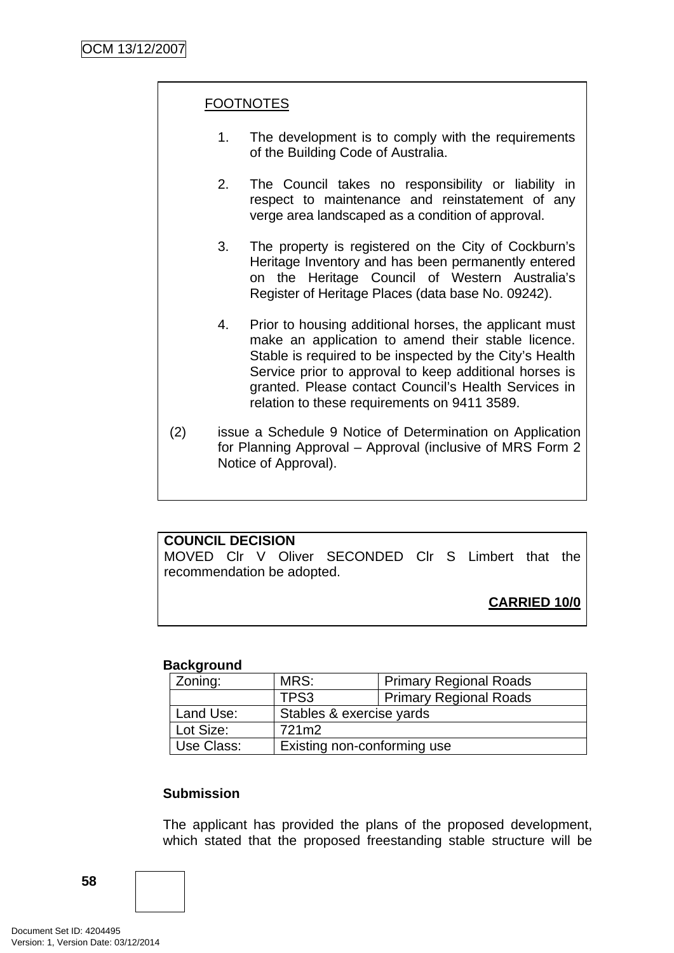# FOOTNOTES

- 1. The development is to comply with the requirements of the Building Code of Australia.
- 2. The Council takes no responsibility or liability in respect to maintenance and reinstatement of any verge area landscaped as a condition of approval.
- 3. The property is registered on the City of Cockburn's Heritage Inventory and has been permanently entered on the Heritage Council of Western Australia's Register of Heritage Places (data base No. 09242).
- 4. Prior to housing additional horses, the applicant must make an application to amend their stable licence. Stable is required to be inspected by the City's Health Service prior to approval to keep additional horses is granted. Please contact Council's Health Services in relation to these requirements on 9411 3589.
- (2) issue a Schedule 9 Notice of Determination on Application for Planning Approval – Approval (inclusive of MRS Form 2 Notice of Approval).

## **COUNCIL DECISION**

MOVED Clr V Oliver SECONDED Clr S Limbert that the recommendation be adopted.

**CARRIED 10/0**

## **Background**

| Zoning:    | MRS:                        | Primary Regional Roads |  |
|------------|-----------------------------|------------------------|--|
|            | TPS3                        | Primary Regional Roads |  |
| Land Use:  | Stables & exercise yards    |                        |  |
| Lot Size:  | 721m2                       |                        |  |
| Use Class: | Existing non-conforming use |                        |  |

# **Submission**

The applicant has provided the plans of the proposed development, which stated that the proposed freestanding stable structure will be

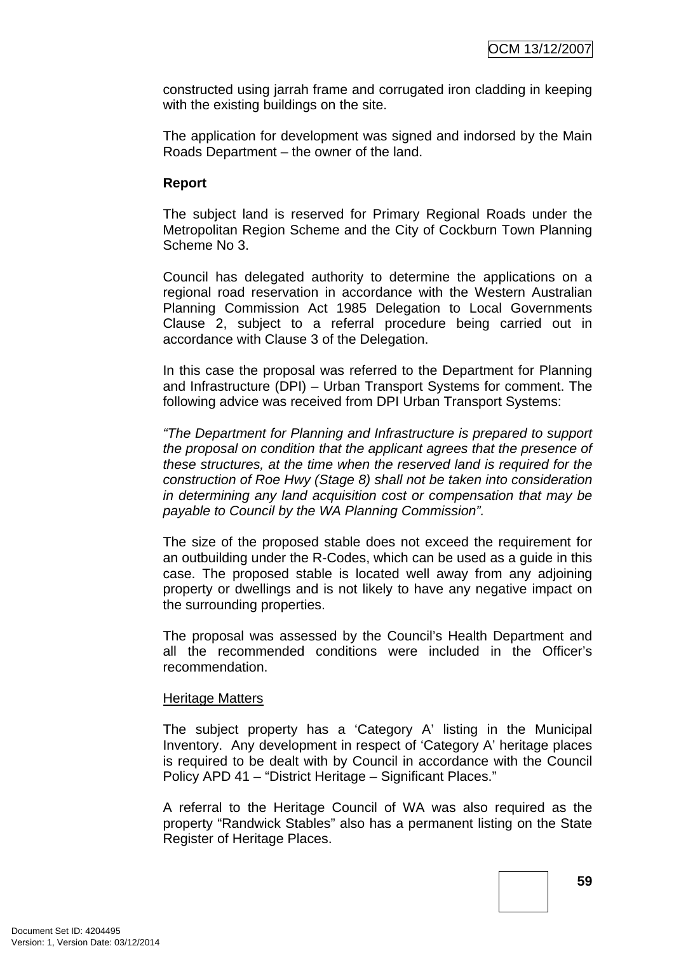constructed using jarrah frame and corrugated iron cladding in keeping with the existing buildings on the site.

The application for development was signed and indorsed by the Main Roads Department – the owner of the land.

## **Report**

The subject land is reserved for Primary Regional Roads under the Metropolitan Region Scheme and the City of Cockburn Town Planning Scheme No 3.

Council has delegated authority to determine the applications on a regional road reservation in accordance with the Western Australian Planning Commission Act 1985 Delegation to Local Governments Clause 2, subject to a referral procedure being carried out in accordance with Clause 3 of the Delegation.

In this case the proposal was referred to the Department for Planning and Infrastructure (DPI) – Urban Transport Systems for comment. The following advice was received from DPI Urban Transport Systems:

*"The Department for Planning and Infrastructure is prepared to support the proposal on condition that the applicant agrees that the presence of these structures, at the time when the reserved land is required for the construction of Roe Hwy (Stage 8) shall not be taken into consideration in determining any land acquisition cost or compensation that may be payable to Council by the WA Planning Commission".* 

The size of the proposed stable does not exceed the requirement for an outbuilding under the R-Codes, which can be used as a guide in this case. The proposed stable is located well away from any adjoining property or dwellings and is not likely to have any negative impact on the surrounding properties.

The proposal was assessed by the Council's Health Department and all the recommended conditions were included in the Officer's recommendation.

## Heritage Matters

The subject property has a 'Category A' listing in the Municipal Inventory. Any development in respect of 'Category A' heritage places is required to be dealt with by Council in accordance with the Council Policy APD 41 – "District Heritage – Significant Places."

A referral to the Heritage Council of WA was also required as the property "Randwick Stables" also has a permanent listing on the State Register of Heritage Places.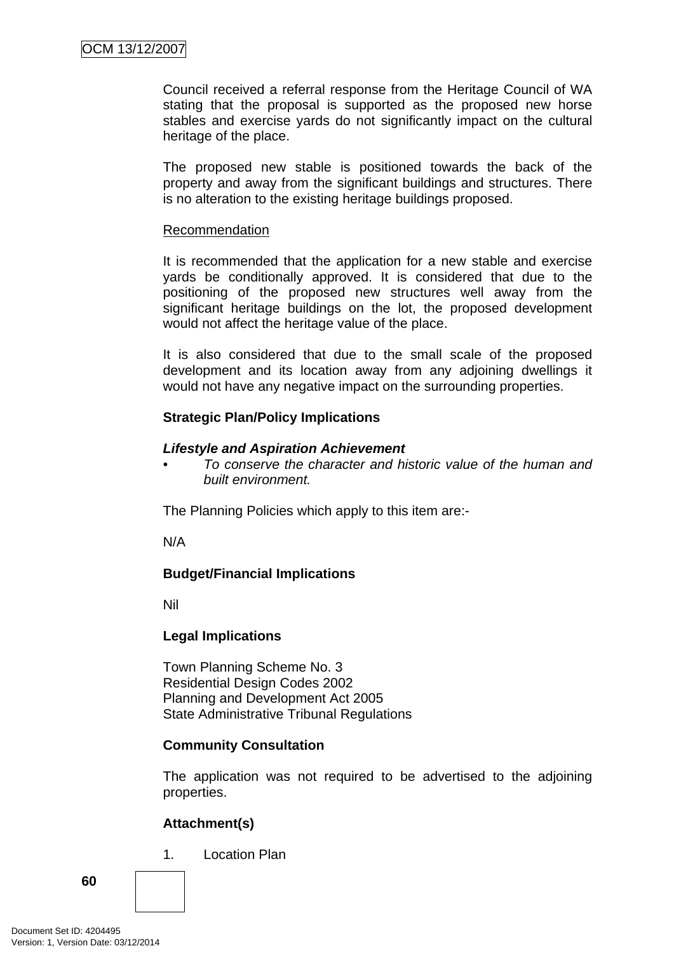Council received a referral response from the Heritage Council of WA stating that the proposal is supported as the proposed new horse stables and exercise yards do not significantly impact on the cultural heritage of the place.

The proposed new stable is positioned towards the back of the property and away from the significant buildings and structures. There is no alteration to the existing heritage buildings proposed.

## Recommendation

It is recommended that the application for a new stable and exercise yards be conditionally approved. It is considered that due to the positioning of the proposed new structures well away from the significant heritage buildings on the lot, the proposed development would not affect the heritage value of the place.

It is also considered that due to the small scale of the proposed development and its location away from any adjoining dwellings it would not have any negative impact on the surrounding properties.

## **Strategic Plan/Policy Implications**

## *Lifestyle and Aspiration Achievement*

*• To conserve the character and historic value of the human and built environment.* 

The Planning Policies which apply to this item are:-

N/A

# **Budget/Financial Implications**

Nil

## **Legal Implications**

Town Planning Scheme No. 3 Residential Design Codes 2002 Planning and Development Act 2005 State Administrative Tribunal Regulations

# **Community Consultation**

The application was not required to be advertised to the adjoining properties.

# **Attachment(s)**

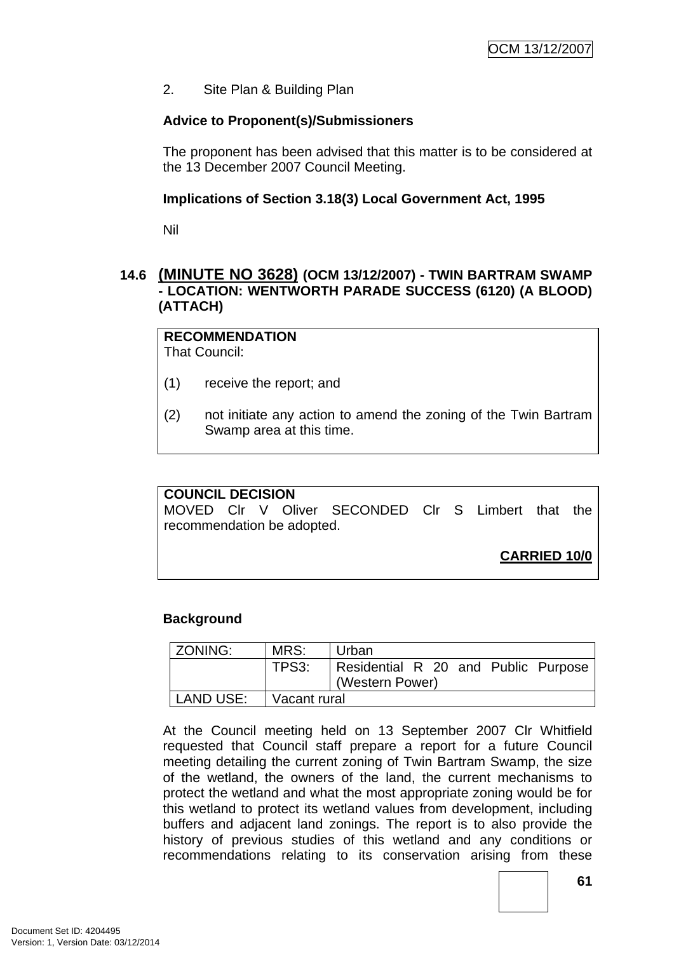2. Site Plan & Building Plan

# **Advice to Proponent(s)/Submissioners**

The proponent has been advised that this matter is to be considered at the 13 December 2007 Council Meeting.

## **Implications of Section 3.18(3) Local Government Act, 1995**

Nil

## **14.6 (MINUTE NO 3628) (OCM 13/12/2007) - TWIN BARTRAM SWAMP - LOCATION: WENTWORTH PARADE SUCCESS (6120) (A BLOOD) (ATTACH)**

## **RECOMMENDATION** That Council:

- (1) receive the report; and
- (2) not initiate any action to amend the zoning of the Twin Bartram Swamp area at this time.

# **COUNCIL DECISION**

MOVED Clr V Oliver SECONDED Clr S Limbert that the recommendation be adopted.

**CARRIED 10/0**

# **Background**

| ZONING:   | MRS:         | Urban                               |
|-----------|--------------|-------------------------------------|
|           | TPS3:        | Residential R 20 and Public Purpose |
|           |              | (Western Power)                     |
| LAND USE: | Vacant rural |                                     |

At the Council meeting held on 13 September 2007 Clr Whitfield requested that Council staff prepare a report for a future Council meeting detailing the current zoning of Twin Bartram Swamp, the size of the wetland, the owners of the land, the current mechanisms to protect the wetland and what the most appropriate zoning would be for this wetland to protect its wetland values from development, including buffers and adjacent land zonings. The report is to also provide the history of previous studies of this wetland and any conditions or recommendations relating to its conservation arising from these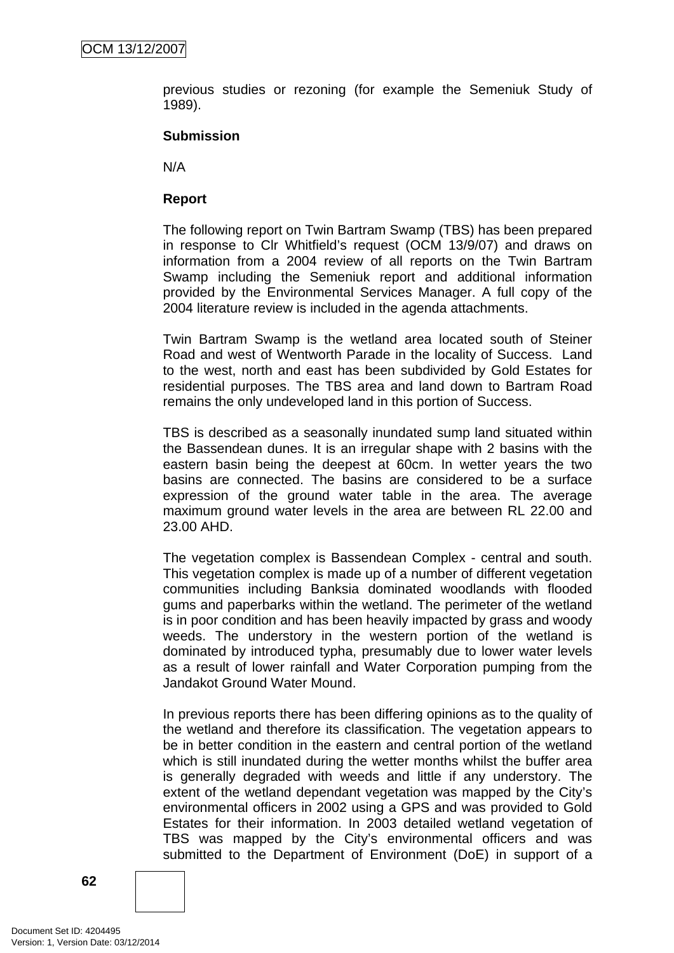previous studies or rezoning (for example the Semeniuk Study of 1989).

## **Submission**

N/A

## **Report**

The following report on Twin Bartram Swamp (TBS) has been prepared in response to Clr Whitfield's request (OCM 13/9/07) and draws on information from a 2004 review of all reports on the Twin Bartram Swamp including the Semeniuk report and additional information provided by the Environmental Services Manager. A full copy of the 2004 literature review is included in the agenda attachments.

Twin Bartram Swamp is the wetland area located south of Steiner Road and west of Wentworth Parade in the locality of Success. Land to the west, north and east has been subdivided by Gold Estates for residential purposes. The TBS area and land down to Bartram Road remains the only undeveloped land in this portion of Success.

TBS is described as a seasonally inundated sump land situated within the Bassendean dunes. It is an irregular shape with 2 basins with the eastern basin being the deepest at 60cm. In wetter years the two basins are connected. The basins are considered to be a surface expression of the ground water table in the area. The average maximum ground water levels in the area are between RL 22.00 and 23.00 AHD.

The vegetation complex is Bassendean Complex - central and south. This vegetation complex is made up of a number of different vegetation communities including Banksia dominated woodlands with flooded gums and paperbarks within the wetland. The perimeter of the wetland is in poor condition and has been heavily impacted by grass and woody weeds. The understory in the western portion of the wetland is dominated by introduced typha, presumably due to lower water levels as a result of lower rainfall and Water Corporation pumping from the Jandakot Ground Water Mound.

In previous reports there has been differing opinions as to the quality of the wetland and therefore its classification. The vegetation appears to be in better condition in the eastern and central portion of the wetland which is still inundated during the wetter months whilst the buffer area is generally degraded with weeds and little if any understory. The extent of the wetland dependant vegetation was mapped by the City's environmental officers in 2002 using a GPS and was provided to Gold Estates for their information. In 2003 detailed wetland vegetation of TBS was mapped by the City's environmental officers and was submitted to the Department of Environment (DoE) in support of a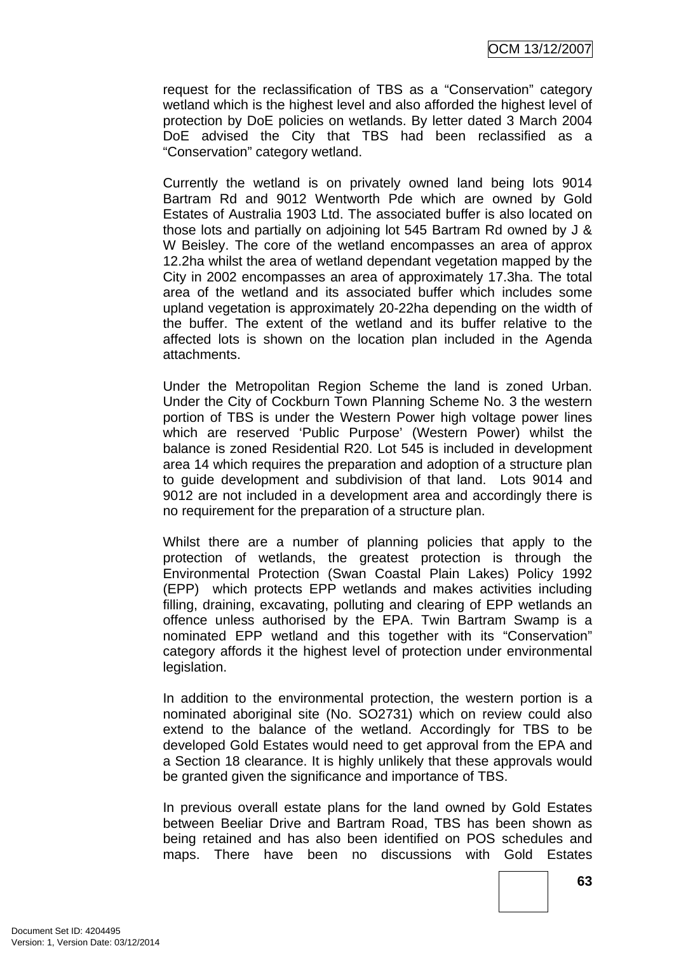request for the reclassification of TBS as a "Conservation" category wetland which is the highest level and also afforded the highest level of protection by DoE policies on wetlands. By letter dated 3 March 2004 DoE advised the City that TBS had been reclassified as a "Conservation" category wetland.

Currently the wetland is on privately owned land being lots 9014 Bartram Rd and 9012 Wentworth Pde which are owned by Gold Estates of Australia 1903 Ltd. The associated buffer is also located on those lots and partially on adjoining lot 545 Bartram Rd owned by J & W Beisley. The core of the wetland encompasses an area of approx 12.2ha whilst the area of wetland dependant vegetation mapped by the City in 2002 encompasses an area of approximately 17.3ha. The total area of the wetland and its associated buffer which includes some upland vegetation is approximately 20-22ha depending on the width of the buffer. The extent of the wetland and its buffer relative to the affected lots is shown on the location plan included in the Agenda attachments.

Under the Metropolitan Region Scheme the land is zoned Urban. Under the City of Cockburn Town Planning Scheme No. 3 the western portion of TBS is under the Western Power high voltage power lines which are reserved 'Public Purpose' (Western Power) whilst the balance is zoned Residential R20. Lot 545 is included in development area 14 which requires the preparation and adoption of a structure plan to guide development and subdivision of that land. Lots 9014 and 9012 are not included in a development area and accordingly there is no requirement for the preparation of a structure plan.

Whilst there are a number of planning policies that apply to the protection of wetlands, the greatest protection is through the Environmental Protection (Swan Coastal Plain Lakes) Policy 1992 (EPP) which protects EPP wetlands and makes activities including filling, draining, excavating, polluting and clearing of EPP wetlands an offence unless authorised by the EPA. Twin Bartram Swamp is a nominated EPP wetland and this together with its "Conservation" category affords it the highest level of protection under environmental legislation.

In addition to the environmental protection, the western portion is a nominated aboriginal site (No. SO2731) which on review could also extend to the balance of the wetland. Accordingly for TBS to be developed Gold Estates would need to get approval from the EPA and a Section 18 clearance. It is highly unlikely that these approvals would be granted given the significance and importance of TBS.

In previous overall estate plans for the land owned by Gold Estates between Beeliar Drive and Bartram Road, TBS has been shown as being retained and has also been identified on POS schedules and maps. There have been no discussions with Gold Estates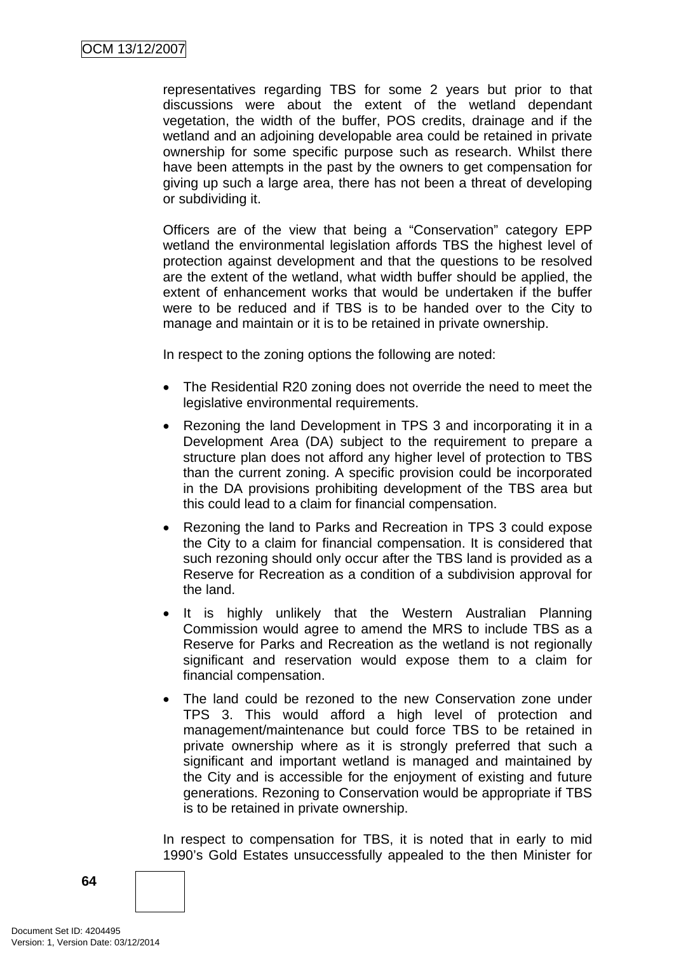representatives regarding TBS for some 2 years but prior to that discussions were about the extent of the wetland dependant vegetation, the width of the buffer, POS credits, drainage and if the wetland and an adjoining developable area could be retained in private ownership for some specific purpose such as research. Whilst there have been attempts in the past by the owners to get compensation for giving up such a large area, there has not been a threat of developing or subdividing it.

Officers are of the view that being a "Conservation" category EPP wetland the environmental legislation affords TBS the highest level of protection against development and that the questions to be resolved are the extent of the wetland, what width buffer should be applied, the extent of enhancement works that would be undertaken if the buffer were to be reduced and if TBS is to be handed over to the City to manage and maintain or it is to be retained in private ownership.

In respect to the zoning options the following are noted:

- The Residential R20 zoning does not override the need to meet the legislative environmental requirements.
- Rezoning the land Development in TPS 3 and incorporating it in a Development Area (DA) subject to the requirement to prepare a structure plan does not afford any higher level of protection to TBS than the current zoning. A specific provision could be incorporated in the DA provisions prohibiting development of the TBS area but this could lead to a claim for financial compensation.
- Rezoning the land to Parks and Recreation in TPS 3 could expose the City to a claim for financial compensation. It is considered that such rezoning should only occur after the TBS land is provided as a Reserve for Recreation as a condition of a subdivision approval for the land.
- It is highly unlikely that the Western Australian Planning Commission would agree to amend the MRS to include TBS as a Reserve for Parks and Recreation as the wetland is not regionally significant and reservation would expose them to a claim for financial compensation.
- The land could be rezoned to the new Conservation zone under TPS 3. This would afford a high level of protection and management/maintenance but could force TBS to be retained in private ownership where as it is strongly preferred that such a significant and important wetland is managed and maintained by the City and is accessible for the enjoyment of existing and future generations. Rezoning to Conservation would be appropriate if TBS is to be retained in private ownership.

In respect to compensation for TBS, it is noted that in early to mid 1990's Gold Estates unsuccessfully appealed to the then Minister for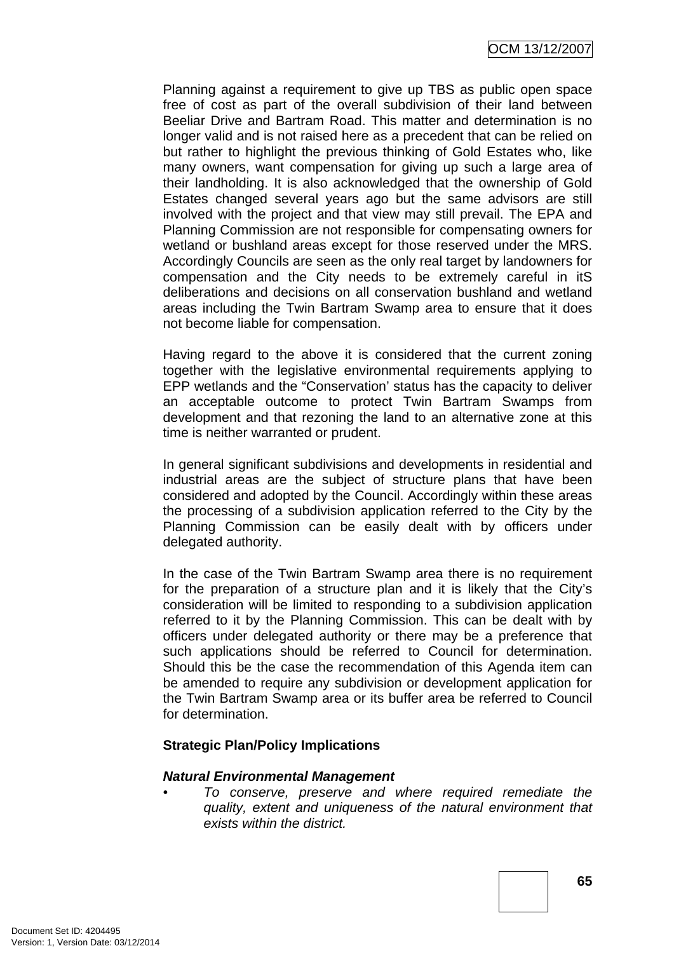Planning against a requirement to give up TBS as public open space free of cost as part of the overall subdivision of their land between Beeliar Drive and Bartram Road. This matter and determination is no longer valid and is not raised here as a precedent that can be relied on but rather to highlight the previous thinking of Gold Estates who, like many owners, want compensation for giving up such a large area of their landholding. It is also acknowledged that the ownership of Gold Estates changed several years ago but the same advisors are still involved with the project and that view may still prevail. The EPA and Planning Commission are not responsible for compensating owners for wetland or bushland areas except for those reserved under the MRS. Accordingly Councils are seen as the only real target by landowners for compensation and the City needs to be extremely careful in itS deliberations and decisions on all conservation bushland and wetland areas including the Twin Bartram Swamp area to ensure that it does not become liable for compensation.

Having regard to the above it is considered that the current zoning together with the legislative environmental requirements applying to EPP wetlands and the "Conservation' status has the capacity to deliver an acceptable outcome to protect Twin Bartram Swamps from development and that rezoning the land to an alternative zone at this time is neither warranted or prudent.

In general significant subdivisions and developments in residential and industrial areas are the subject of structure plans that have been considered and adopted by the Council. Accordingly within these areas the processing of a subdivision application referred to the City by the Planning Commission can be easily dealt with by officers under delegated authority.

In the case of the Twin Bartram Swamp area there is no requirement for the preparation of a structure plan and it is likely that the City's consideration will be limited to responding to a subdivision application referred to it by the Planning Commission. This can be dealt with by officers under delegated authority or there may be a preference that such applications should be referred to Council for determination. Should this be the case the recommendation of this Agenda item can be amended to require any subdivision or development application for the Twin Bartram Swamp area or its buffer area be referred to Council for determination.

## **Strategic Plan/Policy Implications**

## *Natural Environmental Management*

*• To conserve, preserve and where required remediate the quality, extent and uniqueness of the natural environment that exists within the district.*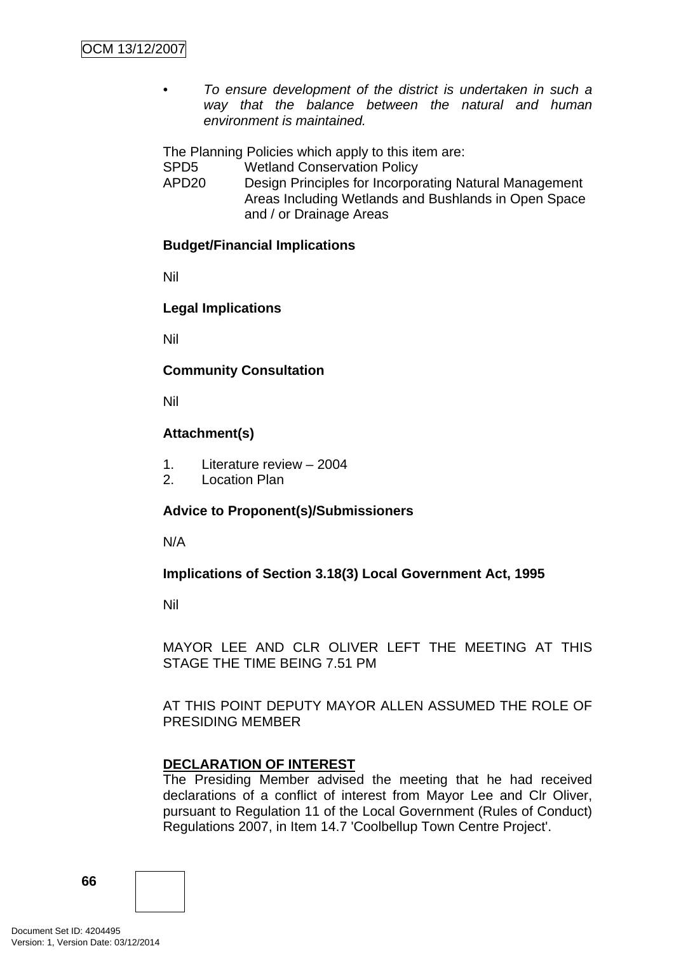*• To ensure development of the district is undertaken in such a way that the balance between the natural and human environment is maintained.* 

The Planning Policies which apply to this item are:

- SPD5 Wetland Conservation Policy
- APD20 Design Principles for Incorporating Natural Management Areas Including Wetlands and Bushlands in Open Space and / or Drainage Areas

## **Budget/Financial Implications**

Nil

## **Legal Implications**

Nil

## **Community Consultation**

Nil

## **Attachment(s)**

- 1. Literature review 2004
- 2. Location Plan

# **Advice to Proponent(s)/Submissioners**

N/A

# **Implications of Section 3.18(3) Local Government Act, 1995**

Nil

MAYOR LEE AND CLR OLIVER LEFT THE MEETING AT THIS STAGE THE TIME BEING 7.51 PM

AT THIS POINT DEPUTY MAYOR ALLEN ASSUMED THE ROLE OF PRESIDING MEMBER

## **DECLARATION OF INTEREST**

The Presiding Member advised the meeting that he had received declarations of a conflict of interest from Mayor Lee and Clr Oliver, pursuant to Regulation 11 of the Local Government (Rules of Conduct) Regulations 2007, in Item 14.7 'Coolbellup Town Centre Project'.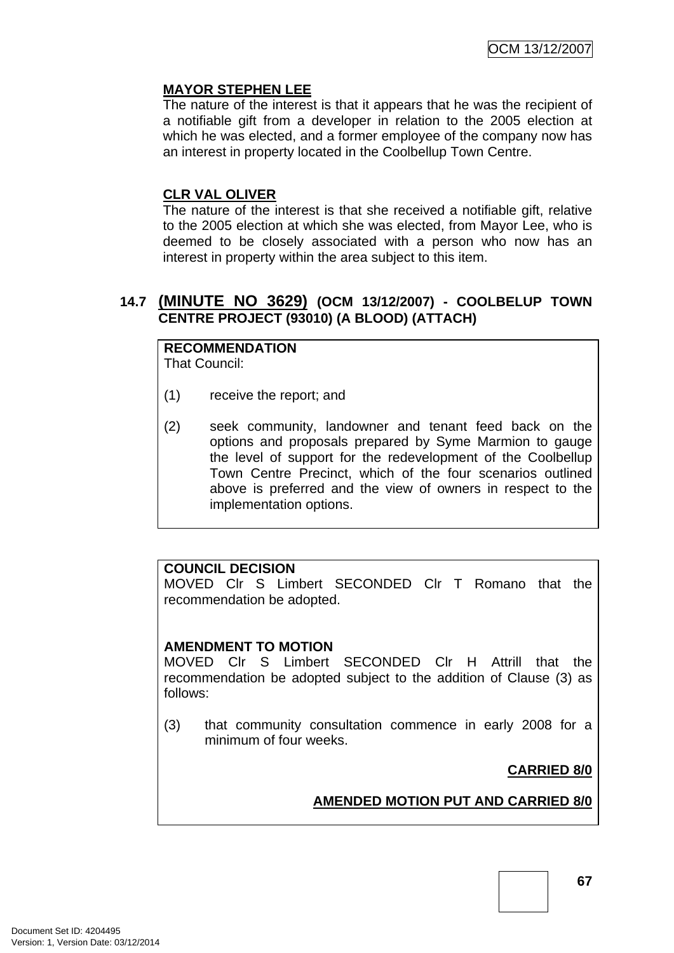## **MAYOR STEPHEN LEE**

The nature of the interest is that it appears that he was the recipient of a notifiable gift from a developer in relation to the 2005 election at which he was elected, and a former employee of the company now has an interest in property located in the Coolbellup Town Centre.

## **CLR VAL OLIVER**

The nature of the interest is that she received a notifiable gift, relative to the 2005 election at which she was elected, from Mayor Lee, who is deemed to be closely associated with a person who now has an interest in property within the area subject to this item.

## **14.7 (MINUTE NO 3629) (OCM 13/12/2007) - COOLBELUP TOWN CENTRE PROJECT (93010) (A BLOOD) (ATTACH)**

#### **RECOMMENDATION** That Council:

- (1) receive the report; and
- (2) seek community, landowner and tenant feed back on the options and proposals prepared by Syme Marmion to gauge the level of support for the redevelopment of the Coolbellup Town Centre Precinct, which of the four scenarios outlined above is preferred and the view of owners in respect to the implementation options.

#### **COUNCIL DECISION**

MOVED Clr S Limbert SECONDED Clr T Romano that the recommendation be adopted.

#### **AMENDMENT TO MOTION**

MOVED Clr S Limbert SECONDED Clr H Attrill that the recommendation be adopted subject to the addition of Clause (3) as follows:

(3) that community consultation commence in early 2008 for a minimum of four weeks.

**CARRIED 8/0**

## **AMENDED MOTION PUT AND CARRIED 8/0**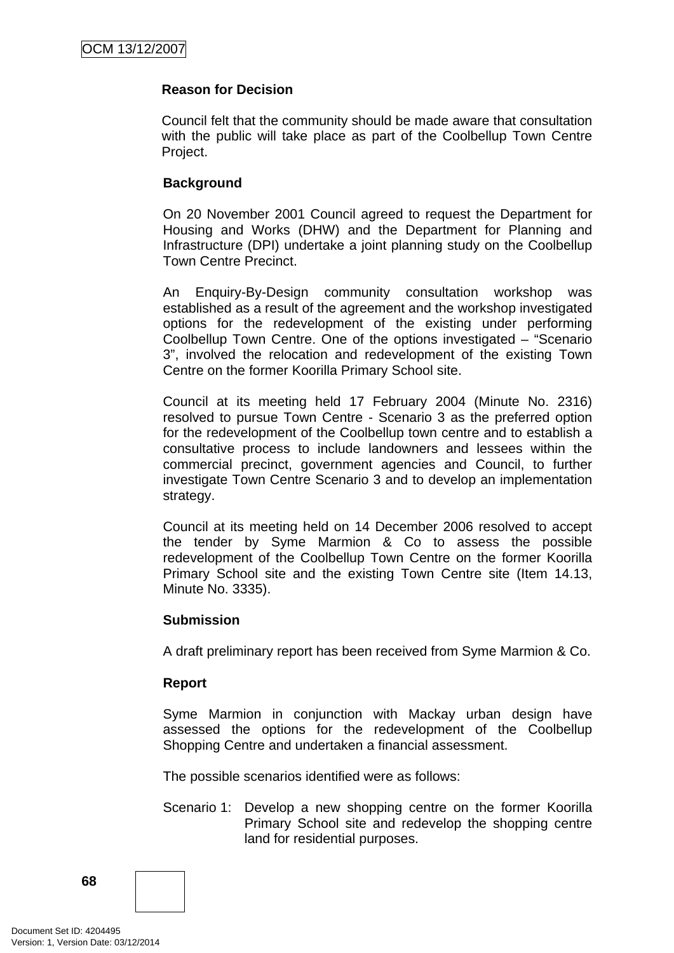## **Reason for Decision**

Council felt that the community should be made aware that consultation with the public will take place as part of the Coolbellup Town Centre Project.

#### **Background**

On 20 November 2001 Council agreed to request the Department for Housing and Works (DHW) and the Department for Planning and Infrastructure (DPI) undertake a joint planning study on the Coolbellup Town Centre Precinct.

An Enquiry-By-Design community consultation workshop was established as a result of the agreement and the workshop investigated options for the redevelopment of the existing under performing Coolbellup Town Centre. One of the options investigated – "Scenario 3", involved the relocation and redevelopment of the existing Town Centre on the former Koorilla Primary School site.

Council at its meeting held 17 February 2004 (Minute No. 2316) resolved to pursue Town Centre - Scenario 3 as the preferred option for the redevelopment of the Coolbellup town centre and to establish a consultative process to include landowners and lessees within the commercial precinct, government agencies and Council, to further investigate Town Centre Scenario 3 and to develop an implementation strategy.

Council at its meeting held on 14 December 2006 resolved to accept the tender by Syme Marmion & Co to assess the possible redevelopment of the Coolbellup Town Centre on the former Koorilla Primary School site and the existing Town Centre site (Item 14.13, Minute No. 3335).

#### **Submission**

A draft preliminary report has been received from Syme Marmion & Co.

#### **Report**

Syme Marmion in conjunction with Mackay urban design have assessed the options for the redevelopment of the Coolbellup Shopping Centre and undertaken a financial assessment.

The possible scenarios identified were as follows:

Scenario 1: Develop a new shopping centre on the former Koorilla Primary School site and redevelop the shopping centre land for residential purposes.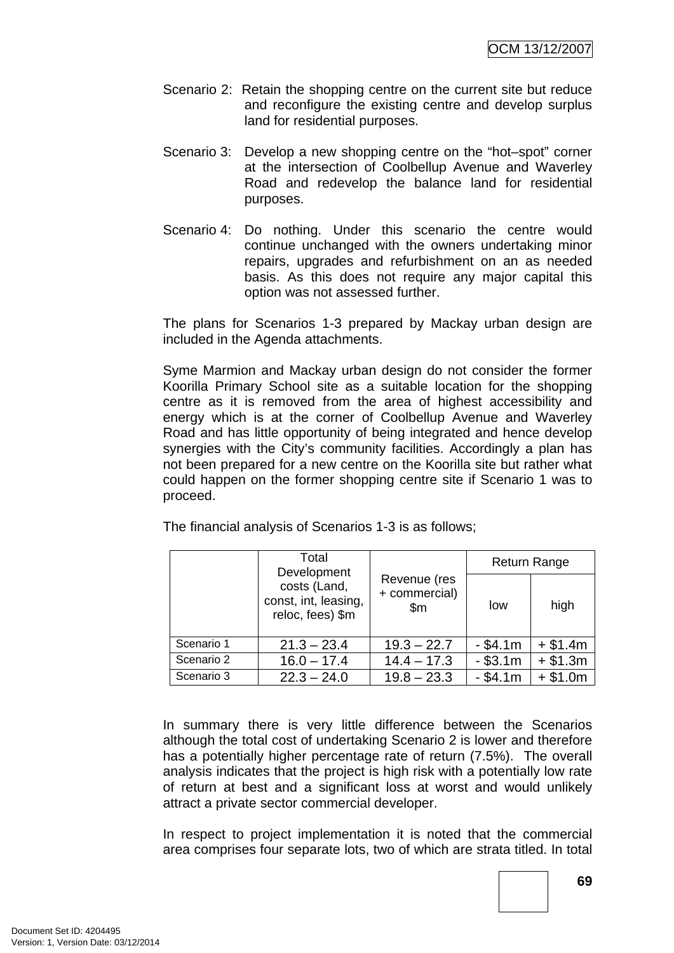- Scenario 2: Retain the shopping centre on the current site but reduce and reconfigure the existing centre and develop surplus land for residential purposes.
- Scenario 3: Develop a new shopping centre on the "hot–spot" corner at the intersection of Coolbellup Avenue and Waverley Road and redevelop the balance land for residential purposes.
- Scenario 4: Do nothing. Under this scenario the centre would continue unchanged with the owners undertaking minor repairs, upgrades and refurbishment on an as needed basis. As this does not require any major capital this option was not assessed further.

The plans for Scenarios 1-3 prepared by Mackay urban design are included in the Agenda attachments.

Syme Marmion and Mackay urban design do not consider the former Koorilla Primary School site as a suitable location for the shopping centre as it is removed from the area of highest accessibility and energy which is at the corner of Coolbellup Avenue and Waverley Road and has little opportunity of being integrated and hence develop synergies with the City's community facilities. Accordingly a plan has not been prepared for a new centre on the Koorilla site but rather what could happen on the former shopping centre site if Scenario 1 was to proceed.

|            | Total<br>Development                                     | Revenue (res<br>+ commercial)<br>$\mathsf{Sm}$ | <b>Return Range</b> |           |
|------------|----------------------------------------------------------|------------------------------------------------|---------------------|-----------|
|            | costs (Land,<br>const, int, leasing,<br>reloc, fees) \$m |                                                | low                 | high      |
| Scenario 1 | $21.3 - 23.4$                                            | $19.3 - 22.7$                                  | $-$ \$4.1m          | $+ $1.4m$ |
| Scenario 2 | $16.0 - 17.4$                                            | $14.4 - 17.3$                                  | $-$ \$3.1m          | $+ $1.3m$ |
| Scenario 3 | $22.3 - 24.0$                                            | $19.8 - 23.3$                                  | $- $4.1m$           | $+ $1.0m$ |

The financial analysis of Scenarios 1-3 is as follows;

In summary there is very little difference between the Scenarios although the total cost of undertaking Scenario 2 is lower and therefore has a potentially higher percentage rate of return (7.5%). The overall analysis indicates that the project is high risk with a potentially low rate of return at best and a significant loss at worst and would unlikely attract a private sector commercial developer.

In respect to project implementation it is noted that the commercial area comprises four separate lots, two of which are strata titled. In total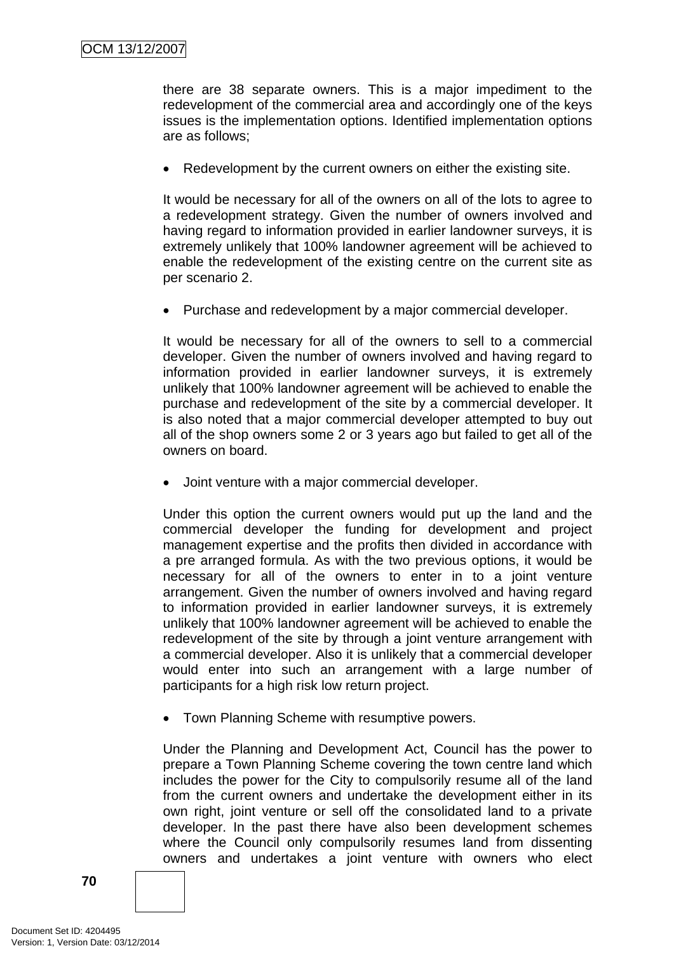there are 38 separate owners. This is a major impediment to the redevelopment of the commercial area and accordingly one of the keys issues is the implementation options. Identified implementation options are as follows;

• Redevelopment by the current owners on either the existing site.

It would be necessary for all of the owners on all of the lots to agree to a redevelopment strategy. Given the number of owners involved and having regard to information provided in earlier landowner surveys, it is extremely unlikely that 100% landowner agreement will be achieved to enable the redevelopment of the existing centre on the current site as per scenario 2.

• Purchase and redevelopment by a major commercial developer.

It would be necessary for all of the owners to sell to a commercial developer. Given the number of owners involved and having regard to information provided in earlier landowner surveys, it is extremely unlikely that 100% landowner agreement will be achieved to enable the purchase and redevelopment of the site by a commercial developer. It is also noted that a major commercial developer attempted to buy out all of the shop owners some 2 or 3 years ago but failed to get all of the owners on board.

• Joint venture with a major commercial developer.

Under this option the current owners would put up the land and the commercial developer the funding for development and project management expertise and the profits then divided in accordance with a pre arranged formula. As with the two previous options, it would be necessary for all of the owners to enter in to a joint venture arrangement. Given the number of owners involved and having regard to information provided in earlier landowner surveys, it is extremely unlikely that 100% landowner agreement will be achieved to enable the redevelopment of the site by through a joint venture arrangement with a commercial developer. Also it is unlikely that a commercial developer would enter into such an arrangement with a large number of participants for a high risk low return project.

• Town Planning Scheme with resumptive powers.

Under the Planning and Development Act, Council has the power to prepare a Town Planning Scheme covering the town centre land which includes the power for the City to compulsorily resume all of the land from the current owners and undertake the development either in its own right, joint venture or sell off the consolidated land to a private developer. In the past there have also been development schemes where the Council only compulsorily resumes land from dissenting owners and undertakes a joint venture with owners who elect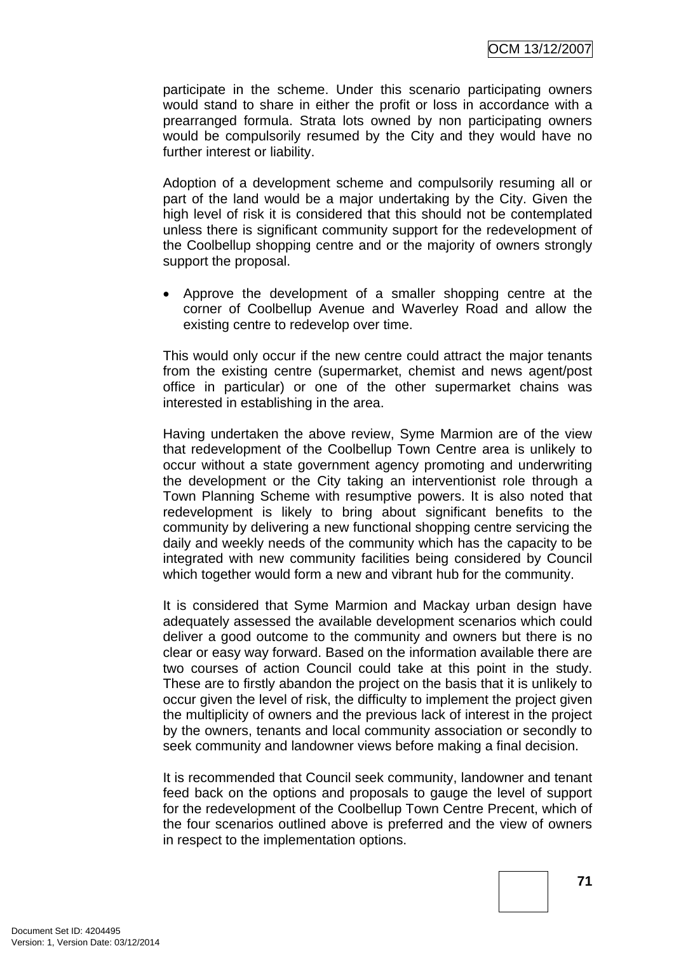participate in the scheme. Under this scenario participating owners would stand to share in either the profit or loss in accordance with a prearranged formula. Strata lots owned by non participating owners would be compulsorily resumed by the City and they would have no further interest or liability.

Adoption of a development scheme and compulsorily resuming all or part of the land would be a major undertaking by the City. Given the high level of risk it is considered that this should not be contemplated unless there is significant community support for the redevelopment of the Coolbellup shopping centre and or the majority of owners strongly support the proposal.

• Approve the development of a smaller shopping centre at the corner of Coolbellup Avenue and Waverley Road and allow the existing centre to redevelop over time.

This would only occur if the new centre could attract the major tenants from the existing centre (supermarket, chemist and news agent/post office in particular) or one of the other supermarket chains was interested in establishing in the area.

Having undertaken the above review, Syme Marmion are of the view that redevelopment of the Coolbellup Town Centre area is unlikely to occur without a state government agency promoting and underwriting the development or the City taking an interventionist role through a Town Planning Scheme with resumptive powers. It is also noted that redevelopment is likely to bring about significant benefits to the community by delivering a new functional shopping centre servicing the daily and weekly needs of the community which has the capacity to be integrated with new community facilities being considered by Council which together would form a new and vibrant hub for the community.

It is considered that Syme Marmion and Mackay urban design have adequately assessed the available development scenarios which could deliver a good outcome to the community and owners but there is no clear or easy way forward. Based on the information available there are two courses of action Council could take at this point in the study. These are to firstly abandon the project on the basis that it is unlikely to occur given the level of risk, the difficulty to implement the project given the multiplicity of owners and the previous lack of interest in the project by the owners, tenants and local community association or secondly to seek community and landowner views before making a final decision.

It is recommended that Council seek community, landowner and tenant feed back on the options and proposals to gauge the level of support for the redevelopment of the Coolbellup Town Centre Precent, which of the four scenarios outlined above is preferred and the view of owners in respect to the implementation options.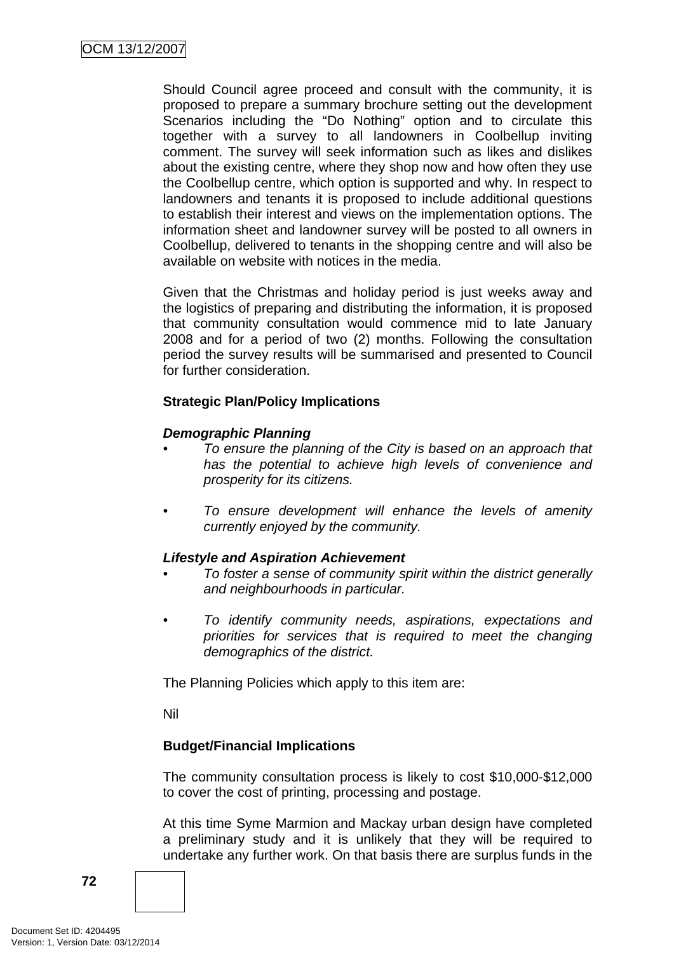Should Council agree proceed and consult with the community, it is proposed to prepare a summary brochure setting out the development Scenarios including the "Do Nothing" option and to circulate this together with a survey to all landowners in Coolbellup inviting comment. The survey will seek information such as likes and dislikes about the existing centre, where they shop now and how often they use the Coolbellup centre, which option is supported and why. In respect to landowners and tenants it is proposed to include additional questions to establish their interest and views on the implementation options. The information sheet and landowner survey will be posted to all owners in Coolbellup, delivered to tenants in the shopping centre and will also be available on website with notices in the media.

Given that the Christmas and holiday period is just weeks away and the logistics of preparing and distributing the information, it is proposed that community consultation would commence mid to late January 2008 and for a period of two (2) months. Following the consultation period the survey results will be summarised and presented to Council for further consideration.

## **Strategic Plan/Policy Implications**

## *Demographic Planning*

- *To ensure the planning of the City is based on an approach that has the potential to achieve high levels of convenience and prosperity for its citizens.*
- *To ensure development will enhance the levels of amenity currently enjoyed by the community.*

#### *Lifestyle and Aspiration Achievement*

- *To foster a sense of community spirit within the district generally and neighbourhoods in particular.*
- *To identify community needs, aspirations, expectations and priorities for services that is required to meet the changing demographics of the district.*

The Planning Policies which apply to this item are:

Nil

## **Budget/Financial Implications**

The community consultation process is likely to cost \$10,000-\$12,000 to cover the cost of printing, processing and postage.

At this time Syme Marmion and Mackay urban design have completed a preliminary study and it is unlikely that they will be required to undertake any further work. On that basis there are surplus funds in the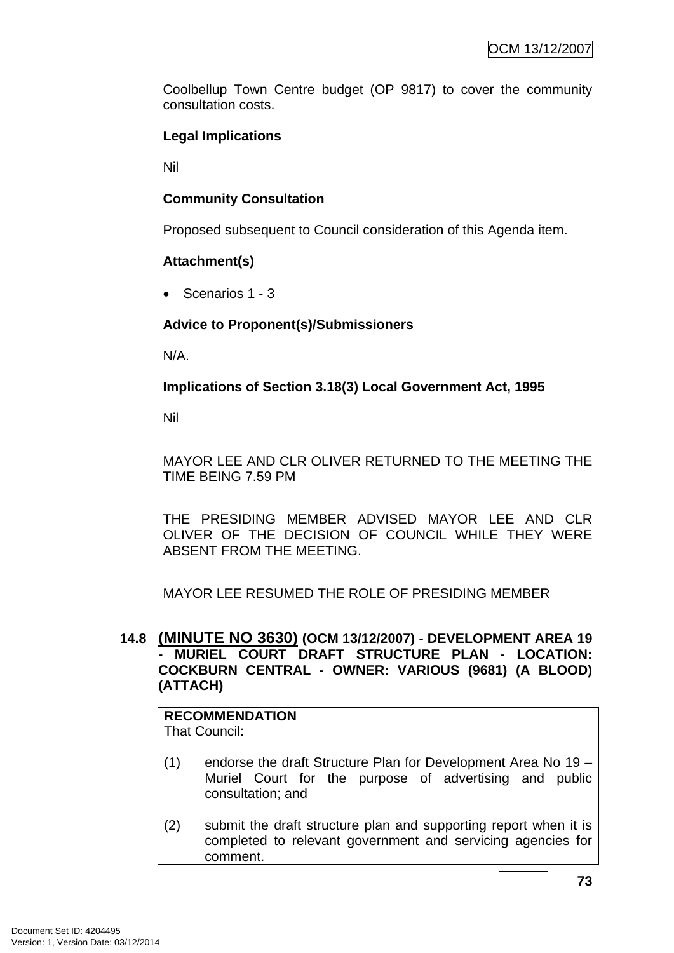Coolbellup Town Centre budget (OP 9817) to cover the community consultation costs.

## **Legal Implications**

Nil

## **Community Consultation**

Proposed subsequent to Council consideration of this Agenda item.

## **Attachment(s)**

• Scenarios 1 - 3

## **Advice to Proponent(s)/Submissioners**

N/A.

## **Implications of Section 3.18(3) Local Government Act, 1995**

Nil

MAYOR LEE AND CLR OLIVER RETURNED TO THE MEETING THE TIME BEING 7.59 PM

THE PRESIDING MEMBER ADVISED MAYOR LEE AND CLR OLIVER OF THE DECISION OF COUNCIL WHILE THEY WERE ABSENT FROM THE MEETING.

MAYOR LEE RESUMED THE ROLE OF PRESIDING MEMBER

## **14.8 (MINUTE NO 3630) (OCM 13/12/2007) - DEVELOPMENT AREA 19 - MURIEL COURT DRAFT STRUCTURE PLAN - LOCATION: COCKBURN CENTRAL - OWNER: VARIOUS (9681) (A BLOOD) (ATTACH)**

# **RECOMMENDATION**

That Council:

- (1) endorse the draft Structure Plan for Development Area No 19 Muriel Court for the purpose of advertising and public consultation; and
- (2) submit the draft structure plan and supporting report when it is completed to relevant government and servicing agencies for comment.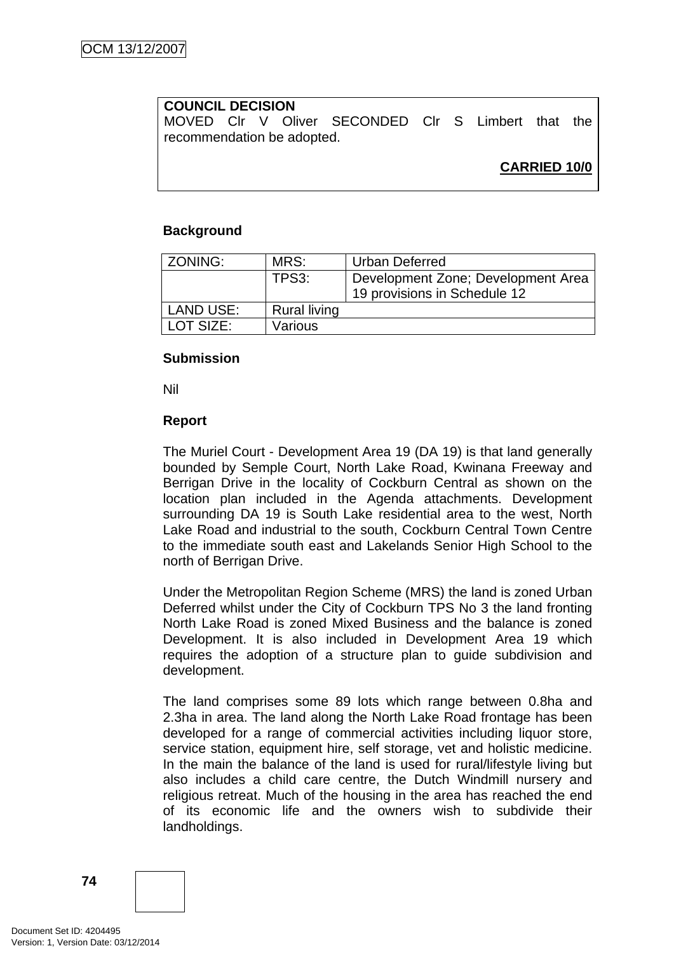#### **COUNCIL DECISION**

MOVED Clr V Oliver SECONDED Clr S Limbert that the recommendation be adopted.

## **CARRIED 10/0**

#### **Background**

| ZONING:   | MRS:                | Urban Deferred                     |
|-----------|---------------------|------------------------------------|
|           | TPS3:               | Development Zone; Development Area |
|           |                     | 19 provisions in Schedule 12       |
| LAND USE: | <b>Rural living</b> |                                    |
| LOT SIZE: | Various             |                                    |

#### **Submission**

Nil

#### **Report**

The Muriel Court - Development Area 19 (DA 19) is that land generally bounded by Semple Court, North Lake Road, Kwinana Freeway and Berrigan Drive in the locality of Cockburn Central as shown on the location plan included in the Agenda attachments. Development surrounding DA 19 is South Lake residential area to the west, North Lake Road and industrial to the south, Cockburn Central Town Centre to the immediate south east and Lakelands Senior High School to the north of Berrigan Drive.

Under the Metropolitan Region Scheme (MRS) the land is zoned Urban Deferred whilst under the City of Cockburn TPS No 3 the land fronting North Lake Road is zoned Mixed Business and the balance is zoned Development. It is also included in Development Area 19 which requires the adoption of a structure plan to guide subdivision and development.

The land comprises some 89 lots which range between 0.8ha and 2.3ha in area. The land along the North Lake Road frontage has been developed for a range of commercial activities including liquor store, service station, equipment hire, self storage, vet and holistic medicine. In the main the balance of the land is used for rural/lifestyle living but also includes a child care centre, the Dutch Windmill nursery and religious retreat. Much of the housing in the area has reached the end of its economic life and the owners wish to subdivide their landholdings.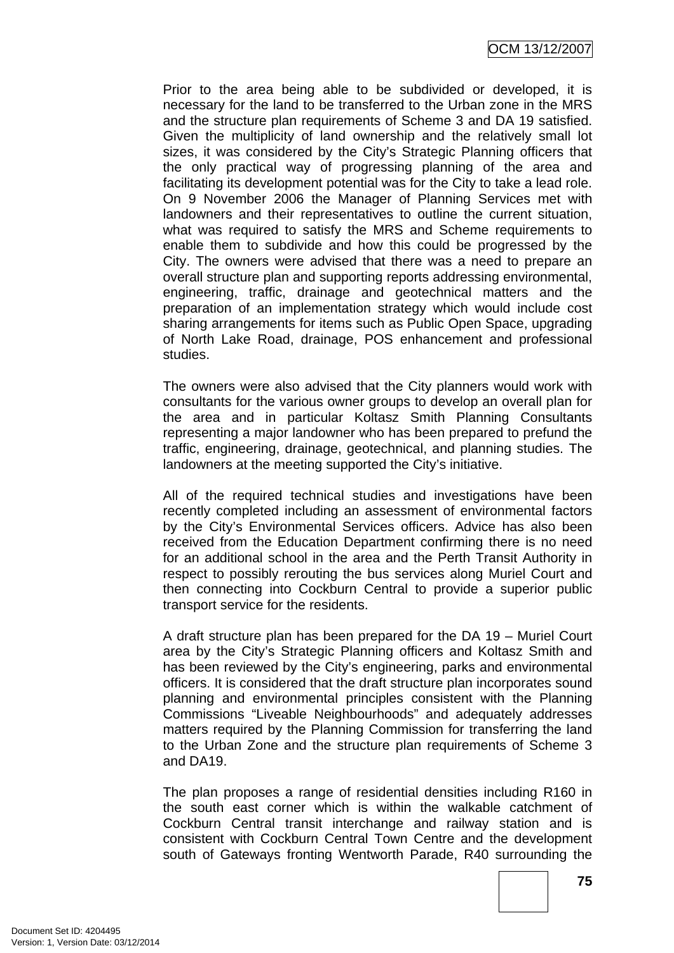OCM 13/12/2007

Prior to the area being able to be subdivided or developed, it is necessary for the land to be transferred to the Urban zone in the MRS and the structure plan requirements of Scheme 3 and DA 19 satisfied. Given the multiplicity of land ownership and the relatively small lot sizes, it was considered by the City's Strategic Planning officers that the only practical way of progressing planning of the area and facilitating its development potential was for the City to take a lead role. On 9 November 2006 the Manager of Planning Services met with landowners and their representatives to outline the current situation, what was required to satisfy the MRS and Scheme requirements to enable them to subdivide and how this could be progressed by the City. The owners were advised that there was a need to prepare an overall structure plan and supporting reports addressing environmental, engineering, traffic, drainage and geotechnical matters and the preparation of an implementation strategy which would include cost sharing arrangements for items such as Public Open Space, upgrading of North Lake Road, drainage, POS enhancement and professional studies.

The owners were also advised that the City planners would work with consultants for the various owner groups to develop an overall plan for the area and in particular Koltasz Smith Planning Consultants representing a major landowner who has been prepared to prefund the traffic, engineering, drainage, geotechnical, and planning studies. The landowners at the meeting supported the City's initiative.

All of the required technical studies and investigations have been recently completed including an assessment of environmental factors by the City's Environmental Services officers. Advice has also been received from the Education Department confirming there is no need for an additional school in the area and the Perth Transit Authority in respect to possibly rerouting the bus services along Muriel Court and then connecting into Cockburn Central to provide a superior public transport service for the residents.

A draft structure plan has been prepared for the DA 19 – Muriel Court area by the City's Strategic Planning officers and Koltasz Smith and has been reviewed by the City's engineering, parks and environmental officers. It is considered that the draft structure plan incorporates sound planning and environmental principles consistent with the Planning Commissions "Liveable Neighbourhoods" and adequately addresses matters required by the Planning Commission for transferring the land to the Urban Zone and the structure plan requirements of Scheme 3 and DA19.

The plan proposes a range of residential densities including R160 in the south east corner which is within the walkable catchment of Cockburn Central transit interchange and railway station and is consistent with Cockburn Central Town Centre and the development south of Gateways fronting Wentworth Parade, R40 surrounding the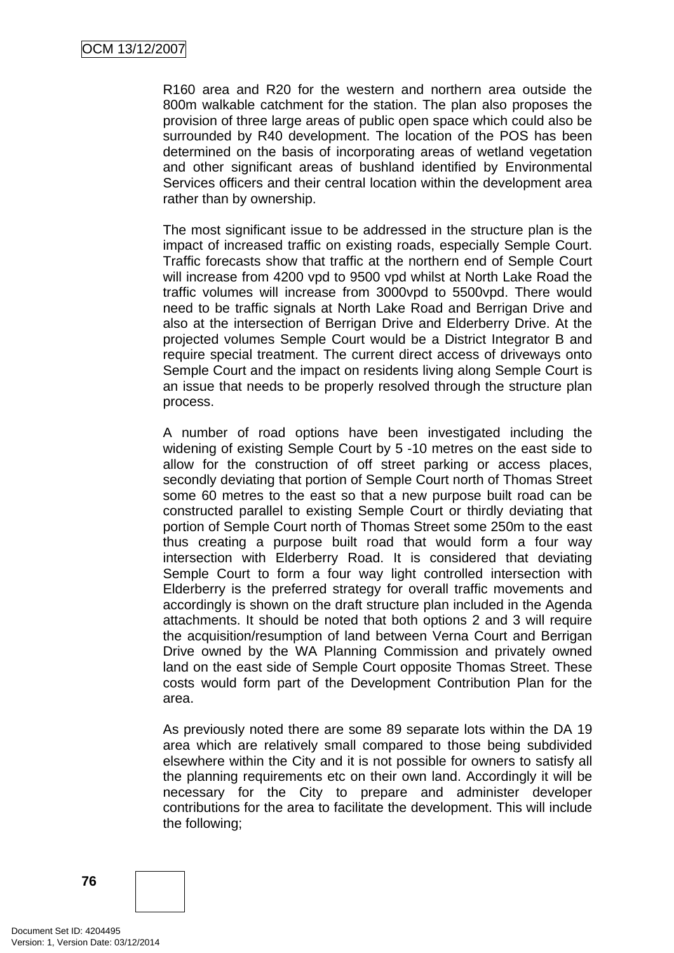R160 area and R20 for the western and northern area outside the 800m walkable catchment for the station. The plan also proposes the provision of three large areas of public open space which could also be surrounded by R40 development. The location of the POS has been determined on the basis of incorporating areas of wetland vegetation and other significant areas of bushland identified by Environmental Services officers and their central location within the development area rather than by ownership.

The most significant issue to be addressed in the structure plan is the impact of increased traffic on existing roads, especially Semple Court. Traffic forecasts show that traffic at the northern end of Semple Court will increase from 4200 vpd to 9500 vpd whilst at North Lake Road the traffic volumes will increase from 3000vpd to 5500vpd. There would need to be traffic signals at North Lake Road and Berrigan Drive and also at the intersection of Berrigan Drive and Elderberry Drive. At the projected volumes Semple Court would be a District Integrator B and require special treatment. The current direct access of driveways onto Semple Court and the impact on residents living along Semple Court is an issue that needs to be properly resolved through the structure plan process.

A number of road options have been investigated including the widening of existing Semple Court by 5 -10 metres on the east side to allow for the construction of off street parking or access places, secondly deviating that portion of Semple Court north of Thomas Street some 60 metres to the east so that a new purpose built road can be constructed parallel to existing Semple Court or thirdly deviating that portion of Semple Court north of Thomas Street some 250m to the east thus creating a purpose built road that would form a four way intersection with Elderberry Road. It is considered that deviating Semple Court to form a four way light controlled intersection with Elderberry is the preferred strategy for overall traffic movements and accordingly is shown on the draft structure plan included in the Agenda attachments. It should be noted that both options 2 and 3 will require the acquisition/resumption of land between Verna Court and Berrigan Drive owned by the WA Planning Commission and privately owned land on the east side of Semple Court opposite Thomas Street. These costs would form part of the Development Contribution Plan for the area.

As previously noted there are some 89 separate lots within the DA 19 area which are relatively small compared to those being subdivided elsewhere within the City and it is not possible for owners to satisfy all the planning requirements etc on their own land. Accordingly it will be necessary for the City to prepare and administer developer contributions for the area to facilitate the development. This will include the following;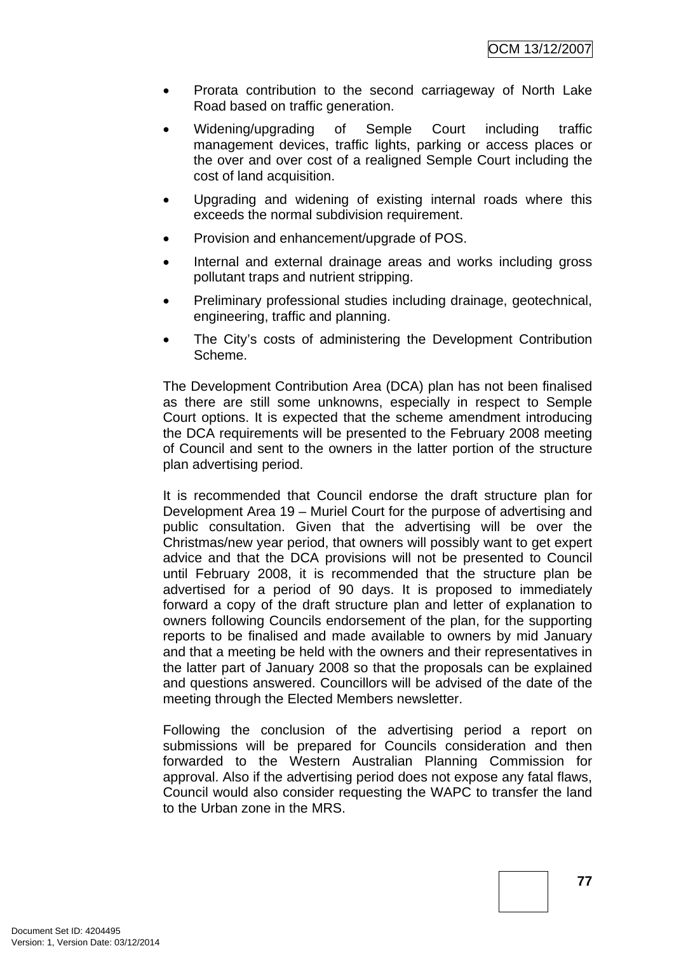- Prorata contribution to the second carriageway of North Lake Road based on traffic generation.
- Widening/upgrading of Semple Court including traffic management devices, traffic lights, parking or access places or the over and over cost of a realigned Semple Court including the cost of land acquisition.
- Upgrading and widening of existing internal roads where this exceeds the normal subdivision requirement.
- Provision and enhancement/upgrade of POS.
- Internal and external drainage areas and works including gross pollutant traps and nutrient stripping.
- Preliminary professional studies including drainage, geotechnical, engineering, traffic and planning.
- The City's costs of administering the Development Contribution Scheme.

The Development Contribution Area (DCA) plan has not been finalised as there are still some unknowns, especially in respect to Semple Court options. It is expected that the scheme amendment introducing the DCA requirements will be presented to the February 2008 meeting of Council and sent to the owners in the latter portion of the structure plan advertising period.

It is recommended that Council endorse the draft structure plan for Development Area 19 – Muriel Court for the purpose of advertising and public consultation. Given that the advertising will be over the Christmas/new year period, that owners will possibly want to get expert advice and that the DCA provisions will not be presented to Council until February 2008, it is recommended that the structure plan be advertised for a period of 90 days. It is proposed to immediately forward a copy of the draft structure plan and letter of explanation to owners following Councils endorsement of the plan, for the supporting reports to be finalised and made available to owners by mid January and that a meeting be held with the owners and their representatives in the latter part of January 2008 so that the proposals can be explained and questions answered. Councillors will be advised of the date of the meeting through the Elected Members newsletter.

Following the conclusion of the advertising period a report on submissions will be prepared for Councils consideration and then forwarded to the Western Australian Planning Commission for approval. Also if the advertising period does not expose any fatal flaws, Council would also consider requesting the WAPC to transfer the land to the Urban zone in the MRS.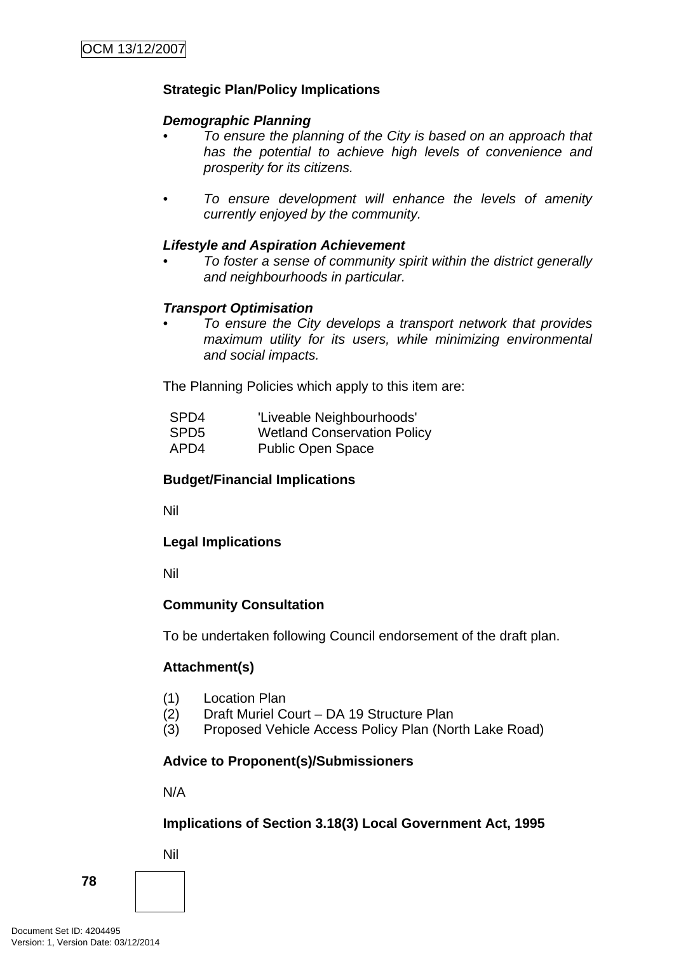## **Strategic Plan/Policy Implications**

#### *Demographic Planning*

- *To ensure the planning of the City is based on an approach that has the potential to achieve high levels of convenience and prosperity for its citizens.*
- *To ensure development will enhance the levels of amenity currently enjoyed by the community.*

#### *Lifestyle and Aspiration Achievement*

*• To foster a sense of community spirit within the district generally and neighbourhoods in particular.* 

#### *Transport Optimisation*

*• To ensure the City develops a transport network that provides maximum utility for its users, while minimizing environmental and social impacts.* 

The Planning Policies which apply to this item are:

| SPD4             | 'Liveable Neighbourhoods'          |
|------------------|------------------------------------|
| SPD <sub>5</sub> | <b>Wetland Conservation Policy</b> |
| APD4             | <b>Public Open Space</b>           |

#### **Budget/Financial Implications**

Nil

#### **Legal Implications**

Nil

#### **Community Consultation**

To be undertaken following Council endorsement of the draft plan.

#### **Attachment(s)**

- (1) Location Plan
- (2) Draft Muriel Court DA 19 Structure Plan
- (3) Proposed Vehicle Access Policy Plan (North Lake Road)

#### **Advice to Proponent(s)/Submissioners**

N/A

#### **Implications of Section 3.18(3) Local Government Act, 1995**

Nil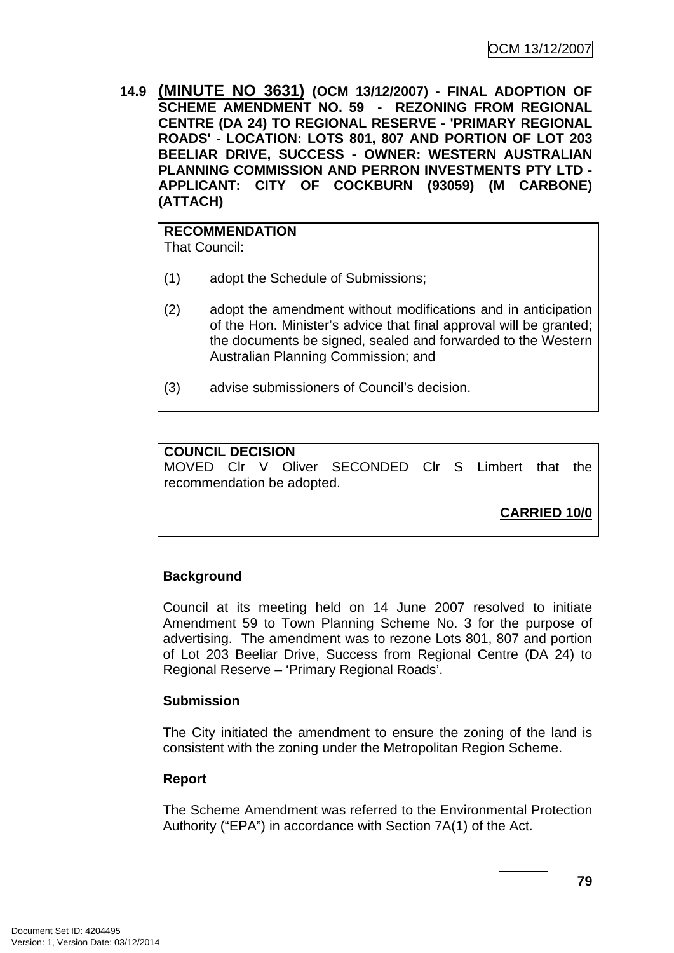**14.9 (MINUTE NO 3631) (OCM 13/12/2007) - FINAL ADOPTION OF SCHEME AMENDMENT NO. 59 - REZONING FROM REGIONAL CENTRE (DA 24) TO REGIONAL RESERVE - 'PRIMARY REGIONAL ROADS' - LOCATION: LOTS 801, 807 AND PORTION OF LOT 203 BEELIAR DRIVE, SUCCESS - OWNER: WESTERN AUSTRALIAN PLANNING COMMISSION AND PERRON INVESTMENTS PTY LTD - APPLICANT: CITY OF COCKBURN (93059) (M CARBONE) (ATTACH)** 

# **RECOMMENDATION**

That Council:

- (1) adopt the Schedule of Submissions;
- (2) adopt the amendment without modifications and in anticipation of the Hon. Minister's advice that final approval will be granted; the documents be signed, sealed and forwarded to the Western Australian Planning Commission; and
- (3) advise submissioners of Council's decision.

## **COUNCIL DECISION**

MOVED Clr V Oliver SECONDED Clr S Limbert that the recommendation be adopted.

**CARRIED 10/0**

## **Background**

Council at its meeting held on 14 June 2007 resolved to initiate Amendment 59 to Town Planning Scheme No. 3 for the purpose of advertising. The amendment was to rezone Lots 801, 807 and portion of Lot 203 Beeliar Drive, Success from Regional Centre (DA 24) to Regional Reserve – 'Primary Regional Roads'.

## **Submission**

The City initiated the amendment to ensure the zoning of the land is consistent with the zoning under the Metropolitan Region Scheme.

## **Report**

The Scheme Amendment was referred to the Environmental Protection Authority ("EPA") in accordance with Section 7A(1) of the Act.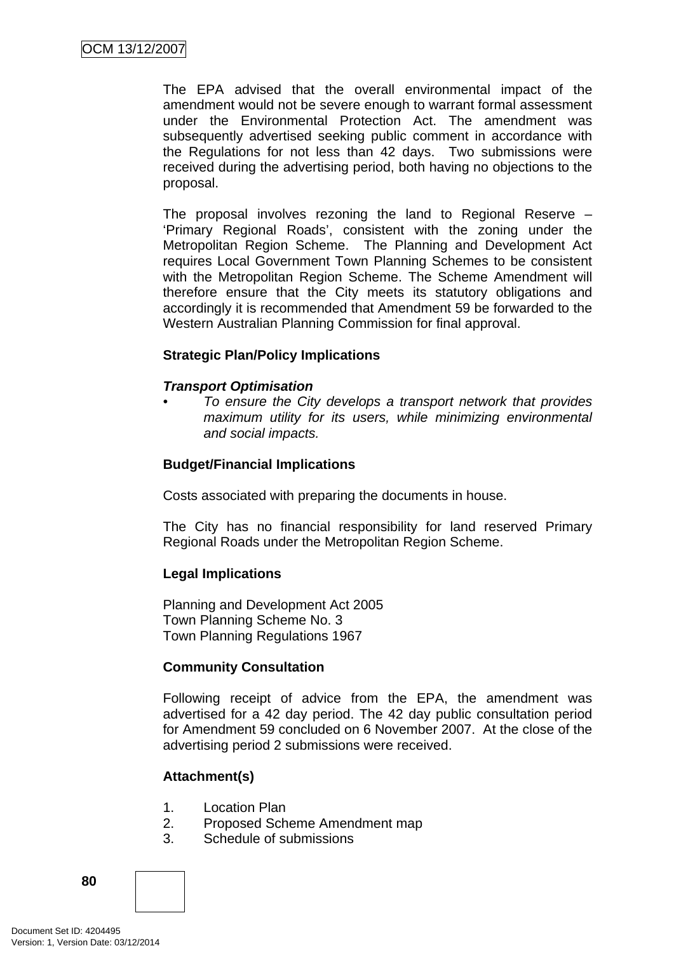The EPA advised that the overall environmental impact of the amendment would not be severe enough to warrant formal assessment under the Environmental Protection Act. The amendment was subsequently advertised seeking public comment in accordance with the Regulations for not less than 42 days. Two submissions were received during the advertising period, both having no objections to the proposal.

The proposal involves rezoning the land to Regional Reserve – 'Primary Regional Roads', consistent with the zoning under the Metropolitan Region Scheme. The Planning and Development Act requires Local Government Town Planning Schemes to be consistent with the Metropolitan Region Scheme. The Scheme Amendment will therefore ensure that the City meets its statutory obligations and accordingly it is recommended that Amendment 59 be forwarded to the Western Australian Planning Commission for final approval.

## **Strategic Plan/Policy Implications**

#### *Transport Optimisation*

*• To ensure the City develops a transport network that provides maximum utility for its users, while minimizing environmental and social impacts.* 

#### **Budget/Financial Implications**

Costs associated with preparing the documents in house.

The City has no financial responsibility for land reserved Primary Regional Roads under the Metropolitan Region Scheme.

#### **Legal Implications**

Planning and Development Act 2005 Town Planning Scheme No. 3 Town Planning Regulations 1967

#### **Community Consultation**

Following receipt of advice from the EPA, the amendment was advertised for a 42 day period. The 42 day public consultation period for Amendment 59 concluded on 6 November 2007. At the close of the advertising period 2 submissions were received.

#### **Attachment(s)**

- 1. Location Plan
- 2. Proposed Scheme Amendment map
- 3. Schedule of submissions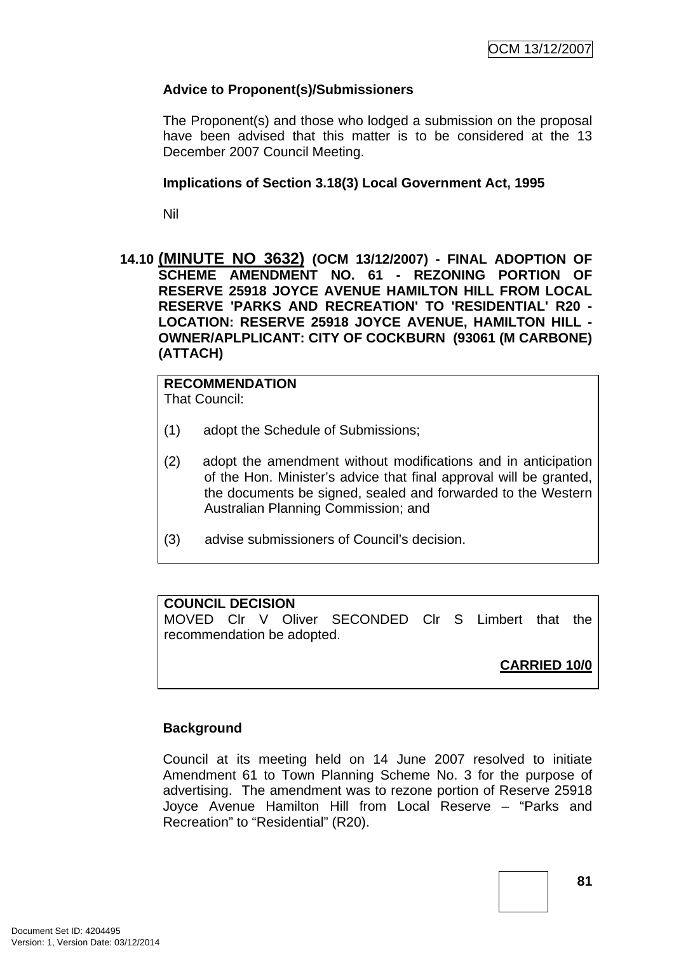## **Advice to Proponent(s)/Submissioners**

The Proponent(s) and those who lodged a submission on the proposal have been advised that this matter is to be considered at the 13 December 2007 Council Meeting.

#### **Implications of Section 3.18(3) Local Government Act, 1995**

Nil

#### **14.10 (MINUTE NO 3632) (OCM 13/12/2007) - FINAL ADOPTION OF SCHEME AMENDMENT NO. 61 - REZONING PORTION OF RESERVE 25918 JOYCE AVENUE HAMILTON HILL FROM LOCAL RESERVE 'PARKS AND RECREATION' TO 'RESIDENTIAL' R20 - LOCATION: RESERVE 25918 JOYCE AVENUE, HAMILTON HILL - OWNER/APLPLICANT: CITY OF COCKBURN (93061 (M CARBONE) (ATTACH)**

## **RECOMMENDATION**

That Council:

- (1) adopt the Schedule of Submissions;
- (2) adopt the amendment without modifications and in anticipation of the Hon. Minister's advice that final approval will be granted, the documents be signed, sealed and forwarded to the Western Australian Planning Commission; and
- (3) advise submissioners of Council's decision.

#### **COUNCIL DECISION**

MOVED Clr V Oliver SECONDED Clr S Limbert that the recommendation be adopted.

## **CARRIED 10/0**

#### **Background**

Council at its meeting held on 14 June 2007 resolved to initiate Amendment 61 to Town Planning Scheme No. 3 for the purpose of advertising. The amendment was to rezone portion of Reserve 25918 Joyce Avenue Hamilton Hill from Local Reserve – "Parks and Recreation" to "Residential" (R20).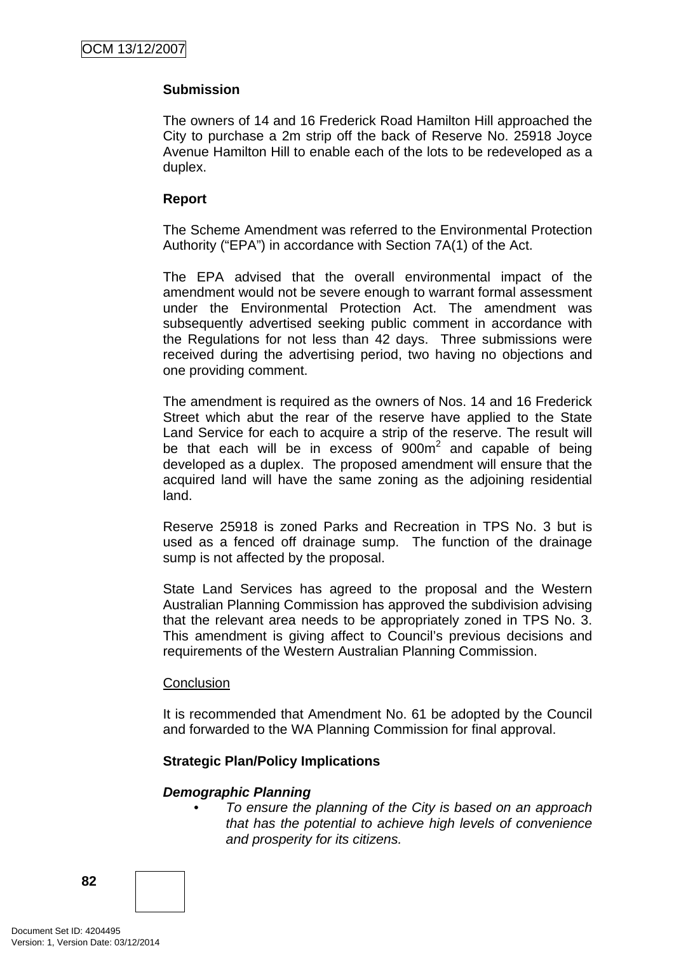## **Submission**

The owners of 14 and 16 Frederick Road Hamilton Hill approached the City to purchase a 2m strip off the back of Reserve No. 25918 Joyce Avenue Hamilton Hill to enable each of the lots to be redeveloped as a duplex.

#### **Report**

The Scheme Amendment was referred to the Environmental Protection Authority ("EPA") in accordance with Section 7A(1) of the Act.

The EPA advised that the overall environmental impact of the amendment would not be severe enough to warrant formal assessment under the Environmental Protection Act. The amendment was subsequently advertised seeking public comment in accordance with the Regulations for not less than 42 days. Three submissions were received during the advertising period, two having no objections and one providing comment.

The amendment is required as the owners of Nos. 14 and 16 Frederick Street which abut the rear of the reserve have applied to the State Land Service for each to acquire a strip of the reserve. The result will be that each will be in excess of  $900m^2$  and capable of being developed as a duplex. The proposed amendment will ensure that the acquired land will have the same zoning as the adjoining residential land.

Reserve 25918 is zoned Parks and Recreation in TPS No. 3 but is used as a fenced off drainage sump. The function of the drainage sump is not affected by the proposal.

State Land Services has agreed to the proposal and the Western Australian Planning Commission has approved the subdivision advising that the relevant area needs to be appropriately zoned in TPS No. 3. This amendment is giving affect to Council's previous decisions and requirements of the Western Australian Planning Commission.

#### **Conclusion**

It is recommended that Amendment No. 61 be adopted by the Council and forwarded to the WA Planning Commission for final approval.

#### **Strategic Plan/Policy Implications**

#### *Demographic Planning*

*• To ensure the planning of the City is based on an approach that has the potential to achieve high levels of convenience and prosperity for its citizens.* 

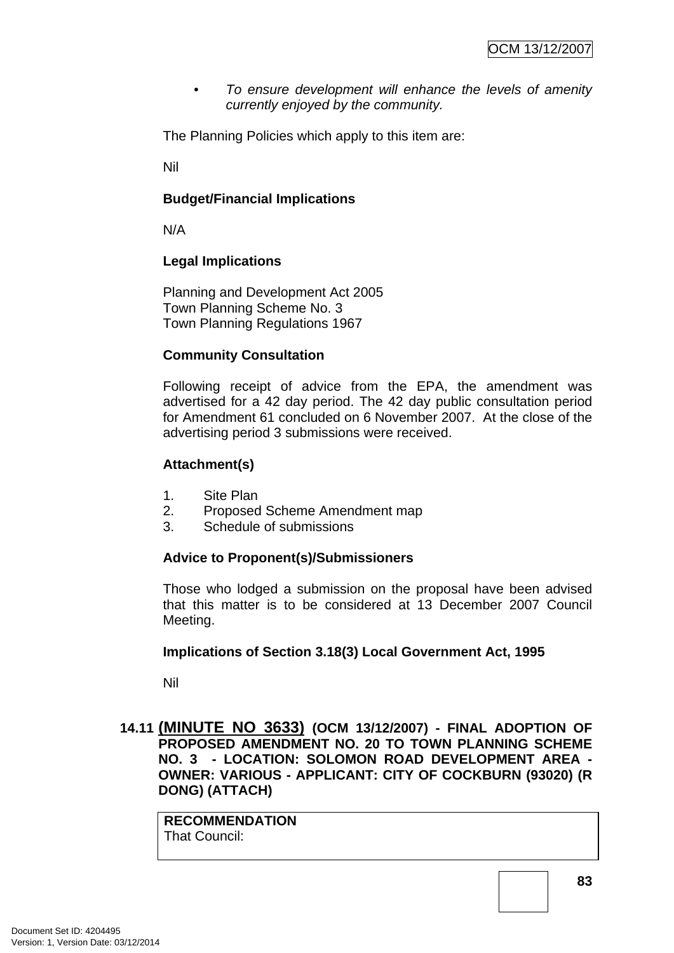*• To ensure development will enhance the levels of amenity currently enjoyed by the community.* 

The Planning Policies which apply to this item are:

Nil

## **Budget/Financial Implications**

N/A

## **Legal Implications**

Planning and Development Act 2005 Town Planning Scheme No. 3 Town Planning Regulations 1967

## **Community Consultation**

Following receipt of advice from the EPA, the amendment was advertised for a 42 day period. The 42 day public consultation period for Amendment 61 concluded on 6 November 2007. At the close of the advertising period 3 submissions were received.

## **Attachment(s)**

- 1. Site Plan
- 2. Proposed Scheme Amendment map
- 3. Schedule of submissions

#### **Advice to Proponent(s)/Submissioners**

Those who lodged a submission on the proposal have been advised that this matter is to be considered at 13 December 2007 Council Meeting.

#### **Implications of Section 3.18(3) Local Government Act, 1995**

Nil

**14.11 (MINUTE NO 3633) (OCM 13/12/2007) - FINAL ADOPTION OF PROPOSED AMENDMENT NO. 20 TO TOWN PLANNING SCHEME NO. 3 - LOCATION: SOLOMON ROAD DEVELOPMENT AREA - OWNER: VARIOUS - APPLICANT: CITY OF COCKBURN (93020) (R DONG) (ATTACH)** 

**RECOMMENDATION** That Council: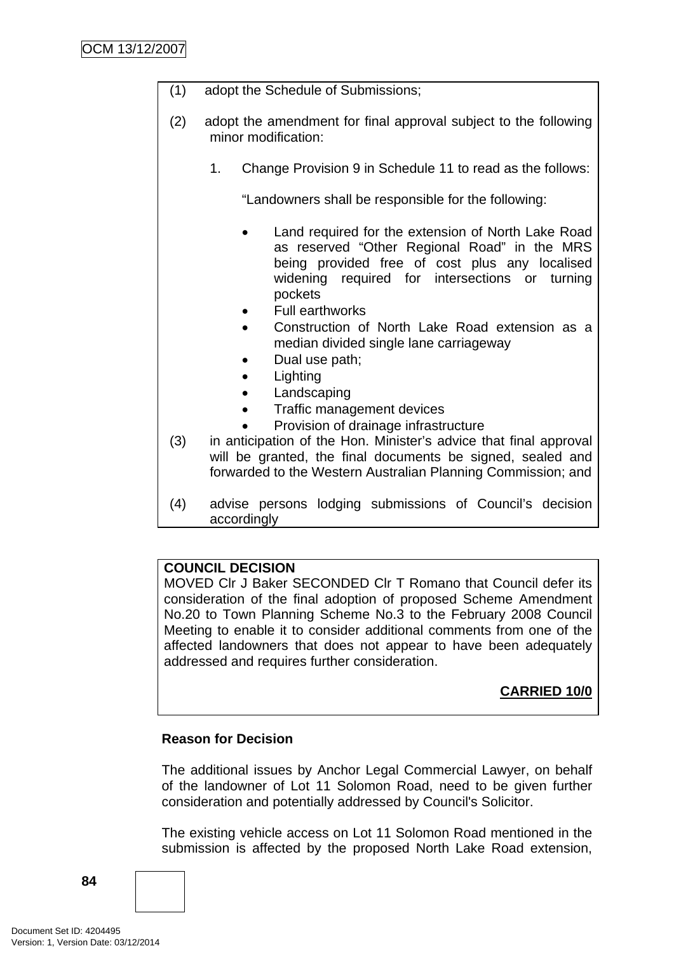- (1) adopt the Schedule of Submissions;
- (2) adopt the amendment for final approval subject to the following minor modification:
	- 1. Change Provision 9 in Schedule 11 to read as the follows:

"Landowners shall be responsible for the following:

- Land required for the extension of North Lake Road as reserved "Other Regional Road" in the MRS being provided free of cost plus any localised widening required for intersections or turning pockets
- Full earthworks
- Construction of North Lake Road extension as a median divided single lane carriageway
- Dual use path;
- Lighting
- Landscaping
- Traffic management devices
- Provision of drainage infrastructure
- (3) in anticipation of the Hon. Minister's advice that final approval will be granted, the final documents be signed, sealed and forwarded to the Western Australian Planning Commission; and
- (4) advise persons lodging submissions of Council's decision accordingly

#### **COUNCIL DECISION**

MOVED Clr J Baker SECONDED Clr T Romano that Council defer its consideration of the final adoption of proposed Scheme Amendment No.20 to Town Planning Scheme No.3 to the February 2008 Council Meeting to enable it to consider additional comments from one of the affected landowners that does not appear to have been adequately addressed and requires further consideration.

**CARRIED 10/0**

#### **Reason for Decision**

The additional issues by Anchor Legal Commercial Lawyer, on behalf of the landowner of Lot 11 Solomon Road, need to be given further consideration and potentially addressed by Council's Solicitor.

The existing vehicle access on Lot 11 Solomon Road mentioned in the submission is affected by the proposed North Lake Road extension,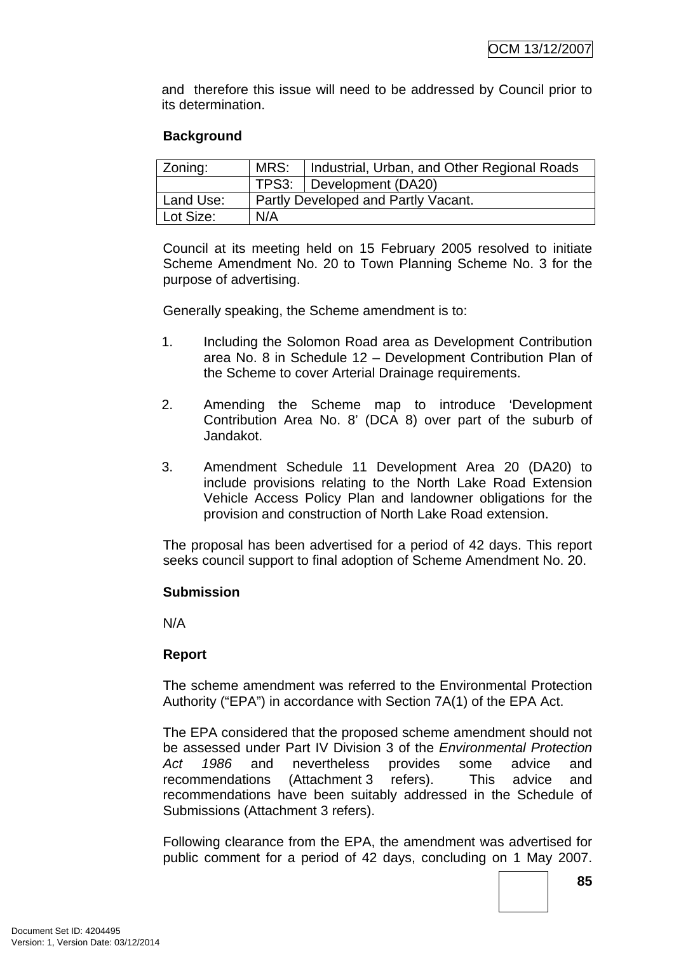and therefore this issue will need to be addressed by Council prior to its determination.

## **Background**

| Zoning:   | MRS:                                | Industrial, Urban, and Other Regional Roads |
|-----------|-------------------------------------|---------------------------------------------|
|           |                                     | TPS3: Development (DA20)                    |
| Land Use: | Partly Developed and Partly Vacant. |                                             |
| Lot Size: | N/A                                 |                                             |

Council at its meeting held on 15 February 2005 resolved to initiate Scheme Amendment No. 20 to Town Planning Scheme No. 3 for the purpose of advertising.

Generally speaking, the Scheme amendment is to:

- 1. Including the Solomon Road area as Development Contribution area No. 8 in Schedule 12 – Development Contribution Plan of the Scheme to cover Arterial Drainage requirements.
- 2. Amending the Scheme map to introduce 'Development Contribution Area No. 8' (DCA 8) over part of the suburb of Jandakot.
- 3. Amendment Schedule 11 Development Area 20 (DA20) to include provisions relating to the North Lake Road Extension Vehicle Access Policy Plan and landowner obligations for the provision and construction of North Lake Road extension.

The proposal has been advertised for a period of 42 days. This report seeks council support to final adoption of Scheme Amendment No. 20.

#### **Submission**

N/A

#### **Report**

The scheme amendment was referred to the Environmental Protection Authority ("EPA") in accordance with Section 7A(1) of the EPA Act.

The EPA considered that the proposed scheme amendment should not be assessed under Part IV Division 3 of the *Environmental Protection Act 1986* and nevertheless provides some advice and recommendations (Attachment 3 refers). This advice and recommendations have been suitably addressed in the Schedule of Submissions (Attachment 3 refers).

Following clearance from the EPA, the amendment was advertised for public comment for a period of 42 days, concluding on 1 May 2007.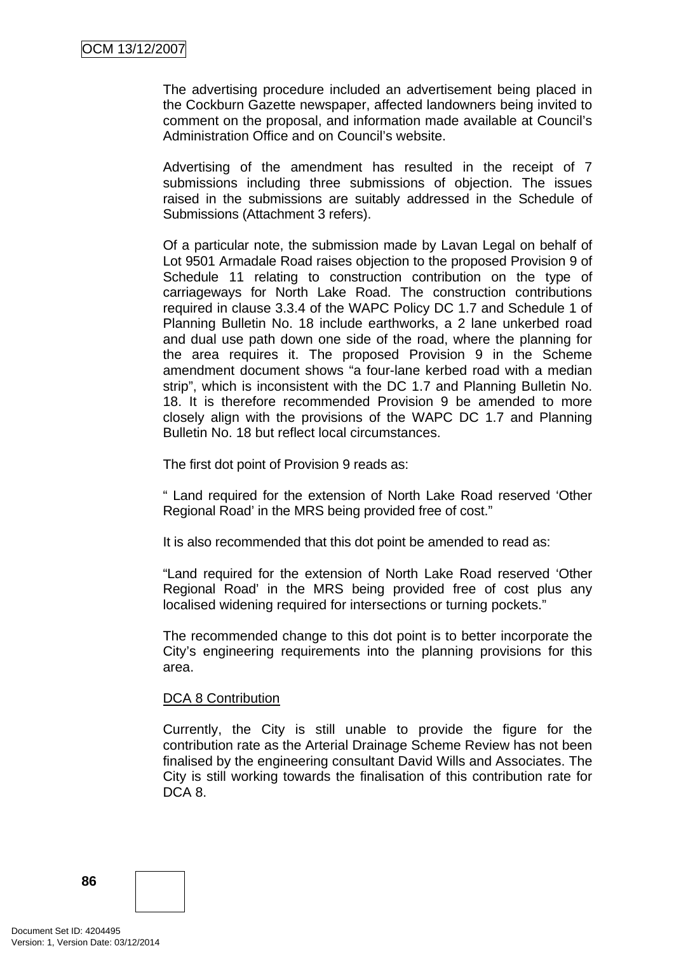The advertising procedure included an advertisement being placed in the Cockburn Gazette newspaper, affected landowners being invited to comment on the proposal, and information made available at Council's Administration Office and on Council's website.

Advertising of the amendment has resulted in the receipt of 7 submissions including three submissions of objection. The issues raised in the submissions are suitably addressed in the Schedule of Submissions (Attachment 3 refers).

Of a particular note, the submission made by Lavan Legal on behalf of Lot 9501 Armadale Road raises objection to the proposed Provision 9 of Schedule 11 relating to construction contribution on the type of carriageways for North Lake Road. The construction contributions required in clause 3.3.4 of the WAPC Policy DC 1.7 and Schedule 1 of Planning Bulletin No. 18 include earthworks, a 2 lane unkerbed road and dual use path down one side of the road, where the planning for the area requires it. The proposed Provision 9 in the Scheme amendment document shows "a four-lane kerbed road with a median strip", which is inconsistent with the DC 1.7 and Planning Bulletin No. 18. It is therefore recommended Provision 9 be amended to more closely align with the provisions of the WAPC DC 1.7 and Planning Bulletin No. 18 but reflect local circumstances.

The first dot point of Provision 9 reads as:

" Land required for the extension of North Lake Road reserved 'Other Regional Road' in the MRS being provided free of cost."

It is also recommended that this dot point be amended to read as:

"Land required for the extension of North Lake Road reserved 'Other Regional Road' in the MRS being provided free of cost plus any localised widening required for intersections or turning pockets."

The recommended change to this dot point is to better incorporate the City's engineering requirements into the planning provisions for this area.

#### DCA 8 Contribution

Currently, the City is still unable to provide the figure for the contribution rate as the Arterial Drainage Scheme Review has not been finalised by the engineering consultant David Wills and Associates. The City is still working towards the finalisation of this contribution rate for DCA<sub>8</sub>.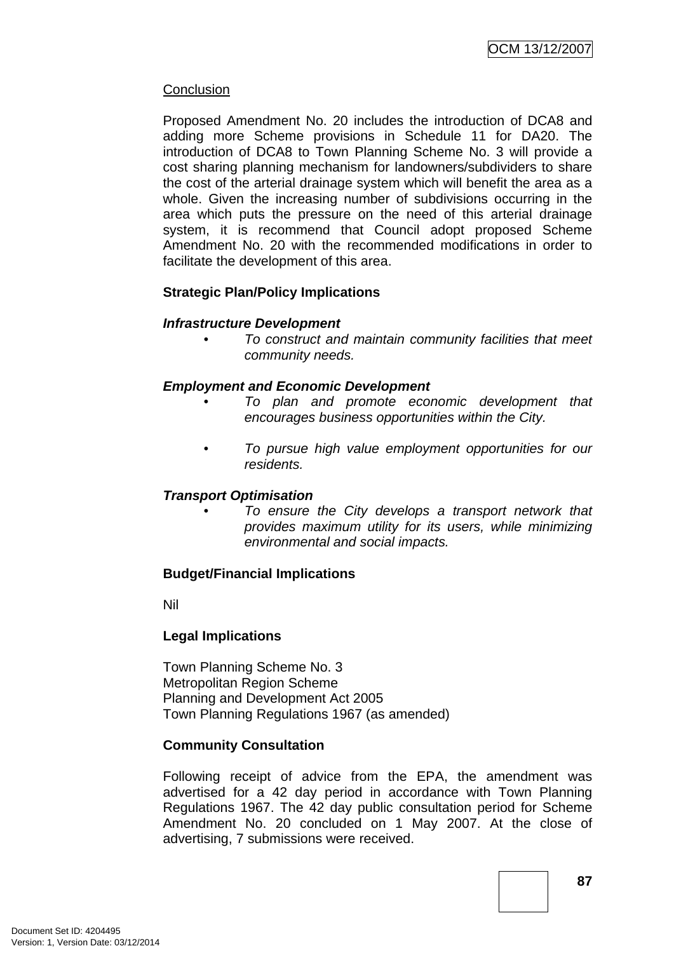#### **Conclusion**

Proposed Amendment No. 20 includes the introduction of DCA8 and adding more Scheme provisions in Schedule 11 for DA20. The introduction of DCA8 to Town Planning Scheme No. 3 will provide a cost sharing planning mechanism for landowners/subdividers to share the cost of the arterial drainage system which will benefit the area as a whole. Given the increasing number of subdivisions occurring in the area which puts the pressure on the need of this arterial drainage system, it is recommend that Council adopt proposed Scheme Amendment No. 20 with the recommended modifications in order to facilitate the development of this area.

## **Strategic Plan/Policy Implications**

## *Infrastructure Development*

*• To construct and maintain community facilities that meet community needs.* 

## *Employment and Economic Development*

- *To plan and promote economic development that encourages business opportunities within the City.*
- *To pursue high value employment opportunities for our residents.*

## *Transport Optimisation*

*• To ensure the City develops a transport network that provides maximum utility for its users, while minimizing environmental and social impacts.* 

## **Budget/Financial Implications**

Nil

#### **Legal Implications**

Town Planning Scheme No. 3 Metropolitan Region Scheme Planning and Development Act 2005 Town Planning Regulations 1967 (as amended)

## **Community Consultation**

Following receipt of advice from the EPA, the amendment was advertised for a 42 day period in accordance with Town Planning Regulations 1967. The 42 day public consultation period for Scheme Amendment No. 20 concluded on 1 May 2007. At the close of advertising, 7 submissions were received.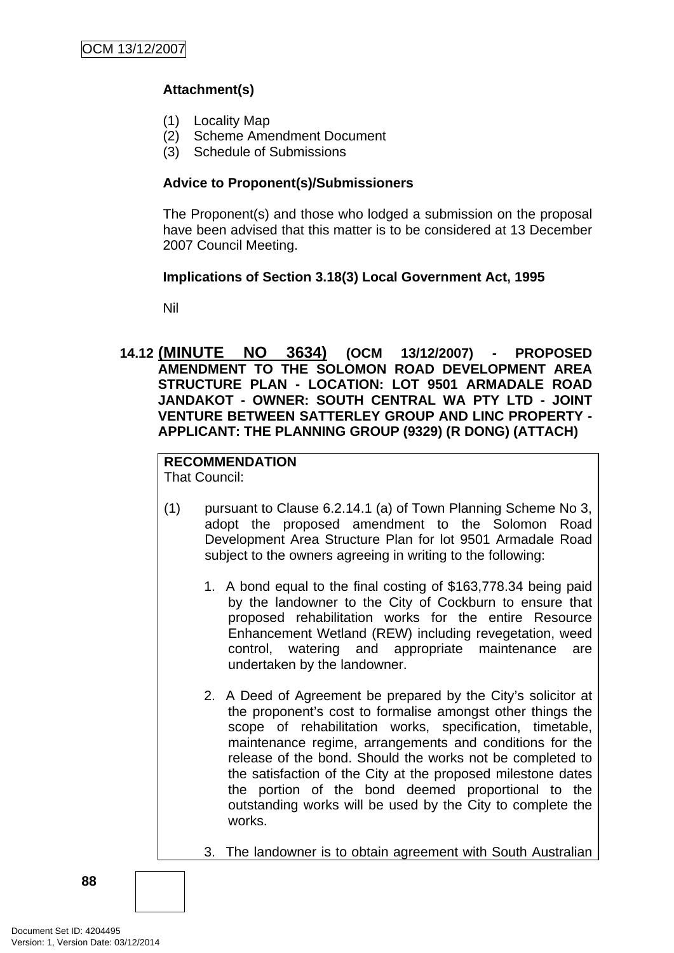## **Attachment(s)**

- (1) Locality Map
- (2) Scheme Amendment Document
- (3) Schedule of Submissions

## **Advice to Proponent(s)/Submissioners**

The Proponent(s) and those who lodged a submission on the proposal have been advised that this matter is to be considered at 13 December 2007 Council Meeting.

## **Implications of Section 3.18(3) Local Government Act, 1995**

Nil

**14.12 (MINUTE NO 3634) (OCM 13/12/2007) - PROPOSED AMENDMENT TO THE SOLOMON ROAD DEVELOPMENT AREA STRUCTURE PLAN - LOCATION: LOT 9501 ARMADALE ROAD JANDAKOT - OWNER: SOUTH CENTRAL WA PTY LTD - JOINT VENTURE BETWEEN SATTERLEY GROUP AND LINC PROPERTY - APPLICANT: THE PLANNING GROUP (9329) (R DONG) (ATTACH)** 

# **RECOMMENDATION**

That Council:

- (1) pursuant to Clause 6.2.14.1 (a) of Town Planning Scheme No 3, adopt the proposed amendment to the Solomon Road Development Area Structure Plan for lot 9501 Armadale Road subject to the owners agreeing in writing to the following:
	- 1. A bond equal to the final costing of \$163,778.34 being paid by the landowner to the City of Cockburn to ensure that proposed rehabilitation works for the entire Resource Enhancement Wetland (REW) including revegetation, weed control, watering and appropriate maintenance are undertaken by the landowner.
	- 2. A Deed of Agreement be prepared by the City's solicitor at the proponent's cost to formalise amongst other things the scope of rehabilitation works, specification, timetable, maintenance regime, arrangements and conditions for the release of the bond. Should the works not be completed to the satisfaction of the City at the proposed milestone dates the portion of the bond deemed proportional to the outstanding works will be used by the City to complete the works.
	- 3. The landowner is to obtain agreement with South Australian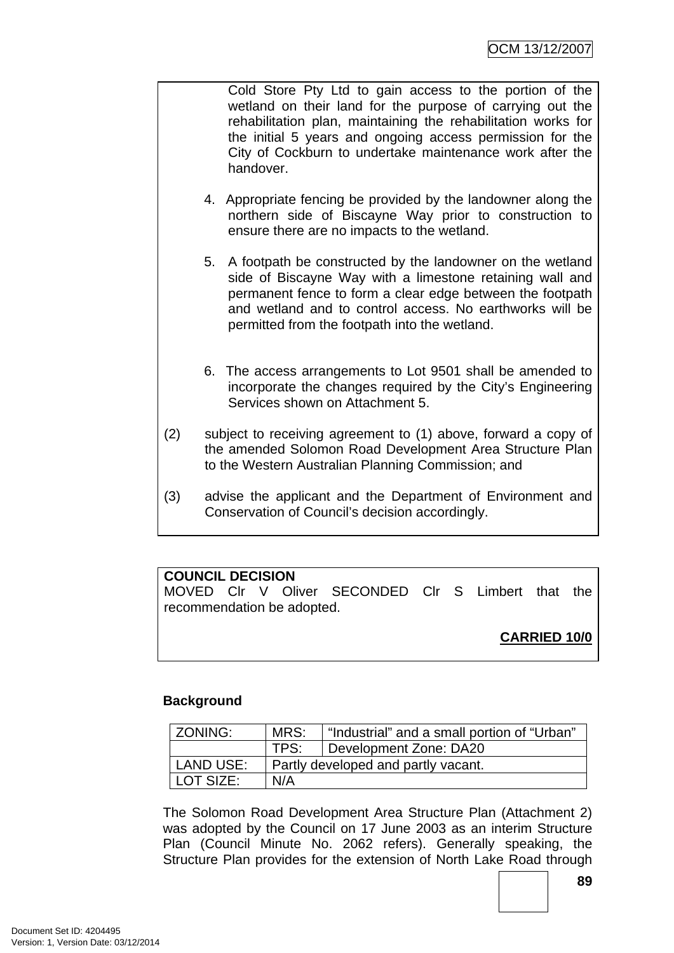Cold Store Pty Ltd to gain access to the portion of the wetland on their land for the purpose of carrying out the rehabilitation plan, maintaining the rehabilitation works for the initial 5 years and ongoing access permission for the City of Cockburn to undertake maintenance work after the handover.

- 4. Appropriate fencing be provided by the landowner along the northern side of Biscayne Way prior to construction to ensure there are no impacts to the wetland.
- 5. A footpath be constructed by the landowner on the wetland side of Biscayne Way with a limestone retaining wall and permanent fence to form a clear edge between the footpath and wetland and to control access. No earthworks will be permitted from the footpath into the wetland.
- 6. The access arrangements to Lot 9501 shall be amended to incorporate the changes required by the City's Engineering Services shown on Attachment 5.
- (2) subject to receiving agreement to (1) above, forward a copy of the amended Solomon Road Development Area Structure Plan to the Western Australian Planning Commission; and
- (3) advise the applicant and the Department of Environment and Conservation of Council's decision accordingly.

## **COUNCIL DECISION**

MOVED Clr V Oliver SECONDED Clr S Limbert that the recommendation be adopted.

## **CARRIED 10/0**

## **Background**

| ZONING:   | MRS: | "Industrial" and a small portion of "Urban" |
|-----------|------|---------------------------------------------|
|           | TPS: | Development Zone: DA20                      |
| LAND USE: |      | Partly developed and partly vacant.         |
| LOT SIZE: | N/A  |                                             |

The Solomon Road Development Area Structure Plan (Attachment 2) was adopted by the Council on 17 June 2003 as an interim Structure Plan (Council Minute No. 2062 refers). Generally speaking, the Structure Plan provides for the extension of North Lake Road through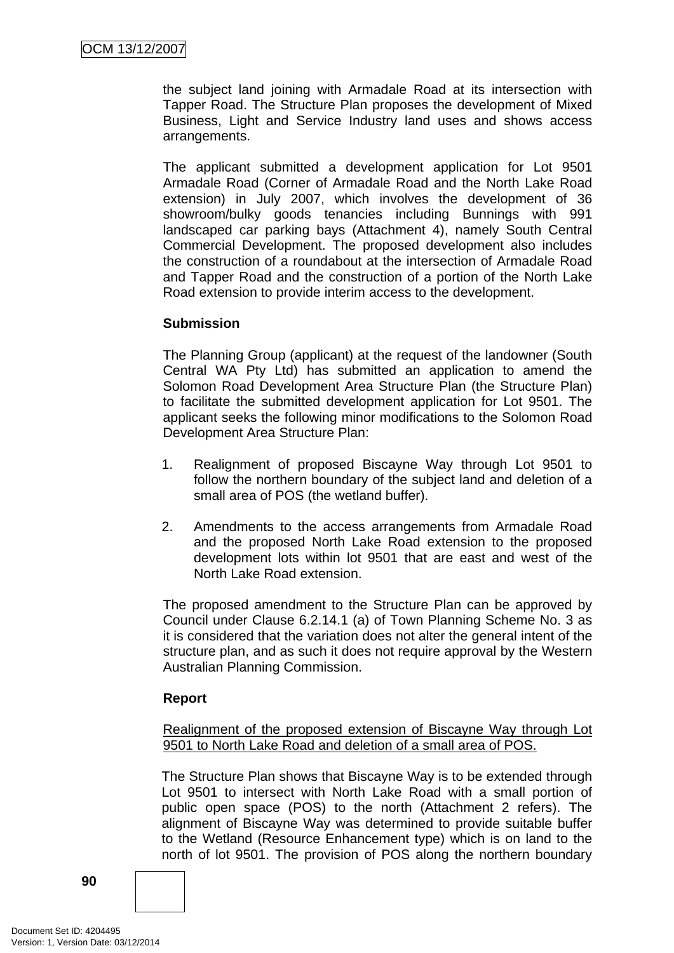the subject land joining with Armadale Road at its intersection with Tapper Road. The Structure Plan proposes the development of Mixed Business, Light and Service Industry land uses and shows access arrangements.

The applicant submitted a development application for Lot 9501 Armadale Road (Corner of Armadale Road and the North Lake Road extension) in July 2007, which involves the development of 36 showroom/bulky goods tenancies including Bunnings with 991 landscaped car parking bays (Attachment 4), namely South Central Commercial Development. The proposed development also includes the construction of a roundabout at the intersection of Armadale Road and Tapper Road and the construction of a portion of the North Lake Road extension to provide interim access to the development.

#### **Submission**

The Planning Group (applicant) at the request of the landowner (South Central WA Pty Ltd) has submitted an application to amend the Solomon Road Development Area Structure Plan (the Structure Plan) to facilitate the submitted development application for Lot 9501. The applicant seeks the following minor modifications to the Solomon Road Development Area Structure Plan:

- 1. Realignment of proposed Biscayne Way through Lot 9501 to follow the northern boundary of the subject land and deletion of a small area of POS (the wetland buffer).
- 2. Amendments to the access arrangements from Armadale Road and the proposed North Lake Road extension to the proposed development lots within lot 9501 that are east and west of the North Lake Road extension.

The proposed amendment to the Structure Plan can be approved by Council under Clause 6.2.14.1 (a) of Town Planning Scheme No. 3 as it is considered that the variation does not alter the general intent of the structure plan, and as such it does not require approval by the Western Australian Planning Commission.

#### **Report**

Realignment of the proposed extension of Biscayne Way through Lot 9501 to North Lake Road and deletion of a small area of POS.

The Structure Plan shows that Biscayne Way is to be extended through Lot 9501 to intersect with North Lake Road with a small portion of public open space (POS) to the north (Attachment 2 refers). The alignment of Biscayne Way was determined to provide suitable buffer to the Wetland (Resource Enhancement type) which is on land to the north of lot 9501. The provision of POS along the northern boundary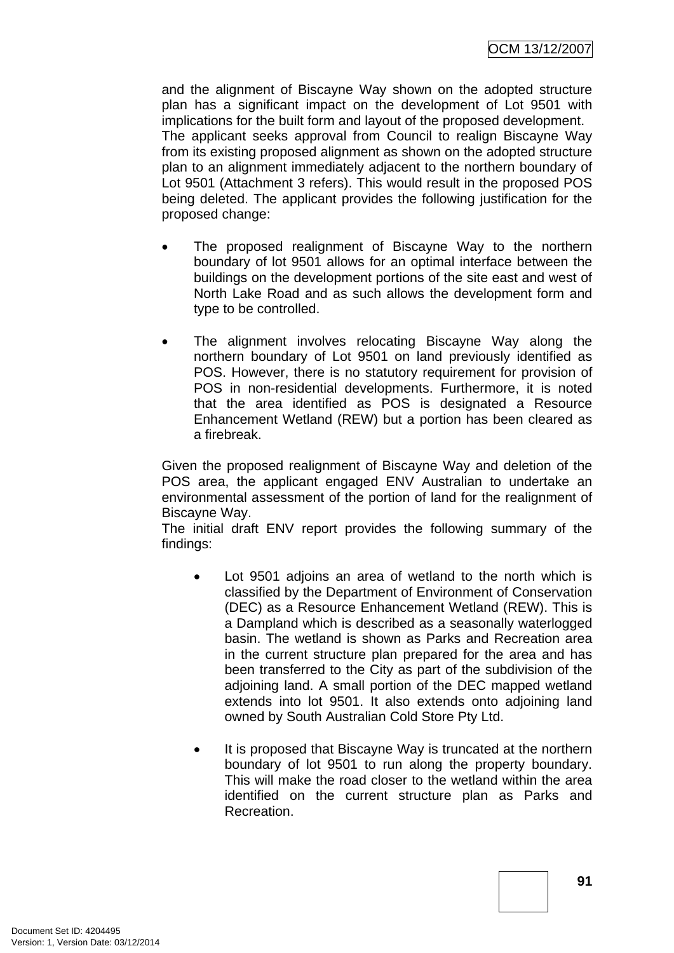and the alignment of Biscayne Way shown on the adopted structure plan has a significant impact on the development of Lot 9501 with implications for the built form and layout of the proposed development. The applicant seeks approval from Council to realign Biscayne Way from its existing proposed alignment as shown on the adopted structure plan to an alignment immediately adjacent to the northern boundary of Lot 9501 (Attachment 3 refers). This would result in the proposed POS being deleted. The applicant provides the following justification for the proposed change:

- The proposed realignment of Biscayne Way to the northern boundary of lot 9501 allows for an optimal interface between the buildings on the development portions of the site east and west of North Lake Road and as such allows the development form and type to be controlled.
- The alignment involves relocating Biscayne Way along the northern boundary of Lot 9501 on land previously identified as POS. However, there is no statutory requirement for provision of POS in non-residential developments. Furthermore, it is noted that the area identified as POS is designated a Resource Enhancement Wetland (REW) but a portion has been cleared as a firebreak.

Given the proposed realignment of Biscayne Way and deletion of the POS area, the applicant engaged ENV Australian to undertake an environmental assessment of the portion of land for the realignment of Biscayne Way.

The initial draft ENV report provides the following summary of the findings:

- Lot 9501 adjoins an area of wetland to the north which is classified by the Department of Environment of Conservation (DEC) as a Resource Enhancement Wetland (REW). This is a Dampland which is described as a seasonally waterlogged basin. The wetland is shown as Parks and Recreation area in the current structure plan prepared for the area and has been transferred to the City as part of the subdivision of the adjoining land. A small portion of the DEC mapped wetland extends into lot 9501. It also extends onto adjoining land owned by South Australian Cold Store Pty Ltd.
- It is proposed that Biscayne Way is truncated at the northern boundary of lot 9501 to run along the property boundary. This will make the road closer to the wetland within the area identified on the current structure plan as Parks and Recreation.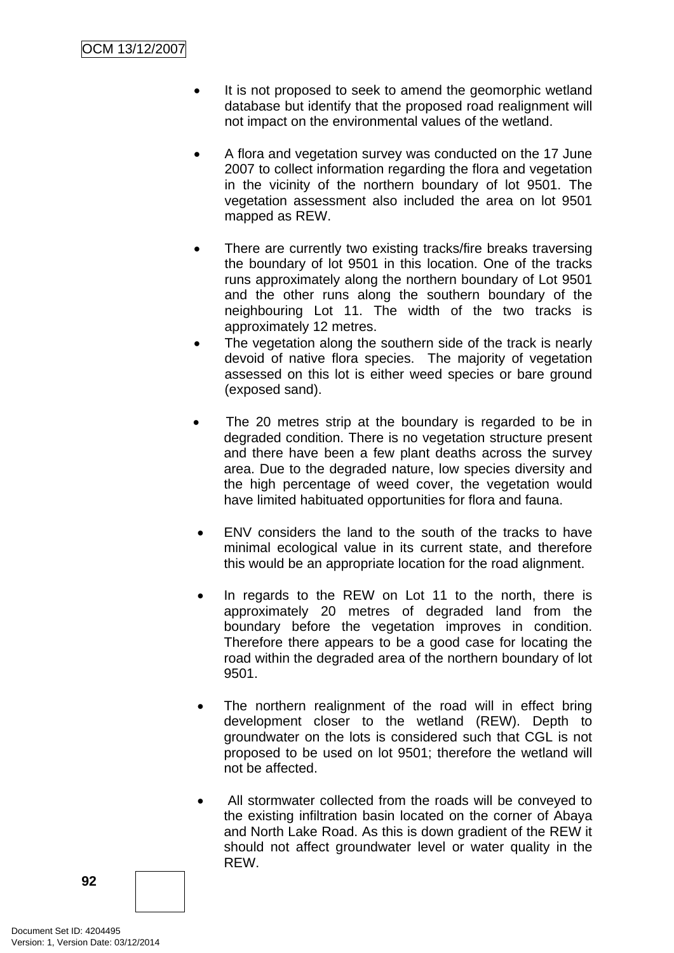- It is not proposed to seek to amend the geomorphic wetland database but identify that the proposed road realignment will not impact on the environmental values of the wetland.
- A flora and vegetation survey was conducted on the 17 June 2007 to collect information regarding the flora and vegetation in the vicinity of the northern boundary of lot 9501. The vegetation assessment also included the area on lot 9501 mapped as REW.
- There are currently two existing tracks/fire breaks traversing the boundary of lot 9501 in this location. One of the tracks runs approximately along the northern boundary of Lot 9501 and the other runs along the southern boundary of the neighbouring Lot 11. The width of the two tracks is approximately 12 metres.
- The vegetation along the southern side of the track is nearly devoid of native flora species. The majority of vegetation assessed on this lot is either weed species or bare ground (exposed sand).
- The 20 metres strip at the boundary is regarded to be in degraded condition. There is no vegetation structure present and there have been a few plant deaths across the survey area. Due to the degraded nature, low species diversity and the high percentage of weed cover, the vegetation would have limited habituated opportunities for flora and fauna.
- ENV considers the land to the south of the tracks to have minimal ecological value in its current state, and therefore this would be an appropriate location for the road alignment.
- In regards to the REW on Lot 11 to the north, there is approximately 20 metres of degraded land from the boundary before the vegetation improves in condition. Therefore there appears to be a good case for locating the road within the degraded area of the northern boundary of lot 9501.
- The northern realignment of the road will in effect bring development closer to the wetland (REW). Depth to groundwater on the lots is considered such that CGL is not proposed to be used on lot 9501; therefore the wetland will not be affected.
- All stormwater collected from the roads will be conveyed to the existing infiltration basin located on the corner of Abaya and North Lake Road. As this is down gradient of the REW it should not affect groundwater level or water quality in the REW.

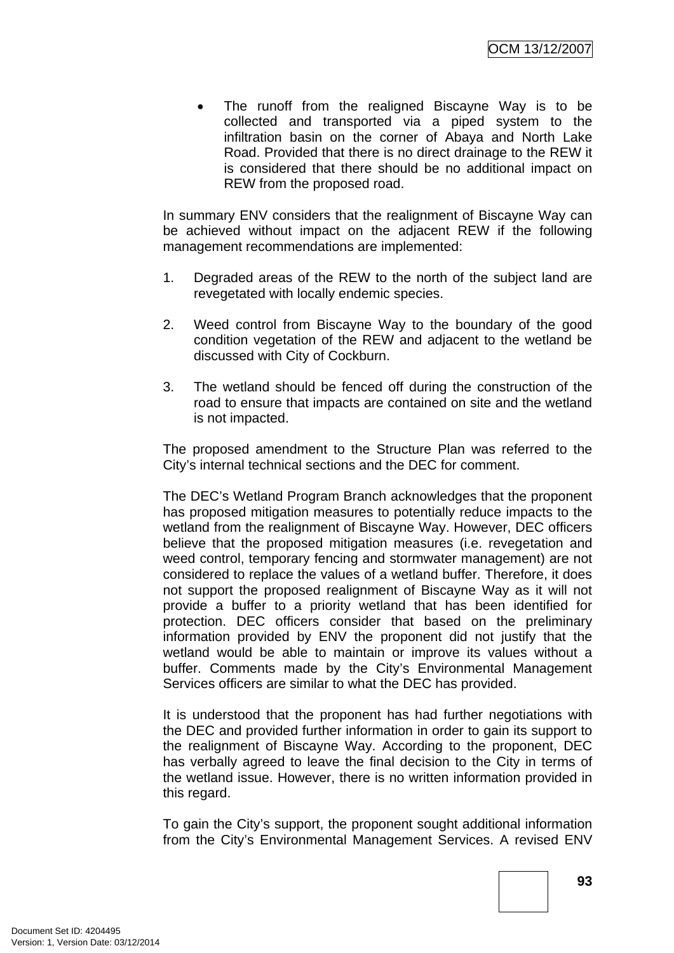The runoff from the realigned Biscayne Way is to be collected and transported via a piped system to the infiltration basin on the corner of Abaya and North Lake Road. Provided that there is no direct drainage to the REW it is considered that there should be no additional impact on REW from the proposed road.

In summary ENV considers that the realignment of Biscayne Way can be achieved without impact on the adjacent REW if the following management recommendations are implemented:

- 1. Degraded areas of the REW to the north of the subject land are revegetated with locally endemic species.
- 2. Weed control from Biscayne Way to the boundary of the good condition vegetation of the REW and adjacent to the wetland be discussed with City of Cockburn.
- 3. The wetland should be fenced off during the construction of the road to ensure that impacts are contained on site and the wetland is not impacted.

The proposed amendment to the Structure Plan was referred to the City's internal technical sections and the DEC for comment.

The DEC's Wetland Program Branch acknowledges that the proponent has proposed mitigation measures to potentially reduce impacts to the wetland from the realignment of Biscayne Way. However, DEC officers believe that the proposed mitigation measures (i.e. revegetation and weed control, temporary fencing and stormwater management) are not considered to replace the values of a wetland buffer. Therefore, it does not support the proposed realignment of Biscayne Way as it will not provide a buffer to a priority wetland that has been identified for protection. DEC officers consider that based on the preliminary information provided by ENV the proponent did not justify that the wetland would be able to maintain or improve its values without a buffer. Comments made by the City's Environmental Management Services officers are similar to what the DEC has provided.

It is understood that the proponent has had further negotiations with the DEC and provided further information in order to gain its support to the realignment of Biscayne Way. According to the proponent, DEC has verbally agreed to leave the final decision to the City in terms of the wetland issue. However, there is no written information provided in this regard.

To gain the City's support, the proponent sought additional information from the City's Environmental Management Services. A revised ENV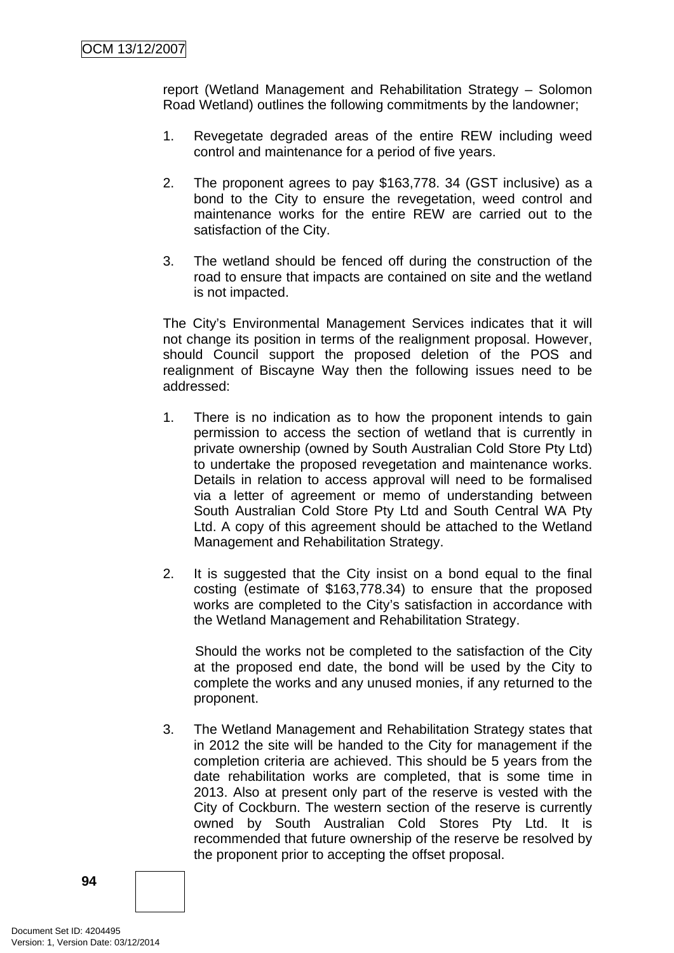report (Wetland Management and Rehabilitation Strategy – Solomon Road Wetland) outlines the following commitments by the landowner;

- 1. Revegetate degraded areas of the entire REW including weed control and maintenance for a period of five years.
- 2. The proponent agrees to pay \$163,778. 34 (GST inclusive) as a bond to the City to ensure the revegetation, weed control and maintenance works for the entire REW are carried out to the satisfaction of the City.
- 3. The wetland should be fenced off during the construction of the road to ensure that impacts are contained on site and the wetland is not impacted.

The City's Environmental Management Services indicates that it will not change its position in terms of the realignment proposal. However, should Council support the proposed deletion of the POS and realignment of Biscayne Way then the following issues need to be addressed:

- 1. There is no indication as to how the proponent intends to gain permission to access the section of wetland that is currently in private ownership (owned by South Australian Cold Store Pty Ltd) to undertake the proposed revegetation and maintenance works. Details in relation to access approval will need to be formalised via a letter of agreement or memo of understanding between South Australian Cold Store Pty Ltd and South Central WA Pty Ltd. A copy of this agreement should be attached to the Wetland Management and Rehabilitation Strategy.
- 2. It is suggested that the City insist on a bond equal to the final costing (estimate of \$163,778.34) to ensure that the proposed works are completed to the City's satisfaction in accordance with the Wetland Management and Rehabilitation Strategy.

Should the works not be completed to the satisfaction of the City at the proposed end date, the bond will be used by the City to complete the works and any unused monies, if any returned to the proponent.

3. The Wetland Management and Rehabilitation Strategy states that in 2012 the site will be handed to the City for management if the completion criteria are achieved. This should be 5 years from the date rehabilitation works are completed, that is some time in 2013. Also at present only part of the reserve is vested with the City of Cockburn. The western section of the reserve is currently owned by South Australian Cold Stores Pty Ltd. It is recommended that future ownership of the reserve be resolved by the proponent prior to accepting the offset proposal.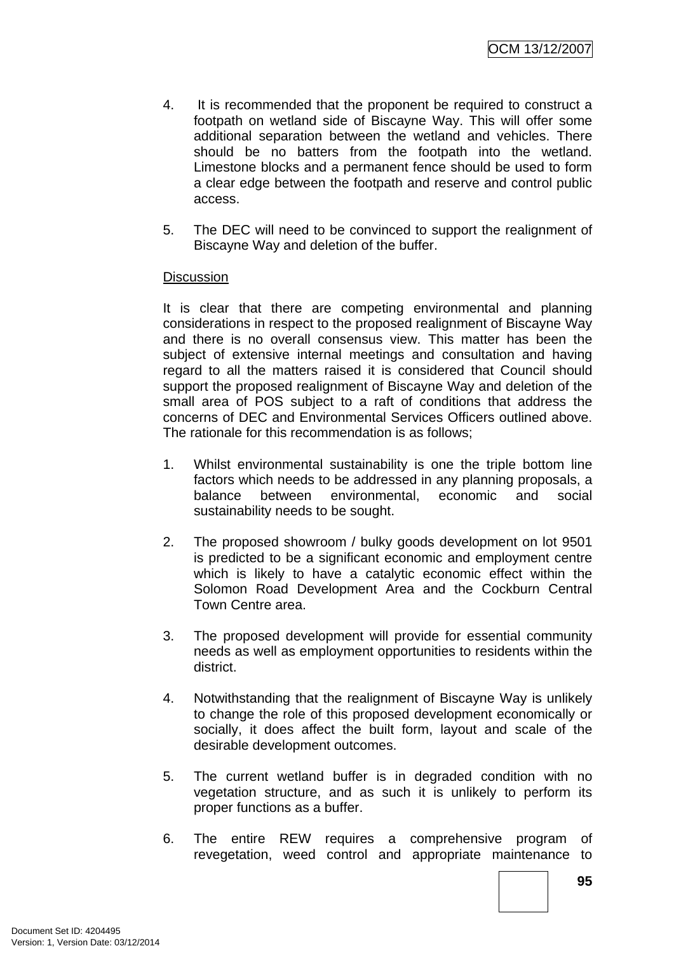- 4. It is recommended that the proponent be required to construct a footpath on wetland side of Biscayne Way. This will offer some additional separation between the wetland and vehicles. There should be no batters from the footpath into the wetland. Limestone blocks and a permanent fence should be used to form a clear edge between the footpath and reserve and control public access.
- 5. The DEC will need to be convinced to support the realignment of Biscayne Way and deletion of the buffer.

#### **Discussion**

It is clear that there are competing environmental and planning considerations in respect to the proposed realignment of Biscayne Way and there is no overall consensus view. This matter has been the subject of extensive internal meetings and consultation and having regard to all the matters raised it is considered that Council should support the proposed realignment of Biscayne Way and deletion of the small area of POS subject to a raft of conditions that address the concerns of DEC and Environmental Services Officers outlined above. The rationale for this recommendation is as follows;

- 1. Whilst environmental sustainability is one the triple bottom line factors which needs to be addressed in any planning proposals, a balance between environmental, economic and social sustainability needs to be sought.
- 2. The proposed showroom / bulky goods development on lot 9501 is predicted to be a significant economic and employment centre which is likely to have a catalytic economic effect within the Solomon Road Development Area and the Cockburn Central Town Centre area.
- 3. The proposed development will provide for essential community needs as well as employment opportunities to residents within the district.
- 4. Notwithstanding that the realignment of Biscayne Way is unlikely to change the role of this proposed development economically or socially, it does affect the built form, layout and scale of the desirable development outcomes.
- 5. The current wetland buffer is in degraded condition with no vegetation structure, and as such it is unlikely to perform its proper functions as a buffer.
- 6. The entire REW requires a comprehensive program of revegetation, weed control and appropriate maintenance to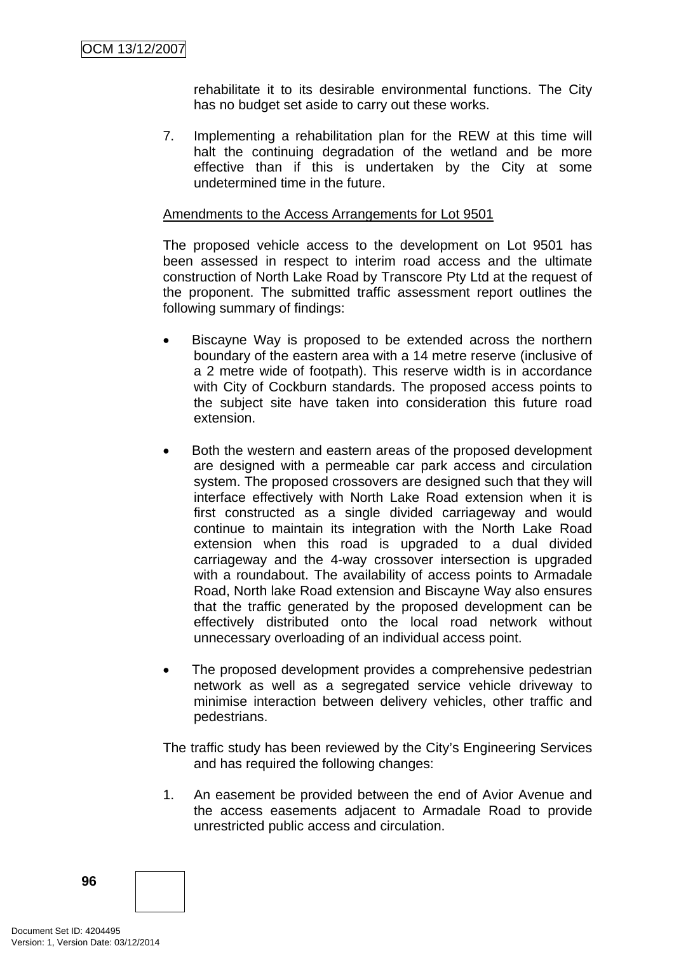rehabilitate it to its desirable environmental functions. The City has no budget set aside to carry out these works.

7. Implementing a rehabilitation plan for the REW at this time will halt the continuing degradation of the wetland and be more effective than if this is undertaken by the City at some undetermined time in the future.

#### Amendments to the Access Arrangements for Lot 9501

The proposed vehicle access to the development on Lot 9501 has been assessed in respect to interim road access and the ultimate construction of North Lake Road by Transcore Pty Ltd at the request of the proponent. The submitted traffic assessment report outlines the following summary of findings:

- Biscayne Way is proposed to be extended across the northern boundary of the eastern area with a 14 metre reserve (inclusive of a 2 metre wide of footpath). This reserve width is in accordance with City of Cockburn standards. The proposed access points to the subject site have taken into consideration this future road extension.
- Both the western and eastern areas of the proposed development are designed with a permeable car park access and circulation system. The proposed crossovers are designed such that they will interface effectively with North Lake Road extension when it is first constructed as a single divided carriageway and would continue to maintain its integration with the North Lake Road extension when this road is upgraded to a dual divided carriageway and the 4-way crossover intersection is upgraded with a roundabout. The availability of access points to Armadale Road, North lake Road extension and Biscayne Way also ensures that the traffic generated by the proposed development can be effectively distributed onto the local road network without unnecessary overloading of an individual access point.
- The proposed development provides a comprehensive pedestrian network as well as a segregated service vehicle driveway to minimise interaction between delivery vehicles, other traffic and pedestrians.
- The traffic study has been reviewed by the City's Engineering Services and has required the following changes:
- 1. An easement be provided between the end of Avior Avenue and the access easements adjacent to Armadale Road to provide unrestricted public access and circulation.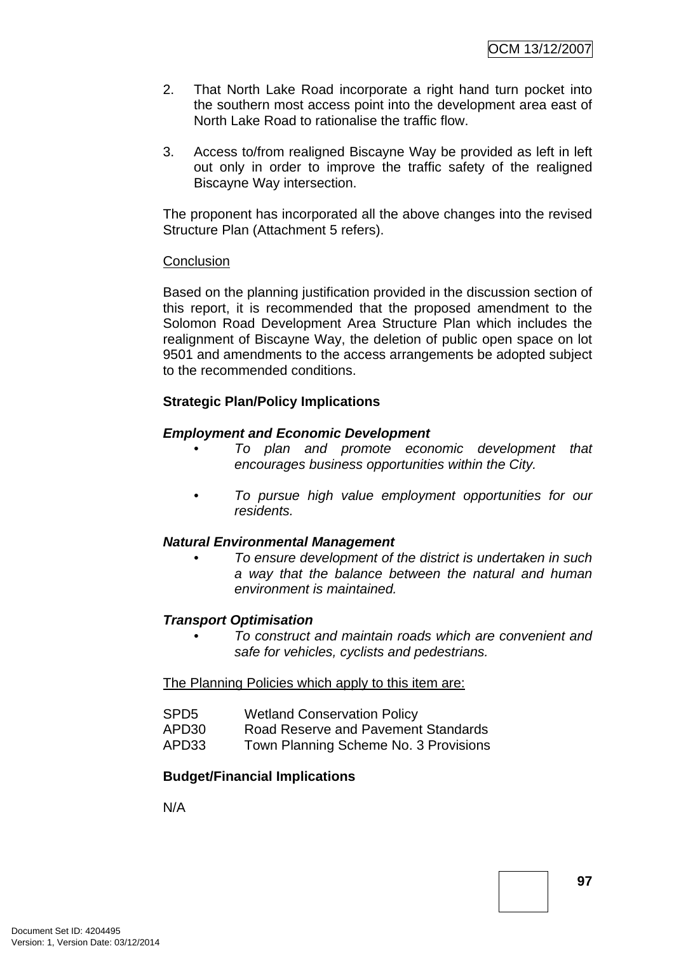- 2. That North Lake Road incorporate a right hand turn pocket into the southern most access point into the development area east of North Lake Road to rationalise the traffic flow.
- 3. Access to/from realigned Biscayne Way be provided as left in left out only in order to improve the traffic safety of the realigned Biscayne Way intersection.

The proponent has incorporated all the above changes into the revised Structure Plan (Attachment 5 refers).

#### **Conclusion**

Based on the planning justification provided in the discussion section of this report, it is recommended that the proposed amendment to the Solomon Road Development Area Structure Plan which includes the realignment of Biscayne Way, the deletion of public open space on lot 9501 and amendments to the access arrangements be adopted subject to the recommended conditions.

#### **Strategic Plan/Policy Implications**

#### *Employment and Economic Development*

- *To plan and promote economic development that encourages business opportunities within the City.*
- *To pursue high value employment opportunities for our residents.*

#### *Natural Environmental Management*

*• To ensure development of the district is undertaken in such a way that the balance between the natural and human environment is maintained.* 

#### *Transport Optimisation*

*• To construct and maintain roads which are convenient and safe for vehicles, cyclists and pedestrians.* 

#### The Planning Policies which apply to this item are:

- SPD5 Wetland Conservation Policy
- APD30 Road Reserve and Pavement Standards
- APD33 Town Planning Scheme No. 3 Provisions

#### **Budget/Financial Implications**

N/A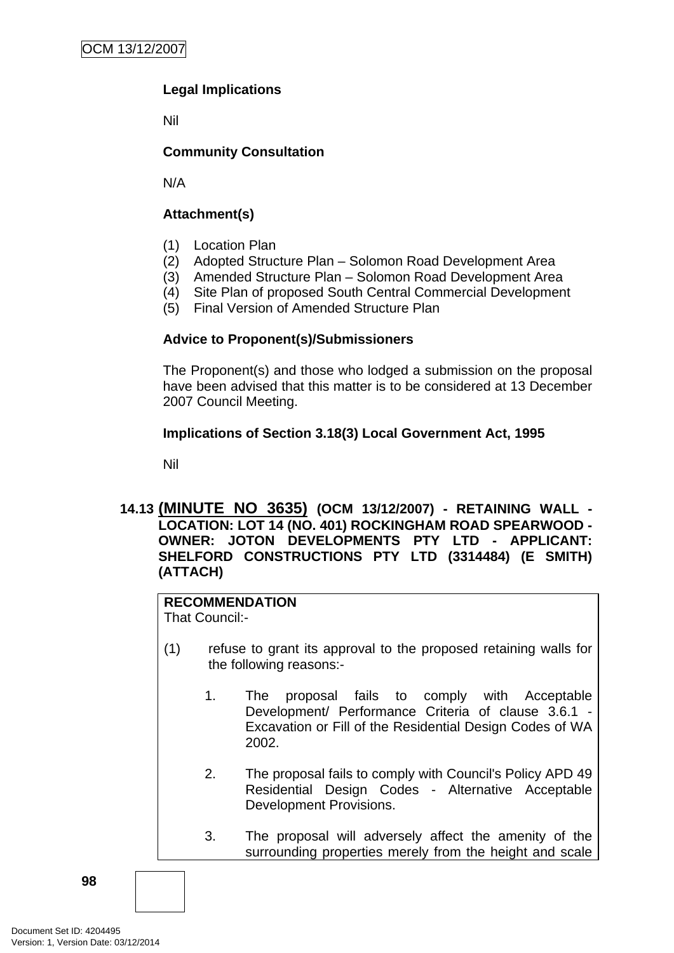## **Legal Implications**

Nil

## **Community Consultation**

N/A

## **Attachment(s)**

- (1) Location Plan
- (2) Adopted Structure Plan Solomon Road Development Area
- (3) Amended Structure Plan Solomon Road Development Area
- Site Plan of proposed South Central Commercial Development
- (5) Final Version of Amended Structure Plan

## **Advice to Proponent(s)/Submissioners**

The Proponent(s) and those who lodged a submission on the proposal have been advised that this matter is to be considered at 13 December 2007 Council Meeting.

## **Implications of Section 3.18(3) Local Government Act, 1995**

Nil

**14.13 (MINUTE NO 3635) (OCM 13/12/2007) - RETAINING WALL - LOCATION: LOT 14 (NO. 401) ROCKINGHAM ROAD SPEARWOOD - OWNER: JOTON DEVELOPMENTS PTY LTD - APPLICANT: SHELFORD CONSTRUCTIONS PTY LTD (3314484) (E SMITH) (ATTACH)** 

## **RECOMMENDATION**

That Council:-

- (1) refuse to grant its approval to the proposed retaining walls for the following reasons:-
	- 1. The proposal fails to comply with Acceptable Development/ Performance Criteria of clause 3.6.1 - Excavation or Fill of the Residential Design Codes of WA 2002.
	- 2. The proposal fails to comply with Council's Policy APD 49 Residential Design Codes - Alternative Acceptable Development Provisions.
	- 3. The proposal will adversely affect the amenity of the surrounding properties merely from the height and scale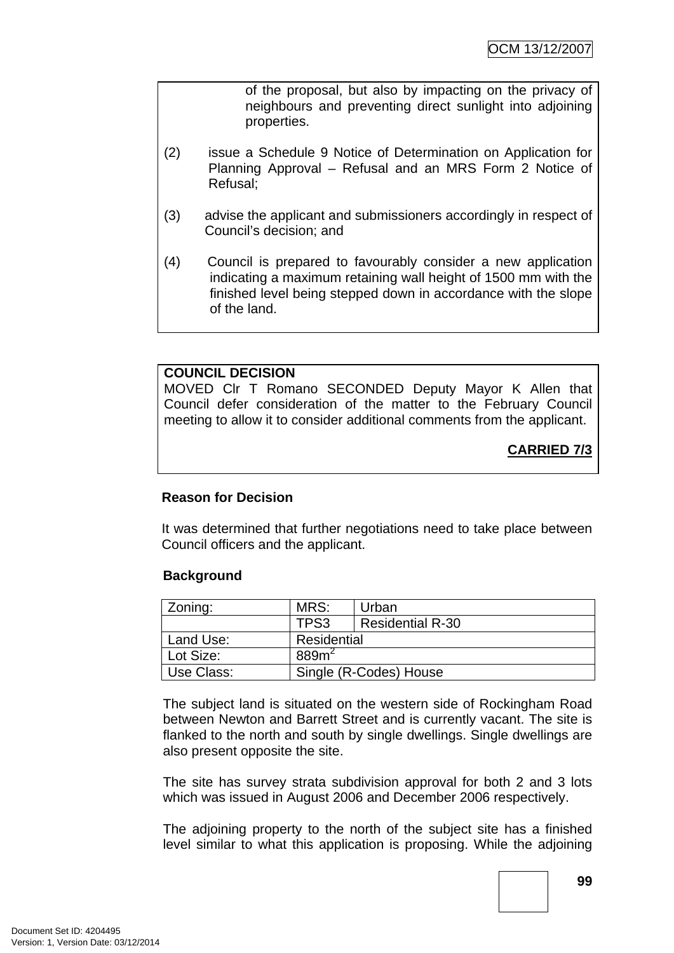of the proposal, but also by impacting on the privacy of neighbours and preventing direct sunlight into adjoining properties.

- (2) issue a Schedule 9 Notice of Determination on Application for Planning Approval – Refusal and an MRS Form 2 Notice of Refusal;
- (3) advise the applicant and submissioners accordingly in respect of Council's decision; and
- (4) Council is prepared to favourably consider a new application indicating a maximum retaining wall height of 1500 mm with the finished level being stepped down in accordance with the slope of the land.

## **COUNCIL DECISION**

MOVED Clr T Romano SECONDED Deputy Mayor K Allen that Council defer consideration of the matter to the February Council meeting to allow it to consider additional comments from the applicant.

**CARRIED 7/3**

#### **Reason for Decision**

It was determined that further negotiations need to take place between Council officers and the applicant.

#### **Background**

| Zoning:    | MRS:             | Urban                  |
|------------|------------------|------------------------|
|            | TPS3             | Residential R-30       |
| Land Use:  | Residential      |                        |
| Lot Size:  | 889 <sup>2</sup> |                        |
| Use Class: |                  | Single (R-Codes) House |

The subject land is situated on the western side of Rockingham Road between Newton and Barrett Street and is currently vacant. The site is flanked to the north and south by single dwellings. Single dwellings are also present opposite the site.

The site has survey strata subdivision approval for both 2 and 3 lots which was issued in August 2006 and December 2006 respectively.

The adjoining property to the north of the subject site has a finished level similar to what this application is proposing. While the adjoining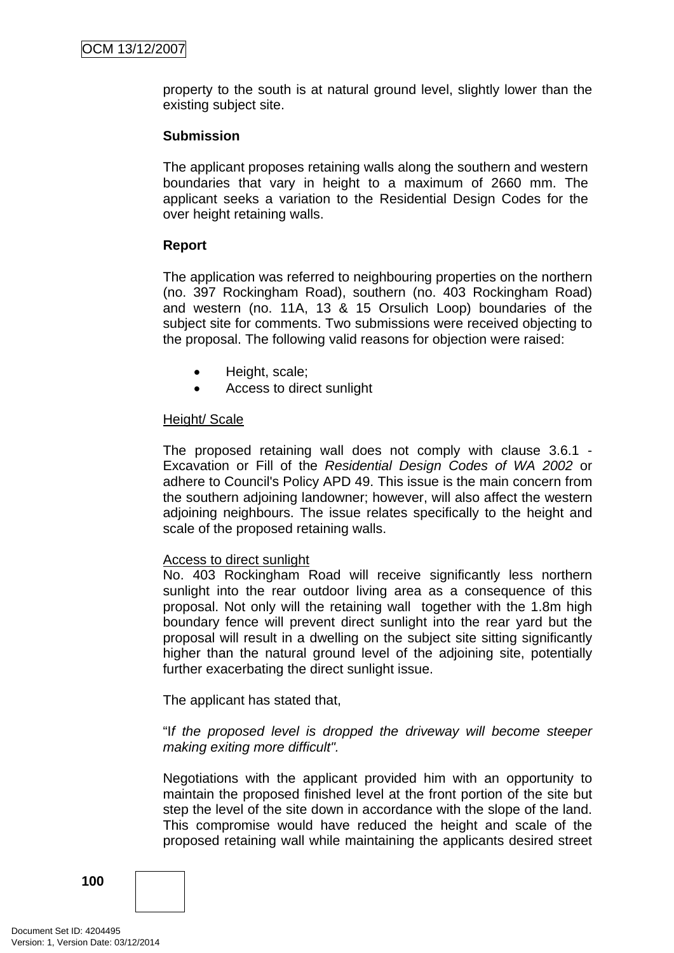property to the south is at natural ground level, slightly lower than the existing subject site.

#### **Submission**

The applicant proposes retaining walls along the southern and western boundaries that vary in height to a maximum of 2660 mm. The applicant seeks a variation to the Residential Design Codes for the over height retaining walls.

#### **Report**

The application was referred to neighbouring properties on the northern (no. 397 Rockingham Road), southern (no. 403 Rockingham Road) and western (no. 11A, 13 & 15 Orsulich Loop) boundaries of the subject site for comments. Two submissions were received objecting to the proposal. The following valid reasons for objection were raised:

- Height, scale;
- Access to direct sunlight

#### Height/ Scale

The proposed retaining wall does not comply with clause 3.6.1 - Excavation or Fill of the *Residential Design Codes of WA 2002* or adhere to Council's Policy APD 49. This issue is the main concern from the southern adjoining landowner; however, will also affect the western adjoining neighbours. The issue relates specifically to the height and scale of the proposed retaining walls.

#### Access to direct sunlight

No. 403 Rockingham Road will receive significantly less northern sunlight into the rear outdoor living area as a consequence of this proposal. Not only will the retaining wall together with the 1.8m high boundary fence will prevent direct sunlight into the rear yard but the proposal will result in a dwelling on the subject site sitting significantly higher than the natural ground level of the adjoining site, potentially further exacerbating the direct sunlight issue.

The applicant has stated that,

#### "I*f the proposed level is dropped the driveway will become steeper making exiting more difficult".*

Negotiations with the applicant provided him with an opportunity to maintain the proposed finished level at the front portion of the site but step the level of the site down in accordance with the slope of the land. This compromise would have reduced the height and scale of the proposed retaining wall while maintaining the applicants desired street

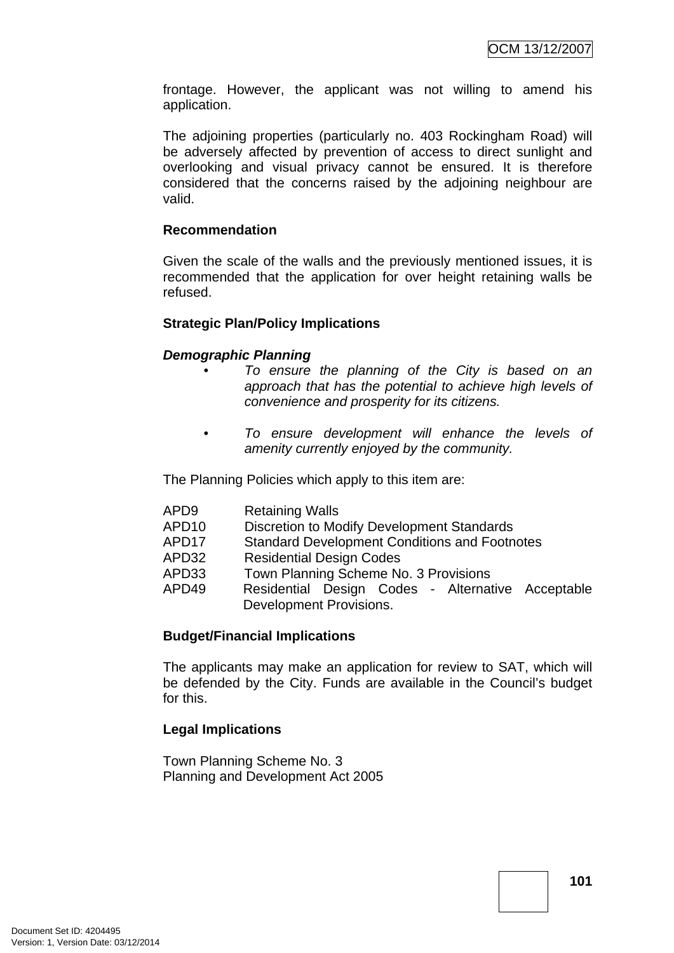frontage. However, the applicant was not willing to amend his application.

The adjoining properties (particularly no. 403 Rockingham Road) will be adversely affected by prevention of access to direct sunlight and overlooking and visual privacy cannot be ensured. It is therefore considered that the concerns raised by the adjoining neighbour are valid.

#### **Recommendation**

Given the scale of the walls and the previously mentioned issues, it is recommended that the application for over height retaining walls be refused.

## **Strategic Plan/Policy Implications**

## *Demographic Planning*

- *To ensure the planning of the City is based on an approach that has the potential to achieve high levels of convenience and prosperity for its citizens.*
- *To ensure development will enhance the levels of amenity currently enjoyed by the community.*

The Planning Policies which apply to this item are:

| APD <sub>9</sub>  | <b>Retaining Walls</b>                     |
|-------------------|--------------------------------------------|
| APD <sub>10</sub> | Discretion to Modify Development Standards |
| $\Delta$ PN17     | Standard Development Conditions and Footr  |

- APD17 Standard Development Conditions and Footnotes
- APD32 Residential Design Codes
- APD33 Town Planning Scheme No. 3 Provisions
- APD49 Residential Design Codes Alternative Acceptable Development Provisions.

## **Budget/Financial Implications**

The applicants may make an application for review to SAT, which will be defended by the City. Funds are available in the Council's budget for this.

## **Legal Implications**

Town Planning Scheme No. 3 Planning and Development Act 2005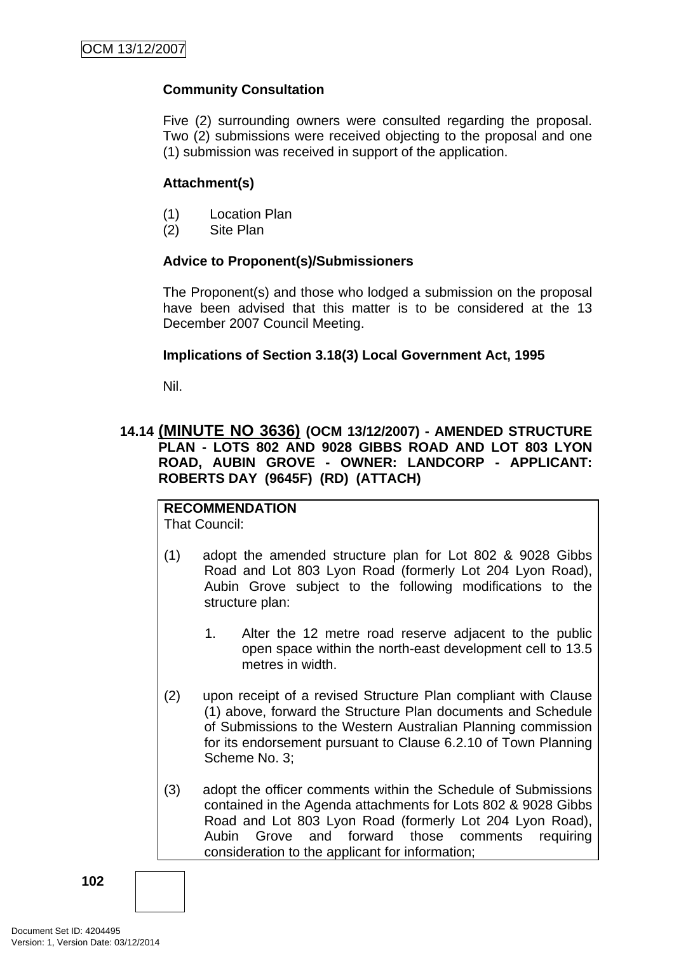## **Community Consultation**

Five (2) surrounding owners were consulted regarding the proposal. Two (2) submissions were received objecting to the proposal and one (1) submission was received in support of the application.

## **Attachment(s)**

- (1) Location Plan
- Site Plan

## **Advice to Proponent(s)/Submissioners**

The Proponent(s) and those who lodged a submission on the proposal have been advised that this matter is to be considered at the 13 December 2007 Council Meeting.

## **Implications of Section 3.18(3) Local Government Act, 1995**

Nil.

#### **14.14 (MINUTE NO 3636) (OCM 13/12/2007) - AMENDED STRUCTURE PLAN - LOTS 802 AND 9028 GIBBS ROAD AND LOT 803 LYON ROAD, AUBIN GROVE - OWNER: LANDCORP - APPLICANT: ROBERTS DAY (9645F) (RD) (ATTACH)**

## **RECOMMENDATION**

That Council:

- (1) adopt the amended structure plan for Lot 802 & 9028 Gibbs Road and Lot 803 Lyon Road (formerly Lot 204 Lyon Road), Aubin Grove subject to the following modifications to the structure plan:
	- 1. Alter the 12 metre road reserve adjacent to the public open space within the north-east development cell to 13.5 metres in width.
- (2) upon receipt of a revised Structure Plan compliant with Clause (1) above, forward the Structure Plan documents and Schedule of Submissions to the Western Australian Planning commission for its endorsement pursuant to Clause 6.2.10 of Town Planning Scheme No. 3;
- (3) adopt the officer comments within the Schedule of Submissions contained in the Agenda attachments for Lots 802 & 9028 Gibbs Road and Lot 803 Lyon Road (formerly Lot 204 Lyon Road), Aubin Grove and forward those comments requiring consideration to the applicant for information;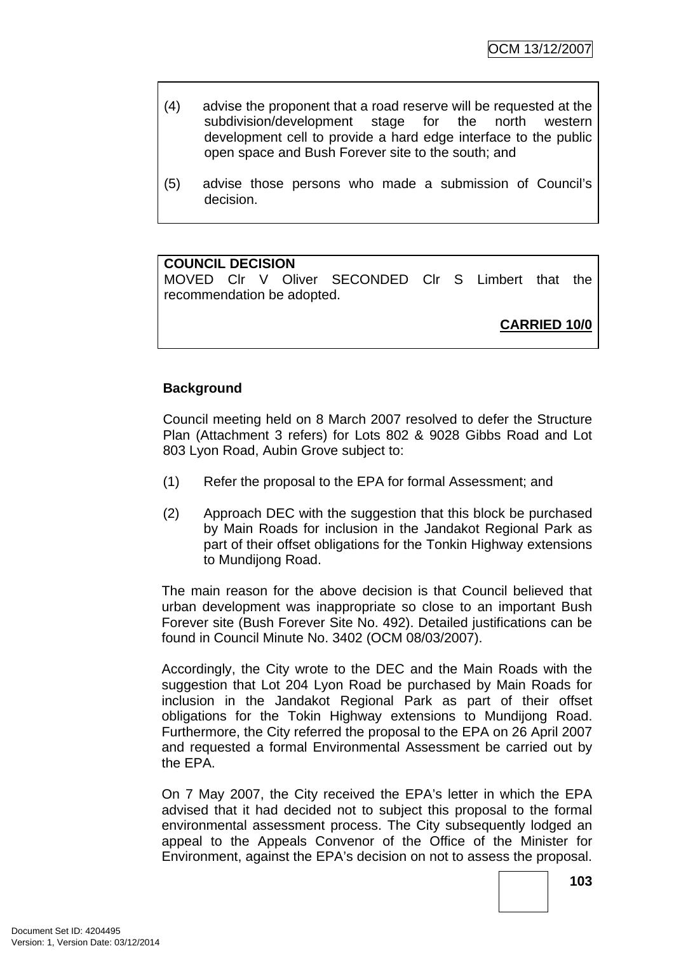- (4) advise the proponent that a road reserve will be requested at the subdivision/development stage for the north western development cell to provide a hard edge interface to the public open space and Bush Forever site to the south; and
- (5) advise those persons who made a submission of Council's decision.

## **COUNCIL DECISION**

MOVED Clr V Oliver SECONDED Clr S Limbert that the recommendation be adopted.

**CARRIED 10/0**

## **Background**

Council meeting held on 8 March 2007 resolved to defer the Structure Plan (Attachment 3 refers) for Lots 802 & 9028 Gibbs Road and Lot 803 Lyon Road, Aubin Grove subject to:

- (1) Refer the proposal to the EPA for formal Assessment; and
- (2) Approach DEC with the suggestion that this block be purchased by Main Roads for inclusion in the Jandakot Regional Park as part of their offset obligations for the Tonkin Highway extensions to Mundijong Road.

The main reason for the above decision is that Council believed that urban development was inappropriate so close to an important Bush Forever site (Bush Forever Site No. 492). Detailed justifications can be found in Council Minute No. 3402 (OCM 08/03/2007).

Accordingly, the City wrote to the DEC and the Main Roads with the suggestion that Lot 204 Lyon Road be purchased by Main Roads for inclusion in the Jandakot Regional Park as part of their offset obligations for the Tokin Highway extensions to Mundijong Road. Furthermore, the City referred the proposal to the EPA on 26 April 2007 and requested a formal Environmental Assessment be carried out by the EPA.

On 7 May 2007, the City received the EPA's letter in which the EPA advised that it had decided not to subject this proposal to the formal environmental assessment process. The City subsequently lodged an appeal to the Appeals Convenor of the Office of the Minister for Environment, against the EPA's decision on not to assess the proposal.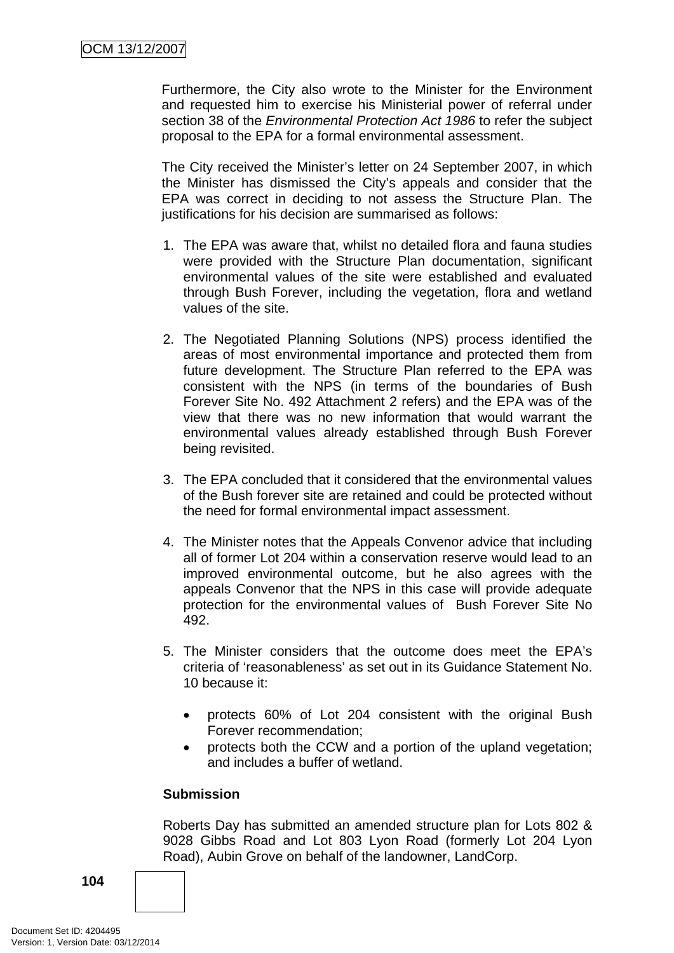Furthermore, the City also wrote to the Minister for the Environment and requested him to exercise his Ministerial power of referral under section 38 of the *Environmental Protection Act 1986* to refer the subject proposal to the EPA for a formal environmental assessment.

The City received the Minister's letter on 24 September 2007, in which the Minister has dismissed the City's appeals and consider that the EPA was correct in deciding to not assess the Structure Plan. The justifications for his decision are summarised as follows:

- 1. The EPA was aware that, whilst no detailed flora and fauna studies were provided with the Structure Plan documentation, significant environmental values of the site were established and evaluated through Bush Forever, including the vegetation, flora and wetland values of the site.
- 2. The Negotiated Planning Solutions (NPS) process identified the areas of most environmental importance and protected them from future development. The Structure Plan referred to the EPA was consistent with the NPS (in terms of the boundaries of Bush Forever Site No. 492 Attachment 2 refers) and the EPA was of the view that there was no new information that would warrant the environmental values already established through Bush Forever being revisited.
- 3. The EPA concluded that it considered that the environmental values of the Bush forever site are retained and could be protected without the need for formal environmental impact assessment.
- 4. The Minister notes that the Appeals Convenor advice that including all of former Lot 204 within a conservation reserve would lead to an improved environmental outcome, but he also agrees with the appeals Convenor that the NPS in this case will provide adequate protection for the environmental values of Bush Forever Site No 492.
- 5. The Minister considers that the outcome does meet the EPA's criteria of 'reasonableness' as set out in its Guidance Statement No. 10 because it:
	- protects 60% of Lot 204 consistent with the original Bush Forever recommendation;
	- protects both the CCW and a portion of the upland vegetation; and includes a buffer of wetland.

## **Submission**

Roberts Day has submitted an amended structure plan for Lots 802 & 9028 Gibbs Road and Lot 803 Lyon Road (formerly Lot 204 Lyon Road), Aubin Grove on behalf of the landowner, LandCorp.

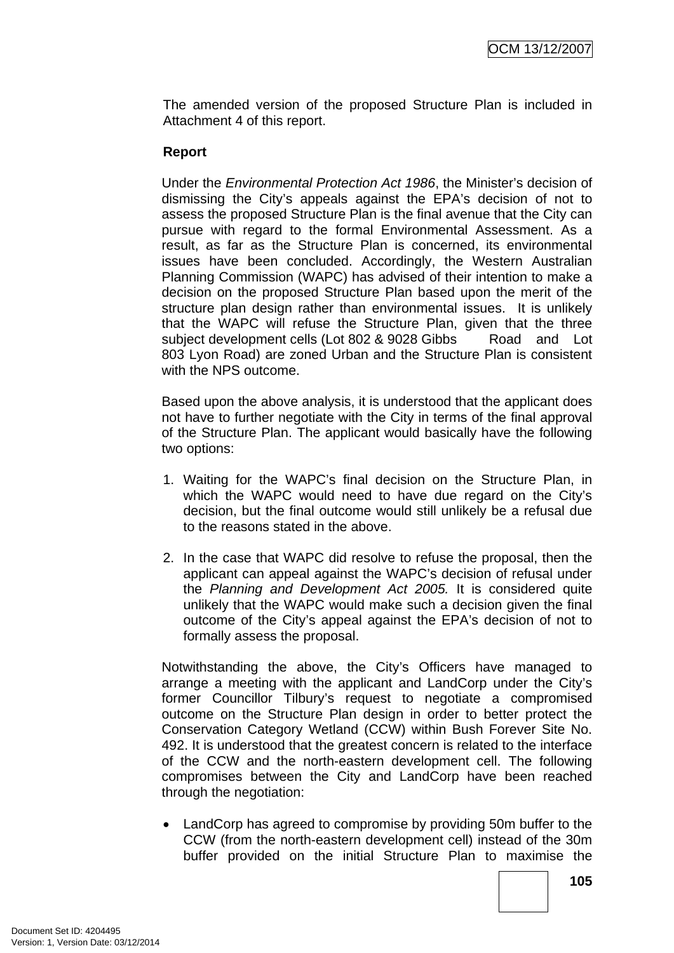The amended version of the proposed Structure Plan is included in Attachment 4 of this report.

## **Report**

Under the *Environmental Protection Act 1986*, the Minister's decision of dismissing the City's appeals against the EPA's decision of not to assess the proposed Structure Plan is the final avenue that the City can pursue with regard to the formal Environmental Assessment. As a result, as far as the Structure Plan is concerned, its environmental issues have been concluded. Accordingly, the Western Australian Planning Commission (WAPC) has advised of their intention to make a decision on the proposed Structure Plan based upon the merit of the structure plan design rather than environmental issues. It is unlikely that the WAPC will refuse the Structure Plan, given that the three subject development cells (Lot 802 & 9028 Gibbs Road and Lot 803 Lyon Road) are zoned Urban and the Structure Plan is consistent with the NPS outcome.

Based upon the above analysis, it is understood that the applicant does not have to further negotiate with the City in terms of the final approval of the Structure Plan. The applicant would basically have the following two options:

- 1. Waiting for the WAPC's final decision on the Structure Plan, in which the WAPC would need to have due regard on the City's decision, but the final outcome would still unlikely be a refusal due to the reasons stated in the above.
- 2. In the case that WAPC did resolve to refuse the proposal, then the applicant can appeal against the WAPC's decision of refusal under the *Planning and Development Act 2005.* It is considered quite unlikely that the WAPC would make such a decision given the final outcome of the City's appeal against the EPA's decision of not to formally assess the proposal.

Notwithstanding the above, the City's Officers have managed to arrange a meeting with the applicant and LandCorp under the City's former Councillor Tilbury's request to negotiate a compromised outcome on the Structure Plan design in order to better protect the Conservation Category Wetland (CCW) within Bush Forever Site No. 492. It is understood that the greatest concern is related to the interface of the CCW and the north-eastern development cell. The following compromises between the City and LandCorp have been reached through the negotiation:

• LandCorp has agreed to compromise by providing 50m buffer to the CCW (from the north-eastern development cell) instead of the 30m buffer provided on the initial Structure Plan to maximise the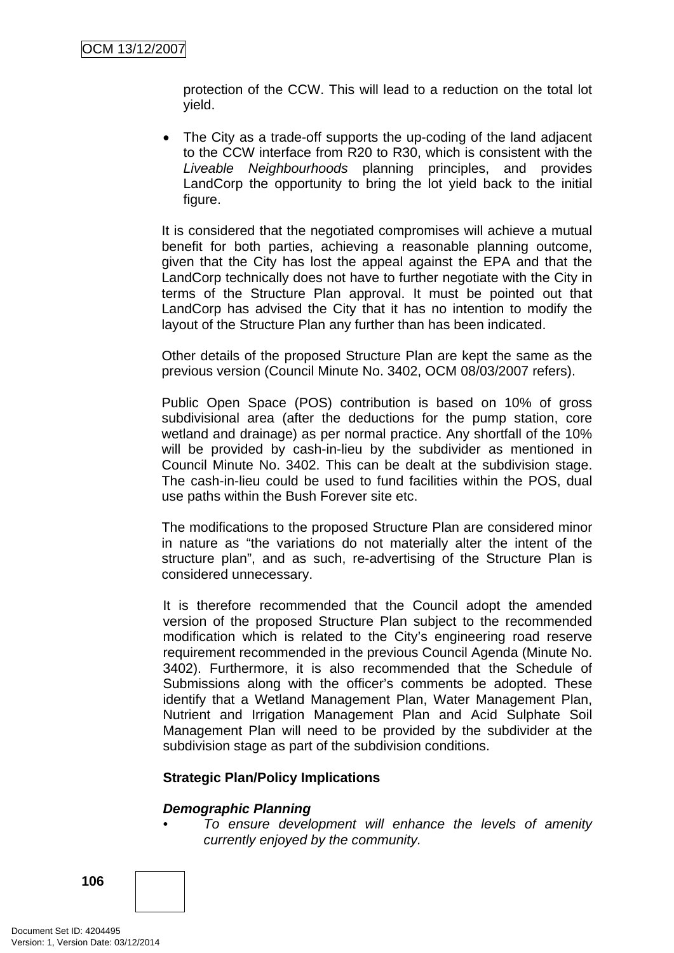protection of the CCW. This will lead to a reduction on the total lot yield.

• The City as a trade-off supports the up-coding of the land adjacent to the CCW interface from R20 to R30, which is consistent with the *Liveable Neighbourhoods* planning principles, and provides LandCorp the opportunity to bring the lot yield back to the initial figure.

It is considered that the negotiated compromises will achieve a mutual benefit for both parties, achieving a reasonable planning outcome, given that the City has lost the appeal against the EPA and that the LandCorp technically does not have to further negotiate with the City in terms of the Structure Plan approval. It must be pointed out that LandCorp has advised the City that it has no intention to modify the layout of the Structure Plan any further than has been indicated.

Other details of the proposed Structure Plan are kept the same as the previous version (Council Minute No. 3402, OCM 08/03/2007 refers).

Public Open Space (POS) contribution is based on 10% of gross subdivisional area (after the deductions for the pump station, core wetland and drainage) as per normal practice. Any shortfall of the 10% will be provided by cash-in-lieu by the subdivider as mentioned in Council Minute No. 3402. This can be dealt at the subdivision stage. The cash-in-lieu could be used to fund facilities within the POS, dual use paths within the Bush Forever site etc.

The modifications to the proposed Structure Plan are considered minor in nature as "the variations do not materially alter the intent of the structure plan", and as such, re-advertising of the Structure Plan is considered unnecessary.

It is therefore recommended that the Council adopt the amended version of the proposed Structure Plan subject to the recommended modification which is related to the City's engineering road reserve requirement recommended in the previous Council Agenda (Minute No. 3402). Furthermore, it is also recommended that the Schedule of Submissions along with the officer's comments be adopted. These identify that a Wetland Management Plan, Water Management Plan, Nutrient and Irrigation Management Plan and Acid Sulphate Soil Management Plan will need to be provided by the subdivider at the subdivision stage as part of the subdivision conditions.

## **Strategic Plan/Policy Implications**

## *Demographic Planning*

*• To ensure development will enhance the levels of amenity currently enjoyed by the community.* 

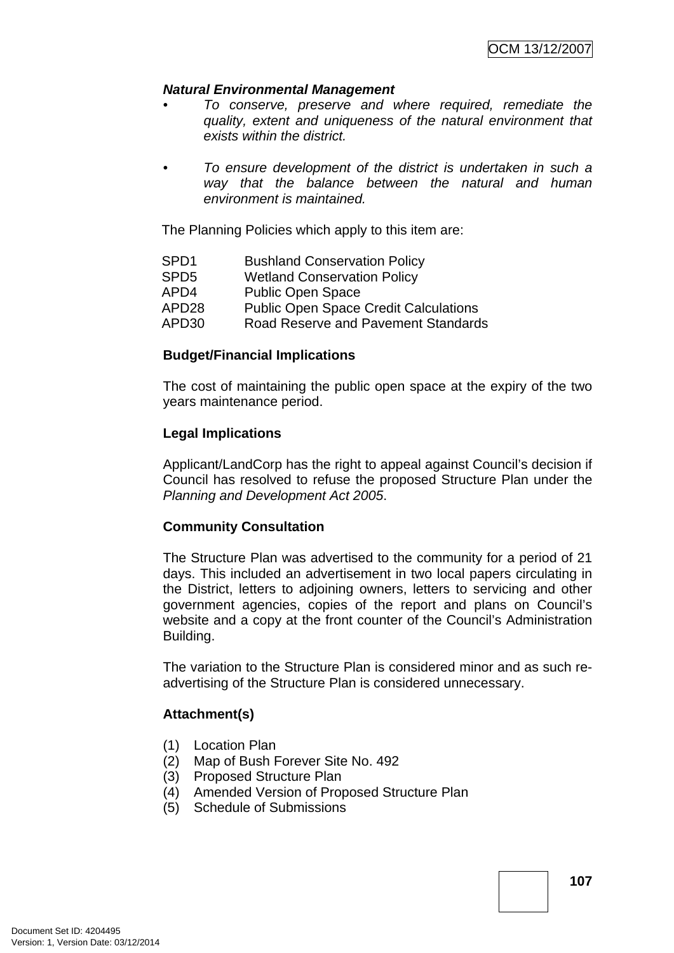## *Natural Environmental Management*

- *To conserve, preserve and where required, remediate the quality, extent and uniqueness of the natural environment that exists within the district.*
- *To ensure development of the district is undertaken in such a way that the balance between the natural and human environment is maintained.*

The Planning Policies which apply to this item are:

| SPD1  | <b>Bushland Conservation Policy</b>          |
|-------|----------------------------------------------|
| SPD5  | <b>Wetland Conservation Policy</b>           |
| APD4  | <b>Public Open Space</b>                     |
| APD28 | <b>Public Open Space Credit Calculations</b> |
| APD30 | Road Reserve and Pavement Standards          |

## **Budget/Financial Implications**

The cost of maintaining the public open space at the expiry of the two years maintenance period.

## **Legal Implications**

Applicant/LandCorp has the right to appeal against Council's decision if Council has resolved to refuse the proposed Structure Plan under the *Planning and Development Act 2005*.

## **Community Consultation**

The Structure Plan was advertised to the community for a period of 21 days. This included an advertisement in two local papers circulating in the District, letters to adjoining owners, letters to servicing and other government agencies, copies of the report and plans on Council's website and a copy at the front counter of the Council's Administration Building.

The variation to the Structure Plan is considered minor and as such readvertising of the Structure Plan is considered unnecessary.

## **Attachment(s)**

- (1) Location Plan
- (2) Map of Bush Forever Site No. 492
- (3) Proposed Structure Plan
- (4) Amended Version of Proposed Structure Plan
- (5) Schedule of Submissions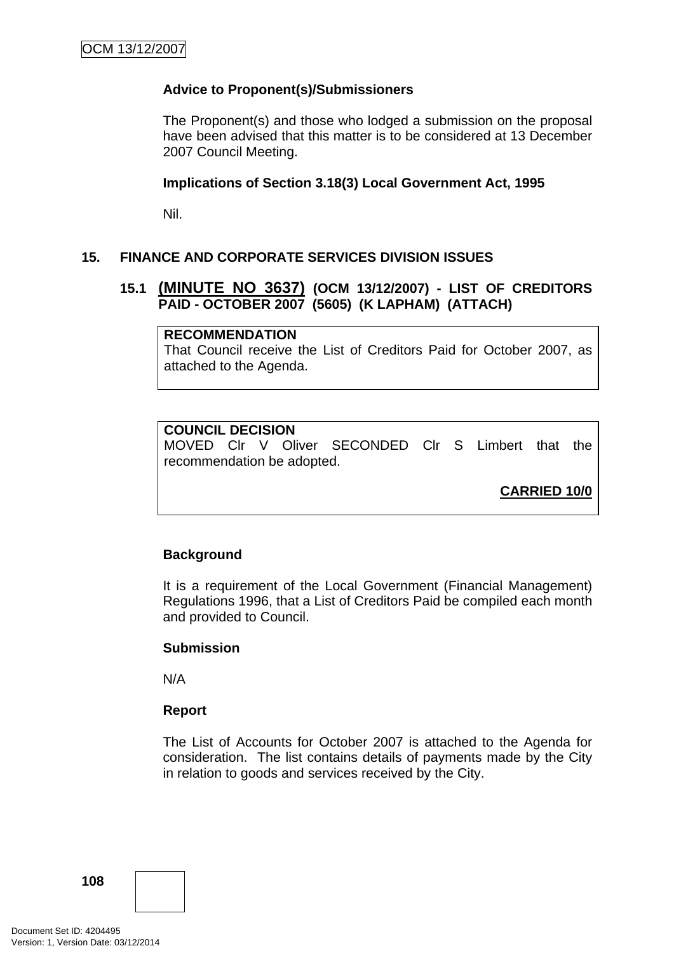## **Advice to Proponent(s)/Submissioners**

The Proponent(s) and those who lodged a submission on the proposal have been advised that this matter is to be considered at 13 December 2007 Council Meeting.

#### **Implications of Section 3.18(3) Local Government Act, 1995**

Nil.

## **15. FINANCE AND CORPORATE SERVICES DIVISION ISSUES**

#### **15.1 (MINUTE NO 3637) (OCM 13/12/2007) - LIST OF CREDITORS PAID - OCTOBER 2007 (5605) (K LAPHAM) (ATTACH)**

#### **RECOMMENDATION**

That Council receive the List of Creditors Paid for October 2007, as attached to the Agenda.

#### **COUNCIL DECISION**

MOVED Clr V Oliver SECONDED Clr S Limbert that the recommendation be adopted.

**CARRIED 10/0**

## **Background**

It is a requirement of the Local Government (Financial Management) Regulations 1996, that a List of Creditors Paid be compiled each month and provided to Council.

#### **Submission**

N/A

#### **Report**

The List of Accounts for October 2007 is attached to the Agenda for consideration. The list contains details of payments made by the City in relation to goods and services received by the City.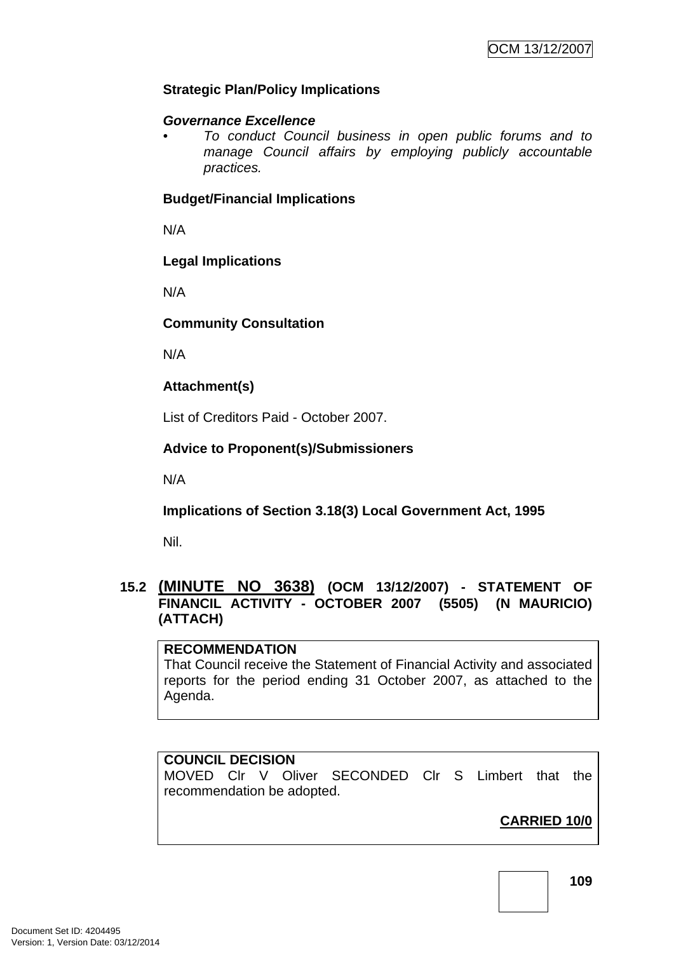## **Strategic Plan/Policy Implications**

#### *Governance Excellence*

*• To conduct Council business in open public forums and to manage Council affairs by employing publicly accountable practices.* 

#### **Budget/Financial Implications**

N/A

## **Legal Implications**

N/A

## **Community Consultation**

N/A

## **Attachment(s)**

List of Creditors Paid - October 2007.

## **Advice to Proponent(s)/Submissioners**

N/A

## **Implications of Section 3.18(3) Local Government Act, 1995**

Nil.

## **15.2 (MINUTE NO 3638) (OCM 13/12/2007) - STATEMENT OF FINANCIL ACTIVITY - OCTOBER 2007 (5505) (N MAURICIO) (ATTACH)**

#### **RECOMMENDATION**

That Council receive the Statement of Financial Activity and associated reports for the period ending 31 October 2007, as attached to the Agenda.

## **COUNCIL DECISION**

MOVED Clr V Oliver SECONDED Clr S Limbert that the recommendation be adopted.

# **CARRIED 10/0**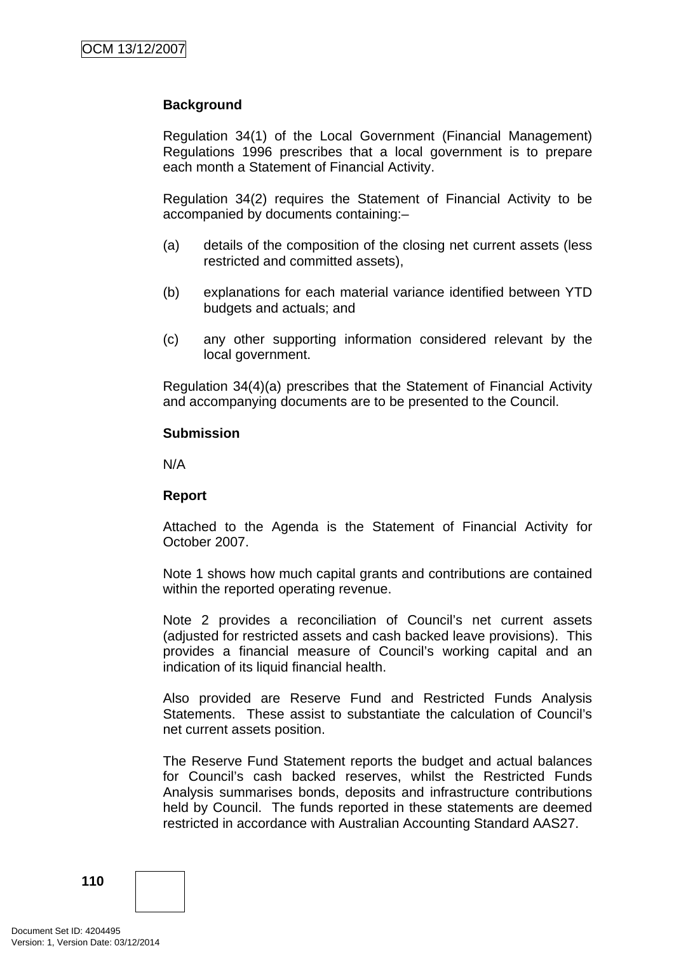## **Background**

Regulation 34(1) of the Local Government (Financial Management) Regulations 1996 prescribes that a local government is to prepare each month a Statement of Financial Activity.

Regulation 34(2) requires the Statement of Financial Activity to be accompanied by documents containing:–

- (a) details of the composition of the closing net current assets (less restricted and committed assets),
- (b) explanations for each material variance identified between YTD budgets and actuals; and
- (c) any other supporting information considered relevant by the local government.

Regulation 34(4)(a) prescribes that the Statement of Financial Activity and accompanying documents are to be presented to the Council.

#### **Submission**

N/A

## **Report**

Attached to the Agenda is the Statement of Financial Activity for October 2007.

Note 1 shows how much capital grants and contributions are contained within the reported operating revenue.

Note 2 provides a reconciliation of Council's net current assets (adjusted for restricted assets and cash backed leave provisions). This provides a financial measure of Council's working capital and an indication of its liquid financial health.

Also provided are Reserve Fund and Restricted Funds Analysis Statements. These assist to substantiate the calculation of Council's net current assets position.

The Reserve Fund Statement reports the budget and actual balances for Council's cash backed reserves, whilst the Restricted Funds Analysis summarises bonds, deposits and infrastructure contributions held by Council. The funds reported in these statements are deemed restricted in accordance with Australian Accounting Standard AAS27.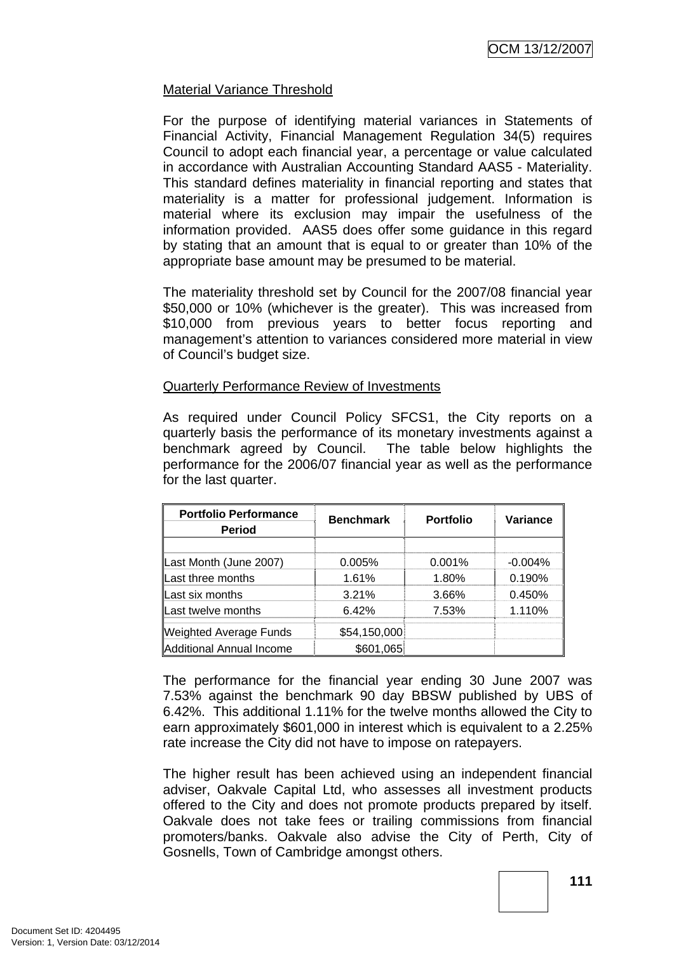## Material Variance Threshold

For the purpose of identifying material variances in Statements of Financial Activity, Financial Management Regulation 34(5) requires Council to adopt each financial year, a percentage or value calculated in accordance with Australian Accounting Standard AAS5 - Materiality. This standard defines materiality in financial reporting and states that materiality is a matter for professional judgement. Information is material where its exclusion may impair the usefulness of the information provided. AAS5 does offer some guidance in this regard by stating that an amount that is equal to or greater than 10% of the appropriate base amount may be presumed to be material.

The materiality threshold set by Council for the 2007/08 financial year \$50,000 or 10% (whichever is the greater). This was increased from \$10,000 from previous years to better focus reporting and management's attention to variances considered more material in view of Council's budget size.

#### Quarterly Performance Review of Investments

As required under Council Policy SFCS1, the City reports on a quarterly basis the performance of its monetary investments against a benchmark agreed by Council. The table below highlights the performance for the 2006/07 financial year as well as the performance for the last quarter.

| <b>Portfolio Performance</b><br><b>Period</b> | <b>Benchmark</b> | <b>Portfolio</b> | Variance  |
|-----------------------------------------------|------------------|------------------|-----------|
|                                               |                  |                  |           |
| Last Month (June 2007)                        | 0.005%           | 0.001%           | $-0.004%$ |
| Last three months                             | 1.61%            | 1.80%            | 0.190%    |
| Last six months                               | 3.21%            | 3.66%            | 0.450%    |
| Last twelve months                            | 6.42%            | 7.53%            | 1.110%    |
| <b>Weighted Average Funds</b>                 | \$54,150,000     |                  |           |
| <b>Additional Annual Income</b>               | \$601,065        |                  |           |

The performance for the financial year ending 30 June 2007 was 7.53% against the benchmark 90 day BBSW published by UBS of 6.42%. This additional 1.11% for the twelve months allowed the City to earn approximately \$601,000 in interest which is equivalent to a 2.25% rate increase the City did not have to impose on ratepayers.

The higher result has been achieved using an independent financial adviser, Oakvale Capital Ltd, who assesses all investment products offered to the City and does not promote products prepared by itself. Oakvale does not take fees or trailing commissions from financial promoters/banks. Oakvale also advise the City of Perth, City of Gosnells, Town of Cambridge amongst others.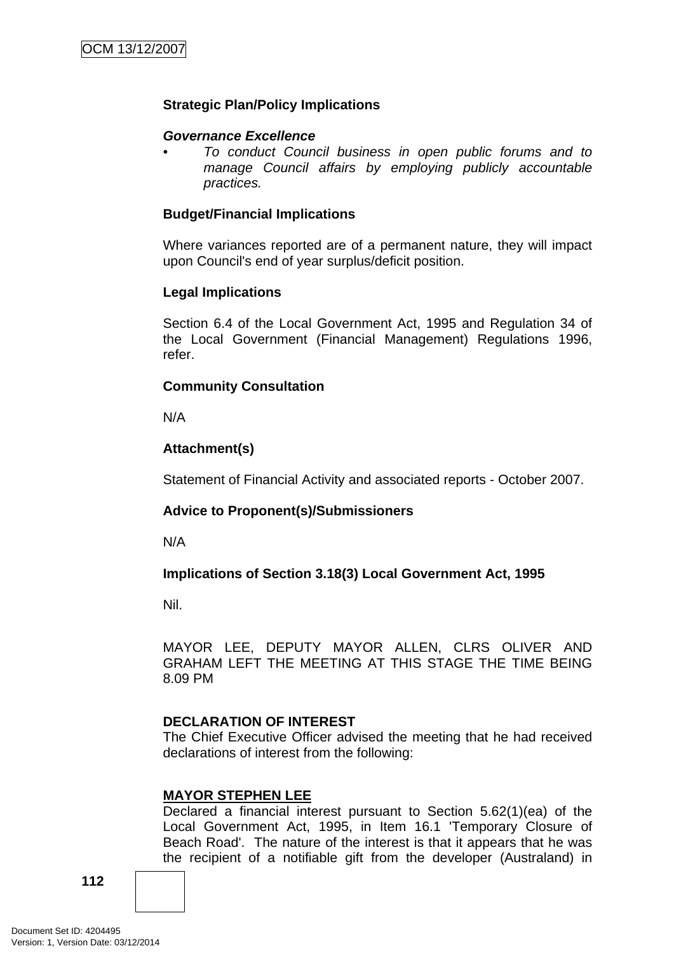## **Strategic Plan/Policy Implications**

## *Governance Excellence*

*• To conduct Council business in open public forums and to manage Council affairs by employing publicly accountable practices.* 

#### **Budget/Financial Implications**

Where variances reported are of a permanent nature, they will impact upon Council's end of year surplus/deficit position.

#### **Legal Implications**

Section 6.4 of the Local Government Act, 1995 and Regulation 34 of the Local Government (Financial Management) Regulations 1996, refer.

#### **Community Consultation**

N/A

## **Attachment(s)**

Statement of Financial Activity and associated reports - October 2007.

## **Advice to Proponent(s)/Submissioners**

N/A

## **Implications of Section 3.18(3) Local Government Act, 1995**

Nil.

MAYOR LEE, DEPUTY MAYOR ALLEN, CLRS OLIVER AND GRAHAM LEFT THE MEETING AT THIS STAGE THE TIME BEING 8.09 PM

#### **DECLARATION OF INTEREST**

The Chief Executive Officer advised the meeting that he had received declarations of interest from the following:

## **MAYOR STEPHEN LEE**

Declared a financial interest pursuant to Section 5.62(1)(ea) of the Local Government Act, 1995, in Item 16.1 'Temporary Closure of Beach Road'. The nature of the interest is that it appears that he was the recipient of a notifiable gift from the developer (Australand) in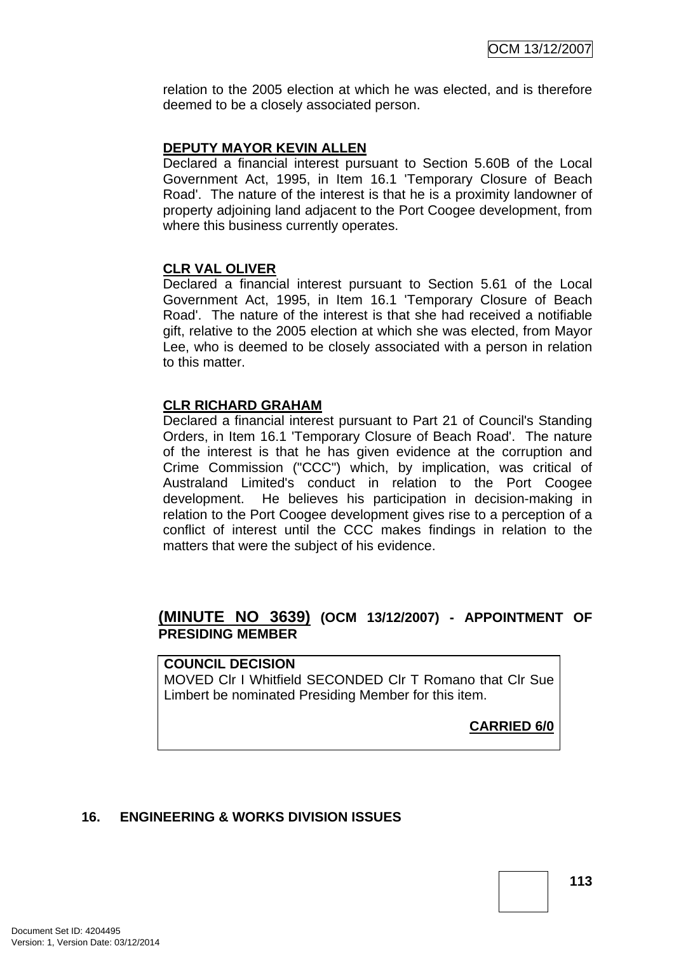relation to the 2005 election at which he was elected, and is therefore deemed to be a closely associated person.

#### **DEPUTY MAYOR KEVIN ALLEN**

Declared a financial interest pursuant to Section 5.60B of the Local Government Act, 1995, in Item 16.1 'Temporary Closure of Beach Road'. The nature of the interest is that he is a proximity landowner of property adjoining land adjacent to the Port Coogee development, from where this business currently operates.

#### **CLR VAL OLIVER**

Declared a financial interest pursuant to Section 5.61 of the Local Government Act, 1995, in Item 16.1 'Temporary Closure of Beach Road'. The nature of the interest is that she had received a notifiable gift, relative to the 2005 election at which she was elected, from Mayor Lee, who is deemed to be closely associated with a person in relation to this matter.

#### **CLR RICHARD GRAHAM**

Declared a financial interest pursuant to Part 21 of Council's Standing Orders, in Item 16.1 'Temporary Closure of Beach Road'. The nature of the interest is that he has given evidence at the corruption and Crime Commission ("CCC") which, by implication, was critical of Australand Limited's conduct in relation to the Port Coogee development. He believes his participation in decision-making in relation to the Port Coogee development gives rise to a perception of a conflict of interest until the CCC makes findings in relation to the matters that were the subject of his evidence.

## **(MINUTE NO 3639) (OCM 13/12/2007) - APPOINTMENT OF PRESIDING MEMBER**

#### **COUNCIL DECISION**

MOVED Clr I Whitfield SECONDED Clr T Romano that Clr Sue Limbert be nominated Presiding Member for this item.

**CARRIED 6/0**

## **16. ENGINEERING & WORKS DIVISION ISSUES**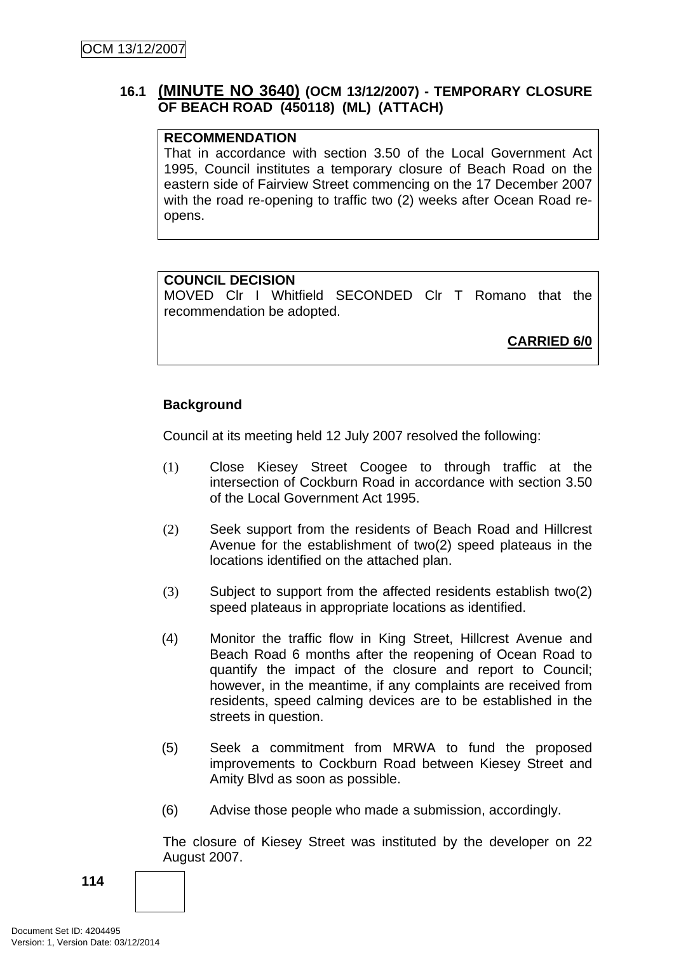## **16.1 (MINUTE NO 3640) (OCM 13/12/2007) - TEMPORARY CLOSURE OF BEACH ROAD (450118) (ML) (ATTACH)**

## **RECOMMENDATION**

That in accordance with section 3.50 of the Local Government Act 1995, Council institutes a temporary closure of Beach Road on the eastern side of Fairview Street commencing on the 17 December 2007 with the road re-opening to traffic two (2) weeks after Ocean Road reopens.

## **COUNCIL DECISION**

MOVED Clr I Whitfield SECONDED Clr T Romano that the recommendation be adopted.

**CARRIED 6/0**

## **Background**

Council at its meeting held 12 July 2007 resolved the following:

- (1) Close Kiesey Street Coogee to through traffic at the intersection of Cockburn Road in accordance with section 3.50 of the Local Government Act 1995.
- (2) Seek support from the residents of Beach Road and Hillcrest Avenue for the establishment of two(2) speed plateaus in the locations identified on the attached plan.
- (3) Subject to support from the affected residents establish two(2) speed plateaus in appropriate locations as identified.
- (4) Monitor the traffic flow in King Street, Hillcrest Avenue and Beach Road 6 months after the reopening of Ocean Road to quantify the impact of the closure and report to Council; however, in the meantime, if any complaints are received from residents, speed calming devices are to be established in the streets in question.
- (5) Seek a commitment from MRWA to fund the proposed improvements to Cockburn Road between Kiesey Street and Amity Blvd as soon as possible.
- (6) Advise those people who made a submission, accordingly.

The closure of Kiesey Street was instituted by the developer on 22 August 2007.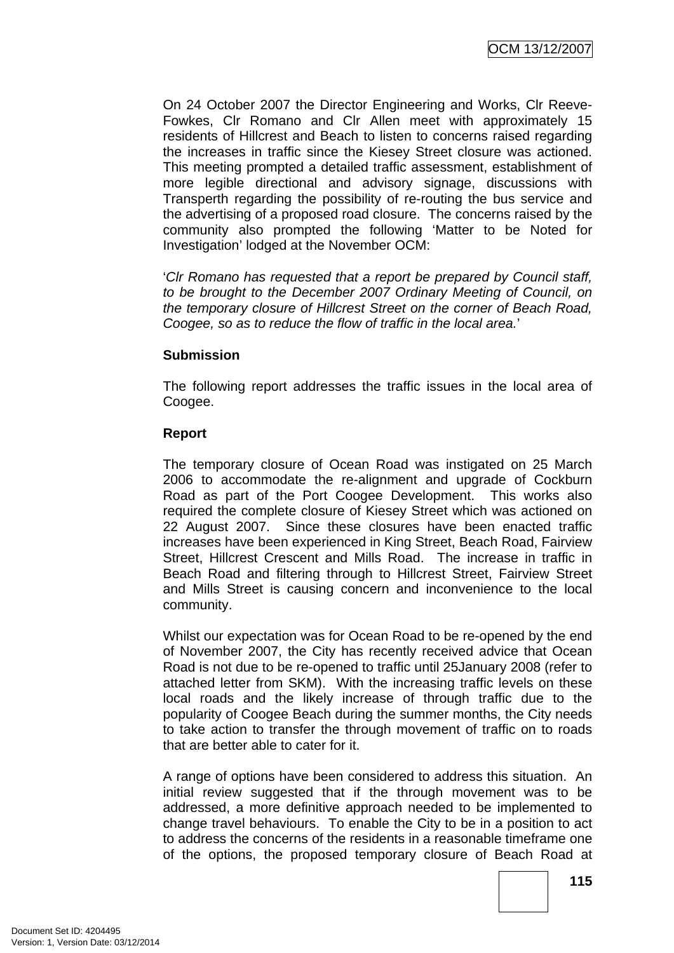On 24 October 2007 the Director Engineering and Works, Clr Reeve-Fowkes, Clr Romano and Clr Allen meet with approximately 15 residents of Hillcrest and Beach to listen to concerns raised regarding the increases in traffic since the Kiesey Street closure was actioned. This meeting prompted a detailed traffic assessment, establishment of more legible directional and advisory signage, discussions with Transperth regarding the possibility of re-routing the bus service and the advertising of a proposed road closure. The concerns raised by the community also prompted the following 'Matter to be Noted for Investigation' lodged at the November OCM:

'*Clr Romano has requested that a report be prepared by Council staff, to be brought to the December 2007 Ordinary Meeting of Council, on the temporary closure of Hillcrest Street on the corner of Beach Road, Coogee, so as to reduce the flow of traffic in the local area.*'

## **Submission**

The following report addresses the traffic issues in the local area of Coogee.

## **Report**

The temporary closure of Ocean Road was instigated on 25 March 2006 to accommodate the re-alignment and upgrade of Cockburn Road as part of the Port Coogee Development. This works also required the complete closure of Kiesey Street which was actioned on 22 August 2007. Since these closures have been enacted traffic increases have been experienced in King Street, Beach Road, Fairview Street, Hillcrest Crescent and Mills Road. The increase in traffic in Beach Road and filtering through to Hillcrest Street, Fairview Street and Mills Street is causing concern and inconvenience to the local community.

Whilst our expectation was for Ocean Road to be re-opened by the end of November 2007, the City has recently received advice that Ocean Road is not due to be re-opened to traffic until 25January 2008 (refer to attached letter from SKM). With the increasing traffic levels on these local roads and the likely increase of through traffic due to the popularity of Coogee Beach during the summer months, the City needs to take action to transfer the through movement of traffic on to roads that are better able to cater for it.

A range of options have been considered to address this situation. An initial review suggested that if the through movement was to be addressed, a more definitive approach needed to be implemented to change travel behaviours. To enable the City to be in a position to act to address the concerns of the residents in a reasonable timeframe one of the options, the proposed temporary closure of Beach Road at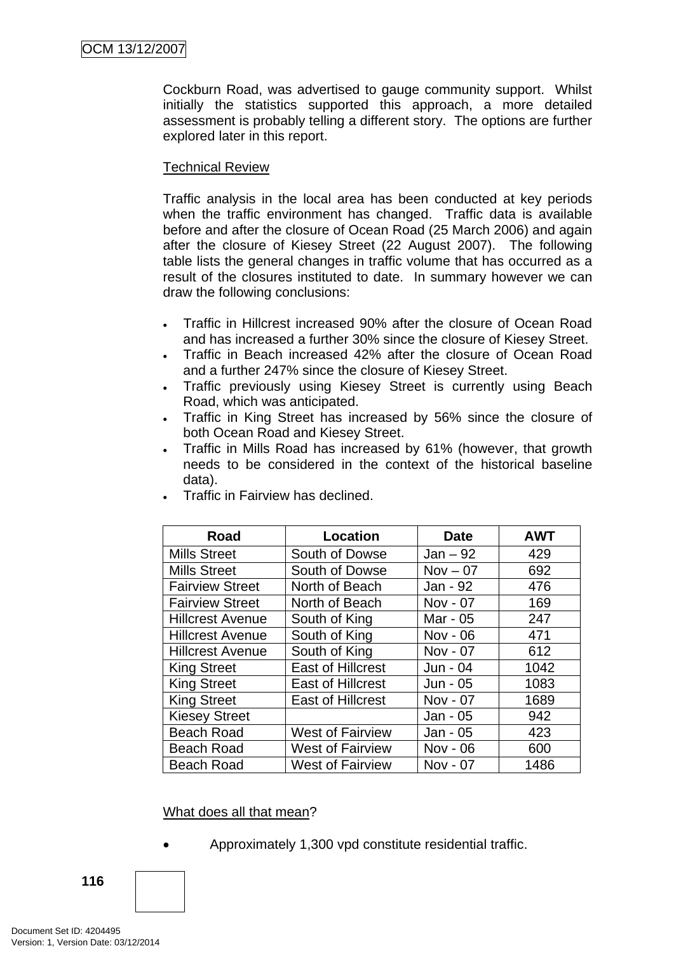Cockburn Road, was advertised to gauge community support. Whilst initially the statistics supported this approach, a more detailed assessment is probably telling a different story. The options are further explored later in this report.

## Technical Review

Traffic analysis in the local area has been conducted at key periods when the traffic environment has changed. Traffic data is available before and after the closure of Ocean Road (25 March 2006) and again after the closure of Kiesey Street (22 August 2007). The following table lists the general changes in traffic volume that has occurred as a result of the closures instituted to date. In summary however we can draw the following conclusions:

- Traffic in Hillcrest increased 90% after the closure of Ocean Road and has increased a further 30% since the closure of Kiesey Street.
- Traffic in Beach increased 42% after the closure of Ocean Road and a further 247% since the closure of Kiesey Street.
- Traffic previously using Kiesey Street is currently using Beach Road, which was anticipated.
- Traffic in King Street has increased by 56% since the closure of both Ocean Road and Kiesey Street.
- Traffic in Mills Road has increased by 61% (however, that growth needs to be considered in the context of the historical baseline data).

| Road                    | <b>Location</b>          | <b>Date</b> | <b>AWT</b> |
|-------------------------|--------------------------|-------------|------------|
| <b>Mills Street</b>     | South of Dowse           | $Jan - 92$  | 429        |
| <b>Mills Street</b>     | South of Dowse           | $Nov - 07$  | 692        |
| <b>Fairview Street</b>  | North of Beach           | Jan - 92    | 476        |
| <b>Fairview Street</b>  | North of Beach           | Nov - 07    | 169        |
| <b>Hillcrest Avenue</b> | South of King            | Mar - 05    | 247        |
| <b>Hillcrest Avenue</b> | South of King            | Nov - 06    | 471        |
| <b>Hillcrest Avenue</b> | South of King            | Nov - 07    | 612        |
| <b>King Street</b>      | <b>East of Hillcrest</b> | Jun - 04    | 1042       |
| <b>King Street</b>      | <b>East of Hillcrest</b> | Jun - 05    | 1083       |
| <b>King Street</b>      | <b>East of Hillcrest</b> | Nov - 07    | 1689       |
| <b>Kiesey Street</b>    |                          | Jan - 05    | 942        |
| <b>Beach Road</b>       | <b>West of Fairview</b>  | Jan - 05    | 423        |
| <b>Beach Road</b>       | <b>West of Fairview</b>  | Nov - 06    | 600        |
| <b>Beach Road</b>       | <b>West of Fairview</b>  | Nov - 07    | 1486       |

• Traffic in Fairview has declined.

## What does all that mean?

• Approximately 1,300 vpd constitute residential traffic.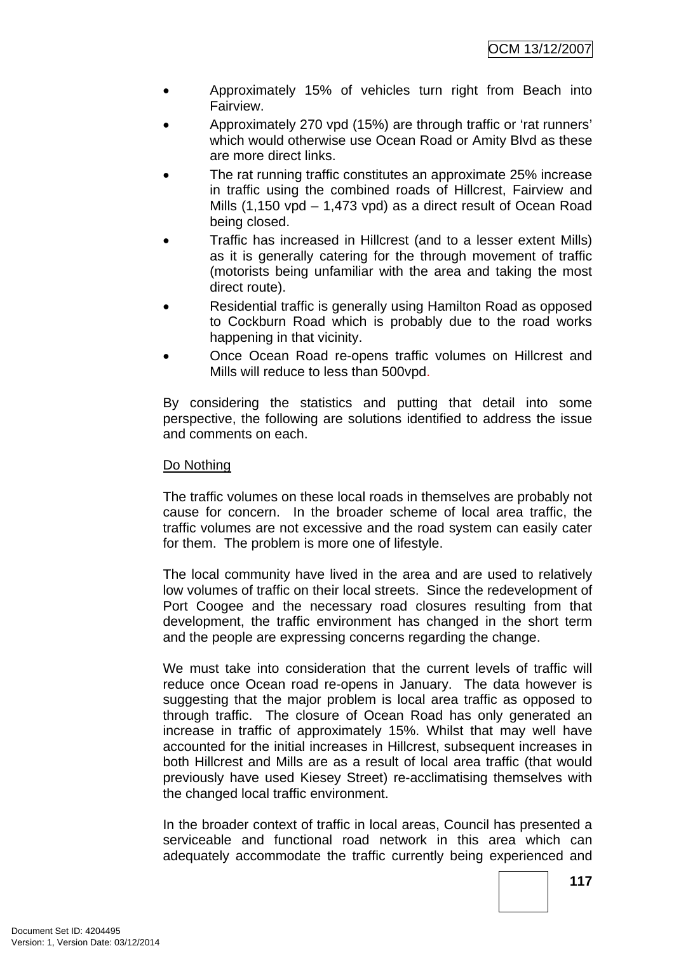- Approximately 15% of vehicles turn right from Beach into Fairview.
- Approximately 270 vpd (15%) are through traffic or 'rat runners' which would otherwise use Ocean Road or Amity Blvd as these are more direct links.
- The rat running traffic constitutes an approximate 25% increase in traffic using the combined roads of Hillcrest, Fairview and Mills (1,150 vpd – 1,473 vpd) as a direct result of Ocean Road being closed.
- Traffic has increased in Hillcrest (and to a lesser extent Mills) as it is generally catering for the through movement of traffic (motorists being unfamiliar with the area and taking the most direct route).
- Residential traffic is generally using Hamilton Road as opposed to Cockburn Road which is probably due to the road works happening in that vicinity.
- Once Ocean Road re-opens traffic volumes on Hillcrest and Mills will reduce to less than 500vpd.

By considering the statistics and putting that detail into some perspective, the following are solutions identified to address the issue and comments on each.

## Do Nothing

The traffic volumes on these local roads in themselves are probably not cause for concern. In the broader scheme of local area traffic, the traffic volumes are not excessive and the road system can easily cater for them. The problem is more one of lifestyle.

The local community have lived in the area and are used to relatively low volumes of traffic on their local streets. Since the redevelopment of Port Coogee and the necessary road closures resulting from that development, the traffic environment has changed in the short term and the people are expressing concerns regarding the change.

We must take into consideration that the current levels of traffic will reduce once Ocean road re-opens in January. The data however is suggesting that the major problem is local area traffic as opposed to through traffic. The closure of Ocean Road has only generated an increase in traffic of approximately 15%. Whilst that may well have accounted for the initial increases in Hillcrest, subsequent increases in both Hillcrest and Mills are as a result of local area traffic (that would previously have used Kiesey Street) re-acclimatising themselves with the changed local traffic environment.

In the broader context of traffic in local areas, Council has presented a serviceable and functional road network in this area which can adequately accommodate the traffic currently being experienced and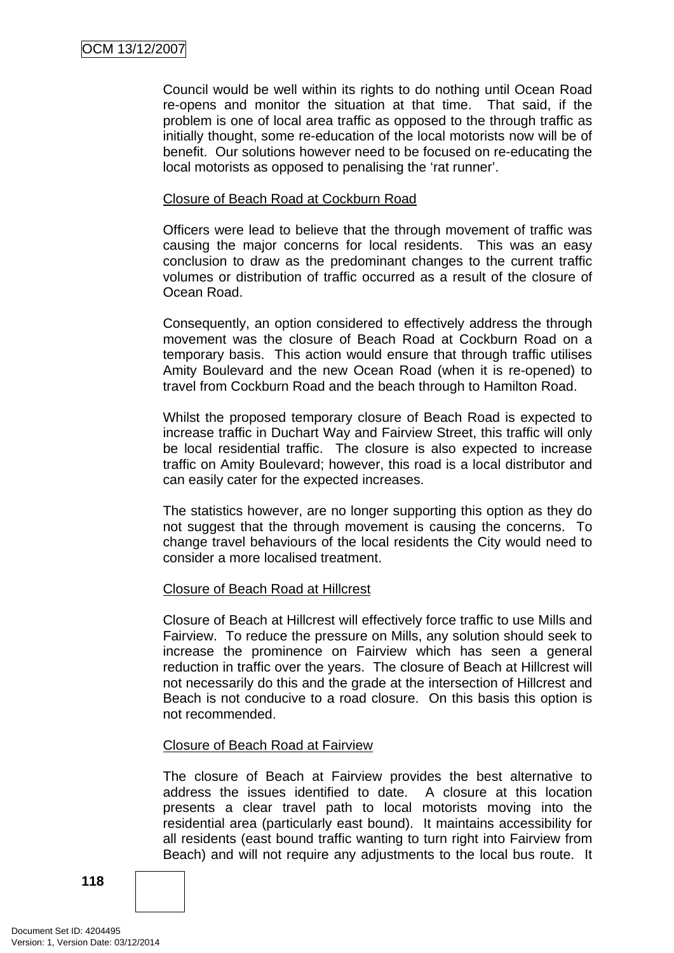Council would be well within its rights to do nothing until Ocean Road re-opens and monitor the situation at that time. That said, if the problem is one of local area traffic as opposed to the through traffic as initially thought, some re-education of the local motorists now will be of benefit. Our solutions however need to be focused on re-educating the local motorists as opposed to penalising the 'rat runner'.

## Closure of Beach Road at Cockburn Road

Officers were lead to believe that the through movement of traffic was causing the major concerns for local residents. This was an easy conclusion to draw as the predominant changes to the current traffic volumes or distribution of traffic occurred as a result of the closure of Ocean Road.

Consequently, an option considered to effectively address the through movement was the closure of Beach Road at Cockburn Road on a temporary basis. This action would ensure that through traffic utilises Amity Boulevard and the new Ocean Road (when it is re-opened) to travel from Cockburn Road and the beach through to Hamilton Road.

Whilst the proposed temporary closure of Beach Road is expected to increase traffic in Duchart Way and Fairview Street, this traffic will only be local residential traffic. The closure is also expected to increase traffic on Amity Boulevard; however, this road is a local distributor and can easily cater for the expected increases.

The statistics however, are no longer supporting this option as they do not suggest that the through movement is causing the concerns. To change travel behaviours of the local residents the City would need to consider a more localised treatment.

## Closure of Beach Road at Hillcrest

Closure of Beach at Hillcrest will effectively force traffic to use Mills and Fairview. To reduce the pressure on Mills, any solution should seek to increase the prominence on Fairview which has seen a general reduction in traffic over the years. The closure of Beach at Hillcrest will not necessarily do this and the grade at the intersection of Hillcrest and Beach is not conducive to a road closure. On this basis this option is not recommended.

## Closure of Beach Road at Fairview

The closure of Beach at Fairview provides the best alternative to address the issues identified to date. A closure at this location presents a clear travel path to local motorists moving into the residential area (particularly east bound). It maintains accessibility for all residents (east bound traffic wanting to turn right into Fairview from Beach) and will not require any adjustments to the local bus route. It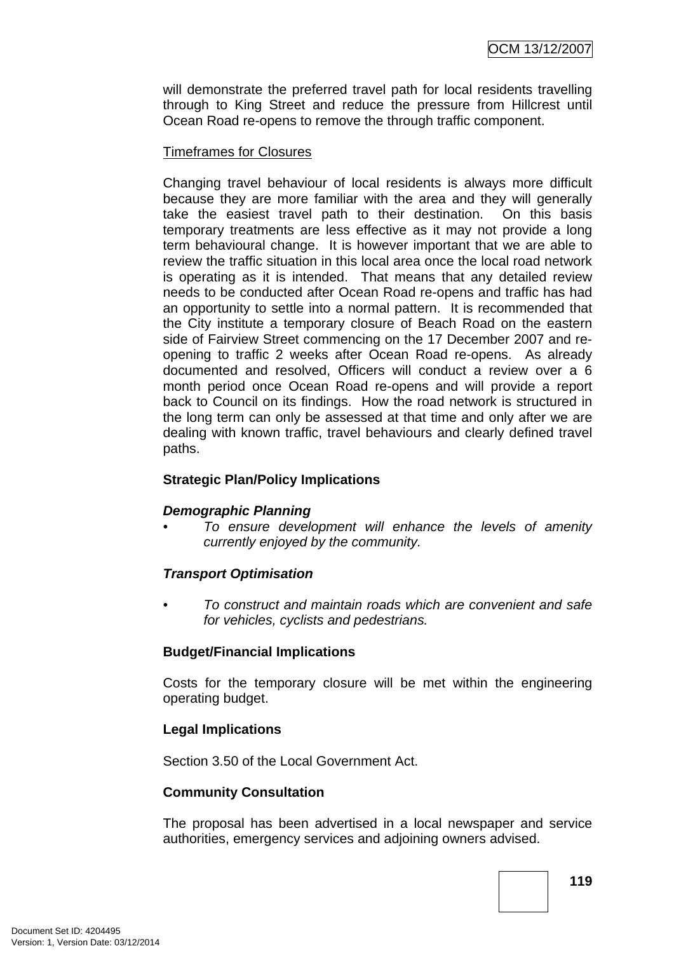will demonstrate the preferred travel path for local residents travelling through to King Street and reduce the pressure from Hillcrest until Ocean Road re-opens to remove the through traffic component.

## Timeframes for Closures

Changing travel behaviour of local residents is always more difficult because they are more familiar with the area and they will generally take the easiest travel path to their destination. On this basis temporary treatments are less effective as it may not provide a long term behavioural change. It is however important that we are able to review the traffic situation in this local area once the local road network is operating as it is intended. That means that any detailed review needs to be conducted after Ocean Road re-opens and traffic has had an opportunity to settle into a normal pattern. It is recommended that the City institute a temporary closure of Beach Road on the eastern side of Fairview Street commencing on the 17 December 2007 and reopening to traffic 2 weeks after Ocean Road re-opens. As already documented and resolved, Officers will conduct a review over a 6 month period once Ocean Road re-opens and will provide a report back to Council on its findings. How the road network is structured in the long term can only be assessed at that time and only after we are dealing with known traffic, travel behaviours and clearly defined travel paths.

## **Strategic Plan/Policy Implications**

## *Demographic Planning*

*• To ensure development will enhance the levels of amenity currently enjoyed by the community.* 

## *Transport Optimisation*

*• To construct and maintain roads which are convenient and safe for vehicles, cyclists and pedestrians.* 

## **Budget/Financial Implications**

Costs for the temporary closure will be met within the engineering operating budget.

## **Legal Implications**

Section 3.50 of the Local Government Act.

## **Community Consultation**

The proposal has been advertised in a local newspaper and service authorities, emergency services and adjoining owners advised.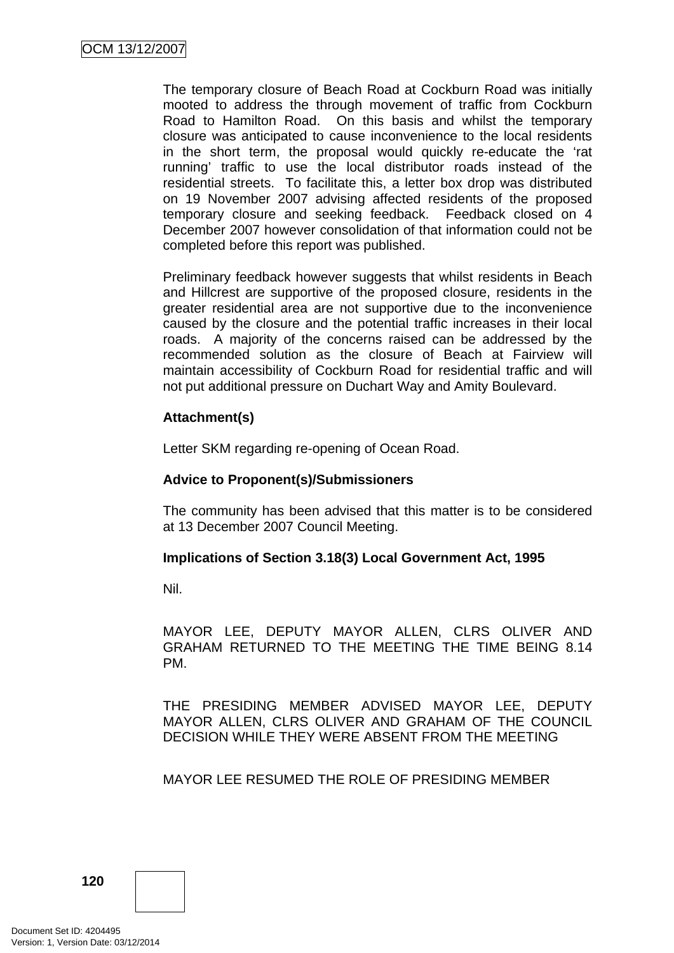The temporary closure of Beach Road at Cockburn Road was initially mooted to address the through movement of traffic from Cockburn Road to Hamilton Road. On this basis and whilst the temporary closure was anticipated to cause inconvenience to the local residents in the short term, the proposal would quickly re-educate the 'rat running' traffic to use the local distributor roads instead of the residential streets. To facilitate this, a letter box drop was distributed on 19 November 2007 advising affected residents of the proposed temporary closure and seeking feedback. Feedback closed on 4 December 2007 however consolidation of that information could not be completed before this report was published.

Preliminary feedback however suggests that whilst residents in Beach and Hillcrest are supportive of the proposed closure, residents in the greater residential area are not supportive due to the inconvenience caused by the closure and the potential traffic increases in their local roads. A majority of the concerns raised can be addressed by the recommended solution as the closure of Beach at Fairview will maintain accessibility of Cockburn Road for residential traffic and will not put additional pressure on Duchart Way and Amity Boulevard.

## **Attachment(s)**

Letter SKM regarding re-opening of Ocean Road.

## **Advice to Proponent(s)/Submissioners**

The community has been advised that this matter is to be considered at 13 December 2007 Council Meeting.

## **Implications of Section 3.18(3) Local Government Act, 1995**

Nil.

MAYOR LEE, DEPUTY MAYOR ALLEN, CLRS OLIVER AND GRAHAM RETURNED TO THE MEETING THE TIME BEING 8.14 PM.

THE PRESIDING MEMBER ADVISED MAYOR LEE, DEPUTY MAYOR ALLEN, CLRS OLIVER AND GRAHAM OF THE COUNCIL DECISION WHILE THEY WERE ABSENT FROM THE MEETING

MAYOR LEE RESUMED THE ROLE OF PRESIDING MEMBER

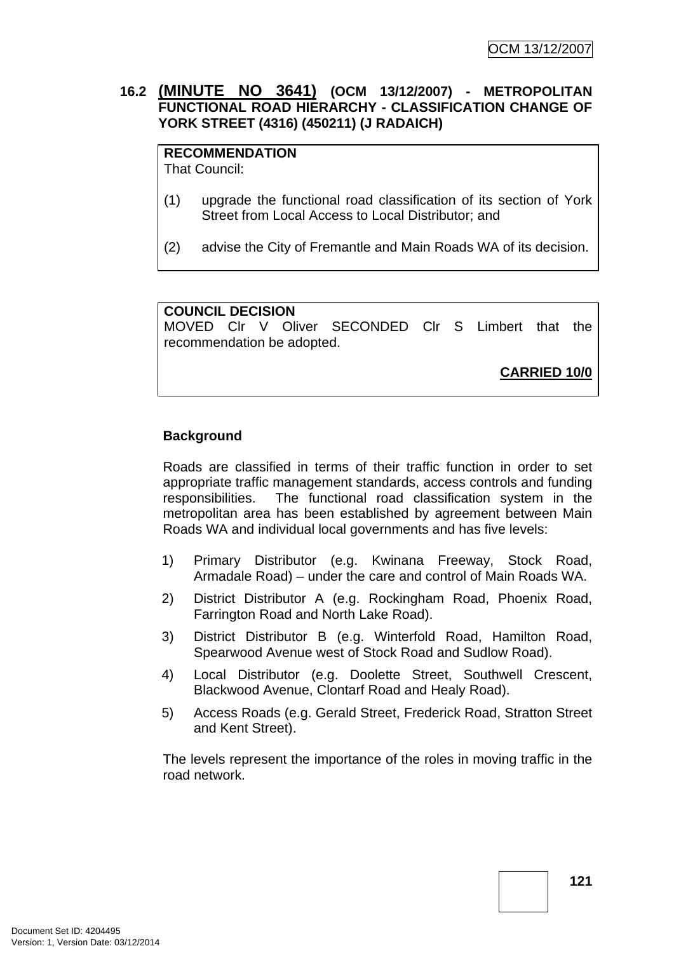## **16.2 (MINUTE NO 3641) (OCM 13/12/2007) - METROPOLITAN FUNCTIONAL ROAD HIERARCHY - CLASSIFICATION CHANGE OF YORK STREET (4316) (450211) (J RADAICH)**

# **RECOMMENDATION**

That Council:

- (1) upgrade the functional road classification of its section of York Street from Local Access to Local Distributor; and
- (2) advise the City of Fremantle and Main Roads WA of its decision.

## **COUNCIL DECISION**

MOVED Clr V Oliver SECONDED Clr S Limbert that the recommendation be adopted.

**CARRIED 10/0**

## **Background**

Roads are classified in terms of their traffic function in order to set appropriate traffic management standards, access controls and funding responsibilities. The functional road classification system in the metropolitan area has been established by agreement between Main Roads WA and individual local governments and has five levels:

- 1) Primary Distributor (e.g. Kwinana Freeway, Stock Road, Armadale Road) – under the care and control of Main Roads WA.
- 2) District Distributor A (e.g. Rockingham Road, Phoenix Road, Farrington Road and North Lake Road).
- 3) District Distributor B (e.g. Winterfold Road, Hamilton Road, Spearwood Avenue west of Stock Road and Sudlow Road).
- 4) Local Distributor (e.g. Doolette Street, Southwell Crescent, Blackwood Avenue, Clontarf Road and Healy Road).
- 5) Access Roads (e.g. Gerald Street, Frederick Road, Stratton Street and Kent Street).

The levels represent the importance of the roles in moving traffic in the road network.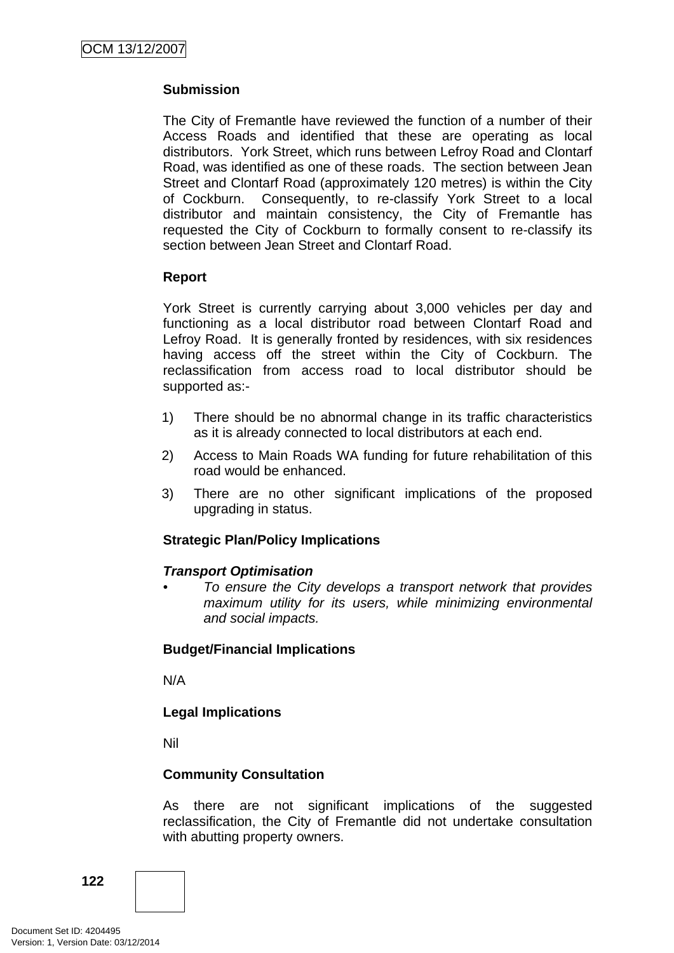## **Submission**

The City of Fremantle have reviewed the function of a number of their Access Roads and identified that these are operating as local distributors. York Street, which runs between Lefroy Road and Clontarf Road, was identified as one of these roads. The section between Jean Street and Clontarf Road (approximately 120 metres) is within the City of Cockburn. Consequently, to re-classify York Street to a local distributor and maintain consistency, the City of Fremantle has requested the City of Cockburn to formally consent to re-classify its section between Jean Street and Clontarf Road.

## **Report**

York Street is currently carrying about 3,000 vehicles per day and functioning as a local distributor road between Clontarf Road and Lefroy Road. It is generally fronted by residences, with six residences having access off the street within the City of Cockburn. The reclassification from access road to local distributor should be supported as:-

- 1) There should be no abnormal change in its traffic characteristics as it is already connected to local distributors at each end.
- 2) Access to Main Roads WA funding for future rehabilitation of this road would be enhanced.
- 3) There are no other significant implications of the proposed upgrading in status.

## **Strategic Plan/Policy Implications**

## *Transport Optimisation*

*• To ensure the City develops a transport network that provides maximum utility for its users, while minimizing environmental and social impacts.* 

## **Budget/Financial Implications**

N/A

## **Legal Implications**

Nil

## **Community Consultation**

As there are not significant implications of the suggested reclassification, the City of Fremantle did not undertake consultation with abutting property owners.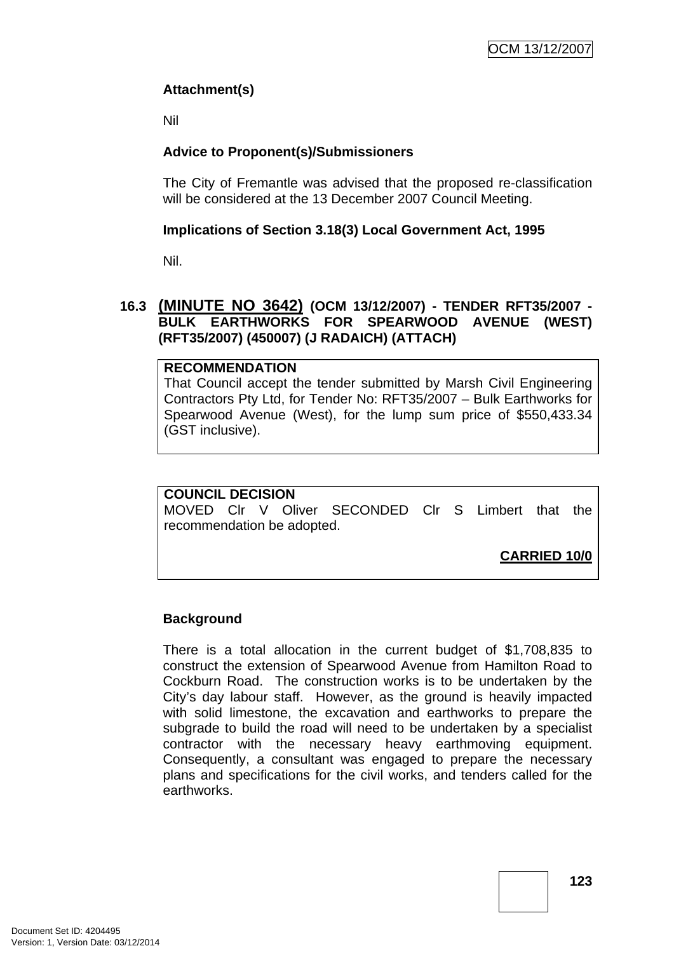## **Attachment(s)**

Nil

## **Advice to Proponent(s)/Submissioners**

The City of Fremantle was advised that the proposed re-classification will be considered at the 13 December 2007 Council Meeting.

## **Implications of Section 3.18(3) Local Government Act, 1995**

Nil.

## **16.3 (MINUTE NO 3642) (OCM 13/12/2007) - TENDER RFT35/2007 - BULK EARTHWORKS FOR SPEARWOOD AVENUE (WEST) (RFT35/2007) (450007) (J RADAICH) (ATTACH)**

## **RECOMMENDATION**

That Council accept the tender submitted by Marsh Civil Engineering Contractors Pty Ltd, for Tender No: RFT35/2007 – Bulk Earthworks for Spearwood Avenue (West), for the lump sum price of \$550,433.34 (GST inclusive).

## **COUNCIL DECISION**

MOVED Clr V Oliver SECONDED Clr S Limbert that the recommendation be adopted.

**CARRIED 10/0**

## **Background**

There is a total allocation in the current budget of \$1,708,835 to construct the extension of Spearwood Avenue from Hamilton Road to Cockburn Road. The construction works is to be undertaken by the City's day labour staff. However, as the ground is heavily impacted with solid limestone, the excavation and earthworks to prepare the subgrade to build the road will need to be undertaken by a specialist contractor with the necessary heavy earthmoving equipment. Consequently, a consultant was engaged to prepare the necessary plans and specifications for the civil works, and tenders called for the earthworks.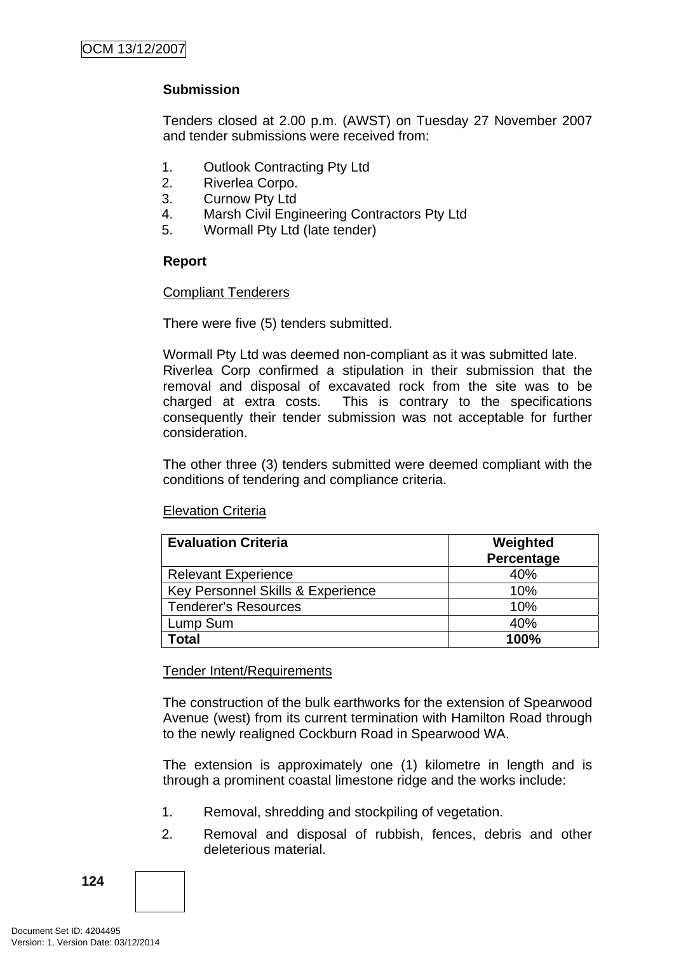## **Submission**

Tenders closed at 2.00 p.m. (AWST) on Tuesday 27 November 2007 and tender submissions were received from:

- 1. Outlook Contracting Pty Ltd
- 2. Riverlea Corpo.
- 3. Curnow Pty Ltd
- 4. Marsh Civil Engineering Contractors Pty Ltd
- 5. Wormall Pty Ltd (late tender)

## **Report**

#### Compliant Tenderers

There were five (5) tenders submitted.

Wormall Pty Ltd was deemed non-compliant as it was submitted late. Riverlea Corp confirmed a stipulation in their submission that the removal and disposal of excavated rock from the site was to be charged at extra costs. This is contrary to the specifications consequently their tender submission was not acceptable for further consideration.

The other three (3) tenders submitted were deemed compliant with the conditions of tendering and compliance criteria.

| <b>Evaluation Criteria</b>        | Weighted<br>Percentage |
|-----------------------------------|------------------------|
| <b>Relevant Experience</b>        | 40%                    |
| Key Personnel Skills & Experience | 10%                    |
| <b>Tenderer's Resources</b>       | 10%                    |
| Lump Sum                          | 40%                    |
| Total                             | 100%                   |

## Elevation Criteria

## Tender Intent/Requirements

The construction of the bulk earthworks for the extension of Spearwood Avenue (west) from its current termination with Hamilton Road through to the newly realigned Cockburn Road in Spearwood WA.

The extension is approximately one (1) kilometre in length and is through a prominent coastal limestone ridge and the works include:

- 1. Removal, shredding and stockpiling of vegetation.
- 2. Removal and disposal of rubbish, fences, debris and other deleterious material.

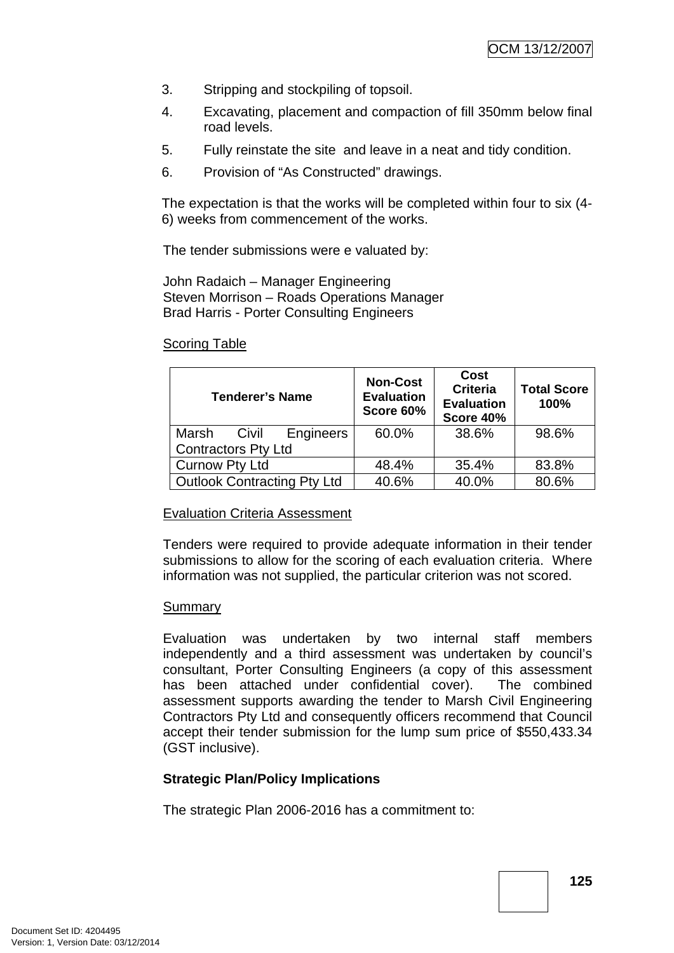- 3. Stripping and stockpiling of topsoil.
- 4. Excavating, placement and compaction of fill 350mm below final road levels.
- 5. Fully reinstate the site and leave in a neat and tidy condition.
- 6. Provision of "As Constructed" drawings.

The expectation is that the works will be completed within four to six (4- 6) weeks from commencement of the works.

The tender submissions were e valuated by:

John Radaich – Manager Engineering Steven Morrison – Roads Operations Manager Brad Harris - Porter Consulting Engineers

## Scoring Table

| <b>Tenderer's Name</b>             | <b>Non-Cost</b><br><b>Evaluation</b><br>Score 60% | <b>Cost</b><br><b>Criteria</b><br><b>Evaluation</b><br>Score 40% | <b>Total Score</b><br>100% |
|------------------------------------|---------------------------------------------------|------------------------------------------------------------------|----------------------------|
| <b>Engineers</b><br>Marsh<br>Civil | 60.0%                                             | 38.6%                                                            | 98.6%                      |
| <b>Contractors Pty Ltd</b>         |                                                   |                                                                  |                            |
| <b>Curnow Pty Ltd</b>              | 48.4%                                             | 35.4%                                                            | 83.8%                      |
| <b>Outlook Contracting Pty Ltd</b> | 40.6%                                             | 40.0%                                                            | 80.6%                      |

## Evaluation Criteria Assessment

Tenders were required to provide adequate information in their tender submissions to allow for the scoring of each evaluation criteria. Where information was not supplied, the particular criterion was not scored.

## Summary

Evaluation was undertaken by two internal staff members independently and a third assessment was undertaken by council's consultant, Porter Consulting Engineers (a copy of this assessment has been attached under confidential cover). The combined assessment supports awarding the tender to Marsh Civil Engineering Contractors Pty Ltd and consequently officers recommend that Council accept their tender submission for the lump sum price of \$550,433.34 (GST inclusive).

## **Strategic Plan/Policy Implications**

The strategic Plan 2006-2016 has a commitment to: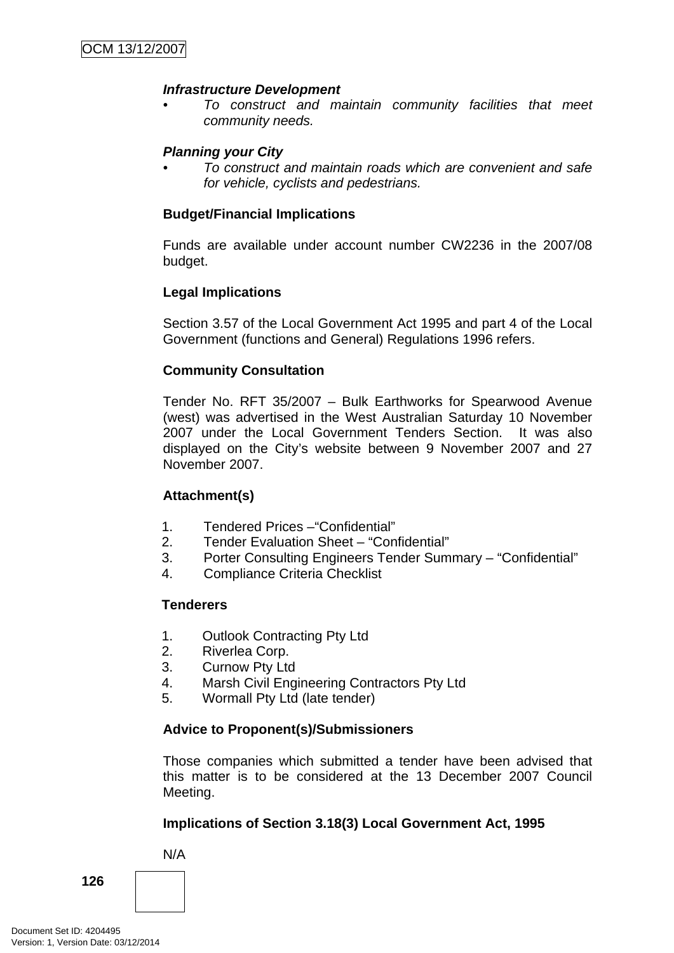## *Infrastructure Development*

*• To construct and maintain community facilities that meet community needs.* 

## *Planning your City*

*• To construct and maintain roads which are convenient and safe for vehicle, cyclists and pedestrians.* 

## **Budget/Financial Implications**

Funds are available under account number CW2236 in the 2007/08 budget.

## **Legal Implications**

Section 3.57 of the Local Government Act 1995 and part 4 of the Local Government (functions and General) Regulations 1996 refers.

## **Community Consultation**

Tender No. RFT 35/2007 – Bulk Earthworks for Spearwood Avenue (west) was advertised in the West Australian Saturday 10 November 2007 under the Local Government Tenders Section. It was also displayed on the City's website between 9 November 2007 and 27 November 2007.

## **Attachment(s)**

- 1. Tendered Prices –"Confidential"
- 2. Tender Evaluation Sheet "Confidential"
- 3. Porter Consulting Engineers Tender Summary "Confidential"
- 4. Compliance Criteria Checklist

## **Tenderers**

- 1. Outlook Contracting Pty Ltd
- 2. Riverlea Corp.
- 3. Curnow Pty Ltd
- 4. Marsh Civil Engineering Contractors Pty Ltd
- 5. Wormall Pty Ltd (late tender)

## **Advice to Proponent(s)/Submissioners**

Those companies which submitted a tender have been advised that this matter is to be considered at the 13 December 2007 Council Meeting.

## **Implications of Section 3.18(3) Local Government Act, 1995**

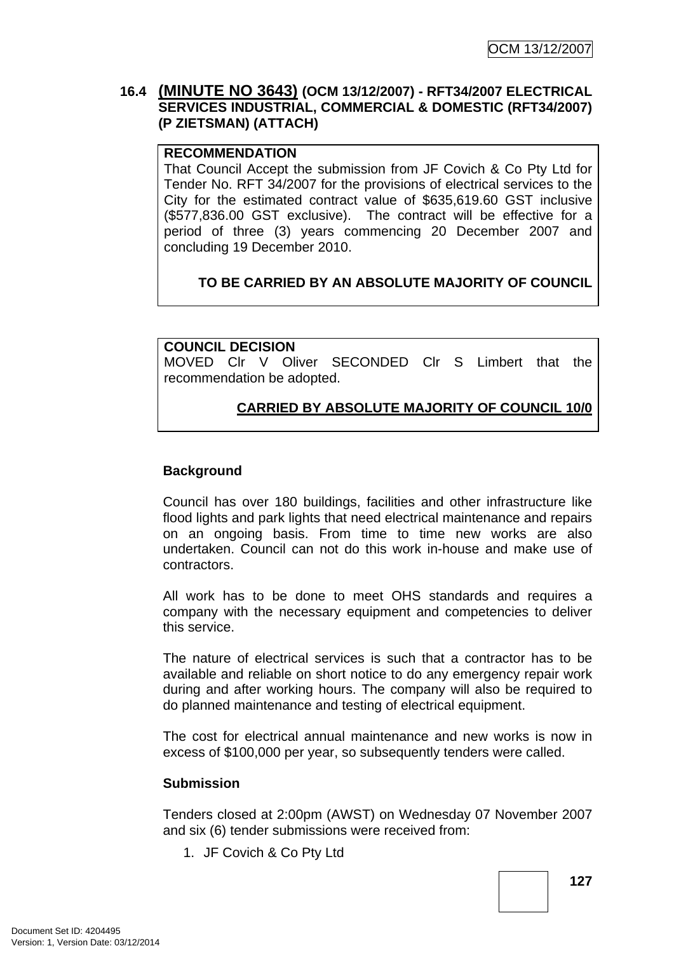## **16.4 (MINUTE NO 3643) (OCM 13/12/2007) - RFT34/2007 ELECTRICAL SERVICES INDUSTRIAL, COMMERCIAL & DOMESTIC (RFT34/2007) (P ZIETSMAN) (ATTACH)**

## **RECOMMENDATION**

That Council Accept the submission from JF Covich & Co Pty Ltd for Tender No. RFT 34/2007 for the provisions of electrical services to the City for the estimated contract value of \$635,619.60 GST inclusive (\$577,836.00 GST exclusive). The contract will be effective for a period of three (3) years commencing 20 December 2007 and concluding 19 December 2010.

## **TO BE CARRIED BY AN ABSOLUTE MAJORITY OF COUNCIL**

## **COUNCIL DECISION**

MOVED Clr V Oliver SECONDED Clr S Limbert that the recommendation be adopted.

## **CARRIED BY ABSOLUTE MAJORITY OF COUNCIL 10/0**

## **Background**

Council has over 180 buildings, facilities and other infrastructure like flood lights and park lights that need electrical maintenance and repairs on an ongoing basis. From time to time new works are also undertaken. Council can not do this work in-house and make use of contractors.

All work has to be done to meet OHS standards and requires a company with the necessary equipment and competencies to deliver this service.

The nature of electrical services is such that a contractor has to be available and reliable on short notice to do any emergency repair work during and after working hours. The company will also be required to do planned maintenance and testing of electrical equipment.

The cost for electrical annual maintenance and new works is now in excess of \$100,000 per year, so subsequently tenders were called.

## **Submission**

Tenders closed at 2:00pm (AWST) on Wednesday 07 November 2007 and six (6) tender submissions were received from:

1. JF Covich & Co Pty Ltd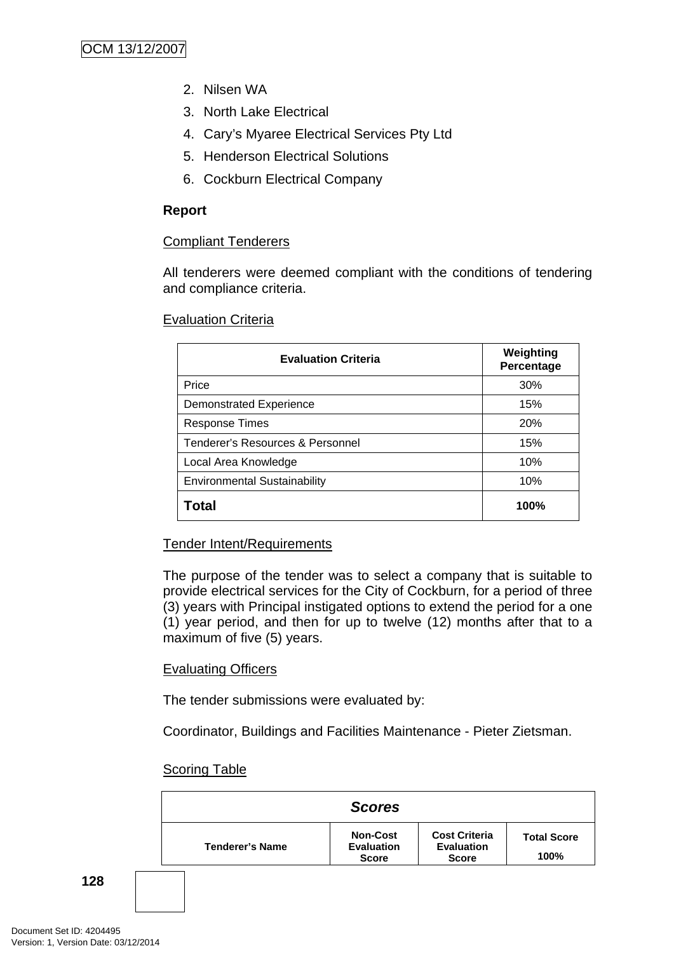- 2. Nilsen WA
- 3. North Lake Electrical
- 4. Cary's Myaree Electrical Services Pty Ltd
- 5. Henderson Electrical Solutions
- 6. Cockburn Electrical Company

## **Report**

#### Compliant Tenderers

All tenderers were deemed compliant with the conditions of tendering and compliance criteria.

#### Evaluation Criteria

| <b>Evaluation Criteria</b>          | Weighting<br>Percentage |
|-------------------------------------|-------------------------|
| Price                               | 30%                     |
| <b>Demonstrated Experience</b>      | 15%                     |
| <b>Response Times</b>               | <b>20%</b>              |
| Tenderer's Resources & Personnel    | 15%                     |
| Local Area Knowledge                | 10%                     |
| <b>Environmental Sustainability</b> | 10%                     |
| Total                               | 100%                    |

## Tender Intent/Requirements

The purpose of the tender was to select a company that is suitable to provide electrical services for the City of Cockburn, for a period of three (3) years with Principal instigated options to extend the period for a one (1) year period, and then for up to twelve (12) months after that to a maximum of five (5) years.

## Evaluating Officers

The tender submissions were evaluated by:

Coordinator, Buildings and Facilities Maintenance - Pieter Zietsman.

## **Scoring Table**

| <b>Scores</b>          |                                                      |                                                           |                                   |
|------------------------|------------------------------------------------------|-----------------------------------------------------------|-----------------------------------|
| <b>Tenderer's Name</b> | <b>Non-Cost</b><br><b>Evaluation</b><br><b>Score</b> | <b>Cost Criteria</b><br><b>Evaluation</b><br><b>Score</b> | <b>Total Score</b><br><b>100%</b> |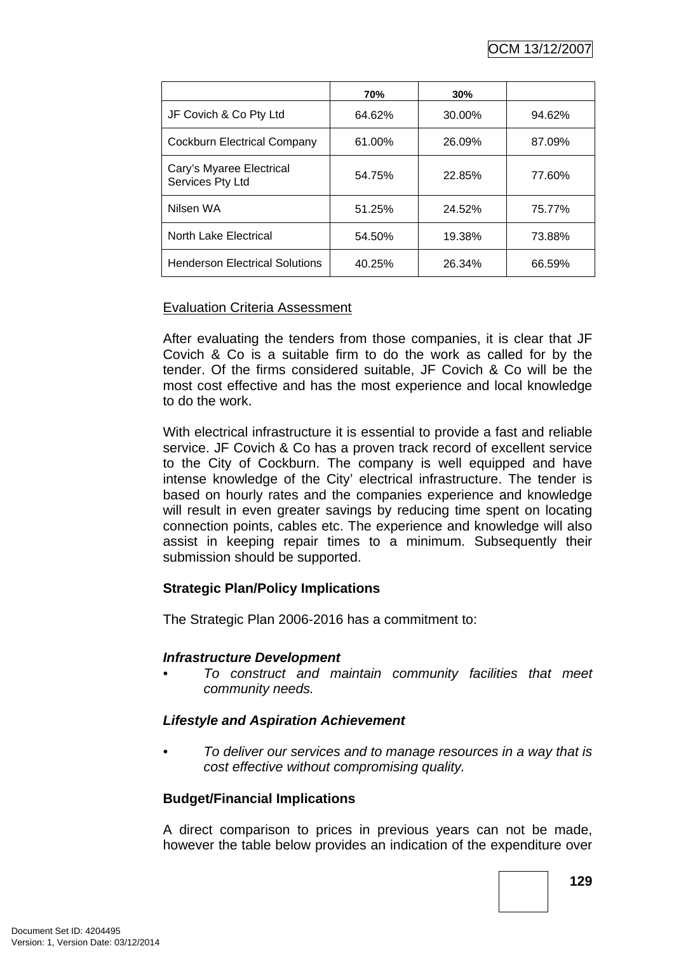|                                              | 70%    | 30%    |        |
|----------------------------------------------|--------|--------|--------|
| JF Covich & Co Pty Ltd                       | 64.62% | 30.00% | 94.62% |
| <b>Cockburn Electrical Company</b>           | 61.00% | 26.09% | 87.09% |
| Cary's Myaree Electrical<br>Services Pty Ltd | 54.75% | 22.85% | 77.60% |
| Nilsen WA                                    | 51.25% | 24.52% | 75.77% |
| <b>North Lake Electrical</b>                 | 54.50% | 19.38% | 73.88% |
| <b>Henderson Electrical Solutions</b>        | 40.25% | 26.34% | 66.59% |

## Evaluation Criteria Assessment

After evaluating the tenders from those companies, it is clear that JF Covich & Co is a suitable firm to do the work as called for by the tender. Of the firms considered suitable, JF Covich & Co will be the most cost effective and has the most experience and local knowledge to do the work.

With electrical infrastructure it is essential to provide a fast and reliable service. JF Covich & Co has a proven track record of excellent service to the City of Cockburn. The company is well equipped and have intense knowledge of the City' electrical infrastructure. The tender is based on hourly rates and the companies experience and knowledge will result in even greater savings by reducing time spent on locating connection points, cables etc. The experience and knowledge will also assist in keeping repair times to a minimum. Subsequently their submission should be supported.

## **Strategic Plan/Policy Implications**

The Strategic Plan 2006-2016 has a commitment to:

## *Infrastructure Development*

*• To construct and maintain community facilities that meet community needs.* 

## *Lifestyle and Aspiration Achievement*

*• To deliver our services and to manage resources in a way that is cost effective without compromising quality.* 

## **Budget/Financial Implications**

A direct comparison to prices in previous years can not be made, however the table below provides an indication of the expenditure over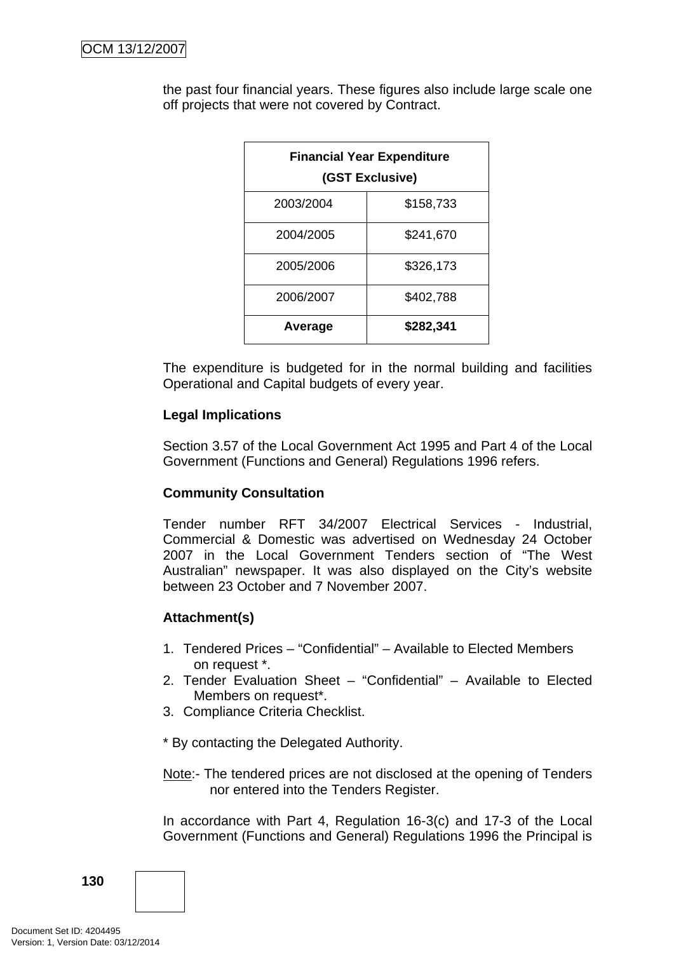the past four financial years. These figures also include large scale one off projects that were not covered by Contract.

| <b>Financial Year Expenditure</b><br>(GST Exclusive) |           |  |  |
|------------------------------------------------------|-----------|--|--|
| 2003/2004                                            | \$158,733 |  |  |
| 2004/2005                                            | \$241,670 |  |  |
| 2005/2006                                            | \$326,173 |  |  |
| 2006/2007                                            | \$402,788 |  |  |
| Average                                              | \$282,341 |  |  |

The expenditure is budgeted for in the normal building and facilities Operational and Capital budgets of every year.

## **Legal Implications**

Section 3.57 of the Local Government Act 1995 and Part 4 of the Local Government (Functions and General) Regulations 1996 refers.

## **Community Consultation**

Tender number RFT 34/2007 Electrical Services - Industrial, Commercial & Domestic was advertised on Wednesday 24 October 2007 in the Local Government Tenders section of "The West Australian" newspaper. It was also displayed on the City's website between 23 October and 7 November 2007.

## **Attachment(s)**

- 1. Tendered Prices "Confidential" Available to Elected Members on request \*.
- 2. Tender Evaluation Sheet "Confidential" Available to Elected Members on request\*.
- 3. Compliance Criteria Checklist.

\* By contacting the Delegated Authority.

Note:- The tendered prices are not disclosed at the opening of Tenders nor entered into the Tenders Register.

In accordance with Part 4, Regulation 16-3(c) and 17-3 of the Local Government (Functions and General) Regulations 1996 the Principal is

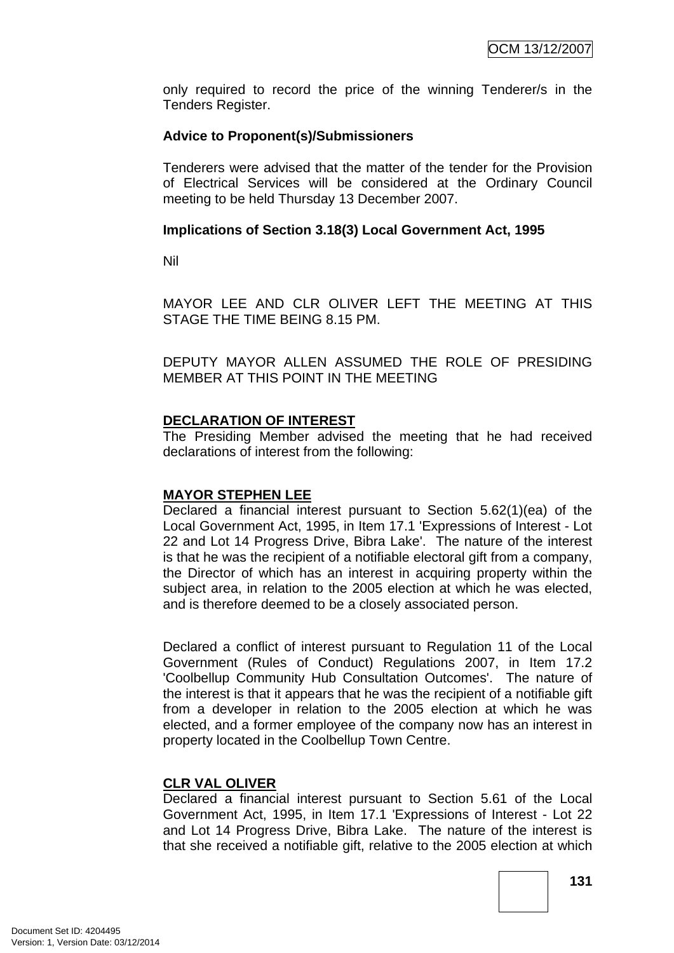only required to record the price of the winning Tenderer/s in the Tenders Register.

## **Advice to Proponent(s)/Submissioners**

Tenderers were advised that the matter of the tender for the Provision of Electrical Services will be considered at the Ordinary Council meeting to be held Thursday 13 December 2007.

## **Implications of Section 3.18(3) Local Government Act, 1995**

Nil

MAYOR LEE AND CLR OLIVER LEFT THE MEETING AT THIS STAGE THE TIME BEING 8.15 PM.

DEPUTY MAYOR ALLEN ASSUMED THE ROLE OF PRESIDING MEMBER AT THIS POINT IN THE MEETING

## **DECLARATION OF INTEREST**

The Presiding Member advised the meeting that he had received declarations of interest from the following:

## **MAYOR STEPHEN LEE**

Declared a financial interest pursuant to Section 5.62(1)(ea) of the Local Government Act, 1995, in Item 17.1 'Expressions of Interest - Lot 22 and Lot 14 Progress Drive, Bibra Lake'. The nature of the interest is that he was the recipient of a notifiable electoral gift from a company, the Director of which has an interest in acquiring property within the subject area, in relation to the 2005 election at which he was elected, and is therefore deemed to be a closely associated person.

Declared a conflict of interest pursuant to Regulation 11 of the Local Government (Rules of Conduct) Regulations 2007, in Item 17.2 'Coolbellup Community Hub Consultation Outcomes'. The nature of the interest is that it appears that he was the recipient of a notifiable gift from a developer in relation to the 2005 election at which he was elected, and a former employee of the company now has an interest in property located in the Coolbellup Town Centre.

## **CLR VAL OLIVER**

Declared a financial interest pursuant to Section 5.61 of the Local Government Act, 1995, in Item 17.1 'Expressions of Interest - Lot 22 and Lot 14 Progress Drive, Bibra Lake. The nature of the interest is that she received a notifiable gift, relative to the 2005 election at which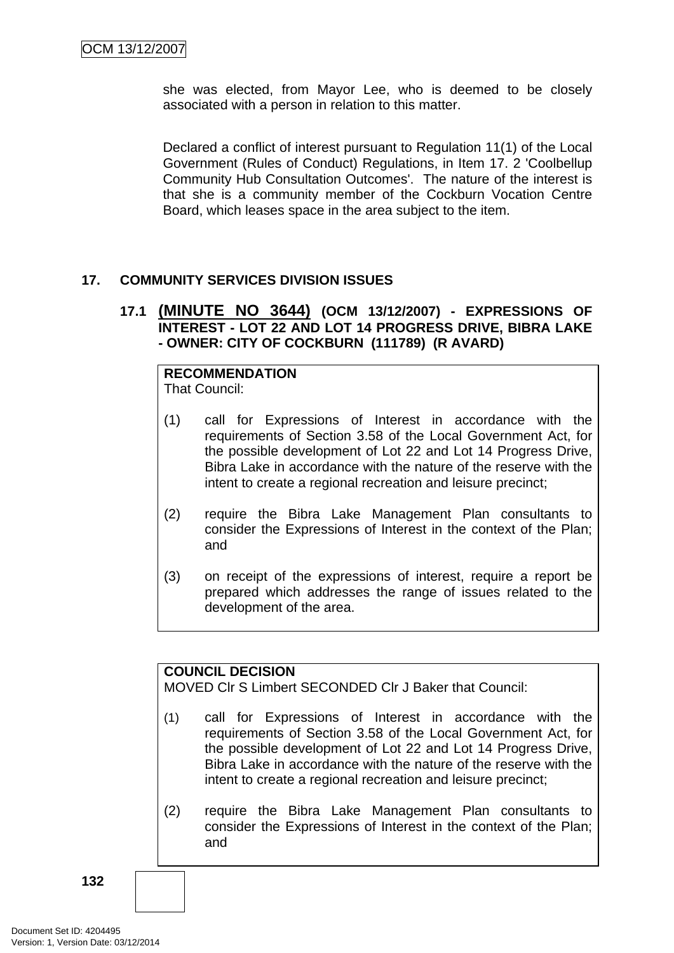she was elected, from Mayor Lee, who is deemed to be closely associated with a person in relation to this matter.

Declared a conflict of interest pursuant to Regulation 11(1) of the Local Government (Rules of Conduct) Regulations, in Item 17. 2 'Coolbellup Community Hub Consultation Outcomes'. The nature of the interest is that she is a community member of the Cockburn Vocation Centre Board, which leases space in the area subject to the item.

## **17. COMMUNITY SERVICES DIVISION ISSUES**

## **17.1 (MINUTE NO 3644) (OCM 13/12/2007) - EXPRESSIONS OF INTEREST - LOT 22 AND LOT 14 PROGRESS DRIVE, BIBRA LAKE - OWNER: CITY OF COCKBURN (111789) (R AVARD)**

## **RECOMMENDATION**

That Council:

- (1) call for Expressions of Interest in accordance with the requirements of Section 3.58 of the Local Government Act, for the possible development of Lot 22 and Lot 14 Progress Drive, Bibra Lake in accordance with the nature of the reserve with the intent to create a regional recreation and leisure precinct;
- (2) require the Bibra Lake Management Plan consultants to consider the Expressions of Interest in the context of the Plan; and
- (3) on receipt of the expressions of interest, require a report be prepared which addresses the range of issues related to the development of the area.

## **COUNCIL DECISION**

MOVED Clr S Limbert SECONDED Clr J Baker that Council:

- (1) call for Expressions of Interest in accordance with the requirements of Section 3.58 of the Local Government Act, for the possible development of Lot 22 and Lot 14 Progress Drive, Bibra Lake in accordance with the nature of the reserve with the intent to create a regional recreation and leisure precinct;
- (2) require the Bibra Lake Management Plan consultants to consider the Expressions of Interest in the context of the Plan; and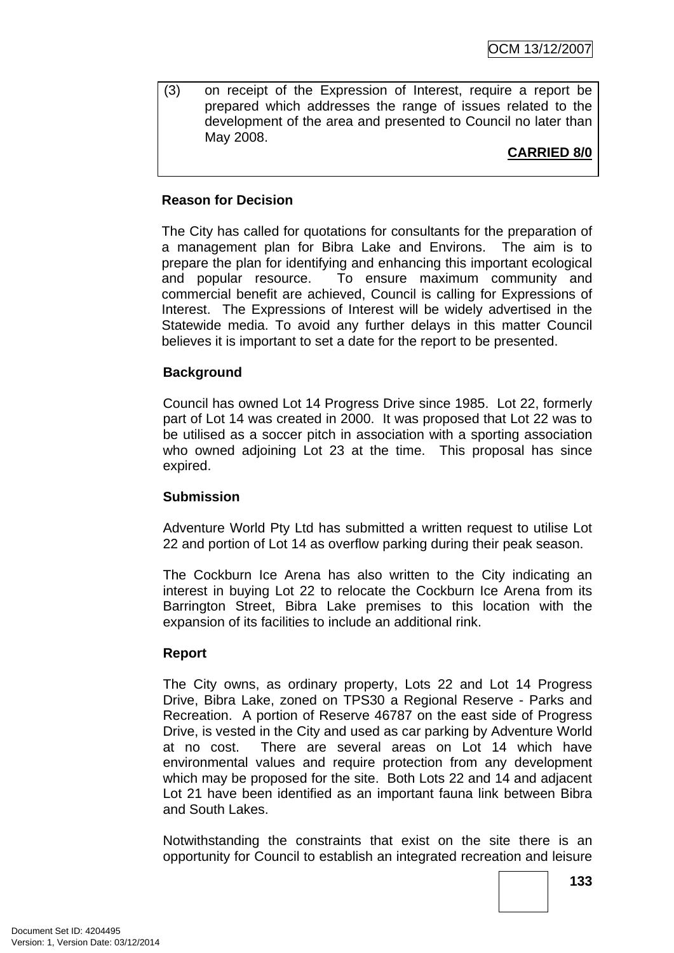(3) on receipt of the Expression of Interest, require a report be prepared which addresses the range of issues related to the development of the area and presented to Council no later than May 2008.

## **CARRIED 8/0**

## **Reason for Decision**

The City has called for quotations for consultants for the preparation of a management plan for Bibra Lake and Environs. The aim is to prepare the plan for identifying and enhancing this important ecological and popular resource. To ensure maximum community and commercial benefit are achieved, Council is calling for Expressions of Interest. The Expressions of Interest will be widely advertised in the Statewide media. To avoid any further delays in this matter Council believes it is important to set a date for the report to be presented.

## **Background**

Council has owned Lot 14 Progress Drive since 1985. Lot 22, formerly part of Lot 14 was created in 2000. It was proposed that Lot 22 was to be utilised as a soccer pitch in association with a sporting association who owned adjoining Lot 23 at the time. This proposal has since expired.

## **Submission**

Adventure World Pty Ltd has submitted a written request to utilise Lot 22 and portion of Lot 14 as overflow parking during their peak season.

The Cockburn Ice Arena has also written to the City indicating an interest in buying Lot 22 to relocate the Cockburn Ice Arena from its Barrington Street, Bibra Lake premises to this location with the expansion of its facilities to include an additional rink.

## **Report**

The City owns, as ordinary property, Lots 22 and Lot 14 Progress Drive, Bibra Lake, zoned on TPS30 a Regional Reserve - Parks and Recreation. A portion of Reserve 46787 on the east side of Progress Drive, is vested in the City and used as car parking by Adventure World at no cost. There are several areas on Lot 14 which have environmental values and require protection from any development which may be proposed for the site. Both Lots 22 and 14 and adjacent Lot 21 have been identified as an important fauna link between Bibra and South Lakes.

Notwithstanding the constraints that exist on the site there is an opportunity for Council to establish an integrated recreation and leisure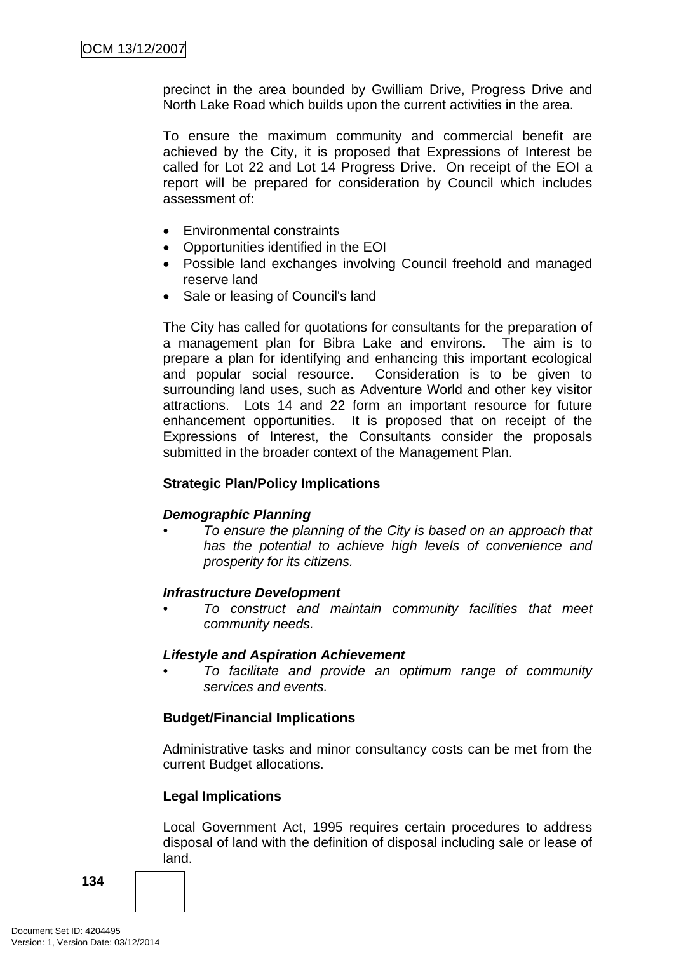precinct in the area bounded by Gwilliam Drive, Progress Drive and North Lake Road which builds upon the current activities in the area.

To ensure the maximum community and commercial benefit are achieved by the City, it is proposed that Expressions of Interest be called for Lot 22 and Lot 14 Progress Drive. On receipt of the EOI a report will be prepared for consideration by Council which includes assessment of:

- Environmental constraints
- Opportunities identified in the EOI
- Possible land exchanges involving Council freehold and managed reserve land
- Sale or leasing of Council's land

The City has called for quotations for consultants for the preparation of a management plan for Bibra Lake and environs. The aim is to prepare a plan for identifying and enhancing this important ecological and popular social resource. Consideration is to be given to surrounding land uses, such as Adventure World and other key visitor attractions. Lots 14 and 22 form an important resource for future enhancement opportunities. It is proposed that on receipt of the Expressions of Interest, the Consultants consider the proposals submitted in the broader context of the Management Plan.

## **Strategic Plan/Policy Implications**

## *Demographic Planning*

*• To ensure the planning of the City is based on an approach that has the potential to achieve high levels of convenience and prosperity for its citizens.* 

## *Infrastructure Development*

*• To construct and maintain community facilities that meet community needs.* 

## *Lifestyle and Aspiration Achievement*

*• To facilitate and provide an optimum range of community services and events.* 

## **Budget/Financial Implications**

Administrative tasks and minor consultancy costs can be met from the current Budget allocations.

## **Legal Implications**

Local Government Act, 1995 requires certain procedures to address disposal of land with the definition of disposal including sale or lease of land.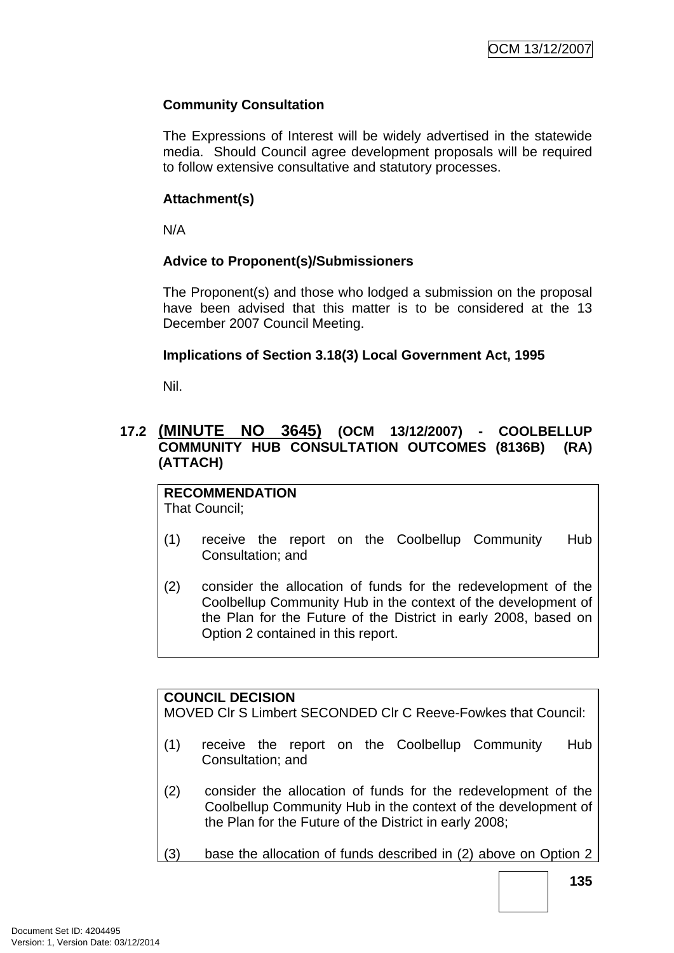## **Community Consultation**

The Expressions of Interest will be widely advertised in the statewide media. Should Council agree development proposals will be required to follow extensive consultative and statutory processes.

## **Attachment(s)**

N/A

## **Advice to Proponent(s)/Submissioners**

The Proponent(s) and those who lodged a submission on the proposal have been advised that this matter is to be considered at the 13 December 2007 Council Meeting.

## **Implications of Section 3.18(3) Local Government Act, 1995**

Nil.

## **17.2 (MINUTE NO 3645) (OCM 13/12/2007) - COOLBELLUP COMMUNITY HUB CONSULTATION OUTCOMES (8136B) (RA) (ATTACH)**

# **RECOMMENDATION**

That Council;

- (1) receive the report on the Coolbellup Community Hub Consultation; and
- (2) consider the allocation of funds for the redevelopment of the Coolbellup Community Hub in the context of the development of the Plan for the Future of the District in early 2008, based on Option 2 contained in this report.

## **COUNCIL DECISION**

MOVED Clr S Limbert SECONDED Clr C Reeve-Fowkes that Council:

- (1) receive the report on the Coolbellup Community Hub Consultation; and
- (2) consider the allocation of funds for the redevelopment of the Coolbellup Community Hub in the context of the development of the Plan for the Future of the District in early 2008;
- (3) base the allocation of funds described in (2) above on Option 2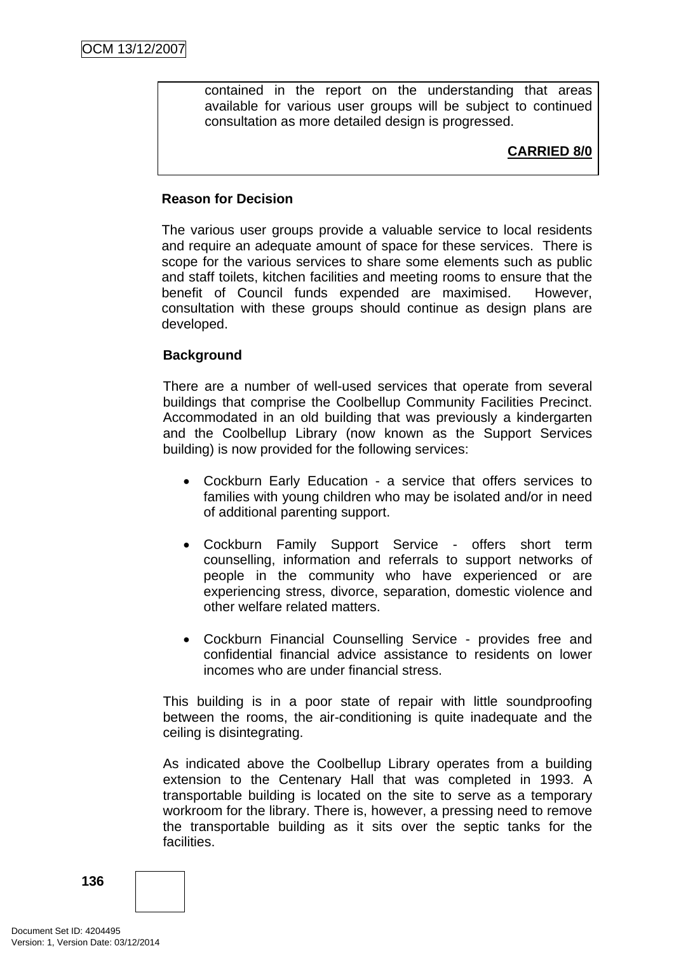contained in the report on the understanding that areas available for various user groups will be subject to continued consultation as more detailed design is progressed.

**CARRIED 8/0**

## **Reason for Decision**

The various user groups provide a valuable service to local residents and require an adequate amount of space for these services. There is scope for the various services to share some elements such as public and staff toilets, kitchen facilities and meeting rooms to ensure that the benefit of Council funds expended are maximised. However, consultation with these groups should continue as design plans are developed.

## **Background**

There are a number of well-used services that operate from several buildings that comprise the Coolbellup Community Facilities Precinct. Accommodated in an old building that was previously a kindergarten and the Coolbellup Library (now known as the Support Services building) is now provided for the following services:

- Cockburn Early Education a service that offers services to families with young children who may be isolated and/or in need of additional parenting support.
- Cockburn Family Support Service offers short term counselling, information and referrals to support networks of people in the community who have experienced or are experiencing stress, divorce, separation, domestic violence and other welfare related matters.
- Cockburn Financial Counselling Service provides free and confidential financial advice assistance to residents on lower incomes who are under financial stress.

This building is in a poor state of repair with little soundproofing between the rooms, the air-conditioning is quite inadequate and the ceiling is disintegrating.

As indicated above the Coolbellup Library operates from a building extension to the Centenary Hall that was completed in 1993. A transportable building is located on the site to serve as a temporary workroom for the library. There is, however, a pressing need to remove the transportable building as it sits over the septic tanks for the facilities.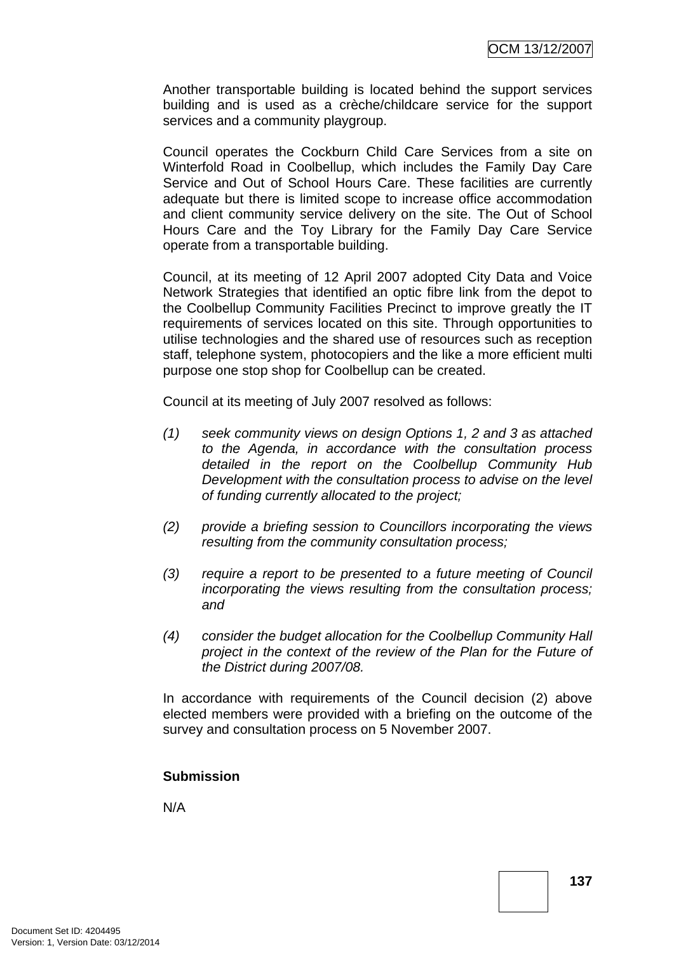Another transportable building is located behind the support services building and is used as a crèche/childcare service for the support services and a community playgroup.

Council operates the Cockburn Child Care Services from a site on Winterfold Road in Coolbellup, which includes the Family Day Care Service and Out of School Hours Care. These facilities are currently adequate but there is limited scope to increase office accommodation and client community service delivery on the site. The Out of School Hours Care and the Toy Library for the Family Day Care Service operate from a transportable building.

Council, at its meeting of 12 April 2007 adopted City Data and Voice Network Strategies that identified an optic fibre link from the depot to the Coolbellup Community Facilities Precinct to improve greatly the IT requirements of services located on this site. Through opportunities to utilise technologies and the shared use of resources such as reception staff, telephone system, photocopiers and the like a more efficient multi purpose one stop shop for Coolbellup can be created.

Council at its meeting of July 2007 resolved as follows:

- *(1) seek community views on design Options 1, 2 and 3 as attached to the Agenda, in accordance with the consultation process detailed in the report on the Coolbellup Community Hub Development with the consultation process to advise on the level of funding currently allocated to the project;*
- *(2) provide a briefing session to Councillors incorporating the views resulting from the community consultation process;*
- *(3) require a report to be presented to a future meeting of Council incorporating the views resulting from the consultation process; and*
- *(4) consider the budget allocation for the Coolbellup Community Hall project in the context of the review of the Plan for the Future of the District during 2007/08.*

In accordance with requirements of the Council decision (2) above elected members were provided with a briefing on the outcome of the survey and consultation process on 5 November 2007.

## **Submission**

N/A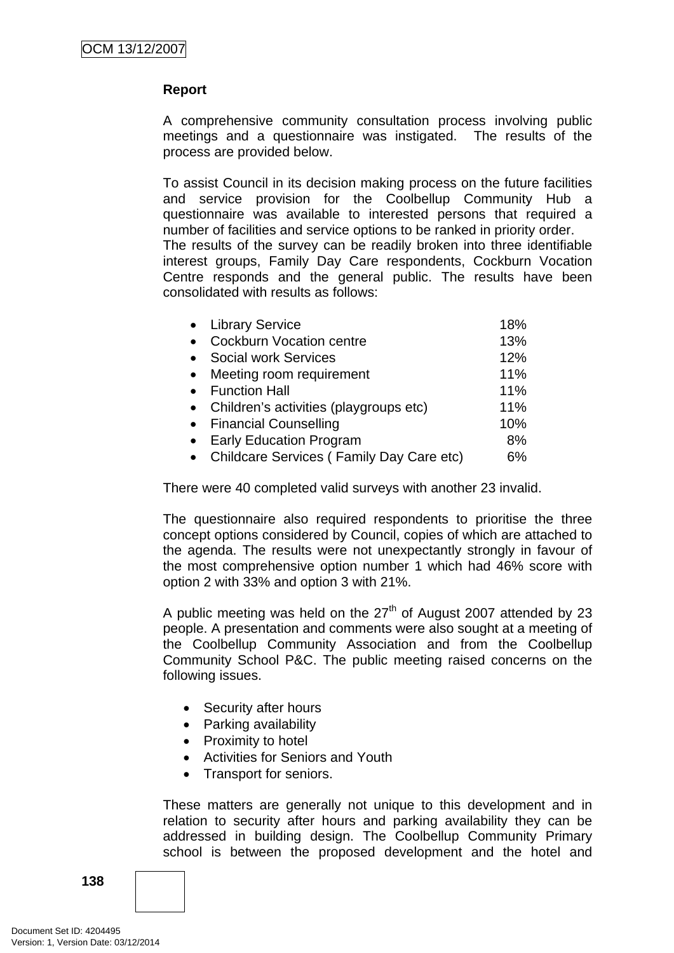## **Report**

A comprehensive community consultation process involving public meetings and a questionnaire was instigated. The results of the process are provided below.

To assist Council in its decision making process on the future facilities and service provision for the Coolbellup Community Hub a questionnaire was available to interested persons that required a number of facilities and service options to be ranked in priority order. The results of the survey can be readily broken into three identifiable interest groups, Family Day Care respondents, Cockburn Vocation Centre responds and the general public. The results have been consolidated with results as follows:

| • Library Service                          | 18% |
|--------------------------------------------|-----|
| <b>Cockburn Vocation centre</b>            | 13% |
| <b>Social work Services</b>                | 12% |
| Meeting room requirement                   | 11% |
| • Function Hall                            | 11% |
| • Children's activities (playgroups etc)   | 11% |
| • Financial Counselling                    | 10% |
| <b>Early Education Program</b>             | 8%  |
| • Childcare Services (Family Day Care etc) | 6%  |

There were 40 completed valid surveys with another 23 invalid.

The questionnaire also required respondents to prioritise the three concept options considered by Council, copies of which are attached to the agenda. The results were not unexpectantly strongly in favour of the most comprehensive option number 1 which had 46% score with option 2 with 33% and option 3 with 21%.

A public meeting was held on the  $27<sup>th</sup>$  of August 2007 attended by 23 people. A presentation and comments were also sought at a meeting of the Coolbellup Community Association and from the Coolbellup Community School P&C. The public meeting raised concerns on the following issues.

- Security after hours
- Parking availability
- Proximity to hotel
- Activities for Seniors and Youth
- Transport for seniors.

These matters are generally not unique to this development and in relation to security after hours and parking availability they can be addressed in building design. The Coolbellup Community Primary school is between the proposed development and the hotel and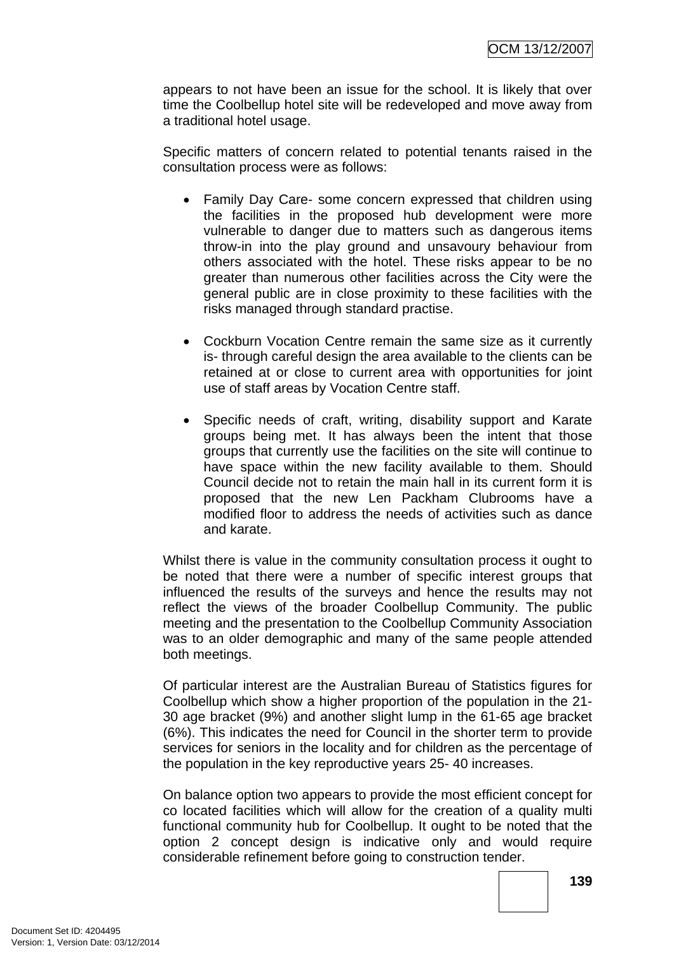appears to not have been an issue for the school. It is likely that over time the Coolbellup hotel site will be redeveloped and move away from a traditional hotel usage.

Specific matters of concern related to potential tenants raised in the consultation process were as follows:

- Family Day Care- some concern expressed that children using the facilities in the proposed hub development were more vulnerable to danger due to matters such as dangerous items throw-in into the play ground and unsavoury behaviour from others associated with the hotel. These risks appear to be no greater than numerous other facilities across the City were the general public are in close proximity to these facilities with the risks managed through standard practise.
- Cockburn Vocation Centre remain the same size as it currently is- through careful design the area available to the clients can be retained at or close to current area with opportunities for joint use of staff areas by Vocation Centre staff.
- Specific needs of craft, writing, disability support and Karate groups being met. It has always been the intent that those groups that currently use the facilities on the site will continue to have space within the new facility available to them. Should Council decide not to retain the main hall in its current form it is proposed that the new Len Packham Clubrooms have a modified floor to address the needs of activities such as dance and karate.

Whilst there is value in the community consultation process it ought to be noted that there were a number of specific interest groups that influenced the results of the surveys and hence the results may not reflect the views of the broader Coolbellup Community. The public meeting and the presentation to the Coolbellup Community Association was to an older demographic and many of the same people attended both meetings.

Of particular interest are the Australian Bureau of Statistics figures for Coolbellup which show a higher proportion of the population in the 21- 30 age bracket (9%) and another slight lump in the 61-65 age bracket (6%). This indicates the need for Council in the shorter term to provide services for seniors in the locality and for children as the percentage of the population in the key reproductive years 25- 40 increases.

On balance option two appears to provide the most efficient concept for co located facilities which will allow for the creation of a quality multi functional community hub for Coolbellup. It ought to be noted that the option 2 concept design is indicative only and would require considerable refinement before going to construction tender.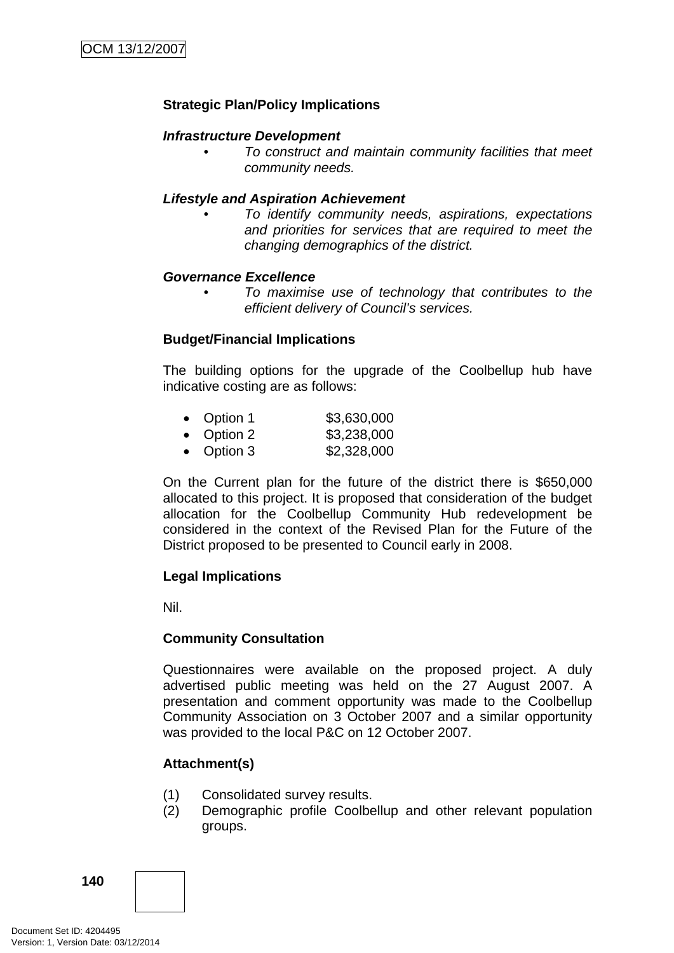## **Strategic Plan/Policy Implications**

## *Infrastructure Development*

*• To construct and maintain community facilities that meet community needs.* 

#### *Lifestyle and Aspiration Achievement*

*• To identify community needs, aspirations, expectations and priorities for services that are required to meet the changing demographics of the district.* 

#### *Governance Excellence*

*• To maximise use of technology that contributes to the efficient delivery of Council's services.* 

#### **Budget/Financial Implications**

The building options for the upgrade of the Coolbellup hub have indicative costing are as follows:

| • Option 1   | \$3,630,000 |
|--------------|-------------|
| • Option 2   | \$3,238,000 |
| • Option $3$ | \$2,328,000 |

On the Current plan for the future of the district there is \$650,000 allocated to this project. It is proposed that consideration of the budget allocation for the Coolbellup Community Hub redevelopment be considered in the context of the Revised Plan for the Future of the District proposed to be presented to Council early in 2008.

## **Legal Implications**

Nil.

## **Community Consultation**

Questionnaires were available on the proposed project. A duly advertised public meeting was held on the 27 August 2007. A presentation and comment opportunity was made to the Coolbellup Community Association on 3 October 2007 and a similar opportunity was provided to the local P&C on 12 October 2007.

## **Attachment(s)**

- (1) Consolidated survey results.
- (2) Demographic profile Coolbellup and other relevant population groups.

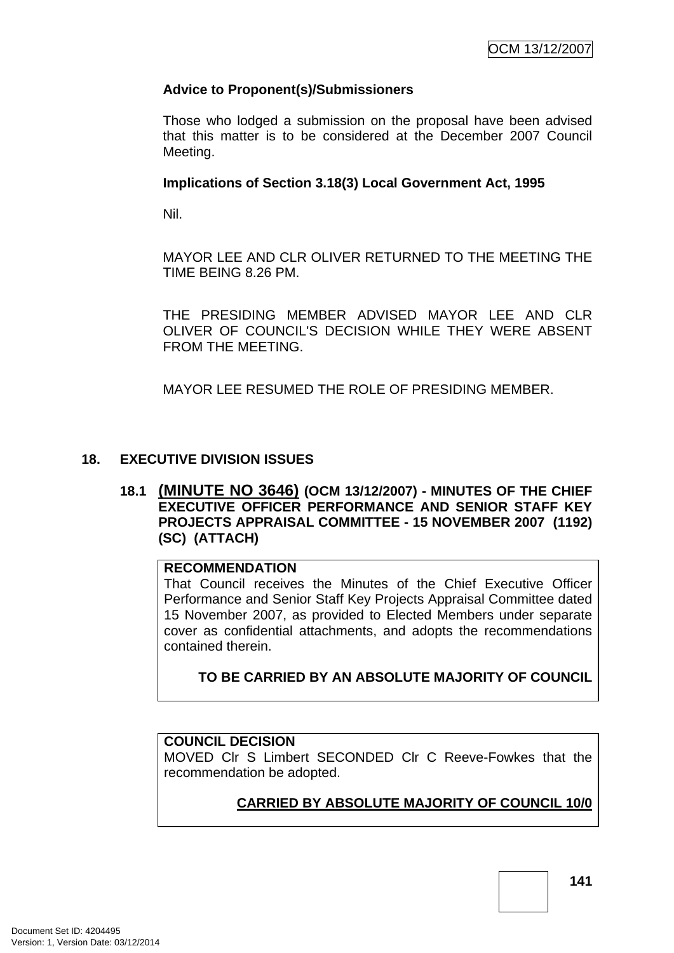# **Advice to Proponent(s)/Submissioners**

Those who lodged a submission on the proposal have been advised that this matter is to be considered at the December 2007 Council Meeting.

## **Implications of Section 3.18(3) Local Government Act, 1995**

Nil.

MAYOR LEE AND CLR OLIVER RETURNED TO THE MEETING THE TIME BEING 8.26 PM.

THE PRESIDING MEMBER ADVISED MAYOR LEE AND CLR OLIVER OF COUNCIL'S DECISION WHILE THEY WERE ABSENT FROM THE MEETING.

MAYOR LEE RESUMED THE ROLE OF PRESIDING MEMBER.

## **18. EXECUTIVE DIVISION ISSUES**

**18.1 (MINUTE NO 3646) (OCM 13/12/2007) - MINUTES OF THE CHIEF EXECUTIVE OFFICER PERFORMANCE AND SENIOR STAFF KEY PROJECTS APPRAISAL COMMITTEE - 15 NOVEMBER 2007 (1192) (SC) (ATTACH)** 

### **RECOMMENDATION**

That Council receives the Minutes of the Chief Executive Officer Performance and Senior Staff Key Projects Appraisal Committee dated 15 November 2007, as provided to Elected Members under separate cover as confidential attachments, and adopts the recommendations contained therein.

# **TO BE CARRIED BY AN ABSOLUTE MAJORITY OF COUNCIL**

#### **COUNCIL DECISION**

MOVED Clr S Limbert SECONDED Clr C Reeve-Fowkes that the recommendation be adopted.

# **CARRIED BY ABSOLUTE MAJORITY OF COUNCIL 10/0**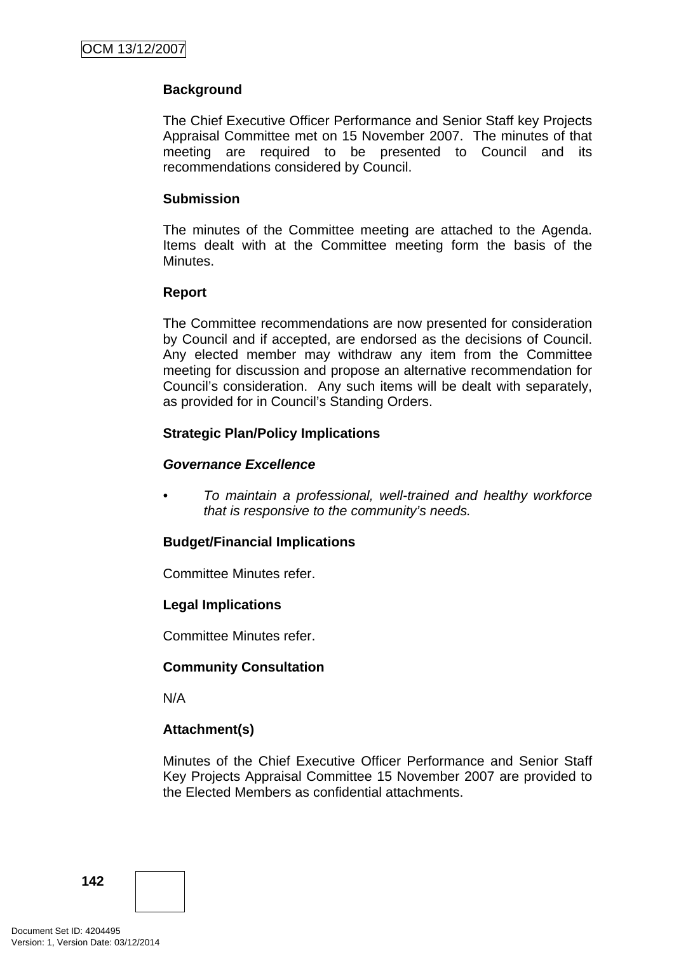# **Background**

The Chief Executive Officer Performance and Senior Staff key Projects Appraisal Committee met on 15 November 2007. The minutes of that meeting are required to be presented to Council and its recommendations considered by Council.

## **Submission**

The minutes of the Committee meeting are attached to the Agenda. Items dealt with at the Committee meeting form the basis of the Minutes.

## **Report**

The Committee recommendations are now presented for consideration by Council and if accepted, are endorsed as the decisions of Council. Any elected member may withdraw any item from the Committee meeting for discussion and propose an alternative recommendation for Council's consideration. Any such items will be dealt with separately, as provided for in Council's Standing Orders.

## **Strategic Plan/Policy Implications**

#### *Governance Excellence*

*• To maintain a professional, well-trained and healthy workforce that is responsive to the community's needs.* 

## **Budget/Financial Implications**

Committee Minutes refer.

## **Legal Implications**

Committee Minutes refer.

## **Community Consultation**

N/A

# **Attachment(s)**

Minutes of the Chief Executive Officer Performance and Senior Staff Key Projects Appraisal Committee 15 November 2007 are provided to the Elected Members as confidential attachments.

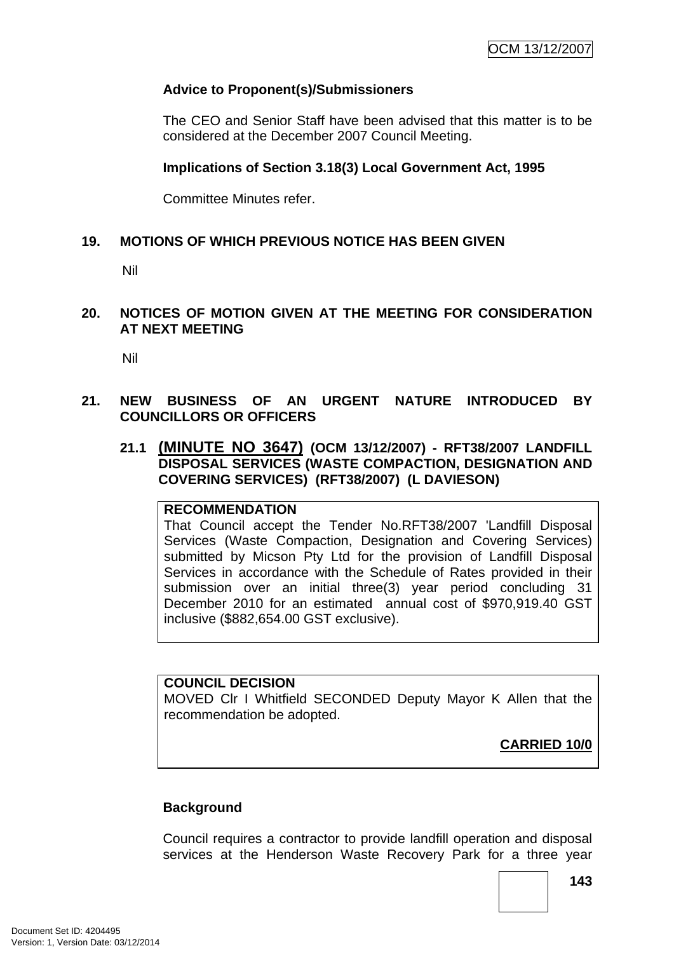## **Advice to Proponent(s)/Submissioners**

The CEO and Senior Staff have been advised that this matter is to be considered at the December 2007 Council Meeting.

## **Implications of Section 3.18(3) Local Government Act, 1995**

Committee Minutes refer.

## **19. MOTIONS OF WHICH PREVIOUS NOTICE HAS BEEN GIVEN**

Nil

### **20. NOTICES OF MOTION GIVEN AT THE MEETING FOR CONSIDERATION AT NEXT MEETING**

Nil

## **21. NEW BUSINESS OF AN URGENT NATURE INTRODUCED BY COUNCILLORS OR OFFICERS**

**21.1 (MINUTE NO 3647) (OCM 13/12/2007) - RFT38/2007 LANDFILL DISPOSAL SERVICES (WASTE COMPACTION, DESIGNATION AND COVERING SERVICES) (RFT38/2007) (L DAVIESON)** 

#### **RECOMMENDATION**

That Council accept the Tender No.RFT38/2007 'Landfill Disposal Services (Waste Compaction, Designation and Covering Services) submitted by Micson Pty Ltd for the provision of Landfill Disposal Services in accordance with the Schedule of Rates provided in their submission over an initial three(3) year period concluding 31 December 2010 for an estimated annual cost of \$970,919.40 GST inclusive (\$882,654.00 GST exclusive).

#### **COUNCIL DECISION**

MOVED Clr I Whitfield SECONDED Deputy Mayor K Allen that the recommendation be adopted.

**CARRIED 10/0**

## **Background**

Council requires a contractor to provide landfill operation and disposal services at the Henderson Waste Recovery Park for a three year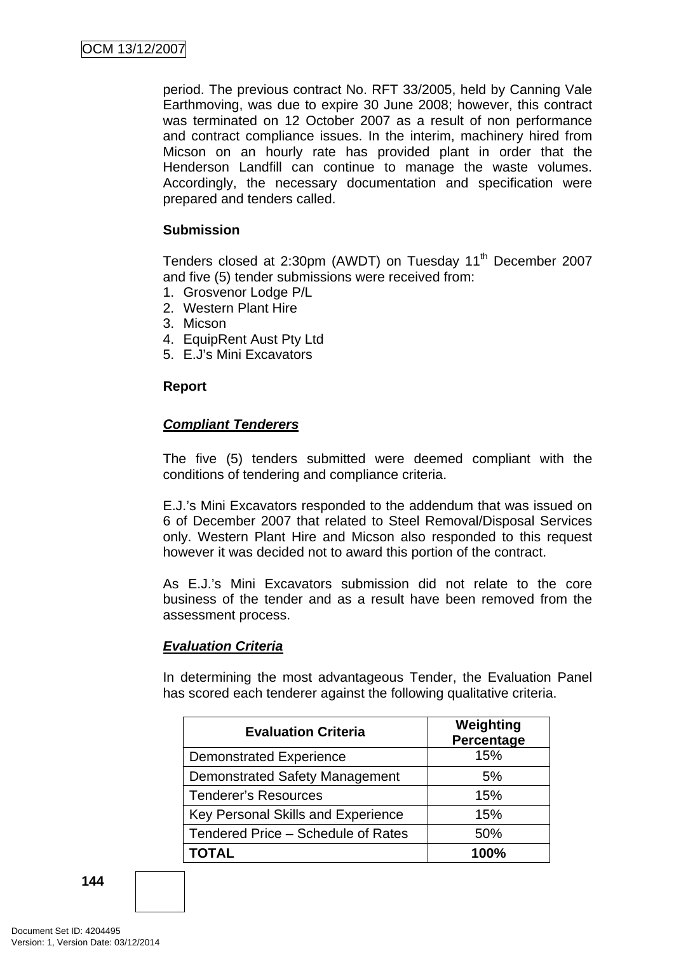period. The previous contract No. RFT 33/2005, held by Canning Vale Earthmoving, was due to expire 30 June 2008; however, this contract was terminated on 12 October 2007 as a result of non performance and contract compliance issues. In the interim, machinery hired from Micson on an hourly rate has provided plant in order that the Henderson Landfill can continue to manage the waste volumes. Accordingly, the necessary documentation and specification were prepared and tenders called.

# **Submission**

Tenders closed at 2:30pm (AWDT) on Tuesday 11<sup>th</sup> December 2007 and five (5) tender submissions were received from:

- 1. Grosvenor Lodge P/L
- 2. Western Plant Hire
- 3. Micson
- 4. EquipRent Aust Pty Ltd
- 5. E.J's Mini Excavators

## **Report**

# *Compliant Tenderers*

The five (5) tenders submitted were deemed compliant with the conditions of tendering and compliance criteria.

E.J.'s Mini Excavators responded to the addendum that was issued on 6 of December 2007 that related to Steel Removal/Disposal Services only. Western Plant Hire and Micson also responded to this request however it was decided not to award this portion of the contract.

As E.J.'s Mini Excavators submission did not relate to the core business of the tender and as a result have been removed from the assessment process.

# *Evaluation Criteria*

In determining the most advantageous Tender, the Evaluation Panel has scored each tenderer against the following qualitative criteria.

| <b>Evaluation Criteria</b>                | Weighting<br>Percentage |  |
|-------------------------------------------|-------------------------|--|
| <b>Demonstrated Experience</b>            | 15%                     |  |
| <b>Demonstrated Safety Management</b>     | 5%                      |  |
| <b>Tenderer's Resources</b>               | 15%                     |  |
| <b>Key Personal Skills and Experience</b> | 15%                     |  |
| Tendered Price - Schedule of Rates        | 50%                     |  |
| <b>TOTAL</b>                              | 100%                    |  |

**144**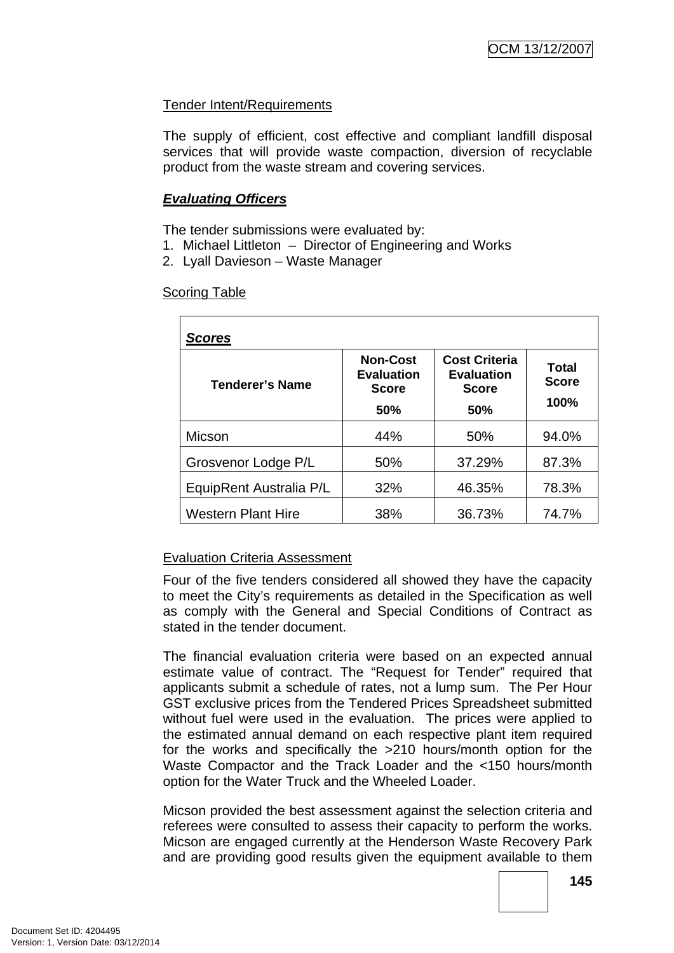## Tender Intent/Requirements

The supply of efficient, cost effective and compliant landfill disposal services that will provide waste compaction, diversion of recyclable product from the waste stream and covering services.

## *Evaluating Officers*

The tender submissions were evaluated by:

- 1. Michael Littleton Director of Engineering and Works
- 2. Lyall Davieson Waste Manager

Scoring Table

| <b>Scores</b>             |                                                      |                                                           |                               |  |  |  |
|---------------------------|------------------------------------------------------|-----------------------------------------------------------|-------------------------------|--|--|--|
| <b>Tenderer's Name</b>    | <b>Non-Cost</b><br><b>Evaluation</b><br><b>Score</b> | <b>Cost Criteria</b><br><b>Evaluation</b><br><b>Score</b> | Total<br><b>Score</b><br>100% |  |  |  |
|                           | 50%                                                  | 50%                                                       |                               |  |  |  |
| Micson                    | 44%                                                  | 50%                                                       | 94.0%                         |  |  |  |
| Grosvenor Lodge P/L       | 50%                                                  | 37.29%                                                    | 87.3%                         |  |  |  |
| EquipRent Australia P/L   | 32%                                                  | 46.35%                                                    | 78.3%                         |  |  |  |
| <b>Western Plant Hire</b> | 38%                                                  | 36.73%                                                    | 74.7%                         |  |  |  |

## Evaluation Criteria Assessment

Four of the five tenders considered all showed they have the capacity to meet the City's requirements as detailed in the Specification as well as comply with the General and Special Conditions of Contract as stated in the tender document.

The financial evaluation criteria were based on an expected annual estimate value of contract. The "Request for Tender" required that applicants submit a schedule of rates, not a lump sum. The Per Hour GST exclusive prices from the Tendered Prices Spreadsheet submitted without fuel were used in the evaluation. The prices were applied to the estimated annual demand on each respective plant item required for the works and specifically the >210 hours/month option for the Waste Compactor and the Track Loader and the <150 hours/month option for the Water Truck and the Wheeled Loader.

Micson provided the best assessment against the selection criteria and referees were consulted to assess their capacity to perform the works. Micson are engaged currently at the Henderson Waste Recovery Park and are providing good results given the equipment available to them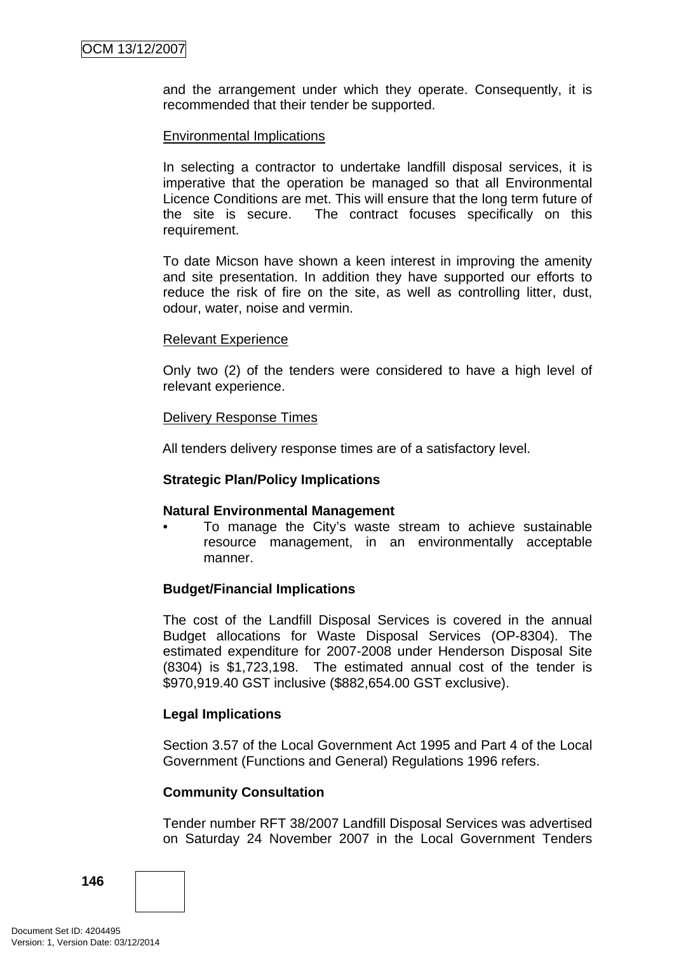and the arrangement under which they operate. Consequently, it is recommended that their tender be supported.

### Environmental Implications

In selecting a contractor to undertake landfill disposal services, it is imperative that the operation be managed so that all Environmental Licence Conditions are met. This will ensure that the long term future of the site is secure. The contract focuses specifically on this requirement.

To date Micson have shown a keen interest in improving the amenity and site presentation. In addition they have supported our efforts to reduce the risk of fire on the site, as well as controlling litter, dust, odour, water, noise and vermin.

#### Relevant Experience

Only two (2) of the tenders were considered to have a high level of relevant experience.

### Delivery Response Times

All tenders delivery response times are of a satisfactory level.

## **Strategic Plan/Policy Implications**

## **Natural Environmental Management**

• To manage the City's waste stream to achieve sustainable resource management, in an environmentally acceptable manner.

## **Budget/Financial Implications**

The cost of the Landfill Disposal Services is covered in the annual Budget allocations for Waste Disposal Services (OP-8304). The estimated expenditure for 2007-2008 under Henderson Disposal Site (8304) is \$1,723,198. The estimated annual cost of the tender is \$970,919.40 GST inclusive (\$882,654.00 GST exclusive).

## **Legal Implications**

Section 3.57 of the Local Government Act 1995 and Part 4 of the Local Government (Functions and General) Regulations 1996 refers.

## **Community Consultation**

Tender number RFT 38/2007 Landfill Disposal Services was advertised on Saturday 24 November 2007 in the Local Government Tenders

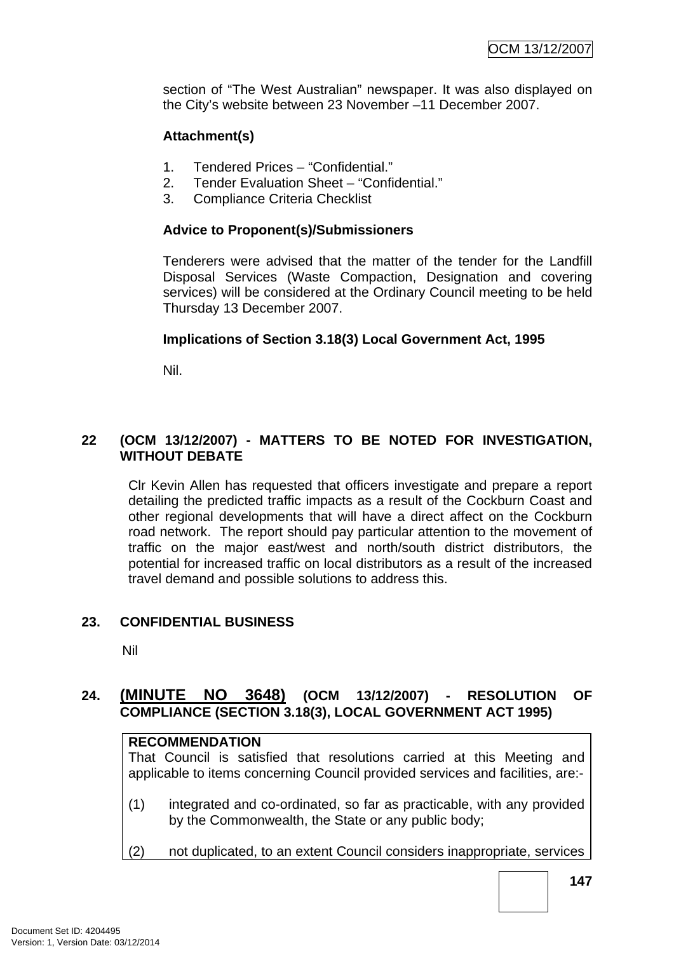section of "The West Australian" newspaper. It was also displayed on the City's website between 23 November –11 December 2007.

# **Attachment(s)**

- 1. Tendered Prices "Confidential."
- 2. Tender Evaluation Sheet "Confidential."
- 3. Compliance Criteria Checklist

# **Advice to Proponent(s)/Submissioners**

Tenderers were advised that the matter of the tender for the Landfill Disposal Services (Waste Compaction, Designation and covering services) will be considered at the Ordinary Council meeting to be held Thursday 13 December 2007.

## **Implications of Section 3.18(3) Local Government Act, 1995**

Nil.

## **22 (OCM 13/12/2007) - MATTERS TO BE NOTED FOR INVESTIGATION, WITHOUT DEBATE**

Clr Kevin Allen has requested that officers investigate and prepare a report detailing the predicted traffic impacts as a result of the Cockburn Coast and other regional developments that will have a direct affect on the Cockburn road network. The report should pay particular attention to the movement of traffic on the major east/west and north/south district distributors, the potential for increased traffic on local distributors as a result of the increased travel demand and possible solutions to address this.

# **23. CONFIDENTIAL BUSINESS**

Nil

# **24. (MINUTE NO 3648) (OCM 13/12/2007) - RESOLUTION OF COMPLIANCE (SECTION 3.18(3), LOCAL GOVERNMENT ACT 1995)**

## **RECOMMENDATION**

That Council is satisfied that resolutions carried at this Meeting and applicable to items concerning Council provided services and facilities, are:-

- (1) integrated and co-ordinated, so far as practicable, with any provided by the Commonwealth, the State or any public body;
- (2) not duplicated, to an extent Council considers inappropriate, services